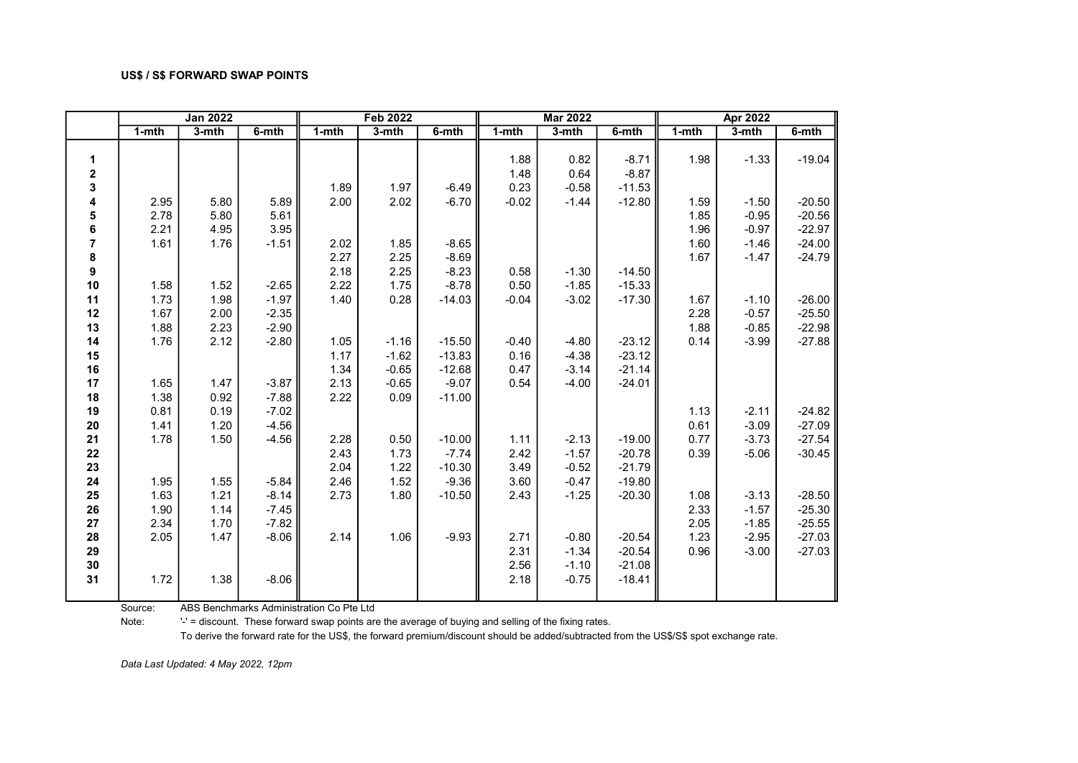|                |           | <b>Jan 2022</b> |         |           | <b>Feb 2022</b> |          |           | <b>Mar 2022</b> |          |           | <b>Apr 2022</b> |          |
|----------------|-----------|-----------------|---------|-----------|-----------------|----------|-----------|-----------------|----------|-----------|-----------------|----------|
|                | $1 - mth$ | $3-$ mth        | 6-mth   | $1 - mth$ | $3-$ mth        | 6-mth    | $1 - mth$ | $3-mth$         | 6-mth    | $1 - mth$ | $3-$ mth        | 6-mth    |
|                |           |                 |         |           |                 |          |           |                 |          |           |                 |          |
| 1              |           |                 |         |           |                 |          | 1.88      | 0.82            | $-8.71$  | 1.98      | $-1.33$         | $-19.04$ |
| $\mathbf 2$    |           |                 |         |           |                 |          | 1.48      | 0.64            | $-8.87$  |           |                 |          |
| 3              |           |                 |         | 1.89      | 1.97            | $-6.49$  | 0.23      | $-0.58$         | $-11.53$ |           |                 |          |
| 4              | 2.95      | 5.80            | 5.89    | 2.00      | 2.02            | $-6.70$  | $-0.02$   | $-1.44$         | $-12.80$ | 1.59      | $-1.50$         | $-20.50$ |
| 5              | 2.78      | 5.80            | 5.61    |           |                 |          |           |                 |          | 1.85      | $-0.95$         | $-20.56$ |
| 6              | 2.21      | 4.95            | 3.95    |           |                 |          |           |                 |          | 1.96      | $-0.97$         | $-22.97$ |
| $\overline{7}$ | 1.61      | 1.76            | $-1.51$ | 2.02      | 1.85            | $-8.65$  |           |                 |          | 1.60      | $-1.46$         | $-24.00$ |
| 8              |           |                 |         | 2.27      | 2.25            | $-8.69$  |           |                 |          | 1.67      | $-1.47$         | $-24.79$ |
| 9              |           |                 |         | 2.18      | 2.25            | $-8.23$  | 0.58      | $-1.30$         | $-14.50$ |           |                 |          |
| 10             | 1.58      | 1.52            | $-2.65$ | 2.22      | 1.75            | $-8.78$  | 0.50      | $-1.85$         | $-15.33$ |           |                 |          |
| 11             | 1.73      | 1.98            | $-1.97$ | 1.40      | 0.28            | $-14.03$ | $-0.04$   | $-3.02$         | $-17.30$ | 1.67      | $-1.10$         | $-26.00$ |
| 12             | 1.67      | 2.00            | $-2.35$ |           |                 |          |           |                 |          | 2.28      | $-0.57$         | $-25.50$ |
| 13             | 1.88      | 2.23            | $-2.90$ |           |                 |          |           |                 |          | 1.88      | $-0.85$         | $-22.98$ |
| 14             | 1.76      | 2.12            | $-2.80$ | 1.05      | $-1.16$         | $-15.50$ | $-0.40$   | $-4.80$         | $-23.12$ | 0.14      | $-3.99$         | $-27.88$ |
| 15             |           |                 |         | 1.17      | $-1.62$         | $-13.83$ | 0.16      | $-4.38$         | $-23.12$ |           |                 |          |
| 16             |           |                 |         | 1.34      | $-0.65$         | $-12.68$ | 0.47      | $-3.14$         | $-21.14$ |           |                 |          |
| 17             | 1.65      | 1.47            | $-3.87$ | 2.13      | $-0.65$         | $-9.07$  | 0.54      | $-4.00$         | $-24.01$ |           |                 |          |
| 18             | 1.38      | 0.92            | $-7.88$ | 2.22      | 0.09            | $-11.00$ |           |                 |          |           |                 |          |
| 19             | 0.81      | 0.19            | $-7.02$ |           |                 |          |           |                 |          | 1.13      | $-2.11$         | $-24.82$ |
| 20             | 1.41      | 1.20            | $-4.56$ |           |                 |          |           |                 |          | 0.61      | $-3.09$         | $-27.09$ |
| 21             | 1.78      | 1.50            | $-4.56$ | 2.28      | 0.50            | $-10.00$ | 1.11      | $-2.13$         | $-19.00$ | 0.77      | $-3.73$         | $-27.54$ |
| 22             |           |                 |         | 2.43      | 1.73            | $-7.74$  | 2.42      | $-1.57$         | $-20.78$ | 0.39      | $-5.06$         | $-30.45$ |
| 23             |           |                 |         | 2.04      | 1.22            | $-10.30$ | 3.49      | $-0.52$         | $-21.79$ |           |                 |          |
| 24             | 1.95      | 1.55            | $-5.84$ | 2.46      | 1.52            | $-9.36$  | 3.60      | $-0.47$         | $-19.80$ |           |                 |          |
| 25             | 1.63      | 1.21            | $-8.14$ | 2.73      | 1.80            | $-10.50$ | 2.43      | $-1.25$         | $-20.30$ | 1.08      | $-3.13$         | $-28.50$ |
| 26             | 1.90      | 1.14            | $-7.45$ |           |                 |          |           |                 |          | 2.33      | $-1.57$         | $-25.30$ |
| 27             | 2.34      | 1.70            | $-7.82$ |           |                 |          |           |                 |          | 2.05      | $-1.85$         | $-25.55$ |
| 28             | 2.05      | 1.47            | $-8.06$ | 2.14      | 1.06            | $-9.93$  | 2.71      | $-0.80$         | $-20.54$ | 1.23      | $-2.95$         | $-27.03$ |
| 29             |           |                 |         |           |                 |          | 2.31      | $-1.34$         | $-20.54$ | 0.96      | $-3.00$         | $-27.03$ |
| 30             |           |                 |         |           |                 |          | 2.56      | $-1.10$         | $-21.08$ |           |                 |          |
| 31             | 1.72      | 1.38            | $-8.06$ |           |                 |          | 2.18      | $-0.75$         | $-18.41$ |           |                 |          |
|                |           |                 |         |           |                 |          |           |                 |          |           |                 |          |

Source: ABS Benchmarks Administration Co Pte Ltd

Note: '' = discount. These forward swap points are the average of buying and selling of the fixing rates.

To derive the forward rate for the US\$, the forward premium/discount should be added/subtracted from the US\$/S\$ spot exchange rate.

Data Last Updated: 4 May 2022, 12pm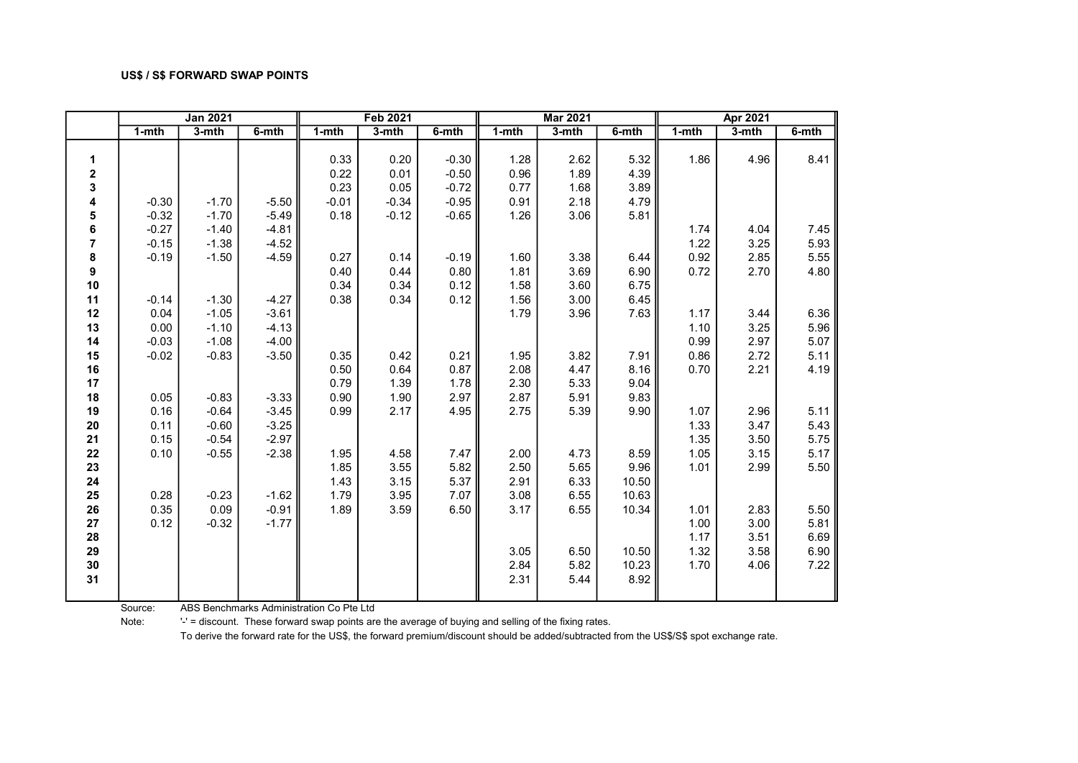|                         |           | <b>Jan 2021</b> |          |           | <b>Feb 2021</b> |         |           | <b>Mar 2021</b> |       |           | Apr 2021 |       |
|-------------------------|-----------|-----------------|----------|-----------|-----------------|---------|-----------|-----------------|-------|-----------|----------|-------|
|                         | $1 - mth$ | $3-$ mth        | $6-$ mth | $1 - mth$ | $3-$ mth        | 6-mth   | $1 - mth$ | $3-$ mth        | 6-mth | $1 - mth$ | $3-$ mth | 6-mth |
|                         |           |                 |          |           |                 |         |           |                 |       |           |          |       |
| 1                       |           |                 |          | 0.33      | 0.20            | $-0.30$ | 1.28      | 2.62            | 5.32  | 1.86      | 4.96     | 8.41  |
| $\mathbf 2$             |           |                 |          | 0.22      | 0.01            | $-0.50$ | 0.96      | 1.89            | 4.39  |           |          |       |
| 3                       |           |                 |          | 0.23      | 0.05            | $-0.72$ | 0.77      | 1.68            | 3.89  |           |          |       |
| 4                       | $-0.30$   | $-1.70$         | $-5.50$  | $-0.01$   | $-0.34$         | $-0.95$ | 0.91      | 2.18            | 4.79  |           |          |       |
| 5                       | $-0.32$   | $-1.70$         | $-5.49$  | 0.18      | $-0.12$         | $-0.65$ | 1.26      | 3.06            | 5.81  |           |          |       |
| 6                       | $-0.27$   | $-1.40$         | $-4.81$  |           |                 |         |           |                 |       | 1.74      | 4.04     | 7.45  |
| $\overline{\mathbf{r}}$ | $-0.15$   | $-1.38$         | $-4.52$  |           |                 |         |           |                 |       | 1.22      | 3.25     | 5.93  |
| 8                       | $-0.19$   | $-1.50$         | $-4.59$  | 0.27      | 0.14            | $-0.19$ | 1.60      | 3.38            | 6.44  | 0.92      | 2.85     | 5.55  |
| 9                       |           |                 |          | 0.40      | 0.44            | 0.80    | 1.81      | 3.69            | 6.90  | 0.72      | 2.70     | 4.80  |
| 10                      |           |                 |          | 0.34      | 0.34            | 0.12    | 1.58      | 3.60            | 6.75  |           |          |       |
| 11                      | $-0.14$   | $-1.30$         | $-4.27$  | 0.38      | 0.34            | 0.12    | 1.56      | 3.00            | 6.45  |           |          |       |
| 12                      | 0.04      | $-1.05$         | $-3.61$  |           |                 |         | 1.79      | 3.96            | 7.63  | 1.17      | 3.44     | 6.36  |
| 13                      | 0.00      | $-1.10$         | $-4.13$  |           |                 |         |           |                 |       | 1.10      | 3.25     | 5.96  |
| 14                      | $-0.03$   | $-1.08$         | $-4.00$  |           |                 |         |           |                 |       | 0.99      | 2.97     | 5.07  |
| 15                      | $-0.02$   | $-0.83$         | $-3.50$  | 0.35      | 0.42            | 0.21    | 1.95      | 3.82            | 7.91  | 0.86      | 2.72     | 5.11  |
| 16                      |           |                 |          | 0.50      | 0.64            | 0.87    | 2.08      | 4.47            | 8.16  | 0.70      | 2.21     | 4.19  |
| 17                      |           |                 |          | 0.79      | 1.39            | 1.78    | 2.30      | 5.33            | 9.04  |           |          |       |
| 18                      | 0.05      | $-0.83$         | $-3.33$  | 0.90      | 1.90            | 2.97    | 2.87      | 5.91            | 9.83  |           |          |       |
| 19                      | 0.16      | $-0.64$         | $-3.45$  | 0.99      | 2.17            | 4.95    | 2.75      | 5.39            | 9.90  | 1.07      | 2.96     | 5.11  |
| 20                      | 0.11      | $-0.60$         | $-3.25$  |           |                 |         |           |                 |       | 1.33      | 3.47     | 5.43  |
| 21                      | 0.15      | $-0.54$         | $-2.97$  |           |                 |         |           |                 |       | 1.35      | 3.50     | 5.75  |
| 22                      | 0.10      | $-0.55$         | $-2.38$  | 1.95      | 4.58            | 7.47    | 2.00      | 4.73            | 8.59  | 1.05      | 3.15     | 5.17  |
| 23                      |           |                 |          | 1.85      | 3.55            | 5.82    | 2.50      | 5.65            | 9.96  | 1.01      | 2.99     | 5.50  |
| 24                      |           |                 |          | 1.43      | 3.15            | 5.37    | 2.91      | 6.33            | 10.50 |           |          |       |
| 25                      | 0.28      | $-0.23$         | $-1.62$  | 1.79      | 3.95            | 7.07    | 3.08      | 6.55            | 10.63 |           |          |       |
| 26                      | 0.35      | 0.09            | $-0.91$  | 1.89      | 3.59            | 6.50    | 3.17      | 6.55            | 10.34 | 1.01      | 2.83     | 5.50  |
| 27                      | 0.12      | $-0.32$         | $-1.77$  |           |                 |         |           |                 |       | 1.00      | 3.00     | 5.81  |
| 28                      |           |                 |          |           |                 |         |           |                 |       | 1.17      | 3.51     | 6.69  |
| 29                      |           |                 |          |           |                 |         | 3.05      | 6.50            | 10.50 | 1.32      | 3.58     | 6.90  |
| 30                      |           |                 |          |           |                 |         | 2.84      | 5.82            | 10.23 | 1.70      | 4.06     | 7.22  |
| 31                      |           |                 |          |           |                 |         | 2.31      | 5.44            | 8.92  |           |          |       |
|                         |           |                 |          |           |                 |         |           |                 |       |           |          |       |

Source: ABS Benchmarks Administration Co Pte Ltd

Note: '' = discount. These forward swap points are the average of buying and selling of the fixing rates.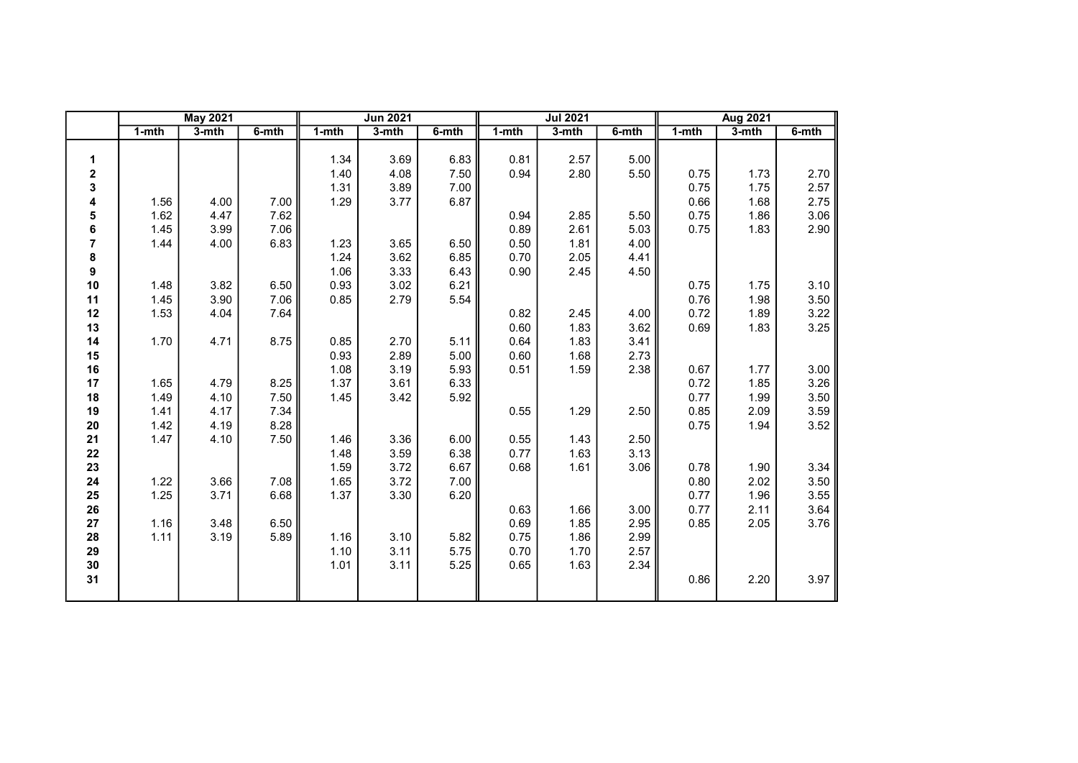|                |           | <b>May 2021</b> |          |           | <b>Jun 2021</b> |          |           | <b>Jul 2021</b> |          |           | <b>Aug 2021</b> |          |
|----------------|-----------|-----------------|----------|-----------|-----------------|----------|-----------|-----------------|----------|-----------|-----------------|----------|
|                | $1 - mth$ | $3-$ mth        | $6-$ mth | $1 - mth$ | $3-$ mth        | $6-$ mth | $1 - mth$ | $3-mth$         | $6-$ mth | $1 - mth$ | $3-mth$         | $6-$ mth |
|                |           |                 |          |           |                 |          |           |                 |          |           |                 |          |
| 1              |           |                 |          | 1.34      | 3.69            | 6.83     | 0.81      | 2.57            | 5.00     |           |                 |          |
| $\mathbf 2$    |           |                 |          | 1.40      | 4.08            | 7.50     | 0.94      | 2.80            | 5.50     | 0.75      | 1.73            | 2.70     |
| 3              |           |                 |          | 1.31      | 3.89            | 7.00     |           |                 |          | 0.75      | 1.75            | 2.57     |
| 4              | 1.56      | 4.00            | 7.00     | 1.29      | 3.77            | 6.87     |           |                 |          | 0.66      | 1.68            | 2.75     |
| 5              | 1.62      | 4.47            | 7.62     |           |                 |          | 0.94      | 2.85            | 5.50     | 0.75      | 1.86            | 3.06     |
| 6              | 1.45      | 3.99            | 7.06     |           |                 |          | 0.89      | 2.61            | 5.03     | 0.75      | 1.83            | 2.90     |
| $\overline{7}$ | 1.44      | 4.00            | 6.83     | 1.23      | 3.65            | 6.50     | 0.50      | 1.81            | 4.00     |           |                 |          |
| 8              |           |                 |          | 1.24      | 3.62            | 6.85     | 0.70      | 2.05            | 4.41     |           |                 |          |
| 9              |           |                 |          | 1.06      | 3.33            | 6.43     | 0.90      | 2.45            | 4.50     |           |                 |          |
| 10             | 1.48      | 3.82            | 6.50     | 0.93      | 3.02            | 6.21     |           |                 |          | 0.75      | 1.75            | 3.10     |
| 11             | 1.45      | 3.90            | 7.06     | 0.85      | 2.79            | 5.54     |           |                 |          | 0.76      | 1.98            | 3.50     |
| 12             | 1.53      | 4.04            | 7.64     |           |                 |          | 0.82      | 2.45            | 4.00     | 0.72      | 1.89            | 3.22     |
| 13             |           |                 |          |           |                 |          | 0.60      | 1.83            | 3.62     | 0.69      | 1.83            | 3.25     |
| 14             | 1.70      | 4.71            | 8.75     | 0.85      | 2.70            | 5.11     | 0.64      | 1.83            | 3.41     |           |                 |          |
| 15             |           |                 |          | 0.93      | 2.89            | 5.00     | 0.60      | 1.68            | 2.73     |           |                 |          |
| 16             |           |                 |          | 1.08      | 3.19            | 5.93     | 0.51      | 1.59            | 2.38     | 0.67      | 1.77            | 3.00     |
| 17             | 1.65      | 4.79            | 8.25     | 1.37      | 3.61            | 6.33     |           |                 |          | 0.72      | 1.85            | 3.26     |
| 18             | 1.49      | 4.10            | 7.50     | 1.45      | 3.42            | 5.92     |           |                 |          | 0.77      | 1.99            | 3.50     |
| 19             | 1.41      | 4.17            | 7.34     |           |                 |          | 0.55      | 1.29            | 2.50     | 0.85      | 2.09            | 3.59     |
| ${\bf 20}$     | 1.42      | 4.19            | 8.28     |           |                 |          |           |                 |          | 0.75      | 1.94            | 3.52     |
| 21             | 1.47      | 4.10            | 7.50     | 1.46      | 3.36            | 6.00     | 0.55      | 1.43            | 2.50     |           |                 |          |
| 22             |           |                 |          | 1.48      | 3.59            | 6.38     | 0.77      | 1.63            | 3.13     |           |                 |          |
| 23             |           |                 |          | 1.59      | 3.72            | 6.67     | 0.68      | 1.61            | 3.06     | 0.78      | 1.90            | 3.34     |
| 24             | 1.22      | 3.66            | 7.08     | 1.65      | 3.72            | 7.00     |           |                 |          | 0.80      | 2.02            | 3.50     |
| 25             | 1.25      | 3.71            | 6.68     | 1.37      | 3.30            | 6.20     |           |                 |          | 0.77      | 1.96            | 3.55     |
| 26             |           |                 |          |           |                 |          | 0.63      | 1.66            | 3.00     | 0.77      | 2.11            | 3.64     |
| 27             | 1.16      | 3.48            | 6.50     |           |                 |          | 0.69      | 1.85            | 2.95     | 0.85      | 2.05            | 3.76     |
| 28             | 1.11      | 3.19            | 5.89     | 1.16      | 3.10            | 5.82     | 0.75      | 1.86            | 2.99     |           |                 |          |
| 29             |           |                 |          | 1.10      | 3.11            | 5.75     | 0.70      | 1.70            | 2.57     |           |                 |          |
| $30\,$         |           |                 |          | 1.01      | 3.11            | 5.25     | 0.65      | 1.63            | 2.34     |           |                 |          |
| 31             |           |                 |          |           |                 |          |           |                 |          | 0.86      | 2.20            | 3.97     |
|                |           |                 |          |           |                 |          |           |                 |          |           |                 |          |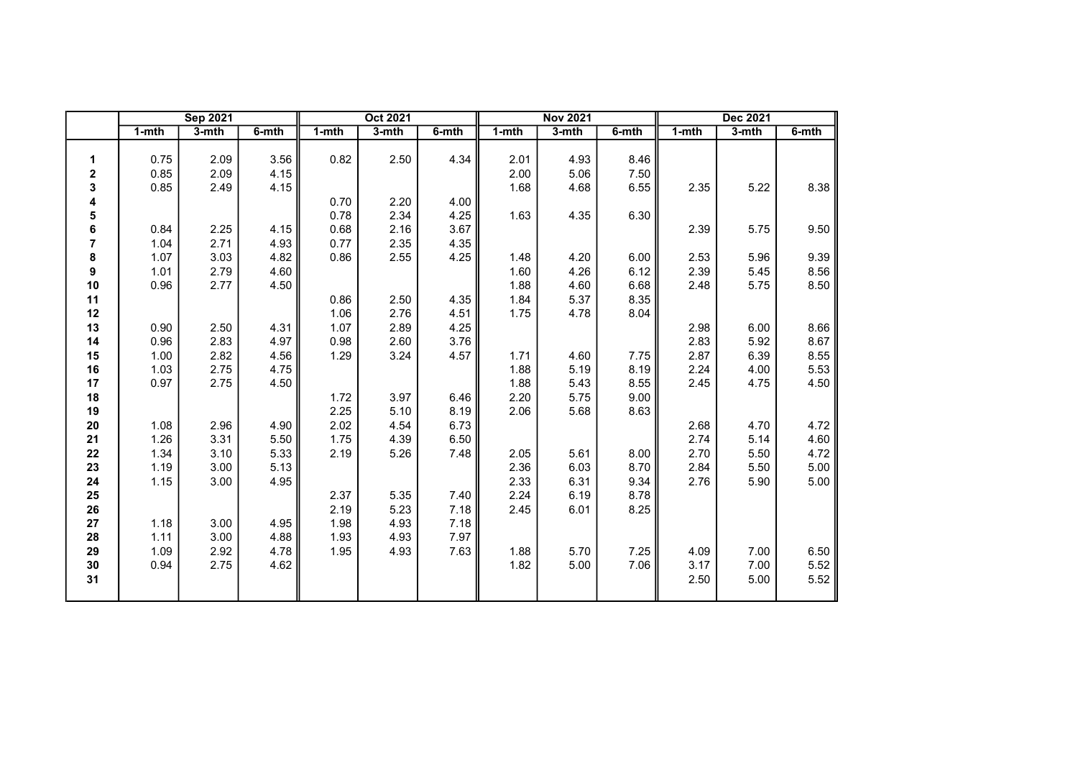|                |       | <b>Sep 2021</b> |       |           | Oct 2021 |       |       | <b>Nov 2021</b> |       |           | Dec 2021 |       |
|----------------|-------|-----------------|-------|-----------|----------|-------|-------|-----------------|-------|-----------|----------|-------|
|                | 1-mth | $3-$ mth        | 6-mth | $1 - mth$ | $3-$ mth | 6-mth | 1-mth | $3-$ mth        | 6-mth | $1 - mth$ | $3-$ mth | 6-mth |
|                |       |                 |       |           |          |       |       |                 |       |           |          |       |
| 1              | 0.75  | 2.09            | 3.56  | 0.82      | 2.50     | 4.34  | 2.01  | 4.93            | 8.46  |           |          |       |
| 2              | 0.85  | 2.09            | 4.15  |           |          |       | 2.00  | 5.06            | 7.50  |           |          |       |
| 3              | 0.85  | 2.49            | 4.15  |           |          |       | 1.68  | 4.68            | 6.55  | 2.35      | 5.22     | 8.38  |
| 4              |       |                 |       | 0.70      | 2.20     | 4.00  |       |                 |       |           |          |       |
| 5              |       |                 |       | 0.78      | 2.34     | 4.25  | 1.63  | 4.35            | 6.30  |           |          |       |
| 6              | 0.84  | 2.25            | 4.15  | 0.68      | 2.16     | 3.67  |       |                 |       | 2.39      | 5.75     | 9.50  |
| $\overline{7}$ | 1.04  | 2.71            | 4.93  | 0.77      | 2.35     | 4.35  |       |                 |       |           |          |       |
| 8              | 1.07  | 3.03            | 4.82  | 0.86      | 2.55     | 4.25  | 1.48  | 4.20            | 6.00  | 2.53      | 5.96     | 9.39  |
| 9              | 1.01  | 2.79            | 4.60  |           |          |       | 1.60  | 4.26            | 6.12  | 2.39      | 5.45     | 8.56  |
| 10             | 0.96  | 2.77            | 4.50  |           |          |       | 1.88  | 4.60            | 6.68  | 2.48      | 5.75     | 8.50  |
| 11             |       |                 |       | 0.86      | 2.50     | 4.35  | 1.84  | 5.37            | 8.35  |           |          |       |
| 12             |       |                 |       | 1.06      | 2.76     | 4.51  | 1.75  | 4.78            | 8.04  |           |          |       |
| 13             | 0.90  | 2.50            | 4.31  | 1.07      | 2.89     | 4.25  |       |                 |       | 2.98      | 6.00     | 8.66  |
| 14             | 0.96  | 2.83            | 4.97  | 0.98      | 2.60     | 3.76  |       |                 |       | 2.83      | 5.92     | 8.67  |
| 15             | 1.00  | 2.82            | 4.56  | 1.29      | 3.24     | 4.57  | 1.71  | 4.60            | 7.75  | 2.87      | 6.39     | 8.55  |
| 16             | 1.03  | 2.75            | 4.75  |           |          |       | 1.88  | 5.19            | 8.19  | 2.24      | 4.00     | 5.53  |
| 17             | 0.97  | 2.75            | 4.50  |           |          |       | 1.88  | 5.43            | 8.55  | 2.45      | 4.75     | 4.50  |
| 18             |       |                 |       | 1.72      | 3.97     | 6.46  | 2.20  | 5.75            | 9.00  |           |          |       |
| 19             |       |                 |       | 2.25      | 5.10     | 8.19  | 2.06  | 5.68            | 8.63  |           |          |       |
| 20             | 1.08  | 2.96            | 4.90  | 2.02      | 4.54     | 6.73  |       |                 |       | 2.68      | 4.70     | 4.72  |
| 21             | 1.26  | 3.31            | 5.50  | 1.75      | 4.39     | 6.50  |       |                 |       | 2.74      | 5.14     | 4.60  |
| 22             | 1.34  | 3.10            | 5.33  | 2.19      | 5.26     | 7.48  | 2.05  | 5.61            | 8.00  | 2.70      | 5.50     | 4.72  |
| 23             | 1.19  | 3.00            | 5.13  |           |          |       | 2.36  | 6.03            | 8.70  | 2.84      | 5.50     | 5.00  |
| 24             | 1.15  | 3.00            | 4.95  |           |          |       | 2.33  | 6.31            | 9.34  | 2.76      | 5.90     | 5.00  |
| 25             |       |                 |       | 2.37      | 5.35     | 7.40  | 2.24  | 6.19            | 8.78  |           |          |       |
| 26             |       |                 |       | 2.19      | 5.23     | 7.18  | 2.45  | 6.01            | 8.25  |           |          |       |
| 27             | 1.18  | 3.00            | 4.95  | 1.98      | 4.93     | 7.18  |       |                 |       |           |          |       |
| 28             | 1.11  | 3.00            | 4.88  | 1.93      | 4.93     | 7.97  |       |                 |       |           |          |       |
| 29             | 1.09  | 2.92            | 4.78  | 1.95      | 4.93     | 7.63  | 1.88  | 5.70            | 7.25  | 4.09      | 7.00     | 6.50  |
| $30\,$         | 0.94  | 2.75            | 4.62  |           |          |       | 1.82  | 5.00            | 7.06  | 3.17      | 7.00     | 5.52  |
| 31             |       |                 |       |           |          |       |       |                 |       | 2.50      | 5.00     | 5.52  |
|                |       |                 |       |           |          |       |       |                 |       |           |          |       |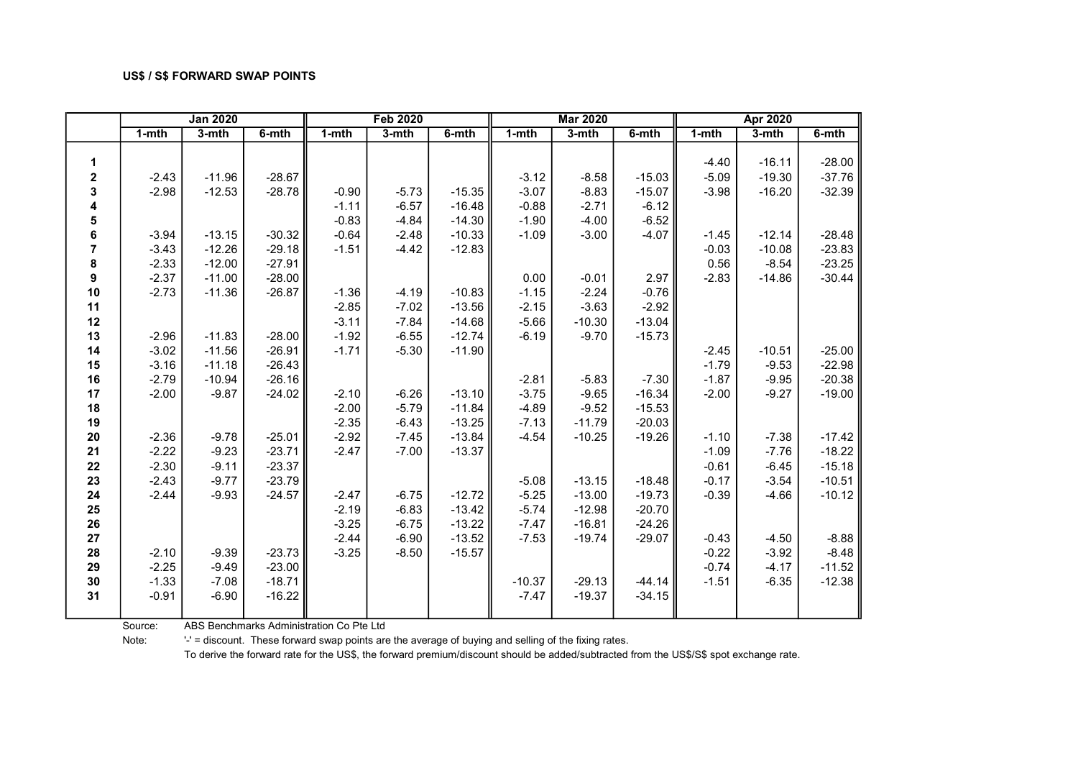|              |           | <b>Jan 2020</b> |          |           | <b>Feb 2020</b> |          |           | <b>Mar 2020</b> |          |           | <b>Apr 2020</b> |          |
|--------------|-----------|-----------------|----------|-----------|-----------------|----------|-----------|-----------------|----------|-----------|-----------------|----------|
|              | $1 - mth$ | $3-$ mth        | $6-$ mth | $1 - mth$ | $3-$ mth        | $6-$ mth | $1 - mth$ | $3-$ mth        | $6-$ mth | $1 - mth$ | $3-mth$         | 6-mth    |
|              |           |                 |          |           |                 |          |           |                 |          |           |                 |          |
| 1            |           |                 |          |           |                 |          |           |                 |          | $-4.40$   | $-16.11$        | $-28.00$ |
| $\mathbf{2}$ | $-2.43$   | $-11.96$        | $-28.67$ |           |                 |          | $-3.12$   | $-8.58$         | $-15.03$ | $-5.09$   | $-19.30$        | $-37.76$ |
| 3            | $-2.98$   | $-12.53$        | $-28.78$ | $-0.90$   | $-5.73$         | $-15.35$ | $-3.07$   | $-8.83$         | $-15.07$ | $-3.98$   | $-16.20$        | $-32.39$ |
| 4            |           |                 |          | $-1.11$   | $-6.57$         | $-16.48$ | $-0.88$   | $-2.71$         | $-6.12$  |           |                 |          |
| 5            |           |                 |          | $-0.83$   | $-4.84$         | $-14.30$ | $-1.90$   | $-4.00$         | $-6.52$  |           |                 |          |
| 6            | $-3.94$   | $-13.15$        | $-30.32$ | $-0.64$   | $-2.48$         | $-10.33$ | $-1.09$   | $-3.00$         | $-4.07$  | $-1.45$   | $-12.14$        | $-28.48$ |
| 7            | $-3.43$   | $-12.26$        | $-29.18$ | $-1.51$   | $-4.42$         | $-12.83$ |           |                 |          | $-0.03$   | $-10.08$        | $-23.83$ |
| 8            | $-2.33$   | $-12.00$        | $-27.91$ |           |                 |          |           |                 |          | 0.56      | $-8.54$         | $-23.25$ |
| 9            | $-2.37$   | $-11.00$        | $-28.00$ |           |                 |          | 0.00      | $-0.01$         | 2.97     | $-2.83$   | $-14.86$        | $-30.44$ |
| 10           | $-2.73$   | $-11.36$        | $-26.87$ | $-1.36$   | $-4.19$         | $-10.83$ | $-1.15$   | $-2.24$         | $-0.76$  |           |                 |          |
| 11           |           |                 |          | $-2.85$   | $-7.02$         | $-13.56$ | $-2.15$   | $-3.63$         | $-2.92$  |           |                 |          |
| 12           |           |                 |          | $-3.11$   | $-7.84$         | $-14.68$ | $-5.66$   | $-10.30$        | $-13.04$ |           |                 |          |
| 13           | $-2.96$   | $-11.83$        | $-28.00$ | $-1.92$   | $-6.55$         | $-12.74$ | $-6.19$   | $-9.70$         | $-15.73$ |           |                 |          |
| 14           | $-3.02$   | $-11.56$        | $-26.91$ | $-1.71$   | $-5.30$         | $-11.90$ |           |                 |          | $-2.45$   | $-10.51$        | $-25.00$ |
| 15           | $-3.16$   | $-11.18$        | $-26.43$ |           |                 |          |           |                 |          | $-1.79$   | $-9.53$         | $-22.98$ |
| 16           | $-2.79$   | $-10.94$        | $-26.16$ |           |                 |          | $-2.81$   | $-5.83$         | $-7.30$  | $-1.87$   | $-9.95$         | $-20.38$ |
| 17           | $-2.00$   | $-9.87$         | $-24.02$ | $-2.10$   | $-6.26$         | $-13.10$ | $-3.75$   | $-9.65$         | $-16.34$ | $-2.00$   | $-9.27$         | $-19.00$ |
| 18           |           |                 |          | $-2.00$   | $-5.79$         | $-11.84$ | $-4.89$   | $-9.52$         | $-15.53$ |           |                 |          |
| 19           |           |                 |          | $-2.35$   | $-6.43$         | $-13.25$ | $-7.13$   | $-11.79$        | $-20.03$ |           |                 |          |
| 20           | $-2.36$   | $-9.78$         | $-25.01$ | $-2.92$   | $-7.45$         | $-13.84$ | $-4.54$   | $-10.25$        | $-19.26$ | $-1.10$   | $-7.38$         | $-17.42$ |
| 21           | $-2.22$   | $-9.23$         | $-23.71$ | $-2.47$   | $-7.00$         | $-13.37$ |           |                 |          | $-1.09$   | $-7.76$         | $-18.22$ |
| 22           | $-2.30$   | $-9.11$         | $-23.37$ |           |                 |          |           |                 |          | $-0.61$   | $-6.45$         | $-15.18$ |
| 23           | $-2.43$   | $-9.77$         | $-23.79$ |           |                 |          | $-5.08$   | $-13.15$        | $-18.48$ | $-0.17$   | $-3.54$         | $-10.51$ |
| 24           | $-2.44$   | $-9.93$         | $-24.57$ | $-2.47$   | $-6.75$         | $-12.72$ | $-5.25$   | $-13.00$        | $-19.73$ | $-0.39$   | $-4.66$         | $-10.12$ |
| 25           |           |                 |          | $-2.19$   | $-6.83$         | $-13.42$ | $-5.74$   | $-12.98$        | $-20.70$ |           |                 |          |
| 26           |           |                 |          | $-3.25$   | $-6.75$         | $-13.22$ | $-7.47$   | $-16.81$        | $-24.26$ |           |                 |          |
| 27           |           |                 |          | $-2.44$   | $-6.90$         | $-13.52$ | $-7.53$   | $-19.74$        | $-29.07$ | $-0.43$   | $-4.50$         | $-8.88$  |
| 28           | $-2.10$   | $-9.39$         | $-23.73$ | $-3.25$   | $-8.50$         | $-15.57$ |           |                 |          | $-0.22$   | $-3.92$         | $-8.48$  |
| 29           | $-2.25$   | $-9.49$         | $-23.00$ |           |                 |          |           |                 |          | $-0.74$   | $-4.17$         | $-11.52$ |
| 30           | $-1.33$   | $-7.08$         | $-18.71$ |           |                 |          | $-10.37$  | $-29.13$        | $-44.14$ | $-1.51$   | $-6.35$         | $-12.38$ |
| 31           | $-0.91$   | $-6.90$         | $-16.22$ |           |                 |          | $-7.47$   | $-19.37$        | $-34.15$ |           |                 |          |
|              |           |                 |          |           |                 |          |           |                 |          |           |                 |          |

Source: ABS Benchmarks Administration Co Pte Ltd

Note: '-' = discount. These forward swap points are the average of buying and selling of the fixing rates.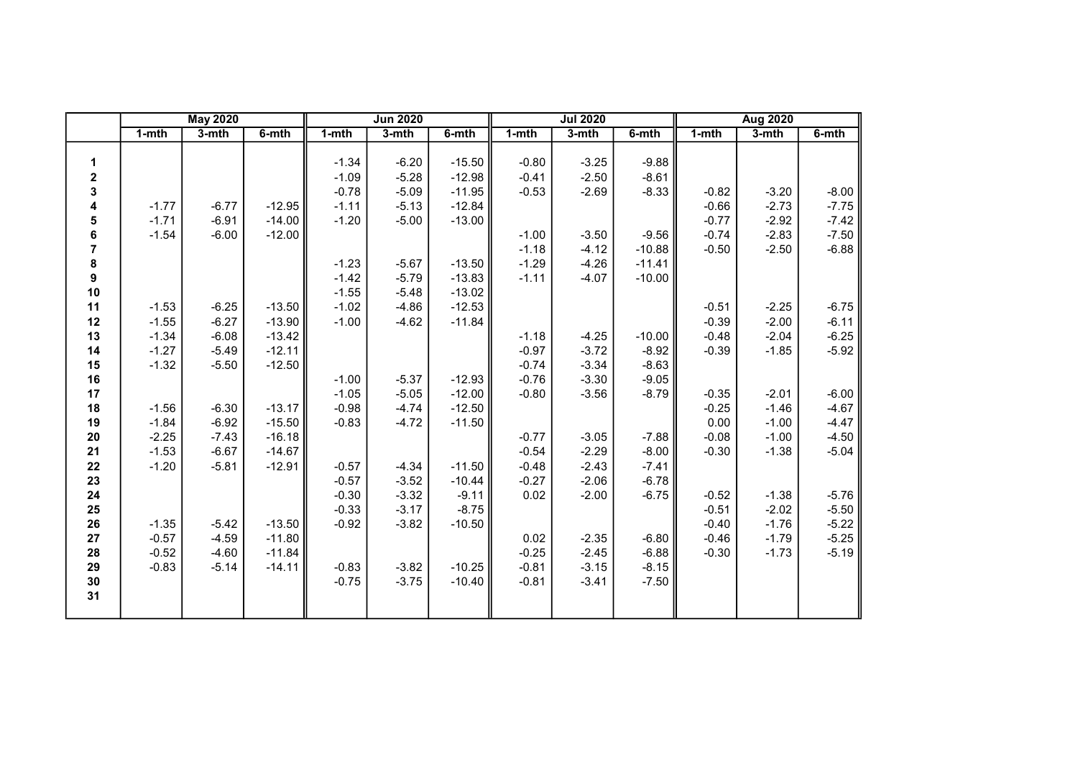|                  |           | <b>May 2020</b> |          |           | <b>Jun 2020</b> |          |           | <b>Jul 2020</b> |          |           | <b>Aug 2020</b> |         |
|------------------|-----------|-----------------|----------|-----------|-----------------|----------|-----------|-----------------|----------|-----------|-----------------|---------|
|                  | $1 - mth$ | $3-$ mth        | 6-mth    | $1 - mth$ | 3-mth           | 6-mth    | $1 - mth$ | $3-$ mth        | 6-mth    | $1 - mth$ | $3-mth$         | 6-mth   |
|                  |           |                 |          |           |                 |          |           |                 |          |           |                 |         |
| 1                |           |                 |          | $-1.34$   | $-6.20$         | $-15.50$ | $-0.80$   | $-3.25$         | $-9.88$  |           |                 |         |
| $\boldsymbol{2}$ |           |                 |          | $-1.09$   | $-5.28$         | $-12.98$ | $-0.41$   | $-2.50$         | $-8.61$  |           |                 |         |
| 3                |           |                 |          | $-0.78$   | $-5.09$         | $-11.95$ | $-0.53$   | $-2.69$         | $-8.33$  | $-0.82$   | $-3.20$         | $-8.00$ |
| 4                | $-1.77$   | $-6.77$         | $-12.95$ | $-1.11$   | $-5.13$         | $-12.84$ |           |                 |          | $-0.66$   | $-2.73$         | $-7.75$ |
| 5                | $-1.71$   | $-6.91$         | $-14.00$ | $-1.20$   | $-5.00$         | $-13.00$ |           |                 |          | $-0.77$   | $-2.92$         | $-7.42$ |
| 6                | $-1.54$   | $-6.00$         | $-12.00$ |           |                 |          | $-1.00$   | $-3.50$         | $-9.56$  | $-0.74$   | $-2.83$         | $-7.50$ |
| $\overline{7}$   |           |                 |          |           |                 |          | $-1.18$   | $-4.12$         | $-10.88$ | $-0.50$   | $-2.50$         | $-6.88$ |
| 8                |           |                 |          | $-1.23$   | $-5.67$         | $-13.50$ | $-1.29$   | $-4.26$         | $-11.41$ |           |                 |         |
| 9                |           |                 |          | $-1.42$   | $-5.79$         | $-13.83$ | $-1.11$   | $-4.07$         | $-10.00$ |           |                 |         |
| 10               |           |                 |          | $-1.55$   | $-5.48$         | $-13.02$ |           |                 |          |           |                 |         |
| 11               | $-1.53$   | $-6.25$         | $-13.50$ | $-1.02$   | $-4.86$         | $-12.53$ |           |                 |          | $-0.51$   | $-2.25$         | $-6.75$ |
| 12               | $-1.55$   | $-6.27$         | $-13.90$ | $-1.00$   | $-4.62$         | $-11.84$ |           |                 |          | $-0.39$   | $-2.00$         | $-6.11$ |
| 13               | $-1.34$   | $-6.08$         | $-13.42$ |           |                 |          | $-1.18$   | $-4.25$         | $-10.00$ | $-0.48$   | $-2.04$         | $-6.25$ |
| 14               | $-1.27$   | $-5.49$         | $-12.11$ |           |                 |          | $-0.97$   | $-3.72$         | $-8.92$  | $-0.39$   | $-1.85$         | $-5.92$ |
| 15               | $-1.32$   | $-5.50$         | $-12.50$ |           |                 |          | $-0.74$   | $-3.34$         | $-8.63$  |           |                 |         |
| 16               |           |                 |          | $-1.00$   | $-5.37$         | $-12.93$ | $-0.76$   | $-3.30$         | $-9.05$  |           |                 |         |
| 17               |           |                 |          | $-1.05$   | $-5.05$         | $-12.00$ | $-0.80$   | $-3.56$         | $-8.79$  | $-0.35$   | $-2.01$         | $-6.00$ |
| 18               | $-1.56$   | $-6.30$         | $-13.17$ | $-0.98$   | $-4.74$         | $-12.50$ |           |                 |          | $-0.25$   | $-1.46$         | $-4.67$ |
| 19               | $-1.84$   | $-6.92$         | $-15.50$ | $-0.83$   | $-4.72$         | $-11.50$ |           |                 |          | 0.00      | $-1.00$         | $-4.47$ |
| ${\bf 20}$       | $-2.25$   | $-7.43$         | $-16.18$ |           |                 |          | $-0.77$   | $-3.05$         | $-7.88$  | $-0.08$   | $-1.00$         | $-4.50$ |
| 21               | $-1.53$   | $-6.67$         | $-14.67$ |           |                 |          | $-0.54$   | $-2.29$         | $-8.00$  | $-0.30$   | $-1.38$         | $-5.04$ |
| 22               | $-1.20$   | $-5.81$         | $-12.91$ | $-0.57$   | $-4.34$         | $-11.50$ | $-0.48$   | $-2.43$         | $-7.41$  |           |                 |         |
| 23               |           |                 |          | $-0.57$   | $-3.52$         | $-10.44$ | $-0.27$   | $-2.06$         | $-6.78$  |           |                 |         |
| 24               |           |                 |          | $-0.30$   | $-3.32$         | $-9.11$  | 0.02      | $-2.00$         | $-6.75$  | $-0.52$   | $-1.38$         | $-5.76$ |
| 25               |           |                 |          | $-0.33$   | $-3.17$         | $-8.75$  |           |                 |          | $-0.51$   | $-2.02$         | $-5.50$ |
| 26               | $-1.35$   | $-5.42$         | $-13.50$ | $-0.92$   | $-3.82$         | $-10.50$ |           |                 |          | $-0.40$   | $-1.76$         | $-5.22$ |
| 27               | $-0.57$   | $-4.59$         | $-11.80$ |           |                 |          | 0.02      | $-2.35$         | $-6.80$  | $-0.46$   | $-1.79$         | $-5.25$ |
| 28               | $-0.52$   | $-4.60$         | $-11.84$ |           |                 |          | $-0.25$   | $-2.45$         | $-6.88$  | $-0.30$   | $-1.73$         | $-5.19$ |
| 29               | $-0.83$   | $-5.14$         | $-14.11$ | $-0.83$   | $-3.82$         | $-10.25$ | $-0.81$   | $-3.15$         | $-8.15$  |           |                 |         |
| $30\,$           |           |                 |          | $-0.75$   | $-3.75$         | $-10.40$ | $-0.81$   | $-3.41$         | $-7.50$  |           |                 |         |
| 31               |           |                 |          |           |                 |          |           |                 |          |           |                 |         |
|                  |           |                 |          |           |                 |          |           |                 |          |           |                 |         |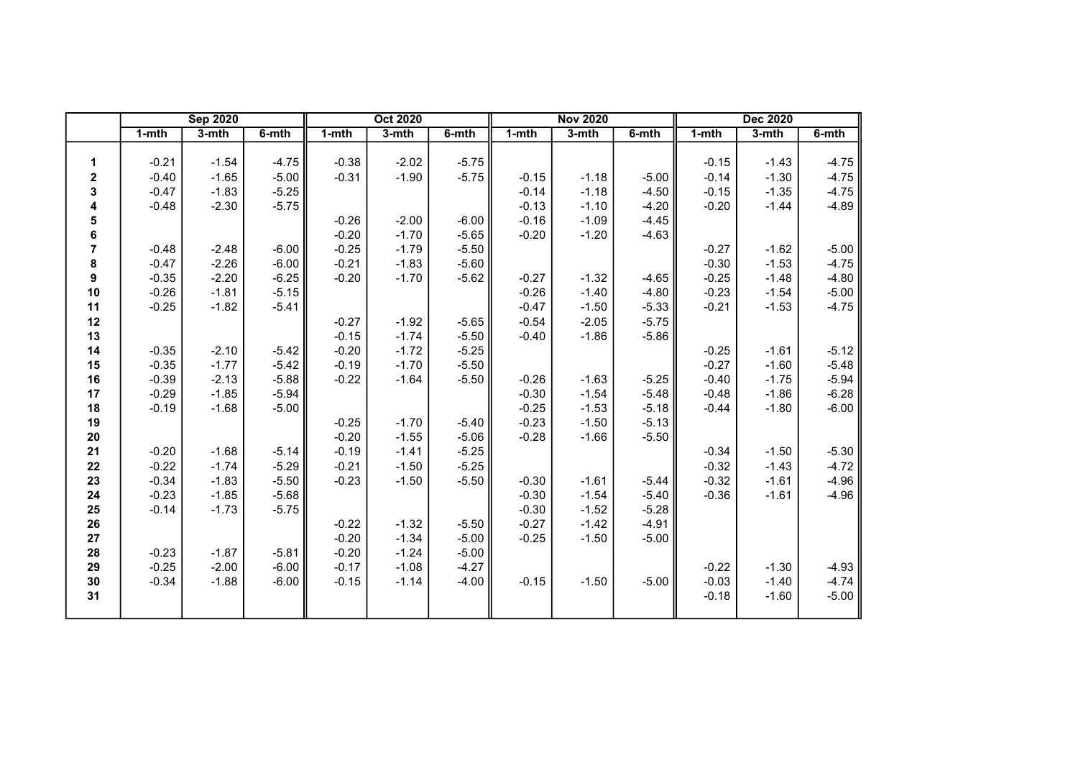|                |           | <b>Sep 2020</b> |          |           | <b>Oct 2020</b> |          |           | <b>Nov 2020</b> |          |           | <b>Dec 2020</b> |          |
|----------------|-----------|-----------------|----------|-----------|-----------------|----------|-----------|-----------------|----------|-----------|-----------------|----------|
|                | $1 - mth$ | $3-$ mth        | $6-$ mth | $1 - mth$ | $3-$ mth        | $6-$ mth | $1 - mth$ | $3-mth$         | $6-$ mth | $1 - mth$ | $3-mth$         | $6-$ mth |
|                |           |                 |          |           |                 |          |           |                 |          |           |                 |          |
| 1              | $-0.21$   | $-1.54$         | $-4.75$  | $-0.38$   | $-2.02$         | $-5.75$  |           |                 |          | $-0.15$   | $-1.43$         | $-4.75$  |
| $\mathbf 2$    | $-0.40$   | $-1.65$         | $-5.00$  | $-0.31$   | $-1.90$         | $-5.75$  | $-0.15$   | $-1.18$         | $-5.00$  | $-0.14$   | $-1.30$         | $-4.75$  |
| 3              | $-0.47$   | $-1.83$         | $-5.25$  |           |                 |          | $-0.14$   | $-1.18$         | $-4.50$  | $-0.15$   | $-1.35$         | $-4.75$  |
| 4              | $-0.48$   | $-2.30$         | $-5.75$  |           |                 |          | $-0.13$   | $-1.10$         | $-4.20$  | $-0.20$   | $-1.44$         | $-4.89$  |
| 5              |           |                 |          | $-0.26$   | $-2.00$         | $-6.00$  | $-0.16$   | $-1.09$         | $-4.45$  |           |                 |          |
| 6              |           |                 |          | $-0.20$   | $-1.70$         | $-5.65$  | $-0.20$   | $-1.20$         | $-4.63$  |           |                 |          |
| $\overline{7}$ | $-0.48$   | $-2.48$         | $-6.00$  | $-0.25$   | $-1.79$         | $-5.50$  |           |                 |          | $-0.27$   | $-1.62$         | $-5.00$  |
| 8              | $-0.47$   | $-2.26$         | $-6.00$  | $-0.21$   | $-1.83$         | $-5.60$  |           |                 |          | $-0.30$   | $-1.53$         | $-4.75$  |
| 9              | $-0.35$   | $-2.20$         | $-6.25$  | $-0.20$   | $-1.70$         | $-5.62$  | $-0.27$   | $-1.32$         | $-4.65$  | $-0.25$   | $-1.48$         | $-4.80$  |
| 10             | $-0.26$   | $-1.81$         | $-5.15$  |           |                 |          | $-0.26$   | $-1.40$         | $-4.80$  | $-0.23$   | $-1.54$         | $-5.00$  |
| 11             | $-0.25$   | $-1.82$         | $-5.41$  |           |                 |          | $-0.47$   | $-1.50$         | $-5.33$  | $-0.21$   | $-1.53$         | $-4.75$  |
| 12             |           |                 |          | $-0.27$   | $-1.92$         | $-5.65$  | $-0.54$   | $-2.05$         | $-5.75$  |           |                 |          |
| 13             |           |                 |          | $-0.15$   | $-1.74$         | $-5.50$  | $-0.40$   | $-1.86$         | $-5.86$  |           |                 |          |
| 14             | $-0.35$   | $-2.10$         | $-5.42$  | $-0.20$   | $-1.72$         | $-5.25$  |           |                 |          | $-0.25$   | $-1.61$         | $-5.12$  |
| 15             | $-0.35$   | $-1.77$         | $-5.42$  | $-0.19$   | $-1.70$         | $-5.50$  |           |                 |          | $-0.27$   | $-1.60$         | $-5.48$  |
| 16             | $-0.39$   | $-2.13$         | $-5.88$  | $-0.22$   | $-1.64$         | $-5.50$  | $-0.26$   | $-1.63$         | $-5.25$  | $-0.40$   | $-1.75$         | $-5.94$  |
| 17             | $-0.29$   | $-1.85$         | $-5.94$  |           |                 |          | $-0.30$   | $-1.54$         | $-5.48$  | $-0.48$   | $-1.86$         | $-6.28$  |
| 18             | $-0.19$   | $-1.68$         | $-5.00$  |           |                 |          | $-0.25$   | $-1.53$         | $-5.18$  | $-0.44$   | $-1.80$         | $-6.00$  |
| 19             |           |                 |          | $-0.25$   | $-1.70$         | $-5.40$  | $-0.23$   | $-1.50$         | $-5.13$  |           |                 |          |
| $20\,$         |           |                 |          | $-0.20$   | $-1.55$         | $-5.06$  | $-0.28$   | $-1.66$         | $-5.50$  |           |                 |          |
| 21             | $-0.20$   | $-1.68$         | $-5.14$  | $-0.19$   | $-1.41$         | $-5.25$  |           |                 |          | $-0.34$   | $-1.50$         | $-5.30$  |
| 22             | $-0.22$   | $-1.74$         | $-5.29$  | $-0.21$   | $-1.50$         | $-5.25$  |           |                 |          | $-0.32$   | $-1.43$         | $-4.72$  |
| 23             | $-0.34$   | $-1.83$         | $-5.50$  | $-0.23$   | $-1.50$         | $-5.50$  | $-0.30$   | $-1.61$         | $-5.44$  | $-0.32$   | $-1.61$         | $-4.96$  |
| 24             | $-0.23$   | $-1.85$         | $-5.68$  |           |                 |          | $-0.30$   | $-1.54$         | $-5.40$  | $-0.36$   | $-1.61$         | $-4.96$  |
| 25             | $-0.14$   | $-1.73$         | $-5.75$  |           |                 |          | $-0.30$   | $-1.52$         | $-5.28$  |           |                 |          |
| 26             |           |                 |          | $-0.22$   | $-1.32$         | $-5.50$  | $-0.27$   | $-1.42$         | $-4.91$  |           |                 |          |
| 27             |           |                 |          | $-0.20$   | $-1.34$         | $-5.00$  | $-0.25$   | $-1.50$         | $-5.00$  |           |                 |          |
| 28             | $-0.23$   | $-1.87$         | $-5.81$  | $-0.20$   | $-1.24$         | $-5.00$  |           |                 |          |           |                 |          |
| 29             | $-0.25$   | $-2.00$         | $-6.00$  | $-0.17$   | $-1.08$         | $-4.27$  |           |                 |          | $-0.22$   | $-1.30$         | $-4.93$  |
| 30             | $-0.34$   | $-1.88$         | $-6.00$  | $-0.15$   | $-1.14$         | $-4.00$  | $-0.15$   | $-1.50$         | $-5.00$  | $-0.03$   | $-1.40$         | $-4.74$  |
| 31             |           |                 |          |           |                 |          |           |                 |          | $-0.18$   | $-1.60$         | $-5.00$  |
|                |           |                 |          |           |                 |          |           |                 |          |           |                 |          |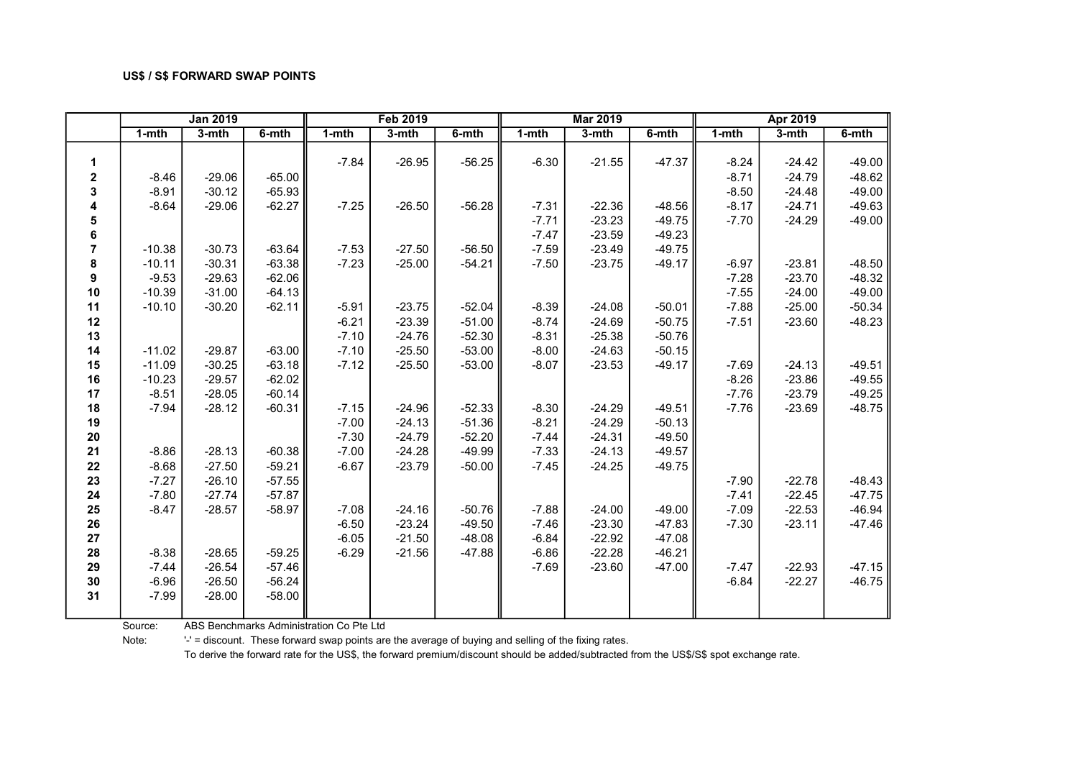|                |          | <b>Jan 2019</b> |          |         | <b>Feb 2019</b> |          |           | <b>Mar 2019</b> |           |         | Apr 2019 |          |
|----------------|----------|-----------------|----------|---------|-----------------|----------|-----------|-----------------|-----------|---------|----------|----------|
|                | 1-mth    | $3-$ mth        | 6-mth    | 1-mth   | 3-mth           | 6-mth    | $1 - mth$ | 3-mth           | $6 - mth$ | 1-mth   | 3-mth    | 6-mth    |
|                |          |                 |          |         |                 |          |           |                 |           |         |          |          |
| 1              |          |                 |          | $-7.84$ | $-26.95$        | $-56.25$ | $-6.30$   | $-21.55$        | -47.37    | $-8.24$ | $-24.42$ | $-49.00$ |
| 2              | $-8.46$  | $-29.06$        | $-65.00$ |         |                 |          |           |                 |           | $-8.71$ | $-24.79$ | $-48.62$ |
| 3              | $-8.91$  | $-30.12$        | $-65.93$ |         |                 |          |           |                 |           | $-8.50$ | $-24.48$ | $-49.00$ |
| 4              | $-8.64$  | $-29.06$        | $-62.27$ | $-7.25$ | $-26.50$        | $-56.28$ | $-7.31$   | $-22.36$        | $-48.56$  | $-8.17$ | $-24.71$ | $-49.63$ |
| 5              |          |                 |          |         |                 |          | $-7.71$   | $-23.23$        | $-49.75$  | $-7.70$ | $-24.29$ | $-49.00$ |
| 6              |          |                 |          |         |                 |          | $-7.47$   | $-23.59$        | $-49.23$  |         |          |          |
| $\overline{7}$ | $-10.38$ | $-30.73$        | $-63.64$ | $-7.53$ | $-27.50$        | $-56.50$ | $-7.59$   | $-23.49$        | $-49.75$  |         |          |          |
| 8              | $-10.11$ | $-30.31$        | $-63.38$ | $-7.23$ | $-25.00$        | $-54.21$ | $-7.50$   | $-23.75$        | -49.17    | $-6.97$ | $-23.81$ | $-48.50$ |
| 9              | $-9.53$  | $-29.63$        | $-62.06$ |         |                 |          |           |                 |           | $-7.28$ | $-23.70$ | $-48.32$ |
| 10             | $-10.39$ | $-31.00$        | $-64.13$ |         |                 |          |           |                 |           | $-7.55$ | $-24.00$ | $-49.00$ |
| 11             | $-10.10$ | $-30.20$        | $-62.11$ | $-5.91$ | $-23.75$        | $-52.04$ | $-8.39$   | $-24.08$        | $-50.01$  | $-7.88$ | $-25.00$ | $-50.34$ |
| 12             |          |                 |          | $-6.21$ | $-23.39$        | $-51.00$ | $-8.74$   | $-24.69$        | $-50.75$  | $-7.51$ | $-23.60$ | $-48.23$ |
| 13             |          |                 |          | $-7.10$ | $-24.76$        | $-52.30$ | $-8.31$   | $-25.38$        | $-50.76$  |         |          |          |
| 14             | $-11.02$ | $-29.87$        | $-63.00$ | $-7.10$ | $-25.50$        | $-53.00$ | $-8.00$   | $-24.63$        | $-50.15$  |         |          |          |
| 15             | $-11.09$ | $-30.25$        | $-63.18$ | $-7.12$ | $-25.50$        | $-53.00$ | $-8.07$   | $-23.53$        | $-49.17$  | $-7.69$ | $-24.13$ | $-49.51$ |
| 16             | $-10.23$ | $-29.57$        | $-62.02$ |         |                 |          |           |                 |           | $-8.26$ | $-23.86$ | $-49.55$ |
| 17             | $-8.51$  | $-28.05$        | $-60.14$ |         |                 |          |           |                 |           | $-7.76$ | $-23.79$ | $-49.25$ |
| 18             | $-7.94$  | $-28.12$        | $-60.31$ | $-7.15$ | $-24.96$        | $-52.33$ | $-8.30$   | $-24.29$        | $-49.51$  | $-7.76$ | $-23.69$ | $-48.75$ |
| 19             |          |                 |          | $-7.00$ | $-24.13$        | $-51.36$ | $-8.21$   | $-24.29$        | $-50.13$  |         |          |          |
| 20             |          |                 |          | $-7.30$ | $-24.79$        | $-52.20$ | $-7.44$   | $-24.31$        | $-49.50$  |         |          |          |
| 21             | $-8.86$  | $-28.13$        | $-60.38$ | $-7.00$ | $-24.28$        | $-49.99$ | $-7.33$   | $-24.13$        | $-49.57$  |         |          |          |
| 22             | $-8.68$  | $-27.50$        | $-59.21$ | $-6.67$ | $-23.79$        | $-50.00$ | $-7.45$   | $-24.25$        | $-49.75$  |         |          |          |
| 23             | $-7.27$  | $-26.10$        | $-57.55$ |         |                 |          |           |                 |           | $-7.90$ | $-22.78$ | $-48.43$ |
| 24             | $-7.80$  | $-27.74$        | $-57.87$ |         |                 |          |           |                 |           | $-7.41$ | $-22.45$ | $-47.75$ |
| 25             | $-8.47$  | $-28.57$        | $-58.97$ | $-7.08$ | $-24.16$        | $-50.76$ | $-7.88$   | $-24.00$        | $-49.00$  | $-7.09$ | $-22.53$ | $-46.94$ |
| 26             |          |                 |          | $-6.50$ | $-23.24$        | $-49.50$ | $-7.46$   | $-23.30$        | $-47.83$  | $-7.30$ | $-23.11$ | $-47.46$ |
| 27             |          |                 |          | $-6.05$ | $-21.50$        | $-48.08$ | $-6.84$   | $-22.92$        | $-47.08$  |         |          |          |
| 28             | $-8.38$  | $-28.65$        | $-59.25$ | $-6.29$ | $-21.56$        | $-47.88$ | $-6.86$   | $-22.28$        | $-46.21$  |         |          |          |
| 29             | $-7.44$  | $-26.54$        | $-57.46$ |         |                 |          | $-7.69$   | $-23.60$        | $-47.00$  | $-7.47$ | $-22.93$ | $-47.15$ |
| 30             | $-6.96$  | $-26.50$        | $-56.24$ |         |                 |          |           |                 |           | $-6.84$ | $-22.27$ | $-46.75$ |
| 31             | $-7.99$  | $-28.00$        | $-58.00$ |         |                 |          |           |                 |           |         |          |          |
|                |          |                 |          |         |                 |          |           |                 |           |         |          |          |

Source: ABS Benchmarks Administration Co Pte Ltd

Note: '-' = discount. These forward swap points are the average of buying and selling of the fixing rates.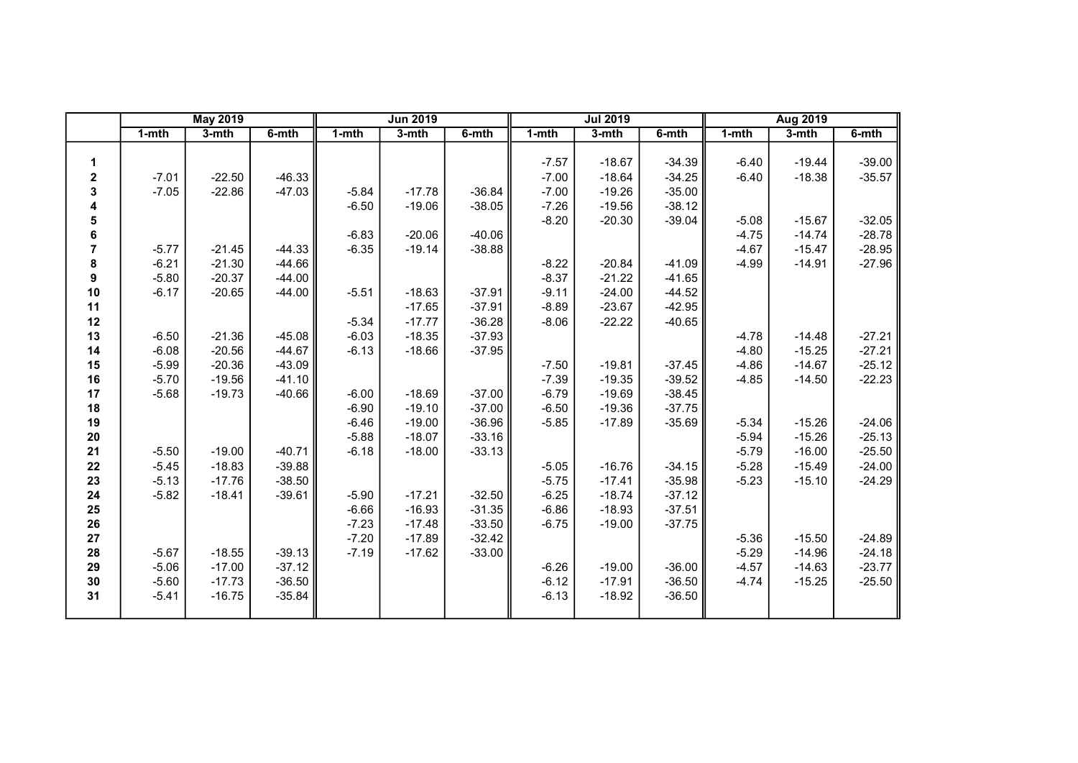|                |           | <b>May 2019</b> |          |           | <b>Jun 2019</b> |          |           | <b>Jul 2019</b> |          |           | <b>Aug 2019</b> |          |
|----------------|-----------|-----------------|----------|-----------|-----------------|----------|-----------|-----------------|----------|-----------|-----------------|----------|
|                | $1 - mth$ | $3-$ mth        | 6-mth    | $1 - mth$ | $3-$ mth        | 6-mth    | $1 - mth$ | 3-mth           | 6-mth    | $1 - mth$ | $3-$ mth        | 6-mth    |
|                |           |                 |          |           |                 |          |           |                 |          |           |                 |          |
| 1              |           |                 |          |           |                 |          | $-7.57$   | $-18.67$        | $-34.39$ | $-6.40$   | $-19.44$        | $-39.00$ |
| 2              | $-7.01$   | $-22.50$        | $-46.33$ |           |                 |          | $-7.00$   | $-18.64$        | $-34.25$ | $-6.40$   | $-18.38$        | $-35.57$ |
| 3              | $-7.05$   | $-22.86$        | $-47.03$ | $-5.84$   | $-17.78$        | $-36.84$ | $-7.00$   | $-19.26$        | $-35.00$ |           |                 |          |
| 4              |           |                 |          | $-6.50$   | $-19.06$        | $-38.05$ | $-7.26$   | $-19.56$        | $-38.12$ |           |                 |          |
| 5              |           |                 |          |           |                 |          | $-8.20$   | $-20.30$        | $-39.04$ | $-5.08$   | $-15.67$        | $-32.05$ |
| 6              |           |                 |          | $-6.83$   | $-20.06$        | $-40.06$ |           |                 |          | $-4.75$   | $-14.74$        | $-28.78$ |
| $\overline{7}$ | $-5.77$   | $-21.45$        | $-44.33$ | $-6.35$   | $-19.14$        | $-38.88$ |           |                 |          | $-4.67$   | $-15.47$        | $-28.95$ |
| 8              | $-6.21$   | $-21.30$        | $-44.66$ |           |                 |          | $-8.22$   | $-20.84$        | $-41.09$ | $-4.99$   | $-14.91$        | $-27.96$ |
| 9              | $-5.80$   | $-20.37$        | $-44.00$ |           |                 |          | $-8.37$   | $-21.22$        | $-41.65$ |           |                 |          |
| 10             | $-6.17$   | $-20.65$        | $-44.00$ | $-5.51$   | $-18.63$        | $-37.91$ | $-9.11$   | $-24.00$        | $-44.52$ |           |                 |          |
| 11             |           |                 |          |           | $-17.65$        | $-37.91$ | $-8.89$   | $-23.67$        | $-42.95$ |           |                 |          |
| 12             |           |                 |          | $-5.34$   | $-17.77$        | $-36.28$ | $-8.06$   | $-22.22$        | $-40.65$ |           |                 |          |
| 13             | $-6.50$   | $-21.36$        | $-45.08$ | $-6.03$   | $-18.35$        | $-37.93$ |           |                 |          | $-4.78$   | $-14.48$        | $-27.21$ |
| 14             | $-6.08$   | $-20.56$        | $-44.67$ | $-6.13$   | $-18.66$        | $-37.95$ |           |                 |          | $-4.80$   | $-15.25$        | $-27.21$ |
| 15             | $-5.99$   | $-20.36$        | $-43.09$ |           |                 |          | $-7.50$   | $-19.81$        | $-37.45$ | $-4.86$   | $-14.67$        | $-25.12$ |
| 16             | $-5.70$   | $-19.56$        | $-41.10$ |           |                 |          | $-7.39$   | $-19.35$        | $-39.52$ | $-4.85$   | $-14.50$        | $-22.23$ |
| 17             | $-5.68$   | $-19.73$        | $-40.66$ | $-6.00$   | $-18.69$        | $-37.00$ | $-6.79$   | $-19.69$        | $-38.45$ |           |                 |          |
| 18             |           |                 |          | $-6.90$   | $-19.10$        | $-37.00$ | $-6.50$   | $-19.36$        | $-37.75$ |           |                 |          |
| 19             |           |                 |          | $-6.46$   | $-19.00$        | $-36.96$ | $-5.85$   | $-17.89$        | $-35.69$ | $-5.34$   | $-15.26$        | $-24.06$ |
| ${\bf 20}$     |           |                 |          | $-5.88$   | $-18.07$        | $-33.16$ |           |                 |          | $-5.94$   | $-15.26$        | $-25.13$ |
| 21             | $-5.50$   | $-19.00$        | $-40.71$ | $-6.18$   | $-18.00$        | $-33.13$ |           |                 |          | $-5.79$   | $-16.00$        | $-25.50$ |
| 22             | $-5.45$   | $-18.83$        | $-39.88$ |           |                 |          | $-5.05$   | $-16.76$        | $-34.15$ | $-5.28$   | $-15.49$        | $-24.00$ |
| 23             | $-5.13$   | $-17.76$        | $-38.50$ |           |                 |          | $-5.75$   | $-17.41$        | $-35.98$ | $-5.23$   | $-15.10$        | $-24.29$ |
| 24             | $-5.82$   | $-18.41$        | $-39.61$ | $-5.90$   | $-17.21$        | $-32.50$ | $-6.25$   | $-18.74$        | $-37.12$ |           |                 |          |
| 25             |           |                 |          | $-6.66$   | $-16.93$        | $-31.35$ | $-6.86$   | $-18.93$        | $-37.51$ |           |                 |          |
| 26             |           |                 |          | $-7.23$   | $-17.48$        | $-33.50$ | $-6.75$   | $-19.00$        | $-37.75$ |           |                 |          |
| 27             |           |                 |          | $-7.20$   | $-17.89$        | $-32.42$ |           |                 |          | $-5.36$   | $-15.50$        | $-24.89$ |
| 28             | $-5.67$   | $-18.55$        | $-39.13$ | $-7.19$   | $-17.62$        | $-33.00$ |           |                 |          | $-5.29$   | $-14.96$        | $-24.18$ |
| 29             | $-5.06$   | $-17.00$        | $-37.12$ |           |                 |          | $-6.26$   | $-19.00$        | $-36.00$ | $-4.57$   | $-14.63$        | $-23.77$ |
| 30             | $-5.60$   | $-17.73$        | $-36.50$ |           |                 |          | $-6.12$   | $-17.91$        | $-36.50$ | $-4.74$   | $-15.25$        | $-25.50$ |
| 31             | $-5.41$   | $-16.75$        | $-35.84$ |           |                 |          | $-6.13$   | $-18.92$        | $-36.50$ |           |                 |          |
|                |           |                 |          |           |                 |          |           |                 |          |           |                 |          |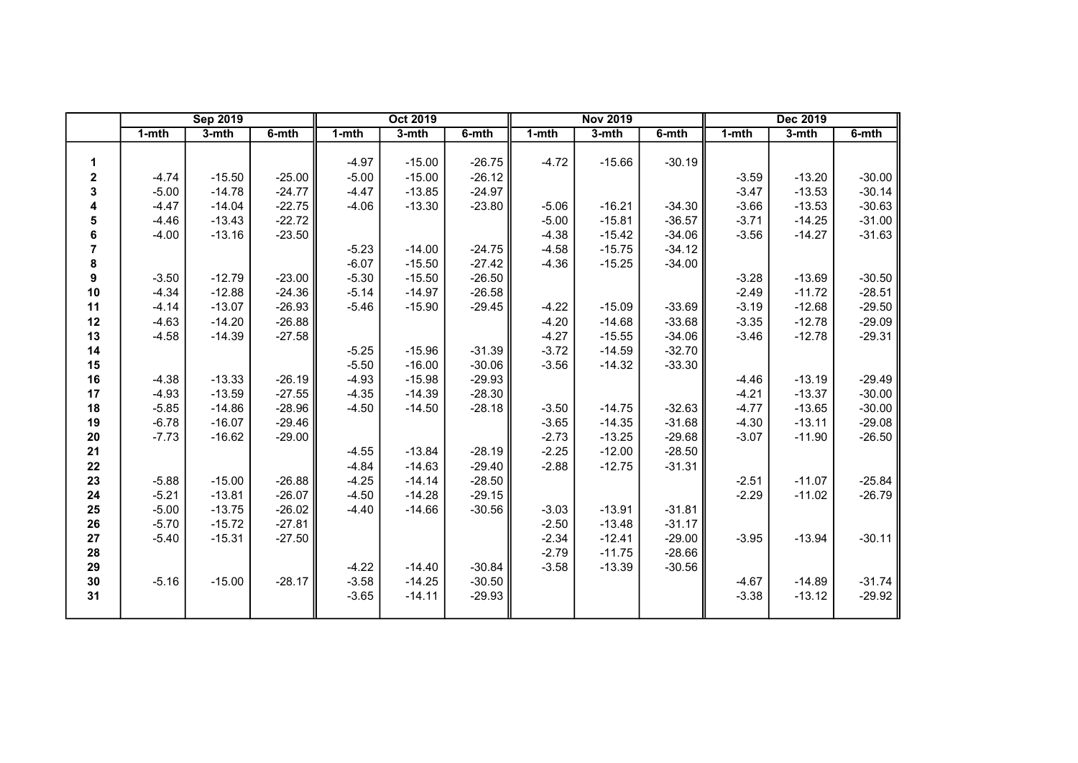|                | <b>Sep 2019</b> |          |          |           | <b>Oct 2019</b> |          |         | <b>Nov 2019</b> |          |           | Dec 2019 |          |
|----------------|-----------------|----------|----------|-----------|-----------------|----------|---------|-----------------|----------|-----------|----------|----------|
|                | $1 - mth$       | $3-$ mth | 6-mth    | $1 - mth$ | 3-mth           | 6-mth    | 1-mth   | 3-mth           | 6-mth    | $1 - mth$ | 3-mth    | 6-mth    |
|                |                 |          |          |           |                 |          |         |                 |          |           |          |          |
| 1              |                 |          |          | $-4.97$   | $-15.00$        | $-26.75$ | $-4.72$ | $-15.66$        | $-30.19$ |           |          |          |
| 2              | $-4.74$         | $-15.50$ | $-25.00$ | $-5.00$   | $-15.00$        | $-26.12$ |         |                 |          | $-3.59$   | $-13.20$ | $-30.00$ |
| 3              | $-5.00$         | $-14.78$ | $-24.77$ | $-4.47$   | $-13.85$        | $-24.97$ |         |                 |          | $-3.47$   | $-13.53$ | $-30.14$ |
| 4              | $-4.47$         | $-14.04$ | $-22.75$ | $-4.06$   | $-13.30$        | $-23.80$ | $-5.06$ | $-16.21$        | $-34.30$ | $-3.66$   | $-13.53$ | $-30.63$ |
| 5              | $-4.46$         | $-13.43$ | $-22.72$ |           |                 |          | $-5.00$ | $-15.81$        | $-36.57$ | $-3.71$   | $-14.25$ | $-31.00$ |
| 6              | $-4.00$         | $-13.16$ | $-23.50$ |           |                 |          | $-4.38$ | $-15.42$        | $-34.06$ | $-3.56$   | $-14.27$ | $-31.63$ |
| $\overline{7}$ |                 |          |          | $-5.23$   | $-14.00$        | $-24.75$ | $-4.58$ | $-15.75$        | $-34.12$ |           |          |          |
| 8              |                 |          |          | $-6.07$   | $-15.50$        | $-27.42$ | $-4.36$ | $-15.25$        | $-34.00$ |           |          |          |
| 9              | $-3.50$         | $-12.79$ | $-23.00$ | $-5.30$   | $-15.50$        | $-26.50$ |         |                 |          | $-3.28$   | $-13.69$ | $-30.50$ |
| 10             | $-4.34$         | $-12.88$ | $-24.36$ | $-5.14$   | $-14.97$        | $-26.58$ |         |                 |          | $-2.49$   | $-11.72$ | $-28.51$ |
| 11             | $-4.14$         | $-13.07$ | $-26.93$ | $-5.46$   | $-15.90$        | $-29.45$ | $-4.22$ | $-15.09$        | $-33.69$ | $-3.19$   | $-12.68$ | $-29.50$ |
| 12             | $-4.63$         | $-14.20$ | $-26.88$ |           |                 |          | $-4.20$ | $-14.68$        | $-33.68$ | $-3.35$   | $-12.78$ | $-29.09$ |
| 13             | $-4.58$         | $-14.39$ | $-27.58$ |           |                 |          | $-4.27$ | $-15.55$        | $-34.06$ | $-3.46$   | $-12.78$ | $-29.31$ |
| 14             |                 |          |          | $-5.25$   | $-15.96$        | $-31.39$ | $-3.72$ | $-14.59$        | $-32.70$ |           |          |          |
| 15             |                 |          |          | $-5.50$   | $-16.00$        | $-30.06$ | $-3.56$ | $-14.32$        | $-33.30$ |           |          |          |
| 16             | $-4.38$         | $-13.33$ | $-26.19$ | $-4.93$   | $-15.98$        | $-29.93$ |         |                 |          | $-4.46$   | $-13.19$ | $-29.49$ |
| 17             | $-4.93$         | $-13.59$ | $-27.55$ | $-4.35$   | $-14.39$        | $-28.30$ |         |                 |          | $-4.21$   | $-13.37$ | $-30.00$ |
| 18             | $-5.85$         | $-14.86$ | $-28.96$ | $-4.50$   | $-14.50$        | $-28.18$ | $-3.50$ | $-14.75$        | $-32.63$ | $-4.77$   | $-13.65$ | $-30.00$ |
| 19             | $-6.78$         | $-16.07$ | $-29.46$ |           |                 |          | $-3.65$ | $-14.35$        | $-31.68$ | $-4.30$   | $-13.11$ | $-29.08$ |
| 20             | $-7.73$         | $-16.62$ | $-29.00$ |           |                 |          | $-2.73$ | $-13.25$        | $-29.68$ | $-3.07$   | $-11.90$ | $-26.50$ |
| 21             |                 |          |          | $-4.55$   | $-13.84$        | $-28.19$ | $-2.25$ | $-12.00$        | $-28.50$ |           |          |          |
| 22             |                 |          |          | $-4.84$   | $-14.63$        | $-29.40$ | $-2.88$ | $-12.75$        | $-31.31$ |           |          |          |
| 23             | $-5.88$         | $-15.00$ | $-26.88$ | $-4.25$   | $-14.14$        | $-28.50$ |         |                 |          | $-2.51$   | $-11.07$ | $-25.84$ |
| 24             | $-5.21$         | $-13.81$ | $-26.07$ | $-4.50$   | $-14.28$        | $-29.15$ |         |                 |          | $-2.29$   | $-11.02$ | $-26.79$ |
| 25             | $-5.00$         | $-13.75$ | $-26.02$ | $-4.40$   | $-14.66$        | $-30.56$ | $-3.03$ | $-13.91$        | $-31.81$ |           |          |          |
| 26             | $-5.70$         | $-15.72$ | $-27.81$ |           |                 |          | $-2.50$ | $-13.48$        | $-31.17$ |           |          |          |
| 27             | $-5.40$         | $-15.31$ | $-27.50$ |           |                 |          | $-2.34$ | $-12.41$        | $-29.00$ | $-3.95$   | $-13.94$ | $-30.11$ |
| 28             |                 |          |          |           |                 |          | $-2.79$ | $-11.75$        | $-28.66$ |           |          |          |
| 29             |                 |          |          | $-4.22$   | $-14.40$        | $-30.84$ | $-3.58$ | $-13.39$        | $-30.56$ |           |          |          |
| 30             | $-5.16$         | $-15.00$ | $-28.17$ | $-3.58$   | $-14.25$        | $-30.50$ |         |                 |          | $-4.67$   | $-14.89$ | $-31.74$ |
| 31             |                 |          |          | $-3.65$   | $-14.11$        | $-29.93$ |         |                 |          | $-3.38$   | $-13.12$ | $-29.92$ |
|                |                 |          |          |           |                 |          |         |                 |          |           |          |          |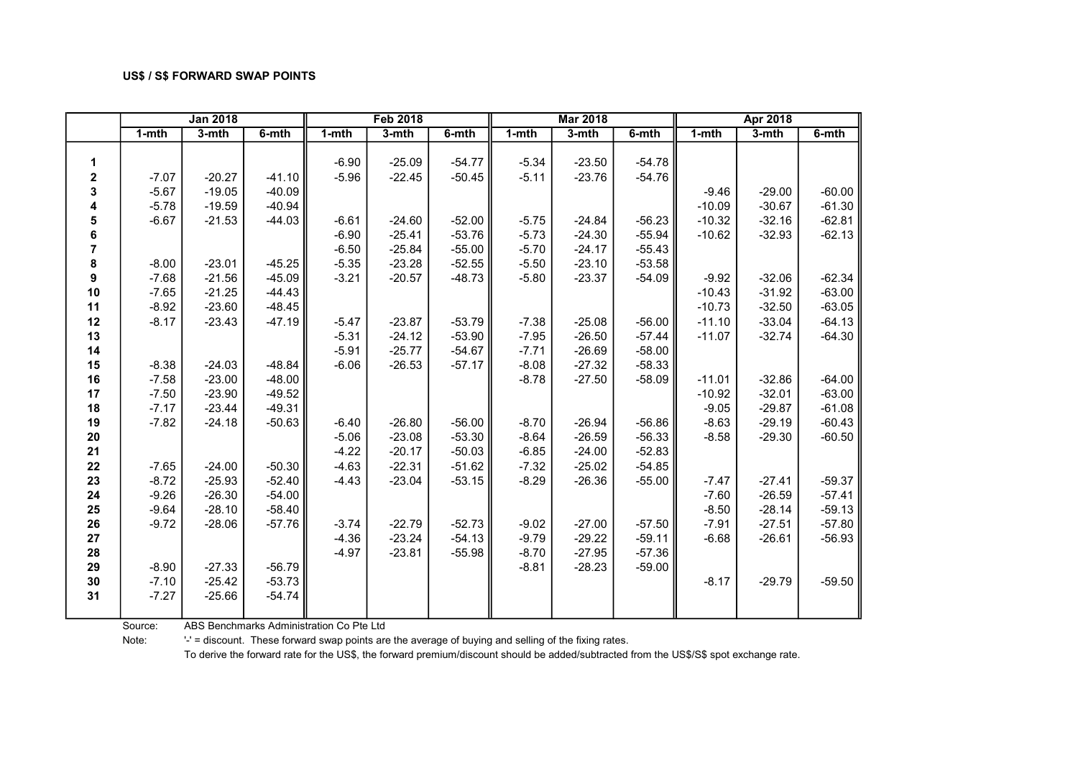|             |         | <b>Jan 2018</b> |          |           | <b>Feb 2018</b> |          |         | <b>Mar 2018</b> |          |           | Apr 2018 |          |
|-------------|---------|-----------------|----------|-----------|-----------------|----------|---------|-----------------|----------|-----------|----------|----------|
|             | 1-mth   | 3-mth           | 6-mth    | $1 - mth$ | 3-mth           | 6-mth    | 1-mth   | 3-mth           | 6-mth    | $1 - mth$ | 3-mth    | 6-mth    |
|             |         |                 |          |           |                 |          |         |                 |          |           |          |          |
| 1           |         |                 |          | $-6.90$   | $-25.09$        | $-54.77$ | $-5.34$ | $-23.50$        | $-54.78$ |           |          |          |
| $\mathbf 2$ | $-7.07$ | $-20.27$        | $-41.10$ | $-5.96$   | $-22.45$        | $-50.45$ | $-5.11$ | $-23.76$        | $-54.76$ |           |          |          |
| 3           | $-5.67$ | $-19.05$        | $-40.09$ |           |                 |          |         |                 |          | $-9.46$   | $-29.00$ | $-60.00$ |
| 4           | $-5.78$ | $-19.59$        | $-40.94$ |           |                 |          |         |                 |          | $-10.09$  | $-30.67$ | $-61.30$ |
| 5           | $-6.67$ | $-21.53$        | $-44.03$ | $-6.61$   | $-24.60$        | $-52.00$ | $-5.75$ | $-24.84$        | $-56.23$ | $-10.32$  | $-32.16$ | $-62.81$ |
| 6           |         |                 |          | $-6.90$   | $-25.41$        | $-53.76$ | $-5.73$ | $-24.30$        | $-55.94$ | $-10.62$  | $-32.93$ | $-62.13$ |
| 7           |         |                 |          | $-6.50$   | $-25.84$        | $-55.00$ | $-5.70$ | $-24.17$        | $-55.43$ |           |          |          |
| 8           | $-8.00$ | $-23.01$        | $-45.25$ | $-5.35$   | $-23.28$        | $-52.55$ | $-5.50$ | $-23.10$        | $-53.58$ |           |          |          |
| 9           | $-7.68$ | $-21.56$        | $-45.09$ | $-3.21$   | $-20.57$        | $-48.73$ | $-5.80$ | $-23.37$        | $-54.09$ | $-9.92$   | $-32.06$ | $-62.34$ |
| 10          | $-7.65$ | $-21.25$        | $-44.43$ |           |                 |          |         |                 |          | $-10.43$  | $-31.92$ | $-63.00$ |
| 11          | $-8.92$ | $-23.60$        | $-48.45$ |           |                 |          |         |                 |          | $-10.73$  | $-32.50$ | $-63.05$ |
| 12          | $-8.17$ | $-23.43$        | $-47.19$ | $-5.47$   | $-23.87$        | $-53.79$ | $-7.38$ | $-25.08$        | $-56.00$ | $-11.10$  | $-33.04$ | $-64.13$ |
| 13          |         |                 |          | $-5.31$   | $-24.12$        | $-53.90$ | $-7.95$ | $-26.50$        | $-57.44$ | $-11.07$  | $-32.74$ | $-64.30$ |
| 14          |         |                 |          | $-5.91$   | $-25.77$        | $-54.67$ | $-7.71$ | $-26.69$        | $-58.00$ |           |          |          |
| 15          | $-8.38$ | $-24.03$        | $-48.84$ | $-6.06$   | $-26.53$        | $-57.17$ | $-8.08$ | $-27.32$        | $-58.33$ |           |          |          |
| 16          | $-7.58$ | $-23.00$        | $-48.00$ |           |                 |          | $-8.78$ | $-27.50$        | $-58.09$ | $-11.01$  | $-32.86$ | $-64.00$ |
| 17          | $-7.50$ | $-23.90$        | $-49.52$ |           |                 |          |         |                 |          | $-10.92$  | $-32.01$ | $-63.00$ |
| 18          | $-7.17$ | $-23.44$        | $-49.31$ |           |                 |          |         |                 |          | $-9.05$   | $-29.87$ | $-61.08$ |
| 19          | $-7.82$ | $-24.18$        | $-50.63$ | $-6.40$   | $-26.80$        | $-56.00$ | $-8.70$ | $-26.94$        | $-56.86$ | $-8.63$   | $-29.19$ | $-60.43$ |
| 20          |         |                 |          | $-5.06$   | $-23.08$        | $-53.30$ | $-8.64$ | $-26.59$        | $-56.33$ | $-8.58$   | $-29.30$ | $-60.50$ |
| 21          |         |                 |          | $-4.22$   | $-20.17$        | $-50.03$ | $-6.85$ | $-24.00$        | $-52.83$ |           |          |          |
| 22          | $-7.65$ | $-24.00$        | $-50.30$ | $-4.63$   | $-22.31$        | $-51.62$ | $-7.32$ | $-25.02$        | $-54.85$ |           |          |          |
| 23          | $-8.72$ | $-25.93$        | $-52.40$ | $-4.43$   | $-23.04$        | $-53.15$ | $-8.29$ | $-26.36$        | $-55.00$ | $-7.47$   | $-27.41$ | $-59.37$ |
| 24          | $-9.26$ | $-26.30$        | $-54.00$ |           |                 |          |         |                 |          | $-7.60$   | $-26.59$ | $-57.41$ |
| 25          | $-9.64$ | $-28.10$        | $-58.40$ |           |                 |          |         |                 |          | $-8.50$   | $-28.14$ | $-59.13$ |
| 26          | $-9.72$ | $-28.06$        | $-57.76$ | $-3.74$   | $-22.79$        | $-52.73$ | $-9.02$ | $-27.00$        | $-57.50$ | $-7.91$   | $-27.51$ | $-57.80$ |
| 27          |         |                 |          | $-4.36$   | $-23.24$        | $-54.13$ | $-9.79$ | $-29.22$        | $-59.11$ | $-6.68$   | $-26.61$ | $-56.93$ |
| 28          |         |                 |          | $-4.97$   | $-23.81$        | $-55.98$ | $-8.70$ | $-27.95$        | $-57.36$ |           |          |          |
| 29          | $-8.90$ | $-27.33$        | $-56.79$ |           |                 |          | $-8.81$ | $-28.23$        | $-59.00$ |           |          |          |
| $30\,$      | $-7.10$ | $-25.42$        | $-53.73$ |           |                 |          |         |                 |          | $-8.17$   | $-29.79$ | $-59.50$ |
| 31          | $-7.27$ | $-25.66$        | $-54.74$ |           |                 |          |         |                 |          |           |          |          |
|             |         |                 |          |           |                 |          |         |                 |          |           |          |          |

Source: ABS Benchmarks Administration Co Pte Ltd

Note: '-' = discount. These forward swap points are the average of buying and selling of the fixing rates.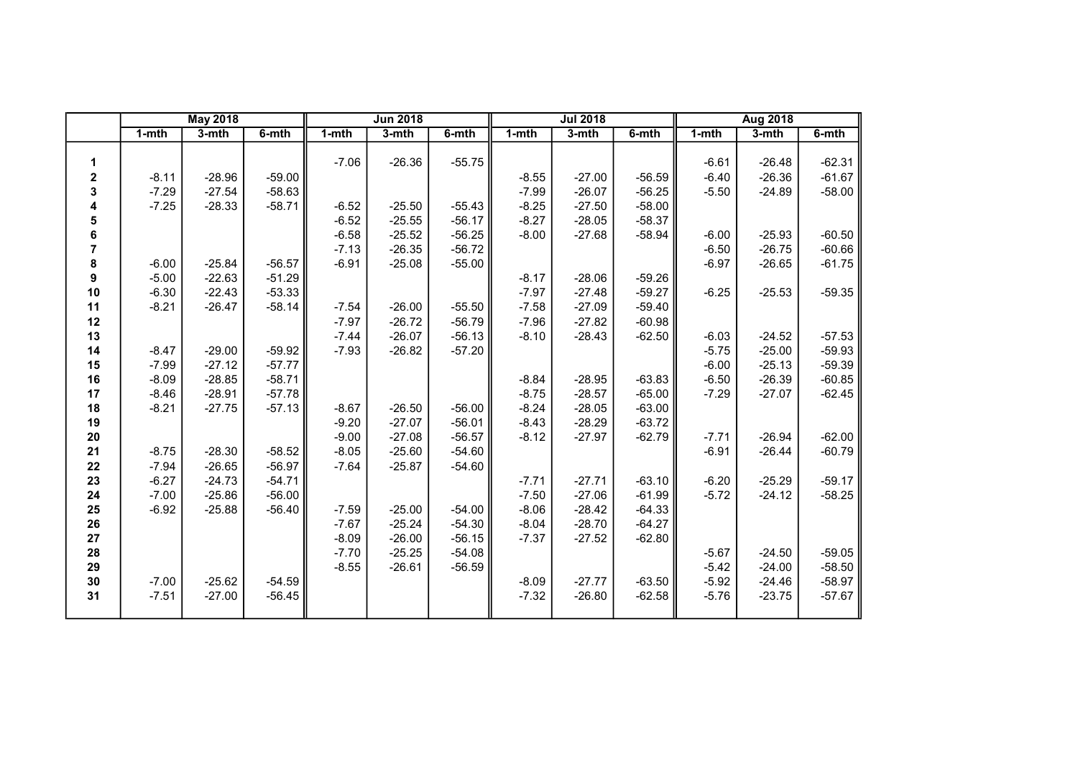|             |           | <b>May 2018</b> |          |           | <b>Jun 2018</b> |          |           | <b>Jul 2018</b> |          |           | <b>Aug 2018</b> |          |
|-------------|-----------|-----------------|----------|-----------|-----------------|----------|-----------|-----------------|----------|-----------|-----------------|----------|
|             | $1 - mth$ | $3-$ mth        | $6-$ mth | $1 - mth$ | $3-$ mth        | $6-$ mth | $1 - mth$ | $3-$ mth        | 6-mth    | $1 - mth$ | $3-$ mth        | $6-$ mth |
|             |           |                 |          |           |                 |          |           |                 |          |           |                 |          |
| 1           |           |                 |          | $-7.06$   | $-26.36$        | $-55.75$ |           |                 |          | $-6.61$   | $-26.48$        | $-62.31$ |
| $\mathbf 2$ | $-8.11$   | $-28.96$        | $-59.00$ |           |                 |          | $-8.55$   | $-27.00$        | $-56.59$ | $-6.40$   | $-26.36$        | $-61.67$ |
| 3           | $-7.29$   | $-27.54$        | $-58.63$ |           |                 |          | $-7.99$   | $-26.07$        | $-56.25$ | $-5.50$   | $-24.89$        | $-58.00$ |
| 4           | $-7.25$   | $-28.33$        | $-58.71$ | $-6.52$   | $-25.50$        | $-55.43$ | $-8.25$   | $-27.50$        | $-58.00$ |           |                 |          |
| 5           |           |                 |          | $-6.52$   | $-25.55$        | $-56.17$ | $-8.27$   | $-28.05$        | $-58.37$ |           |                 |          |
| 6           |           |                 |          | $-6.58$   | $-25.52$        | $-56.25$ | $-8.00$   | $-27.68$        | $-58.94$ | $-6.00$   | $-25.93$        | $-60.50$ |
| 7           |           |                 |          | $-7.13$   | $-26.35$        | $-56.72$ |           |                 |          | $-6.50$   | $-26.75$        | $-60.66$ |
| 8           | $-6.00$   | $-25.84$        | $-56.57$ | $-6.91$   | $-25.08$        | $-55.00$ |           |                 |          | $-6.97$   | $-26.65$        | $-61.75$ |
| 9           | $-5.00$   | $-22.63$        | $-51.29$ |           |                 |          | $-8.17$   | $-28.06$        | $-59.26$ |           |                 |          |
| 10          | $-6.30$   | $-22.43$        | $-53.33$ |           |                 |          | $-7.97$   | $-27.48$        | $-59.27$ | $-6.25$   | $-25.53$        | $-59.35$ |
| 11          | $-8.21$   | $-26.47$        | $-58.14$ | $-7.54$   | $-26.00$        | $-55.50$ | $-7.58$   | $-27.09$        | $-59.40$ |           |                 |          |
| 12          |           |                 |          | $-7.97$   | $-26.72$        | $-56.79$ | $-7.96$   | $-27.82$        | $-60.98$ |           |                 |          |
| 13          |           |                 |          | $-7.44$   | $-26.07$        | $-56.13$ | $-8.10$   | $-28.43$        | $-62.50$ | $-6.03$   | $-24.52$        | $-57.53$ |
| 14          | $-8.47$   | $-29.00$        | $-59.92$ | $-7.93$   | $-26.82$        | $-57.20$ |           |                 |          | $-5.75$   | $-25.00$        | $-59.93$ |
| 15          | $-7.99$   | $-27.12$        | $-57.77$ |           |                 |          |           |                 |          | $-6.00$   | $-25.13$        | $-59.39$ |
| 16          | $-8.09$   | $-28.85$        | $-58.71$ |           |                 |          | $-8.84$   | $-28.95$        | $-63.83$ | $-6.50$   | $-26.39$        | $-60.85$ |
| 17          | $-8.46$   | $-28.91$        | $-57.78$ |           |                 |          | $-8.75$   | $-28.57$        | $-65.00$ | $-7.29$   | $-27.07$        | $-62.45$ |
| 18          | $-8.21$   | $-27.75$        | $-57.13$ | $-8.67$   | $-26.50$        | $-56.00$ | $-8.24$   | $-28.05$        | $-63.00$ |           |                 |          |
| 19          |           |                 |          | $-9.20$   | $-27.07$        | $-56.01$ | $-8.43$   | $-28.29$        | $-63.72$ |           |                 |          |
| ${\bf 20}$  |           |                 |          | $-9.00$   | $-27.08$        | $-56.57$ | $-8.12$   | $-27.97$        | $-62.79$ | $-7.71$   | $-26.94$        | $-62.00$ |
| 21          | $-8.75$   | $-28.30$        | $-58.52$ | $-8.05$   | $-25.60$        | $-54.60$ |           |                 |          | $-6.91$   | $-26.44$        | $-60.79$ |
| 22          | $-7.94$   | $-26.65$        | $-56.97$ | $-7.64$   | $-25.87$        | $-54.60$ |           |                 |          |           |                 |          |
| 23          | $-6.27$   | $-24.73$        | $-54.71$ |           |                 |          | $-7.71$   | $-27.71$        | $-63.10$ | $-6.20$   | $-25.29$        | $-59.17$ |
| 24          | $-7.00$   | $-25.86$        | $-56.00$ |           |                 |          | $-7.50$   | $-27.06$        | $-61.99$ | $-5.72$   | $-24.12$        | $-58.25$ |
| 25          | $-6.92$   | $-25.88$        | $-56.40$ | $-7.59$   | $-25.00$        | $-54.00$ | $-8.06$   | $-28.42$        | $-64.33$ |           |                 |          |
| 26          |           |                 |          | $-7.67$   | $-25.24$        | $-54.30$ | $-8.04$   | $-28.70$        | $-64.27$ |           |                 |          |
| 27          |           |                 |          | $-8.09$   | $-26.00$        | $-56.15$ | $-7.37$   | $-27.52$        | $-62.80$ |           |                 |          |
| 28          |           |                 |          | $-7.70$   | $-25.25$        | $-54.08$ |           |                 |          | $-5.67$   | $-24.50$        | $-59.05$ |
| 29          |           |                 |          | $-8.55$   | $-26.61$        | $-56.59$ |           |                 |          | $-5.42$   | $-24.00$        | $-58.50$ |
| $30\,$      | $-7.00$   | $-25.62$        | $-54.59$ |           |                 |          | $-8.09$   | $-27.77$        | $-63.50$ | $-5.92$   | $-24.46$        | $-58.97$ |
| 31          | $-7.51$   | $-27.00$        | $-56.45$ |           |                 |          | $-7.32$   | $-26.80$        | $-62.58$ | $-5.76$   | $-23.75$        | $-57.67$ |
|             |           |                 |          |           |                 |          |           |                 |          |           |                 |          |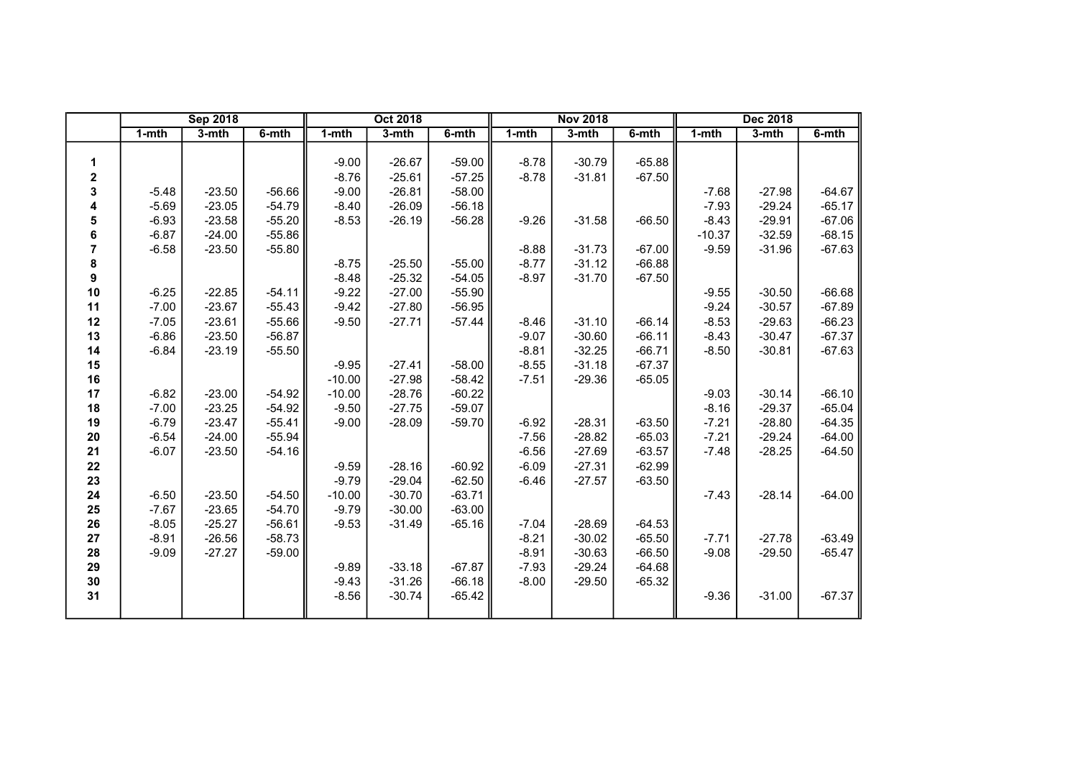|             |         | <b>Sep 2018</b> |          |          | <b>Oct 2018</b> |          |         | <b>Nov 2018</b> |          |          | Dec 2018 |          |
|-------------|---------|-----------------|----------|----------|-----------------|----------|---------|-----------------|----------|----------|----------|----------|
|             | 1-mth   | 3-mth           | 6-mth    | 1-mth    | 3-mth           | 6-mth    | 1-mth   | 3-mth           | 6-mth    | 1-mth    | 3-mth    | 6-mth    |
|             |         |                 |          |          |                 |          |         |                 |          |          |          |          |
| 1           |         |                 |          | $-9.00$  | $-26.67$        | $-59.00$ | $-8.78$ | $-30.79$        | $-65.88$ |          |          |          |
| $\mathbf 2$ |         |                 |          | $-8.76$  | $-25.61$        | $-57.25$ | $-8.78$ | $-31.81$        | $-67.50$ |          |          |          |
| 3           | $-5.48$ | $-23.50$        | $-56.66$ | $-9.00$  | $-26.81$        | $-58.00$ |         |                 |          | $-7.68$  | $-27.98$ | $-64.67$ |
| 4           | $-5.69$ | $-23.05$        | $-54.79$ | $-8.40$  | $-26.09$        | $-56.18$ |         |                 |          | $-7.93$  | $-29.24$ | $-65.17$ |
| 5           | $-6.93$ | $-23.58$        | $-55.20$ | $-8.53$  | $-26.19$        | $-56.28$ | $-9.26$ | $-31.58$        | $-66.50$ | $-8.43$  | $-29.91$ | $-67.06$ |
| 6           | $-6.87$ | $-24.00$        | $-55.86$ |          |                 |          |         |                 |          | $-10.37$ | $-32.59$ | $-68.15$ |
| 7           | $-6.58$ | $-23.50$        | $-55.80$ |          |                 |          | $-8.88$ | $-31.73$        | $-67.00$ | $-9.59$  | $-31.96$ | $-67.63$ |
| 8           |         |                 |          | $-8.75$  | $-25.50$        | $-55.00$ | $-8.77$ | $-31.12$        | $-66.88$ |          |          |          |
| 9           |         |                 |          | $-8.48$  | $-25.32$        | $-54.05$ | $-8.97$ | $-31.70$        | $-67.50$ |          |          |          |
| 10          | $-6.25$ | $-22.85$        | $-54.11$ | $-9.22$  | $-27.00$        | $-55.90$ |         |                 |          | $-9.55$  | $-30.50$ | $-66.68$ |
| 11          | $-7.00$ | $-23.67$        | $-55.43$ | $-9.42$  | $-27.80$        | $-56.95$ |         |                 |          | $-9.24$  | $-30.57$ | $-67.89$ |
| 12          | $-7.05$ | $-23.61$        | $-55.66$ | $-9.50$  | $-27.71$        | $-57.44$ | $-8.46$ | $-31.10$        | $-66.14$ | $-8.53$  | $-29.63$ | $-66.23$ |
| 13          | $-6.86$ | $-23.50$        | $-56.87$ |          |                 |          | $-9.07$ | $-30.60$        | $-66.11$ | $-8.43$  | $-30.47$ | $-67.37$ |
| 14          | $-6.84$ | $-23.19$        | $-55.50$ |          |                 |          | $-8.81$ | $-32.25$        | $-66.71$ | $-8.50$  | $-30.81$ | $-67.63$ |
| 15          |         |                 |          | $-9.95$  | $-27.41$        | $-58.00$ | $-8.55$ | $-31.18$        | $-67.37$ |          |          |          |
| 16          |         |                 |          | $-10.00$ | $-27.98$        | $-58.42$ | $-7.51$ | $-29.36$        | $-65.05$ |          |          |          |
| 17          | $-6.82$ | $-23.00$        | $-54.92$ | $-10.00$ | $-28.76$        | $-60.22$ |         |                 |          | $-9.03$  | $-30.14$ | $-66.10$ |
| 18          | $-7.00$ | $-23.25$        | $-54.92$ | $-9.50$  | $-27.75$        | $-59.07$ |         |                 |          | $-8.16$  | $-29.37$ | $-65.04$ |
| 19          | $-6.79$ | $-23.47$        | $-55.41$ | $-9.00$  | $-28.09$        | $-59.70$ | $-6.92$ | $-28.31$        | $-63.50$ | $-7.21$  | $-28.80$ | $-64.35$ |
| 20          | $-6.54$ | $-24.00$        | $-55.94$ |          |                 |          | $-7.56$ | $-28.82$        | $-65.03$ | $-7.21$  | $-29.24$ | $-64.00$ |
| 21          | $-6.07$ | $-23.50$        | $-54.16$ |          |                 |          | $-6.56$ | $-27.69$        | $-63.57$ | $-7.48$  | $-28.25$ | $-64.50$ |
| 22          |         |                 |          | $-9.59$  | $-28.16$        | $-60.92$ | $-6.09$ | $-27.31$        | $-62.99$ |          |          |          |
| 23          |         |                 |          | $-9.79$  | $-29.04$        | $-62.50$ | $-6.46$ | $-27.57$        | $-63.50$ |          |          |          |
| 24          | $-6.50$ | $-23.50$        | $-54.50$ | $-10.00$ | $-30.70$        | $-63.71$ |         |                 |          | $-7.43$  | $-28.14$ | $-64.00$ |
| 25          | $-7.67$ | $-23.65$        | $-54.70$ | $-9.79$  | $-30.00$        | $-63.00$ |         |                 |          |          |          |          |
| 26          | $-8.05$ | $-25.27$        | $-56.61$ | $-9.53$  | $-31.49$        | $-65.16$ | $-7.04$ | $-28.69$        | $-64.53$ |          |          |          |
| 27          | $-8.91$ | $-26.56$        | $-58.73$ |          |                 |          | $-8.21$ | $-30.02$        | $-65.50$ | $-7.71$  | $-27.78$ | $-63.49$ |
| 28          | $-9.09$ | $-27.27$        | $-59.00$ |          |                 |          | $-8.91$ | $-30.63$        | $-66.50$ | $-9.08$  | $-29.50$ | $-65.47$ |
| 29          |         |                 |          | $-9.89$  | $-33.18$        | $-67.87$ | $-7.93$ | $-29.24$        | $-64.68$ |          |          |          |
| 30          |         |                 |          | $-9.43$  | $-31.26$        | $-66.18$ | $-8.00$ | $-29.50$        | $-65.32$ |          |          |          |
| 31          |         |                 |          | $-8.56$  | $-30.74$        | $-65.42$ |         |                 |          | $-9.36$  | $-31.00$ | $-67.37$ |
|             |         |                 |          |          |                 |          |         |                 |          |          |          |          |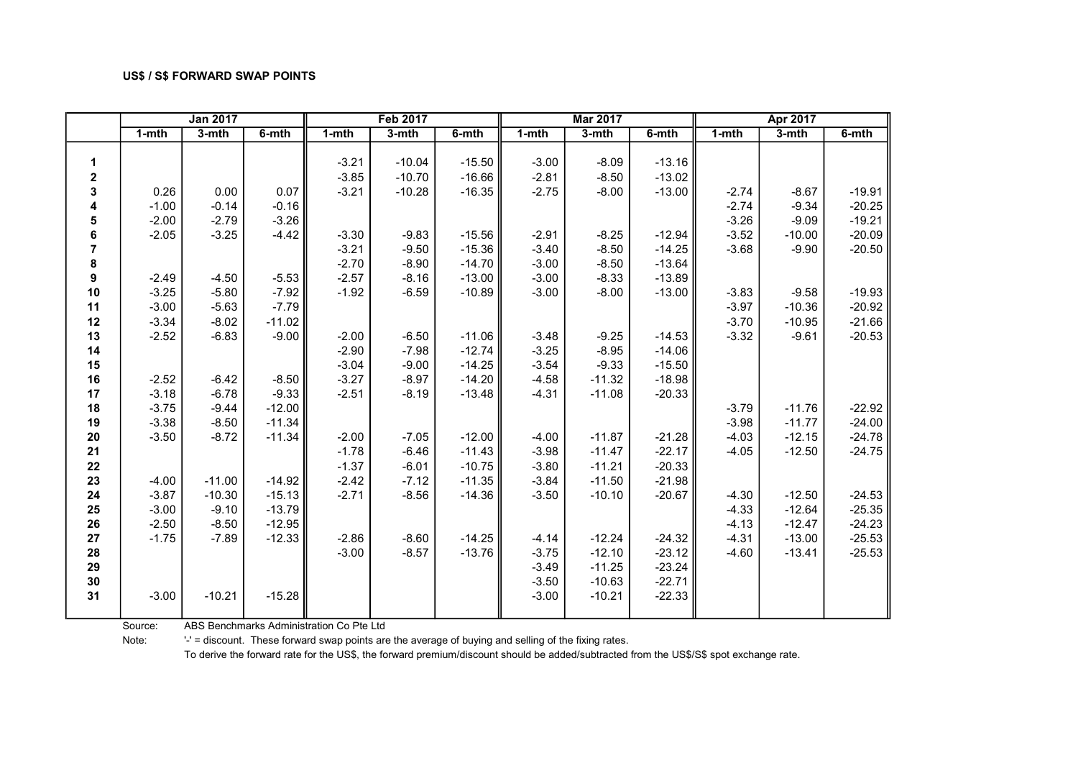|                  |           | <b>Jan 2017</b> |          |         | <b>Feb 2017</b> |          |           | <b>Mar 2017</b> |          |           | Apr 2017 |          |
|------------------|-----------|-----------------|----------|---------|-----------------|----------|-----------|-----------------|----------|-----------|----------|----------|
|                  | $1 - mth$ | 3-mth           | 6-mth    | 1-mth   | 3-mth           | 6-mth    | $1 - mth$ | 3-mth           | 6-mth    | $1 - mth$ | 3-mth    | $6-$ mth |
|                  |           |                 |          |         |                 |          |           |                 |          |           |          |          |
| $\mathbf{1}$     |           |                 |          | $-3.21$ | $-10.04$        | $-15.50$ | $-3.00$   | $-8.09$         | $-13.16$ |           |          |          |
| $\boldsymbol{2}$ |           |                 |          | $-3.85$ | $-10.70$        | $-16.66$ | $-2.81$   | $-8.50$         | $-13.02$ |           |          |          |
| 3                | 0.26      | 0.00            | 0.07     | $-3.21$ | $-10.28$        | $-16.35$ | $-2.75$   | $-8.00$         | $-13.00$ | $-2.74$   | $-8.67$  | $-19.91$ |
| 4                | $-1.00$   | $-0.14$         | $-0.16$  |         |                 |          |           |                 |          | $-2.74$   | $-9.34$  | $-20.25$ |
| 5                | $-2.00$   | $-2.79$         | $-3.26$  |         |                 |          |           |                 |          | $-3.26$   | $-9.09$  | $-19.21$ |
| 6                | $-2.05$   | $-3.25$         | $-4.42$  | $-3.30$ | $-9.83$         | $-15.56$ | $-2.91$   | $-8.25$         | $-12.94$ | $-3.52$   | $-10.00$ | $-20.09$ |
| $\overline{7}$   |           |                 |          | $-3.21$ | $-9.50$         | $-15.36$ | $-3.40$   | $-8.50$         | $-14.25$ | $-3.68$   | $-9.90$  | $-20.50$ |
| $\pmb{8}$        |           |                 |          | $-2.70$ | $-8.90$         | $-14.70$ | $-3.00$   | $-8.50$         | $-13.64$ |           |          |          |
| $\boldsymbol{9}$ | $-2.49$   | $-4.50$         | $-5.53$  | $-2.57$ | $-8.16$         | $-13.00$ | $-3.00$   | $-8.33$         | $-13.89$ |           |          |          |
| 10               | $-3.25$   | $-5.80$         | $-7.92$  | $-1.92$ | $-6.59$         | $-10.89$ | $-3.00$   | $-8.00$         | $-13.00$ | $-3.83$   | $-9.58$  | $-19.93$ |
| 11               | $-3.00$   | $-5.63$         | $-7.79$  |         |                 |          |           |                 |          | $-3.97$   | $-10.36$ | $-20.92$ |
| 12               | $-3.34$   | $-8.02$         | $-11.02$ |         |                 |          |           |                 |          | $-3.70$   | $-10.95$ | $-21.66$ |
| 13               | $-2.52$   | $-6.83$         | $-9.00$  | $-2.00$ | $-6.50$         | $-11.06$ | $-3.48$   | $-9.25$         | $-14.53$ | $-3.32$   | $-9.61$  | $-20.53$ |
| 14               |           |                 |          | $-2.90$ | $-7.98$         | $-12.74$ | $-3.25$   | $-8.95$         | $-14.06$ |           |          |          |
| 15               |           |                 |          | $-3.04$ | $-9.00$         | $-14.25$ | $-3.54$   | $-9.33$         | $-15.50$ |           |          |          |
| 16               | $-2.52$   | $-6.42$         | $-8.50$  | $-3.27$ | $-8.97$         | $-14.20$ | $-4.58$   | $-11.32$        | $-18.98$ |           |          |          |
| 17               | $-3.18$   | $-6.78$         | $-9.33$  | $-2.51$ | $-8.19$         | $-13.48$ | $-4.31$   | $-11.08$        | $-20.33$ |           |          |          |
| 18               | $-3.75$   | $-9.44$         | $-12.00$ |         |                 |          |           |                 |          | $-3.79$   | $-11.76$ | $-22.92$ |
| 19               | $-3.38$   | $-8.50$         | $-11.34$ |         |                 |          |           |                 |          | $-3.98$   | $-11.77$ | $-24.00$ |
| 20               | $-3.50$   | $-8.72$         | $-11.34$ | $-2.00$ | $-7.05$         | $-12.00$ | $-4.00$   | $-11.87$        | $-21.28$ | $-4.03$   | $-12.15$ | $-24.78$ |
| 21               |           |                 |          | $-1.78$ | $-6.46$         | $-11.43$ | $-3.98$   | $-11.47$        | $-22.17$ | $-4.05$   | $-12.50$ | $-24.75$ |
| 22               |           |                 |          | $-1.37$ | $-6.01$         | $-10.75$ | $-3.80$   | $-11.21$        | $-20.33$ |           |          |          |
| 23               | $-4.00$   | $-11.00$        | $-14.92$ | $-2.42$ | $-7.12$         | $-11.35$ | $-3.84$   | $-11.50$        | $-21.98$ |           |          |          |
| 24               | $-3.87$   | $-10.30$        | $-15.13$ | $-2.71$ | $-8.56$         | $-14.36$ | $-3.50$   | $-10.10$        | $-20.67$ | $-4.30$   | $-12.50$ | $-24.53$ |
| 25               | $-3.00$   | $-9.10$         | $-13.79$ |         |                 |          |           |                 |          | $-4.33$   | $-12.64$ | $-25.35$ |
| 26               | $-2.50$   | $-8.50$         | $-12.95$ |         |                 |          |           |                 |          | $-4.13$   | $-12.47$ | $-24.23$ |
| 27               | $-1.75$   | $-7.89$         | $-12.33$ | $-2.86$ | $-8.60$         | $-14.25$ | $-4.14$   | $-12.24$        | $-24.32$ | $-4.31$   | $-13.00$ | $-25.53$ |
| 28               |           |                 |          | $-3.00$ | $-8.57$         | $-13.76$ | $-3.75$   | $-12.10$        | $-23.12$ | $-4.60$   | $-13.41$ | $-25.53$ |
| 29               |           |                 |          |         |                 |          | $-3.49$   | $-11.25$        | $-23.24$ |           |          |          |
| 30               |           |                 |          |         |                 |          | $-3.50$   | $-10.63$        | $-22.71$ |           |          |          |
| 31               | $-3.00$   | $-10.21$        | $-15.28$ |         |                 |          | $-3.00$   | $-10.21$        | $-22.33$ |           |          |          |
|                  |           |                 |          |         |                 |          |           |                 |          |           |          |          |

Source: ABS Benchmarks Administration Co Pte Ltd

Note: '-' = discount. These forward swap points are the average of buying and selling of the fixing rates.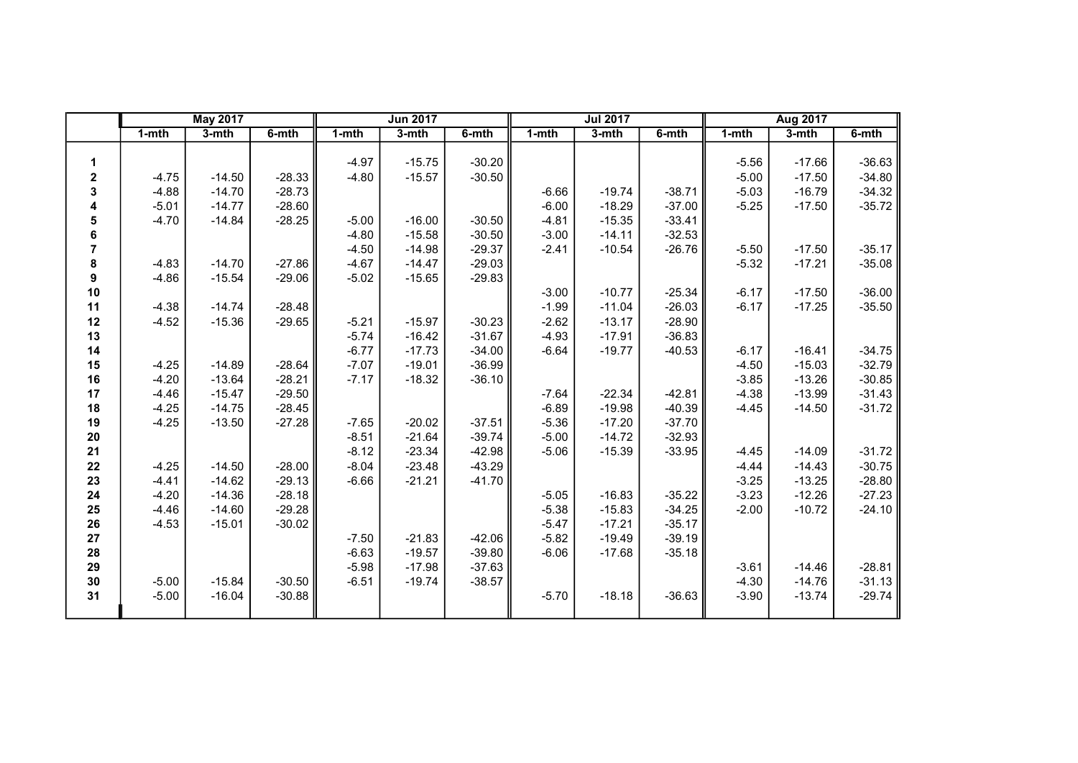|                |           | <b>May 2017</b> |          |           | <b>Jun 2017</b> |          |         | <b>Jul 2017</b> |          |           | Aug 2017 |          |
|----------------|-----------|-----------------|----------|-----------|-----------------|----------|---------|-----------------|----------|-----------|----------|----------|
|                | $1 - mth$ | $3-$ mth        | 6-mth    | $1 - mth$ | 3-mth           | 6-mth    | 1-mth   | 3-mth           | 6-mth    | $1 - mth$ | $3-mth$  | 6-mth    |
|                |           |                 |          |           |                 |          |         |                 |          |           |          |          |
| 1              |           |                 |          | $-4.97$   | $-15.75$        | $-30.20$ |         |                 |          | $-5.56$   | $-17.66$ | $-36.63$ |
| $\mathbf 2$    | $-4.75$   | $-14.50$        | $-28.33$ | $-4.80$   | $-15.57$        | $-30.50$ |         |                 |          | $-5.00$   | $-17.50$ | $-34.80$ |
| 3              | $-4.88$   | $-14.70$        | $-28.73$ |           |                 |          | $-6.66$ | $-19.74$        | $-38.71$ | $-5.03$   | $-16.79$ | $-34.32$ |
| 4              | $-5.01$   | $-14.77$        | $-28.60$ |           |                 |          | $-6.00$ | $-18.29$        | $-37.00$ | $-5.25$   | $-17.50$ | $-35.72$ |
| 5              | $-4.70$   | $-14.84$        | $-28.25$ | $-5.00$   | $-16.00$        | $-30.50$ | $-4.81$ | $-15.35$        | $-33.41$ |           |          |          |
| 6              |           |                 |          | $-4.80$   | $-15.58$        | $-30.50$ | $-3.00$ | $-14.11$        | $-32.53$ |           |          |          |
| $\overline{7}$ |           |                 |          | $-4.50$   | $-14.98$        | $-29.37$ | $-2.41$ | $-10.54$        | $-26.76$ | $-5.50$   | $-17.50$ | $-35.17$ |
| 8              | $-4.83$   | $-14.70$        | $-27.86$ | $-4.67$   | $-14.47$        | $-29.03$ |         |                 |          | $-5.32$   | $-17.21$ | $-35.08$ |
| 9              | $-4.86$   | $-15.54$        | $-29.06$ | $-5.02$   | $-15.65$        | $-29.83$ |         |                 |          |           |          |          |
| $10$           |           |                 |          |           |                 |          | $-3.00$ | $-10.77$        | $-25.34$ | $-6.17$   | $-17.50$ | $-36.00$ |
| 11             | $-4.38$   | $-14.74$        | $-28.48$ |           |                 |          | $-1.99$ | $-11.04$        | $-26.03$ | $-6.17$   | $-17.25$ | $-35.50$ |
| 12             | $-4.52$   | $-15.36$        | $-29.65$ | $-5.21$   | $-15.97$        | $-30.23$ | $-2.62$ | $-13.17$        | $-28.90$ |           |          |          |
| 13             |           |                 |          | $-5.74$   | $-16.42$        | $-31.67$ | $-4.93$ | $-17.91$        | $-36.83$ |           |          |          |
| 14             |           |                 |          | $-6.77$   | $-17.73$        | $-34.00$ | $-6.64$ | $-19.77$        | $-40.53$ | $-6.17$   | $-16.41$ | $-34.75$ |
| 15             | $-4.25$   | $-14.89$        | $-28.64$ | $-7.07$   | $-19.01$        | $-36.99$ |         |                 |          | $-4.50$   | $-15.03$ | $-32.79$ |
| 16             | $-4.20$   | $-13.64$        | $-28.21$ | $-7.17$   | $-18.32$        | $-36.10$ |         |                 |          | $-3.85$   | $-13.26$ | $-30.85$ |
| 17             | $-4.46$   | $-15.47$        | $-29.50$ |           |                 |          | $-7.64$ | $-22.34$        | $-42.81$ | $-4.38$   | $-13.99$ | $-31.43$ |
| 18             | $-4.25$   | $-14.75$        | $-28.45$ |           |                 |          | $-6.89$ | $-19.98$        | $-40.39$ | $-4.45$   | $-14.50$ | $-31.72$ |
| 19             | $-4.25$   | $-13.50$        | $-27.28$ | $-7.65$   | $-20.02$        | $-37.51$ | $-5.36$ | $-17.20$        | $-37.70$ |           |          |          |
| $20\,$         |           |                 |          | $-8.51$   | $-21.64$        | $-39.74$ | $-5.00$ | $-14.72$        | $-32.93$ |           |          |          |
| 21             |           |                 |          | $-8.12$   | $-23.34$        | $-42.98$ | $-5.06$ | $-15.39$        | $-33.95$ | $-4.45$   | $-14.09$ | $-31.72$ |
| 22             | $-4.25$   | $-14.50$        | $-28.00$ | $-8.04$   | $-23.48$        | $-43.29$ |         |                 |          | $-4.44$   | $-14.43$ | $-30.75$ |
| 23             | $-4.41$   | $-14.62$        | $-29.13$ | $-6.66$   | $-21.21$        | $-41.70$ |         |                 |          | $-3.25$   | $-13.25$ | $-28.80$ |
| 24             | $-4.20$   | $-14.36$        | $-28.18$ |           |                 |          | $-5.05$ | $-16.83$        | $-35.22$ | $-3.23$   | $-12.26$ | $-27.23$ |
| 25             | $-4.46$   | $-14.60$        | $-29.28$ |           |                 |          | $-5.38$ | $-15.83$        | $-34.25$ | $-2.00$   | $-10.72$ | $-24.10$ |
| 26             | $-4.53$   | $-15.01$        | $-30.02$ |           |                 |          | $-5.47$ | $-17.21$        | $-35.17$ |           |          |          |
| 27             |           |                 |          | $-7.50$   | $-21.83$        | $-42.06$ | $-5.82$ | $-19.49$        | $-39.19$ |           |          |          |
| 28             |           |                 |          | $-6.63$   | $-19.57$        | $-39.80$ | $-6.06$ | $-17.68$        | $-35.18$ |           |          |          |
| 29             |           |                 |          | $-5.98$   | $-17.98$        | $-37.63$ |         |                 |          | $-3.61$   | $-14.46$ | $-28.81$ |
| 30             | $-5.00$   | $-15.84$        | $-30.50$ | $-6.51$   | $-19.74$        | $-38.57$ |         |                 |          | $-4.30$   | $-14.76$ | $-31.13$ |
| 31             | $-5.00$   | $-16.04$        | $-30.88$ |           |                 |          | $-5.70$ | $-18.18$        | $-36.63$ | $-3.90$   | $-13.74$ | $-29.74$ |
|                |           |                 |          |           |                 |          |         |                 |          |           |          |          |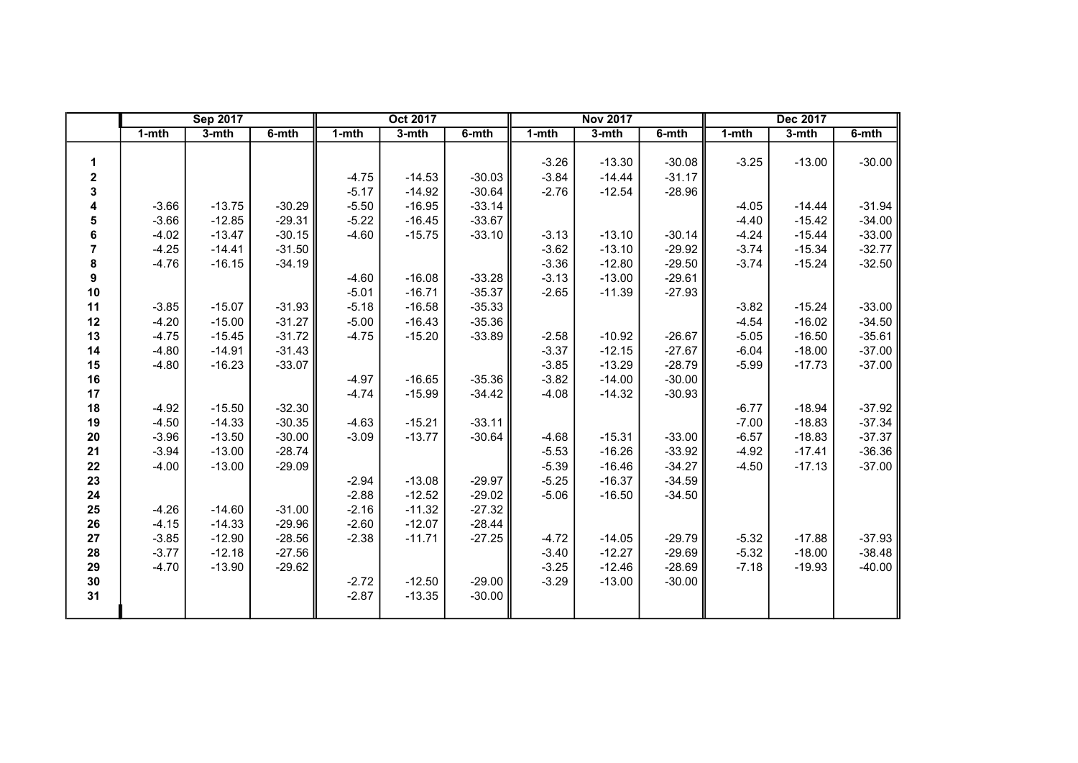|    | <b>Sep 2017</b> |          |          |           | Oct 2017 |          |           | <b>Nov 2017</b> |          |           | Dec 2017 |          |
|----|-----------------|----------|----------|-----------|----------|----------|-----------|-----------------|----------|-----------|----------|----------|
|    | 1-mth           | 3-mth    | 6-mth    | $1 - mth$ | 3-mth    | 6-mth    | $1 - mth$ | $3 - mth$       | 6-mth    | $1 - mth$ | 3-mth    | 6-mth    |
|    |                 |          |          |           |          |          |           |                 |          |           |          |          |
| 1  |                 |          |          |           |          |          | $-3.26$   | $-13.30$        | $-30.08$ | $-3.25$   | $-13.00$ | $-30.00$ |
| 2  |                 |          |          | $-4.75$   | $-14.53$ | $-30.03$ | $-3.84$   | $-14.44$        | $-31.17$ |           |          |          |
| 3  |                 |          |          | $-5.17$   | $-14.92$ | $-30.64$ | $-2.76$   | $-12.54$        | $-28.96$ |           |          |          |
| 4  | $-3.66$         | $-13.75$ | $-30.29$ | $-5.50$   | $-16.95$ | $-33.14$ |           |                 |          | $-4.05$   | $-14.44$ | $-31.94$ |
| 5  | $-3.66$         | $-12.85$ | $-29.31$ | $-5.22$   | $-16.45$ | $-33.67$ |           |                 |          | $-4.40$   | $-15.42$ | $-34.00$ |
| 6  | $-4.02$         | $-13.47$ | $-30.15$ | $-4.60$   | $-15.75$ | $-33.10$ | $-3.13$   | $-13.10$        | $-30.14$ | $-4.24$   | $-15.44$ | $-33.00$ |
| 7  | $-4.25$         | $-14.41$ | $-31.50$ |           |          |          | $-3.62$   | $-13.10$        | $-29.92$ | $-3.74$   | $-15.34$ | $-32.77$ |
| 8  | $-4.76$         | $-16.15$ | $-34.19$ |           |          |          | $-3.36$   | $-12.80$        | $-29.50$ | $-3.74$   | $-15.24$ | $-32.50$ |
| 9  |                 |          |          | $-4.60$   | $-16.08$ | $-33.28$ | $-3.13$   | $-13.00$        | $-29.61$ |           |          |          |
| 10 |                 |          |          | $-5.01$   | $-16.71$ | $-35.37$ | $-2.65$   | $-11.39$        | $-27.93$ |           |          |          |
| 11 | $-3.85$         | $-15.07$ | $-31.93$ | $-5.18$   | $-16.58$ | $-35.33$ |           |                 |          | $-3.82$   | $-15.24$ | $-33.00$ |
| 12 | $-4.20$         | $-15.00$ | $-31.27$ | $-5.00$   | $-16.43$ | $-35.36$ |           |                 |          | $-4.54$   | $-16.02$ | $-34.50$ |
| 13 | $-4.75$         | $-15.45$ | $-31.72$ | $-4.75$   | $-15.20$ | $-33.89$ | $-2.58$   | $-10.92$        | $-26.67$ | $-5.05$   | $-16.50$ | $-35.61$ |
| 14 | $-4.80$         | $-14.91$ | $-31.43$ |           |          |          | $-3.37$   | $-12.15$        | $-27.67$ | $-6.04$   | $-18.00$ | $-37.00$ |
| 15 | $-4.80$         | $-16.23$ | $-33.07$ |           |          |          | $-3.85$   | $-13.29$        | $-28.79$ | $-5.99$   | $-17.73$ | $-37.00$ |
| 16 |                 |          |          | $-4.97$   | $-16.65$ | $-35.36$ | $-3.82$   | $-14.00$        | $-30.00$ |           |          |          |
| 17 |                 |          |          | $-4.74$   | $-15.99$ | $-34.42$ | $-4.08$   | $-14.32$        | $-30.93$ |           |          |          |
| 18 | $-4.92$         | $-15.50$ | $-32.30$ |           |          |          |           |                 |          | $-6.77$   | $-18.94$ | $-37.92$ |
| 19 | $-4.50$         | $-14.33$ | $-30.35$ | $-4.63$   | $-15.21$ | $-33.11$ |           |                 |          | $-7.00$   | $-18.83$ | $-37.34$ |
| 20 | $-3.96$         | $-13.50$ | $-30.00$ | $-3.09$   | $-13.77$ | $-30.64$ | $-4.68$   | $-15.31$        | $-33.00$ | $-6.57$   | $-18.83$ | $-37.37$ |
| 21 | $-3.94$         | $-13.00$ | $-28.74$ |           |          |          | $-5.53$   | $-16.26$        | $-33.92$ | $-4.92$   | $-17.41$ | $-36.36$ |
| 22 | $-4.00$         | $-13.00$ | $-29.09$ |           |          |          | $-5.39$   | $-16.46$        | $-34.27$ | $-4.50$   | $-17.13$ | $-37.00$ |
| 23 |                 |          |          | $-2.94$   | $-13.08$ | $-29.97$ | $-5.25$   | $-16.37$        | $-34.59$ |           |          |          |
| 24 |                 |          |          | $-2.88$   | $-12.52$ | $-29.02$ | $-5.06$   | $-16.50$        | $-34.50$ |           |          |          |
| 25 | $-4.26$         | $-14.60$ | $-31.00$ | $-2.16$   | $-11.32$ | $-27.32$ |           |                 |          |           |          |          |
| 26 | $-4.15$         | $-14.33$ | $-29.96$ | $-2.60$   | $-12.07$ | $-28.44$ |           |                 |          |           |          |          |
| 27 | $-3.85$         | $-12.90$ | $-28.56$ | $-2.38$   | $-11.71$ | $-27.25$ | $-4.72$   | $-14.05$        | $-29.79$ | $-5.32$   | $-17.88$ | $-37.93$ |
| 28 | $-3.77$         | $-12.18$ | $-27.56$ |           |          |          | $-3.40$   | $-12.27$        | $-29.69$ | $-5.32$   | $-18.00$ | $-38.48$ |
| 29 | $-4.70$         | $-13.90$ | $-29.62$ |           |          |          | $-3.25$   | $-12.46$        | $-28.69$ | $-7.18$   | $-19.93$ | $-40.00$ |
| 30 |                 |          |          | $-2.72$   | $-12.50$ | $-29.00$ | $-3.29$   | $-13.00$        | $-30.00$ |           |          |          |
| 31 |                 |          |          | $-2.87$   | $-13.35$ | $-30.00$ |           |                 |          |           |          |          |
|    |                 |          |          |           |          |          |           |                 |          |           |          |          |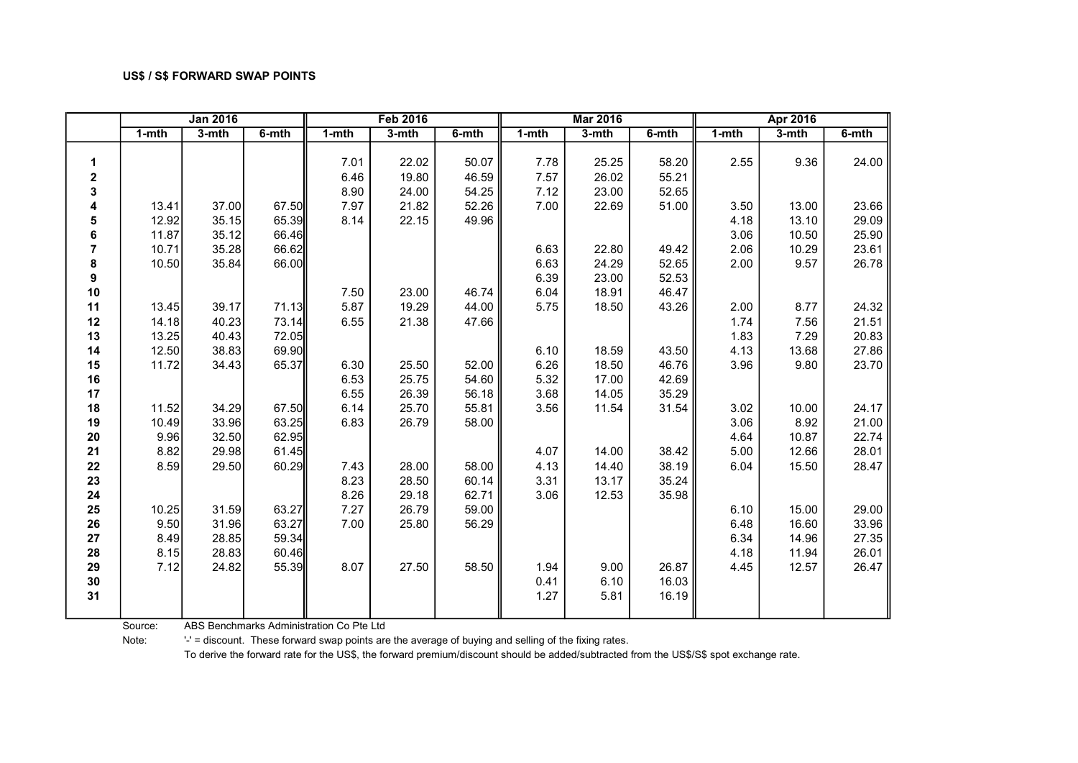|                  |           | <b>Jan 2016</b> |       |           | <b>Feb 2016</b> |       |           | <b>Mar 2016</b> |           |           | Apr 2016 |       |
|------------------|-----------|-----------------|-------|-----------|-----------------|-------|-----------|-----------------|-----------|-----------|----------|-------|
|                  | $1 - mth$ | 3-mth           | 6-mth | $1 - mth$ | 3-mth           | 6-mth | $1 - mth$ | 3-mth           | $6 - mth$ | $1 - mth$ | 3-mth    | 6-mth |
|                  |           |                 |       |           |                 |       |           |                 |           |           |          |       |
| 1                |           |                 |       | 7.01      | 22.02           | 50.07 | 7.78      | 25.25           | 58.20     | 2.55      | 9.36     | 24.00 |
| $\mathbf 2$      |           |                 |       | 6.46      | 19.80           | 46.59 | 7.57      | 26.02           | 55.21     |           |          |       |
| 3                |           |                 |       | 8.90      | 24.00           | 54.25 | 7.12      | 23.00           | 52.65     |           |          |       |
| 4                | 13.41     | 37.00           | 67.50 | 7.97      | 21.82           | 52.26 | 7.00      | 22.69           | 51.00     | 3.50      | 13.00    | 23.66 |
| 5                | 12.92     | 35.15           | 65.39 | 8.14      | 22.15           | 49.96 |           |                 |           | 4.18      | 13.10    | 29.09 |
| 6                | 11.87     | 35.12           | 66.46 |           |                 |       |           |                 |           | 3.06      | 10.50    | 25.90 |
| $\overline{7}$   | 10.71     | 35.28           | 66.62 |           |                 |       | 6.63      | 22.80           | 49.42     | 2.06      | 10.29    | 23.61 |
| 8                | 10.50     | 35.84           | 66.00 |           |                 |       | 6.63      | 24.29           | 52.65     | 2.00      | 9.57     | 26.78 |
| $\boldsymbol{9}$ |           |                 |       |           |                 |       | 6.39      | 23.00           | 52.53     |           |          |       |
| 10               |           |                 |       | 7.50      | 23.00           | 46.74 | 6.04      | 18.91           | 46.47     |           |          |       |
| 11               | 13.45     | 39.17           | 71.13 | 5.87      | 19.29           | 44.00 | 5.75      | 18.50           | 43.26     | 2.00      | 8.77     | 24.32 |
| 12               | 14.18     | 40.23           | 73.14 | 6.55      | 21.38           | 47.66 |           |                 |           | 1.74      | 7.56     | 21.51 |
| 13               | 13.25     | 40.43           | 72.05 |           |                 |       |           |                 |           | 1.83      | 7.29     | 20.83 |
| 14               | 12.50     | 38.83           | 69.90 |           |                 |       | 6.10      | 18.59           | 43.50     | 4.13      | 13.68    | 27.86 |
| 15               | 11.72     | 34.43           | 65.37 | 6.30      | 25.50           | 52.00 | 6.26      | 18.50           | 46.76     | 3.96      | 9.80     | 23.70 |
| 16               |           |                 |       | 6.53      | 25.75           | 54.60 | 5.32      | 17.00           | 42.69     |           |          |       |
| 17               |           |                 |       | 6.55      | 26.39           | 56.18 | 3.68      | 14.05           | 35.29     |           |          |       |
| 18               | 11.52     | 34.29           | 67.50 | 6.14      | 25.70           | 55.81 | 3.56      | 11.54           | 31.54     | 3.02      | 10.00    | 24.17 |
| 19               | 10.49     | 33.96           | 63.25 | 6.83      | 26.79           | 58.00 |           |                 |           | 3.06      | 8.92     | 21.00 |
| 20               | 9.96      | 32.50           | 62.95 |           |                 |       |           |                 |           | 4.64      | 10.87    | 22.74 |
| 21               | 8.82      | 29.98           | 61.45 |           |                 |       | 4.07      | 14.00           | 38.42     | 5.00      | 12.66    | 28.01 |
| 22               | 8.59      | 29.50           | 60.29 | 7.43      | 28.00           | 58.00 | 4.13      | 14.40           | 38.19     | 6.04      | 15.50    | 28.47 |
| 23               |           |                 |       | 8.23      | 28.50           | 60.14 | 3.31      | 13.17           | 35.24     |           |          |       |
| 24               |           |                 |       | 8.26      | 29.18           | 62.71 | 3.06      | 12.53           | 35.98     |           |          |       |
| 25               | 10.25     | 31.59           | 63.27 | 7.27      | 26.79           | 59.00 |           |                 |           | 6.10      | 15.00    | 29.00 |
| 26               | 9.50      | 31.96           | 63.27 | 7.00      | 25.80           | 56.29 |           |                 |           | 6.48      | 16.60    | 33.96 |
| 27               | 8.49      | 28.85           | 59.34 |           |                 |       |           |                 |           | 6.34      | 14.96    | 27.35 |
| 28               | 8.15      | 28.83           | 60.46 |           |                 |       |           |                 |           | 4.18      | 11.94    | 26.01 |
| 29               | 7.12      | 24.82           | 55.39 | 8.07      | 27.50           | 58.50 | 1.94      | 9.00            | 26.87     | 4.45      | 12.57    | 26.47 |
| 30               |           |                 |       |           |                 |       | 0.41      | 6.10            | 16.03     |           |          |       |
| 31               |           |                 |       |           |                 |       | 1.27      | 5.81            | 16.19     |           |          |       |
|                  |           |                 |       |           |                 |       |           |                 |           |           |          |       |

Source: ABS Benchmarks Administration Co Pte Ltd

Note: '-' = discount. These forward swap points are the average of buying and selling of the fixing rates.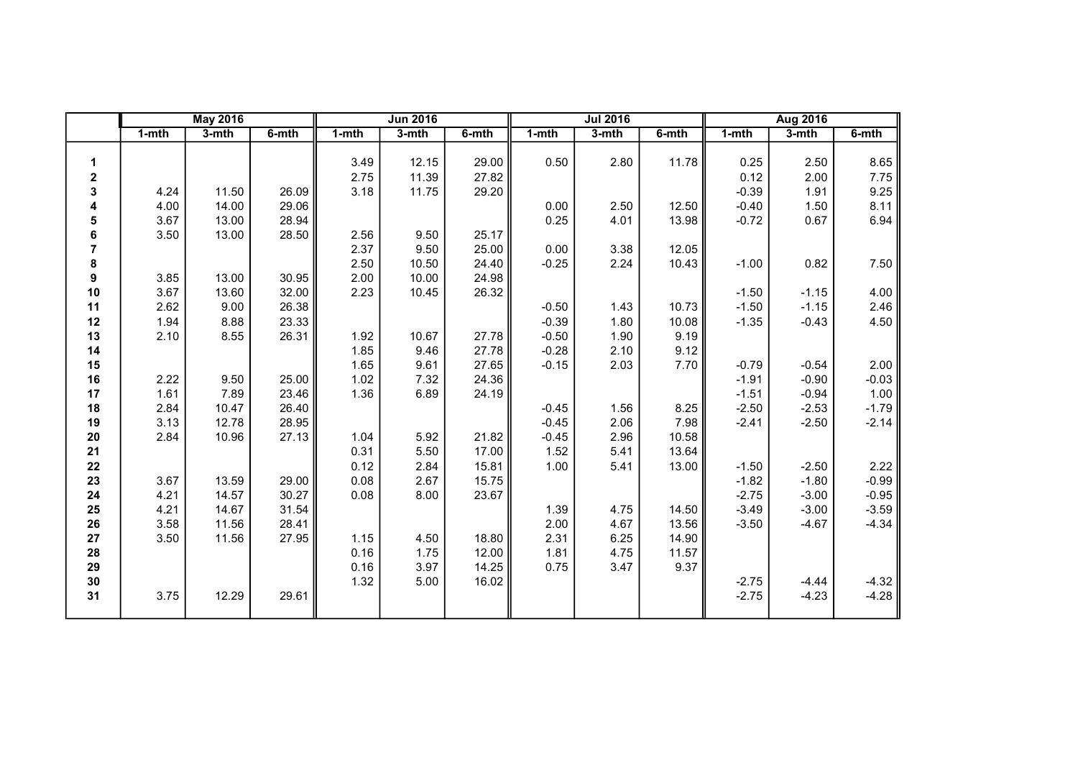|    |           | <b>May 2016</b> |       |           | <b>Jun 2016</b> |       |         | <b>Jul 2016</b> |       |           | <b>Aug 2016</b> |           |
|----|-----------|-----------------|-------|-----------|-----------------|-------|---------|-----------------|-------|-----------|-----------------|-----------|
|    | $1 - mth$ | $3-$ mth        | 6-mth | $1 - mth$ | 3-mth           | 6-mth | 1-mth   | 3-mth           | 6-mth | $1 - mth$ | $3-mth$         | $6 - mth$ |
|    |           |                 |       |           |                 |       |         |                 |       |           |                 |           |
| 1  |           |                 |       | 3.49      | 12.15           | 29.00 | 0.50    | 2.80            | 11.78 | 0.25      | 2.50            | 8.65      |
| 2  |           |                 |       | 2.75      | 11.39           | 27.82 |         |                 |       | 0.12      | 2.00            | 7.75      |
| 3  | 4.24      | 11.50           | 26.09 | 3.18      | 11.75           | 29.20 |         |                 |       | $-0.39$   | 1.91            | 9.25      |
| 4  | 4.00      | 14.00           | 29.06 |           |                 |       | 0.00    | 2.50            | 12.50 | $-0.40$   | 1.50            | 8.11      |
| 5  | 3.67      | 13.00           | 28.94 |           |                 |       | 0.25    | 4.01            | 13.98 | $-0.72$   | 0.67            | 6.94      |
| 6  | 3.50      | 13.00           | 28.50 | 2.56      | 9.50            | 25.17 |         |                 |       |           |                 |           |
| 7  |           |                 |       | 2.37      | 9.50            | 25.00 | 0.00    | 3.38            | 12.05 |           |                 |           |
| 8  |           |                 |       | 2.50      | 10.50           | 24.40 | $-0.25$ | 2.24            | 10.43 | $-1.00$   | 0.82            | 7.50      |
| 9  | 3.85      | 13.00           | 30.95 | 2.00      | 10.00           | 24.98 |         |                 |       |           |                 |           |
| 10 | 3.67      | 13.60           | 32.00 | 2.23      | 10.45           | 26.32 |         |                 |       | $-1.50$   | $-1.15$         | 4.00      |
| 11 | 2.62      | 9.00            | 26.38 |           |                 |       | $-0.50$ | 1.43            | 10.73 | $-1.50$   | $-1.15$         | 2.46      |
| 12 | 1.94      | 8.88            | 23.33 |           |                 |       | $-0.39$ | 1.80            | 10.08 | $-1.35$   | $-0.43$         | 4.50      |
| 13 | 2.10      | 8.55            | 26.31 | 1.92      | 10.67           | 27.78 | $-0.50$ | 1.90            | 9.19  |           |                 |           |
| 14 |           |                 |       | 1.85      | 9.46            | 27.78 | $-0.28$ | 2.10            | 9.12  |           |                 |           |
| 15 |           |                 |       | 1.65      | 9.61            | 27.65 | $-0.15$ | 2.03            | 7.70  | $-0.79$   | $-0.54$         | 2.00      |
| 16 | 2.22      | 9.50            | 25.00 | 1.02      | 7.32            | 24.36 |         |                 |       | $-1.91$   | $-0.90$         | $-0.03$   |
| 17 | 1.61      | 7.89            | 23.46 | 1.36      | 6.89            | 24.19 |         |                 |       | $-1.51$   | $-0.94$         | 1.00      |
| 18 | 2.84      | 10.47           | 26.40 |           |                 |       | $-0.45$ | 1.56            | 8.25  | $-2.50$   | $-2.53$         | $-1.79$   |
| 19 | 3.13      | 12.78           | 28.95 |           |                 |       | $-0.45$ | 2.06            | 7.98  | $-2.41$   | $-2.50$         | $-2.14$   |
| 20 | 2.84      | 10.96           | 27.13 | 1.04      | 5.92            | 21.82 | $-0.45$ | 2.96            | 10.58 |           |                 |           |
| 21 |           |                 |       | 0.31      | 5.50            | 17.00 | 1.52    | 5.41            | 13.64 |           |                 |           |
| 22 |           |                 |       | 0.12      | 2.84            | 15.81 | 1.00    | 5.41            | 13.00 | $-1.50$   | $-2.50$         | 2.22      |
| 23 | 3.67      | 13.59           | 29.00 | 0.08      | 2.67            | 15.75 |         |                 |       | $-1.82$   | $-1.80$         | $-0.99$   |
| 24 | 4.21      | 14.57           | 30.27 | 0.08      | 8.00            | 23.67 |         |                 |       | $-2.75$   | $-3.00$         | $-0.95$   |
| 25 | 4.21      | 14.67           | 31.54 |           |                 |       | 1.39    | 4.75            | 14.50 | $-3.49$   | $-3.00$         | $-3.59$   |
| 26 | 3.58      | 11.56           | 28.41 |           |                 |       | 2.00    | 4.67            | 13.56 | $-3.50$   | $-4.67$         | $-4.34$   |
| 27 | 3.50      | 11.56           | 27.95 | 1.15      | 4.50            | 18.80 | 2.31    | 6.25            | 14.90 |           |                 |           |
| 28 |           |                 |       | 0.16      | 1.75            | 12.00 | 1.81    | 4.75            | 11.57 |           |                 |           |
| 29 |           |                 |       | 0.16      | 3.97            | 14.25 | 0.75    | 3.47            | 9.37  |           |                 |           |
| 30 |           |                 |       | 1.32      | 5.00            | 16.02 |         |                 |       | $-2.75$   | $-4.44$         | $-4.32$   |
| 31 | 3.75      | 12.29           | 29.61 |           |                 |       |         |                 |       | $-2.75$   | $-4.23$         | $-4.28$   |
|    |           |                 |       |           |                 |       |         |                 |       |           |                 |           |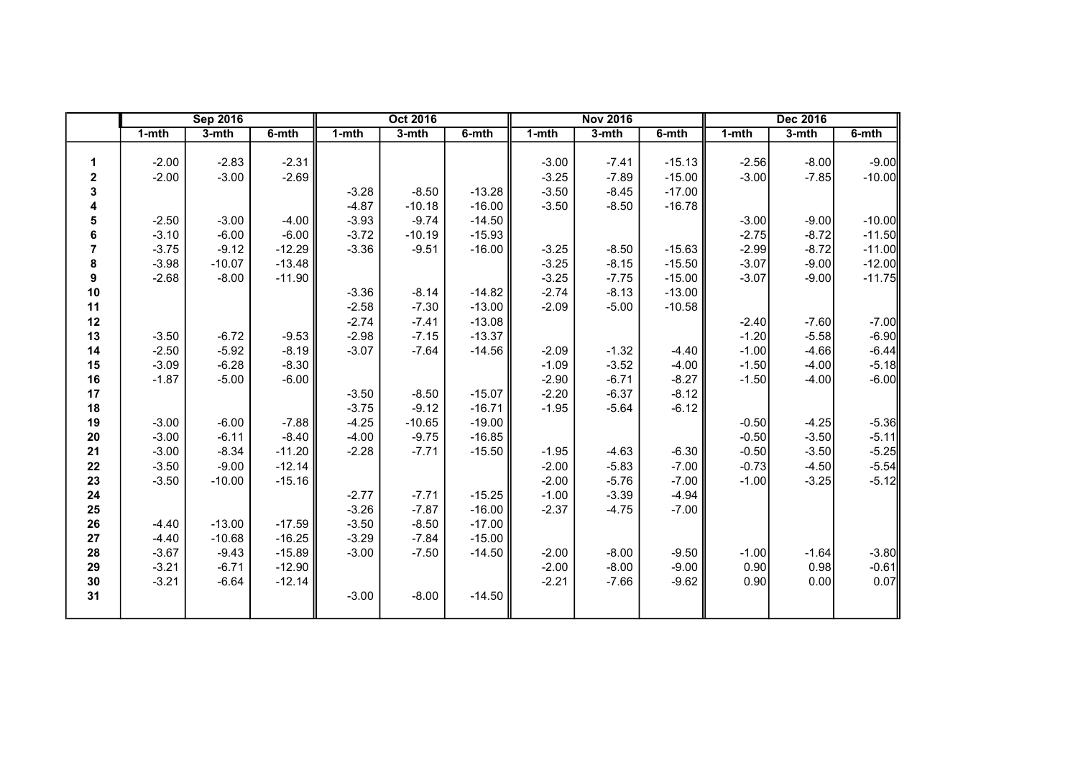|                |         | <b>Sep 2016</b> |          |         | Oct 2016 |          |         | <b>Nov 2016</b> |          |           | <b>Dec 2016</b> |          |
|----------------|---------|-----------------|----------|---------|----------|----------|---------|-----------------|----------|-----------|-----------------|----------|
|                | 1-mth   | 3-mth           | 6-mth    | 1-mth   | 3-mth    | 6-mth    | 1-mth   | $3 - mth$       | 6-mth    | $1 - mth$ | 3-mth           | 6-mth    |
|                |         |                 |          |         |          |          |         |                 |          |           |                 |          |
| 1              | $-2.00$ | $-2.83$         | $-2.31$  |         |          |          | $-3.00$ | $-7.41$         | $-15.13$ | $-2.56$   | $-8.00$         | $-9.00$  |
| 2              | $-2.00$ | $-3.00$         | $-2.69$  |         |          |          | $-3.25$ | $-7.89$         | $-15.00$ | $-3.00$   | $-7.85$         | $-10.00$ |
| 3              |         |                 |          | $-3.28$ | $-8.50$  | $-13.28$ | $-3.50$ | $-8.45$         | $-17.00$ |           |                 |          |
| 4              |         |                 |          | $-4.87$ | $-10.18$ | $-16.00$ | $-3.50$ | $-8.50$         | $-16.78$ |           |                 |          |
| 5              | $-2.50$ | $-3.00$         | $-4.00$  | $-3.93$ | $-9.74$  | $-14.50$ |         |                 |          | $-3.00$   | $-9.00$         | $-10.00$ |
| 6              | $-3.10$ | $-6.00$         | $-6.00$  | $-3.72$ | $-10.19$ | $-15.93$ |         |                 |          | $-2.75$   | $-8.72$         | $-11.50$ |
| $\overline{7}$ | $-3.75$ | $-9.12$         | $-12.29$ | $-3.36$ | $-9.51$  | $-16.00$ | $-3.25$ | $-8.50$         | $-15.63$ | $-2.99$   | $-8.72$         | $-11.00$ |
| 8              | $-3.98$ | $-10.07$        | $-13.48$ |         |          |          | $-3.25$ | $-8.15$         | $-15.50$ | $-3.07$   | $-9.00$         | $-12.00$ |
| 9              | $-2.68$ | $-8.00$         | $-11.90$ |         |          |          | $-3.25$ | $-7.75$         | $-15.00$ | $-3.07$   | $-9.00$         | $-11.75$ |
| 10             |         |                 |          | $-3.36$ | $-8.14$  | $-14.82$ | $-2.74$ | $-8.13$         | $-13.00$ |           |                 |          |
| 11             |         |                 |          | $-2.58$ | $-7.30$  | $-13.00$ | $-2.09$ | $-5.00$         | $-10.58$ |           |                 |          |
| 12             |         |                 |          | $-2.74$ | $-7.41$  | $-13.08$ |         |                 |          | $-2.40$   | $-7.60$         | $-7.00$  |
| 13             | $-3.50$ | $-6.72$         | $-9.53$  | $-2.98$ | $-7.15$  | $-13.37$ |         |                 |          | $-1.20$   | $-5.58$         | $-6.90$  |
| 14             | $-2.50$ | $-5.92$         | $-8.19$  | $-3.07$ | $-7.64$  | $-14.56$ | $-2.09$ | $-1.32$         | $-4.40$  | $-1.00$   | $-4.66$         | $-6.44$  |
| 15             | $-3.09$ | $-6.28$         | $-8.30$  |         |          |          | $-1.09$ | $-3.52$         | $-4.00$  | $-1.50$   | $-4.00$         | $-5.18$  |
| 16             | $-1.87$ | $-5.00$         | $-6.00$  |         |          |          | $-2.90$ | $-6.71$         | $-8.27$  | $-1.50$   | $-4.00$         | $-6.00$  |
| 17             |         |                 |          | $-3.50$ | $-8.50$  | $-15.07$ | $-2.20$ | $-6.37$         | $-8.12$  |           |                 |          |
| 18             |         |                 |          | $-3.75$ | $-9.12$  | $-16.71$ | $-1.95$ | $-5.64$         | $-6.12$  |           |                 |          |
| 19             | $-3.00$ | $-6.00$         | $-7.88$  | $-4.25$ | $-10.65$ | $-19.00$ |         |                 |          | $-0.50$   | $-4.25$         | $-5.36$  |
| $20\,$         | $-3.00$ | $-6.11$         | $-8.40$  | $-4.00$ | $-9.75$  | $-16.85$ |         |                 |          | $-0.50$   | $-3.50$         | $-5.11$  |
| 21             | $-3.00$ | $-8.34$         | $-11.20$ | $-2.28$ | $-7.71$  | $-15.50$ | $-1.95$ | $-4.63$         | $-6.30$  | $-0.50$   | $-3.50$         | $-5.25$  |
| 22             | $-3.50$ | $-9.00$         | $-12.14$ |         |          |          | $-2.00$ | $-5.83$         | $-7.00$  | $-0.73$   | $-4.50$         | $-5.54$  |
| 23             | $-3.50$ | $-10.00$        | $-15.16$ |         |          |          | $-2.00$ | $-5.76$         | $-7.00$  | $-1.00$   | $-3.25$         | $-5.12$  |
| 24             |         |                 |          | $-2.77$ | $-7.71$  | $-15.25$ | $-1.00$ | $-3.39$         | $-4.94$  |           |                 |          |
| 25             |         |                 |          | $-3.26$ | $-7.87$  | $-16.00$ | $-2.37$ | $-4.75$         | $-7.00$  |           |                 |          |
| 26             | $-4.40$ | $-13.00$        | $-17.59$ | $-3.50$ | $-8.50$  | $-17.00$ |         |                 |          |           |                 |          |
| 27             | $-4.40$ | $-10.68$        | $-16.25$ | $-3.29$ | $-7.84$  | $-15.00$ |         |                 |          |           |                 |          |
| 28             | $-3.67$ | $-9.43$         | $-15.89$ | $-3.00$ | $-7.50$  | $-14.50$ | $-2.00$ | $-8.00$         | $-9.50$  | $-1.00$   | $-1.64$         | $-3.80$  |
| 29             | $-3.21$ | $-6.71$         | $-12.90$ |         |          |          | $-2.00$ | $-8.00$         | $-9.00$  | 0.90      | 0.98            | $-0.61$  |
| 30             | $-3.21$ | $-6.64$         | $-12.14$ |         |          |          | $-2.21$ | $-7.66$         | $-9.62$  | 0.90      | 0.00            | 0.07     |
| 31             |         |                 |          | $-3.00$ | $-8.00$  | $-14.50$ |         |                 |          |           |                 |          |
|                |         |                 |          |         |          |          |         |                 |          |           |                 |          |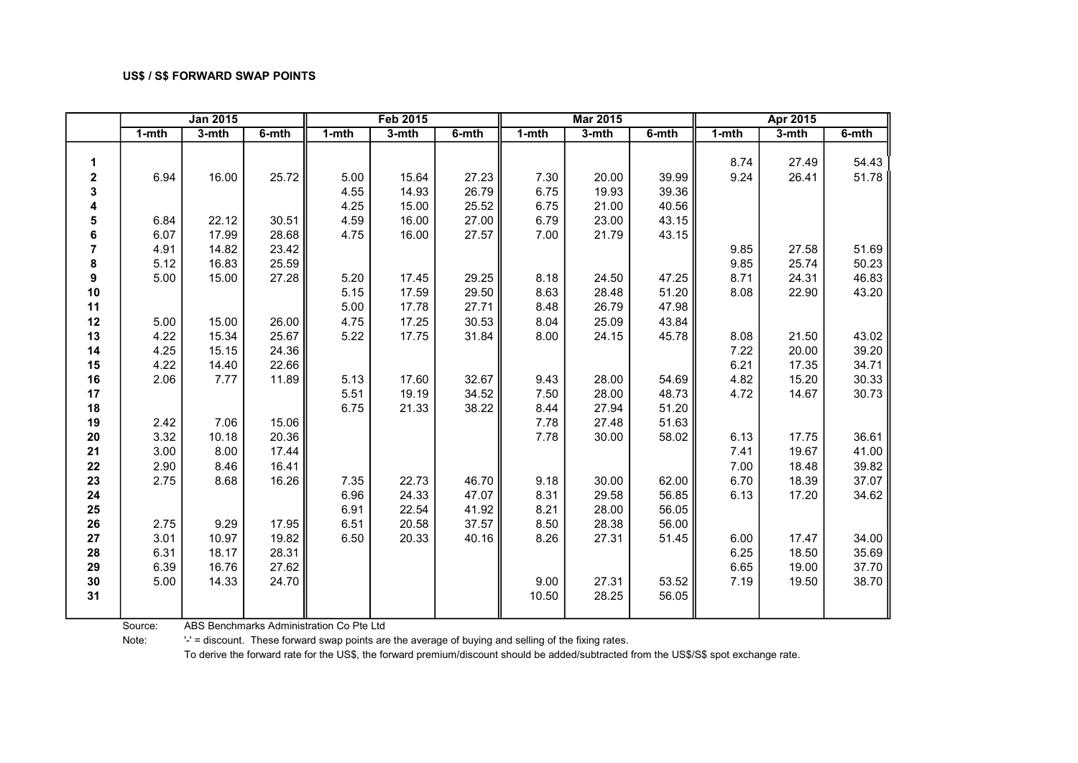|                |           | <b>Jan 2015</b> |          |           | <b>Feb 2015</b> |       |           | <b>Mar 2015</b> |          |           | Apr 2015 |          |
|----------------|-----------|-----------------|----------|-----------|-----------------|-------|-----------|-----------------|----------|-----------|----------|----------|
|                | $1 - mth$ | $3-mth$         | $6-$ mth | $1 - mth$ | $3-$ mth        | 6-mth | $1 - mth$ | $3-$ mth        | $6-$ mth | $1 - mth$ | $3-$ mth | $6-$ mth |
|                |           |                 |          |           |                 |       |           |                 |          |           |          |          |
| 1              |           |                 |          |           |                 |       |           |                 |          | 8.74      | 27.49    | 54.43    |
| $\mathbf 2$    | 6.94      | 16.00           | 25.72    | 5.00      | 15.64           | 27.23 | 7.30      | 20.00           | 39.99    | 9.24      | 26.41    | 51.78    |
| 3              |           |                 |          | 4.55      | 14.93           | 26.79 | 6.75      | 19.93           | 39.36    |           |          |          |
| 4              |           |                 |          | 4.25      | 15.00           | 25.52 | 6.75      | 21.00           | 40.56    |           |          |          |
| 5              | 6.84      | 22.12           | 30.51    | 4.59      | 16.00           | 27.00 | 6.79      | 23.00           | 43.15    |           |          |          |
| 6              | 6.07      | 17.99           | 28.68    | 4.75      | 16.00           | 27.57 | 7.00      | 21.79           | 43.15    |           |          |          |
| $\overline{7}$ | 4.91      | 14.82           | 23.42    |           |                 |       |           |                 |          | 9.85      | 27.58    | 51.69    |
| 8              | 5.12      | 16.83           | 25.59    |           |                 |       |           |                 |          | 9.85      | 25.74    | 50.23    |
| 9              | 5.00      | 15.00           | 27.28    | 5.20      | 17.45           | 29.25 | 8.18      | 24.50           | 47.25    | 8.71      | 24.31    | 46.83    |
| 10             |           |                 |          | 5.15      | 17.59           | 29.50 | 8.63      | 28.48           | 51.20    | 8.08      | 22.90    | 43.20    |
| 11             |           |                 |          | 5.00      | 17.78           | 27.71 | 8.48      | 26.79           | 47.98    |           |          |          |
| 12             | 5.00      | 15.00           | 26.00    | 4.75      | 17.25           | 30.53 | 8.04      | 25.09           | 43.84    |           |          |          |
| 13             | 4.22      | 15.34           | 25.67    | 5.22      | 17.75           | 31.84 | 8.00      | 24.15           | 45.78    | 8.08      | 21.50    | 43.02    |
| 14             | 4.25      | 15.15           | 24.36    |           |                 |       |           |                 |          | 7.22      | 20.00    | 39.20    |
| 15             | 4.22      | 14.40           | 22.66    |           |                 |       |           |                 |          | 6.21      | 17.35    | 34.71    |
| 16             | 2.06      | 7.77            | 11.89    | 5.13      | 17.60           | 32.67 | 9.43      | 28.00           | 54.69    | 4.82      | 15.20    | 30.33    |
| 17             |           |                 |          | 5.51      | 19.19           | 34.52 | 7.50      | 28.00           | 48.73    | 4.72      | 14.67    | 30.73    |
| 18             |           |                 |          | 6.75      | 21.33           | 38.22 | 8.44      | 27.94           | 51.20    |           |          |          |
| 19             | 2.42      | 7.06            | 15.06    |           |                 |       | 7.78      | 27.48           | 51.63    |           |          |          |
| 20             | 3.32      | 10.18           | 20.36    |           |                 |       | 7.78      | 30.00           | 58.02    | 6.13      | 17.75    | 36.61    |
| 21             | 3.00      | 8.00            | 17.44    |           |                 |       |           |                 |          | 7.41      | 19.67    | 41.00    |
| 22             | 2.90      | 8.46            | 16.41    |           |                 |       |           |                 |          | 7.00      | 18.48    | 39.82    |
| 23             | 2.75      | 8.68            | 16.26    | 7.35      | 22.73           | 46.70 | 9.18      | 30.00           | 62.00    | 6.70      | 18.39    | 37.07    |
| 24             |           |                 |          | 6.96      | 24.33           | 47.07 | 8.31      | 29.58           | 56.85    | 6.13      | 17.20    | 34.62    |
| 25             |           |                 |          | 6.91      | 22.54           | 41.92 | 8.21      | 28.00           | 56.05    |           |          |          |
| 26             | 2.75      | 9.29            | 17.95    | 6.51      | 20.58           | 37.57 | 8.50      | 28.38           | 56.00    |           |          |          |
| 27             | 3.01      | 10.97           | 19.82    | 6.50      | 20.33           | 40.16 | 8.26      | 27.31           | 51.45    | 6.00      | 17.47    | 34.00    |
| 28             | 6.31      | 18.17           | 28.31    |           |                 |       |           |                 |          | 6.25      | 18.50    | 35.69    |
| 29             | 6.39      | 16.76           | 27.62    |           |                 |       |           |                 |          | 6.65      | 19.00    | 37.70    |
| 30             | 5.00      | 14.33           | 24.70    |           |                 |       | 9.00      | 27.31           | 53.52    | 7.19      | 19.50    | 38.70    |
| 31             |           |                 |          |           |                 |       | 10.50     | 28.25           | 56.05    |           |          |          |

Source: ABS Benchmarks Administration Co Pte Ltd

Note: '-' = discount. These forward swap points are the average of buying and selling of the fixing rates.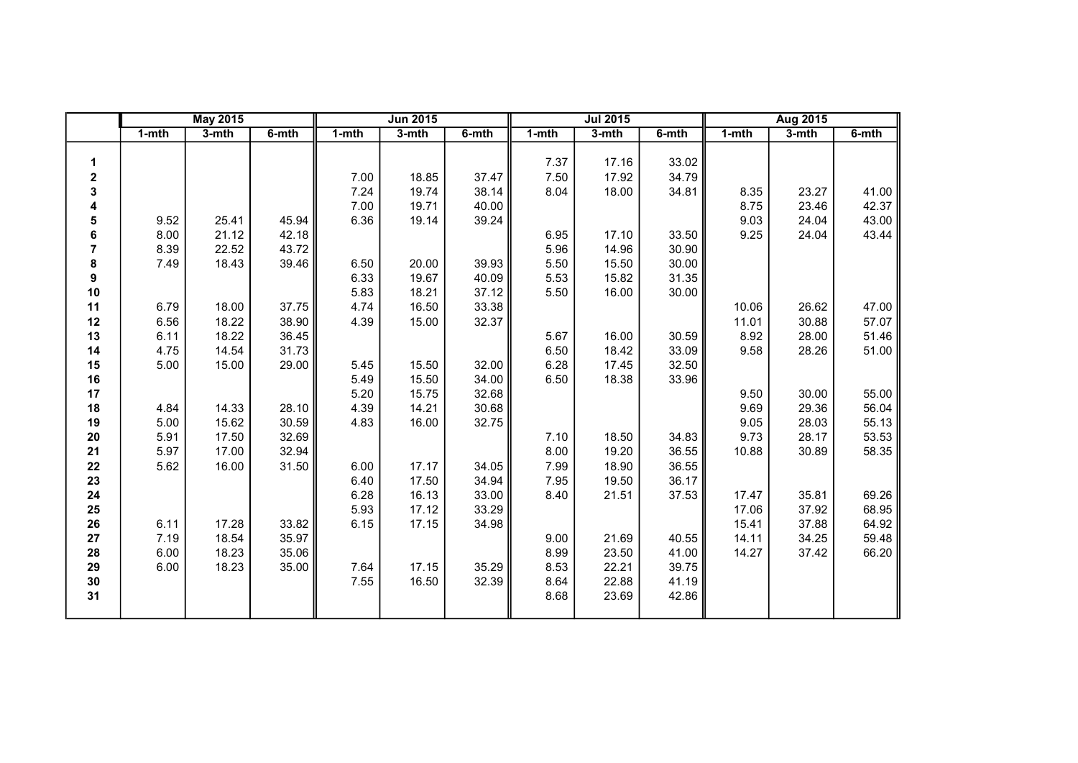|                         |           | <b>May 2015</b> |       |           | <b>Jun 2015</b> |       |       | <b>Jul 2015</b> |       |           | Aug 2015 |       |
|-------------------------|-----------|-----------------|-------|-----------|-----------------|-------|-------|-----------------|-------|-----------|----------|-------|
|                         | $1 - mth$ | $3-$ mth        | 6-mth | $1 - mth$ | $3-$ mth        | 6-mth | 1-mth | 3-mth           | 6-mth | $1 - mth$ | $3-$ mth | 6-mth |
|                         |           |                 |       |           |                 |       |       |                 |       |           |          |       |
| 1                       |           |                 |       |           |                 |       | 7.37  | 17.16           | 33.02 |           |          |       |
| $\overline{\mathbf{c}}$ |           |                 |       | 7.00      | 18.85           | 37.47 | 7.50  | 17.92           | 34.79 |           |          |       |
| 3                       |           |                 |       | 7.24      | 19.74           | 38.14 | 8.04  | 18.00           | 34.81 | 8.35      | 23.27    | 41.00 |
| 4                       |           |                 |       | 7.00      | 19.71           | 40.00 |       |                 |       | 8.75      | 23.46    | 42.37 |
| 5                       | 9.52      | 25.41           | 45.94 | 6.36      | 19.14           | 39.24 |       |                 |       | 9.03      | 24.04    | 43.00 |
| 6                       | 8.00      | 21.12           | 42.18 |           |                 |       | 6.95  | 17.10           | 33.50 | 9.25      | 24.04    | 43.44 |
| $\overline{7}$          | 8.39      | 22.52           | 43.72 |           |                 |       | 5.96  | 14.96           | 30.90 |           |          |       |
| 8                       | 7.49      | 18.43           | 39.46 | 6.50      | 20.00           | 39.93 | 5.50  | 15.50           | 30.00 |           |          |       |
| $\boldsymbol{9}$        |           |                 |       | 6.33      | 19.67           | 40.09 | 5.53  | 15.82           | 31.35 |           |          |       |
| 10                      |           |                 |       | 5.83      | 18.21           | 37.12 | 5.50  | 16.00           | 30.00 |           |          |       |
| 11                      | 6.79      | 18.00           | 37.75 | 4.74      | 16.50           | 33.38 |       |                 |       | 10.06     | 26.62    | 47.00 |
| 12                      | 6.56      | 18.22           | 38.90 | 4.39      | 15.00           | 32.37 |       |                 |       | 11.01     | 30.88    | 57.07 |
| 13                      | 6.11      | 18.22           | 36.45 |           |                 |       | 5.67  | 16.00           | 30.59 | 8.92      | 28.00    | 51.46 |
| 14                      | 4.75      | 14.54           | 31.73 |           |                 |       | 6.50  | 18.42           | 33.09 | 9.58      | 28.26    | 51.00 |
| 15                      | 5.00      | 15.00           | 29.00 | 5.45      | 15.50           | 32.00 | 6.28  | 17.45           | 32.50 |           |          |       |
| 16                      |           |                 |       | 5.49      | 15.50           | 34.00 | 6.50  | 18.38           | 33.96 |           |          |       |
| 17                      |           |                 |       | 5.20      | 15.75           | 32.68 |       |                 |       | 9.50      | 30.00    | 55.00 |
| 18                      | 4.84      | 14.33           | 28.10 | 4.39      | 14.21           | 30.68 |       |                 |       | 9.69      | 29.36    | 56.04 |
| 19                      | 5.00      | 15.62           | 30.59 | 4.83      | 16.00           | 32.75 |       |                 |       | 9.05      | 28.03    | 55.13 |
| $20\,$                  | 5.91      | 17.50           | 32.69 |           |                 |       | 7.10  | 18.50           | 34.83 | 9.73      | 28.17    | 53.53 |
| 21                      | 5.97      | 17.00           | 32.94 |           |                 |       | 8.00  | 19.20           | 36.55 | 10.88     | 30.89    | 58.35 |
| 22                      | 5.62      | 16.00           | 31.50 | 6.00      | 17.17           | 34.05 | 7.99  | 18.90           | 36.55 |           |          |       |
| 23                      |           |                 |       | 6.40      | 17.50           | 34.94 | 7.95  | 19.50           | 36.17 |           |          |       |
| 24                      |           |                 |       | 6.28      | 16.13           | 33.00 | 8.40  | 21.51           | 37.53 | 17.47     | 35.81    | 69.26 |
| 25                      |           |                 |       | 5.93      | 17.12           | 33.29 |       |                 |       | 17.06     | 37.92    | 68.95 |
| 26                      | 6.11      | 17.28           | 33.82 | 6.15      | 17.15           | 34.98 |       |                 |       | 15.41     | 37.88    | 64.92 |
| 27                      | 7.19      | 18.54           | 35.97 |           |                 |       | 9.00  | 21.69           | 40.55 | 14.11     | 34.25    | 59.48 |
| 28                      | 6.00      | 18.23           | 35.06 |           |                 |       | 8.99  | 23.50           | 41.00 | 14.27     | 37.42    | 66.20 |
| 29                      | 6.00      | 18.23           | 35.00 | 7.64      | 17.15           | 35.29 | 8.53  | 22.21           | 39.75 |           |          |       |
| 30                      |           |                 |       | 7.55      | 16.50           | 32.39 | 8.64  | 22.88           | 41.19 |           |          |       |
| 31                      |           |                 |       |           |                 |       | 8.68  | 23.69           | 42.86 |           |          |       |
|                         |           |                 |       |           |                 |       |       |                 |       |           |          |       |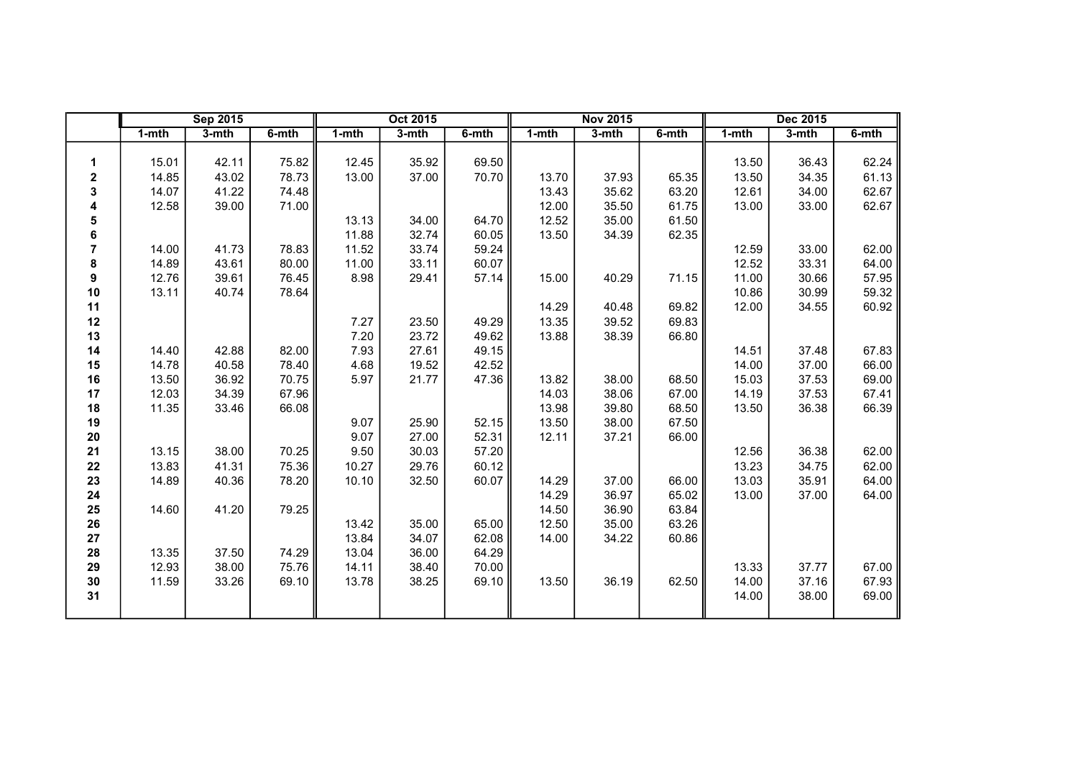|                |       | <b>Sep 2015</b> |       |       | Oct 2015 |       |       | <b>Nov 2015</b> |       |       | Dec 2015 |       |
|----------------|-------|-----------------|-------|-------|----------|-------|-------|-----------------|-------|-------|----------|-------|
|                | 1-mth | 3-mth           | 6-mth | 1-mth | 3-mth    | 6-mth | 1-mth | 3-mth           | 6-mth | 1-mth | 3-mth    | 6-mth |
|                |       |                 |       |       |          |       |       |                 |       |       |          |       |
| 1              | 15.01 | 42.11           | 75.82 | 12.45 | 35.92    | 69.50 |       |                 |       | 13.50 | 36.43    | 62.24 |
| $\mathbf 2$    | 14.85 | 43.02           | 78.73 | 13.00 | 37.00    | 70.70 | 13.70 | 37.93           | 65.35 | 13.50 | 34.35    | 61.13 |
| 3              | 14.07 | 41.22           | 74.48 |       |          |       | 13.43 | 35.62           | 63.20 | 12.61 | 34.00    | 62.67 |
| 4              | 12.58 | 39.00           | 71.00 |       |          |       | 12.00 | 35.50           | 61.75 | 13.00 | 33.00    | 62.67 |
| 5              |       |                 |       | 13.13 | 34.00    | 64.70 | 12.52 | 35.00           | 61.50 |       |          |       |
| 6              |       |                 |       | 11.88 | 32.74    | 60.05 | 13.50 | 34.39           | 62.35 |       |          |       |
| $\overline{7}$ | 14.00 | 41.73           | 78.83 | 11.52 | 33.74    | 59.24 |       |                 |       | 12.59 | 33.00    | 62.00 |
| 8              | 14.89 | 43.61           | 80.00 | 11.00 | 33.11    | 60.07 |       |                 |       | 12.52 | 33.31    | 64.00 |
| 9              | 12.76 | 39.61           | 76.45 | 8.98  | 29.41    | 57.14 | 15.00 | 40.29           | 71.15 | 11.00 | 30.66    | 57.95 |
| $10$           | 13.11 | 40.74           | 78.64 |       |          |       |       |                 |       | 10.86 | 30.99    | 59.32 |
| 11             |       |                 |       |       |          |       | 14.29 | 40.48           | 69.82 | 12.00 | 34.55    | 60.92 |
| 12             |       |                 |       | 7.27  | 23.50    | 49.29 | 13.35 | 39.52           | 69.83 |       |          |       |
| 13             |       |                 |       | 7.20  | 23.72    | 49.62 | 13.88 | 38.39           | 66.80 |       |          |       |
| 14             | 14.40 | 42.88           | 82.00 | 7.93  | 27.61    | 49.15 |       |                 |       | 14.51 | 37.48    | 67.83 |
| 15             | 14.78 | 40.58           | 78.40 | 4.68  | 19.52    | 42.52 |       |                 |       | 14.00 | 37.00    | 66.00 |
| 16             | 13.50 | 36.92           | 70.75 | 5.97  | 21.77    | 47.36 | 13.82 | 38.00           | 68.50 | 15.03 | 37.53    | 69.00 |
| 17             | 12.03 | 34.39           | 67.96 |       |          |       | 14.03 | 38.06           | 67.00 | 14.19 | 37.53    | 67.41 |
| 18             | 11.35 | 33.46           | 66.08 |       |          |       | 13.98 | 39.80           | 68.50 | 13.50 | 36.38    | 66.39 |
| 19             |       |                 |       | 9.07  | 25.90    | 52.15 | 13.50 | 38.00           | 67.50 |       |          |       |
| 20             |       |                 |       | 9.07  | 27.00    | 52.31 | 12.11 | 37.21           | 66.00 |       |          |       |
| 21             | 13.15 | 38.00           | 70.25 | 9.50  | 30.03    | 57.20 |       |                 |       | 12.56 | 36.38    | 62.00 |
| 22             | 13.83 | 41.31           | 75.36 | 10.27 | 29.76    | 60.12 |       |                 |       | 13.23 | 34.75    | 62.00 |
| 23             | 14.89 | 40.36           | 78.20 | 10.10 | 32.50    | 60.07 | 14.29 | 37.00           | 66.00 | 13.03 | 35.91    | 64.00 |
| 24             |       |                 |       |       |          |       | 14.29 | 36.97           | 65.02 | 13.00 | 37.00    | 64.00 |
| 25             | 14.60 | 41.20           | 79.25 |       |          |       | 14.50 | 36.90           | 63.84 |       |          |       |
| 26             |       |                 |       | 13.42 | 35.00    | 65.00 | 12.50 | 35.00           | 63.26 |       |          |       |
| 27             |       |                 |       | 13.84 | 34.07    | 62.08 | 14.00 | 34.22           | 60.86 |       |          |       |
| 28             | 13.35 | 37.50           | 74.29 | 13.04 | 36.00    | 64.29 |       |                 |       |       |          |       |
| 29             | 12.93 | 38.00           | 75.76 | 14.11 | 38.40    | 70.00 |       |                 |       | 13.33 | 37.77    | 67.00 |
| 30             | 11.59 | 33.26           | 69.10 | 13.78 | 38.25    | 69.10 | 13.50 | 36.19           | 62.50 | 14.00 | 37.16    | 67.93 |
| 31             |       |                 |       |       |          |       |       |                 |       | 14.00 | 38.00    | 69.00 |
|                |       |                 |       |       |          |       |       |                 |       |       |          |       |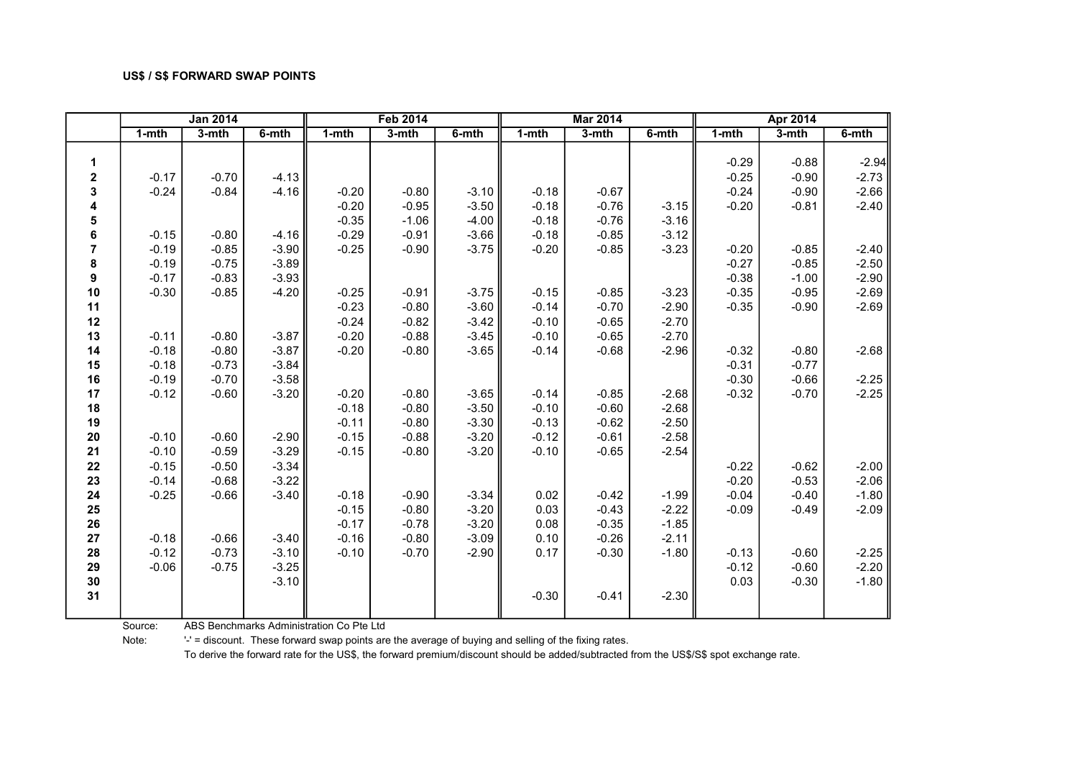|                  |           | <b>Jan 2014</b> |         |           | <b>Feb 2014</b> |         |           | <b>Mar 2014</b> |         |           | <b>Apr 2014</b> |         |
|------------------|-----------|-----------------|---------|-----------|-----------------|---------|-----------|-----------------|---------|-----------|-----------------|---------|
|                  | $1 - mth$ | 3-mth           | 6-mth   | $1 - mth$ | 3-mth           | 6-mth   | $1 - mth$ | $3-$ mth        | 6-mth   | $1 - mth$ | 3-mth           | 6-mth   |
|                  |           |                 |         |           |                 |         |           |                 |         |           |                 |         |
| $\mathbf{1}$     |           |                 |         |           |                 |         |           |                 |         | $-0.29$   | $-0.88$         | $-2.94$ |
| $\boldsymbol{2}$ | $-0.17$   | $-0.70$         | $-4.13$ |           |                 |         |           |                 |         | $-0.25$   | $-0.90$         | $-2.73$ |
| 3                | $-0.24$   | $-0.84$         | $-4.16$ | $-0.20$   | $-0.80$         | $-3.10$ | $-0.18$   | $-0.67$         |         | $-0.24$   | $-0.90$         | $-2.66$ |
| 4                |           |                 |         | $-0.20$   | $-0.95$         | $-3.50$ | $-0.18$   | $-0.76$         | $-3.15$ | $-0.20$   | $-0.81$         | $-2.40$ |
| 5                |           |                 |         | $-0.35$   | $-1.06$         | $-4.00$ | $-0.18$   | $-0.76$         | $-3.16$ |           |                 |         |
| $\bf 6$          | $-0.15$   | $-0.80$         | $-4.16$ | $-0.29$   | $-0.91$         | $-3.66$ | $-0.18$   | $-0.85$         | $-3.12$ |           |                 |         |
| $\overline{7}$   | $-0.19$   | $-0.85$         | $-3.90$ | $-0.25$   | $-0.90$         | $-3.75$ | $-0.20$   | $-0.85$         | $-3.23$ | $-0.20$   | $-0.85$         | $-2.40$ |
| 8                | $-0.19$   | $-0.75$         | $-3.89$ |           |                 |         |           |                 |         | $-0.27$   | $-0.85$         | $-2.50$ |
| 9                | $-0.17$   | $-0.83$         | $-3.93$ |           |                 |         |           |                 |         | $-0.38$   | $-1.00$         | $-2.90$ |
| 10               | $-0.30$   | $-0.85$         | $-4.20$ | $-0.25$   | $-0.91$         | $-3.75$ | $-0.15$   | $-0.85$         | $-3.23$ | $-0.35$   | $-0.95$         | $-2.69$ |
| 11               |           |                 |         | $-0.23$   | $-0.80$         | $-3.60$ | $-0.14$   | $-0.70$         | $-2.90$ | $-0.35$   | $-0.90$         | $-2.69$ |
| 12               |           |                 |         | $-0.24$   | $-0.82$         | $-3.42$ | $-0.10$   | $-0.65$         | $-2.70$ |           |                 |         |
| 13               | $-0.11$   | $-0.80$         | $-3.87$ | $-0.20$   | $-0.88$         | $-3.45$ | $-0.10$   | $-0.65$         | $-2.70$ |           |                 |         |
| 14               | $-0.18$   | $-0.80$         | $-3.87$ | $-0.20$   | $-0.80$         | $-3.65$ | $-0.14$   | $-0.68$         | $-2.96$ | $-0.32$   | $-0.80$         | $-2.68$ |
| 15               | $-0.18$   | $-0.73$         | $-3.84$ |           |                 |         |           |                 |         | $-0.31$   | $-0.77$         |         |
| 16               | $-0.19$   | $-0.70$         | $-3.58$ |           |                 |         |           |                 |         | $-0.30$   | $-0.66$         | $-2.25$ |
| 17               | $-0.12$   | $-0.60$         | $-3.20$ | $-0.20$   | $-0.80$         | $-3.65$ | $-0.14$   | $-0.85$         | $-2.68$ | $-0.32$   | $-0.70$         | $-2.25$ |
| 18               |           |                 |         | $-0.18$   | $-0.80$         | $-3.50$ | $-0.10$   | $-0.60$         | $-2.68$ |           |                 |         |
| 19               |           |                 |         | $-0.11$   | $-0.80$         | $-3.30$ | $-0.13$   | $-0.62$         | $-2.50$ |           |                 |         |
| 20               | $-0.10$   | $-0.60$         | $-2.90$ | $-0.15$   | $-0.88$         | $-3.20$ | $-0.12$   | $-0.61$         | $-2.58$ |           |                 |         |
| 21               | $-0.10$   | $-0.59$         | $-3.29$ | $-0.15$   | $-0.80$         | $-3.20$ | $-0.10$   | $-0.65$         | $-2.54$ |           |                 |         |
| 22               | $-0.15$   | $-0.50$         | $-3.34$ |           |                 |         |           |                 |         | $-0.22$   | $-0.62$         | $-2.00$ |
| 23               | $-0.14$   | $-0.68$         | $-3.22$ |           |                 |         |           |                 |         | $-0.20$   | $-0.53$         | $-2.06$ |
| 24               | $-0.25$   | $-0.66$         | $-3.40$ | $-0.18$   | $-0.90$         | $-3.34$ | 0.02      | $-0.42$         | $-1.99$ | $-0.04$   | $-0.40$         | $-1.80$ |
| 25               |           |                 |         | $-0.15$   | $-0.80$         | $-3.20$ | 0.03      | $-0.43$         | $-2.22$ | $-0.09$   | $-0.49$         | $-2.09$ |
| 26               |           |                 |         | $-0.17$   | $-0.78$         | $-3.20$ | 0.08      | $-0.35$         | $-1.85$ |           |                 |         |
| 27               | $-0.18$   | $-0.66$         | $-3.40$ | $-0.16$   | $-0.80$         | $-3.09$ | 0.10      | $-0.26$         | $-2.11$ |           |                 |         |
| 28               | $-0.12$   | $-0.73$         | $-3.10$ | $-0.10$   | $-0.70$         | $-2.90$ | 0.17      | $-0.30$         | $-1.80$ | $-0.13$   | $-0.60$         | $-2.25$ |
| 29               | $-0.06$   | $-0.75$         | $-3.25$ |           |                 |         |           |                 |         | $-0.12$   | $-0.60$         | $-2.20$ |
| 30               |           |                 | $-3.10$ |           |                 |         |           |                 |         | 0.03      | $-0.30$         | $-1.80$ |
| 31               |           |                 |         |           |                 |         | $-0.30$   | $-0.41$         | $-2.30$ |           |                 |         |
|                  |           |                 |         |           |                 |         |           |                 |         |           |                 |         |

Source: ABS Benchmarks Administration Co Pte Ltd

Note: '-' = discount. These forward swap points are the average of buying and selling of the fixing rates.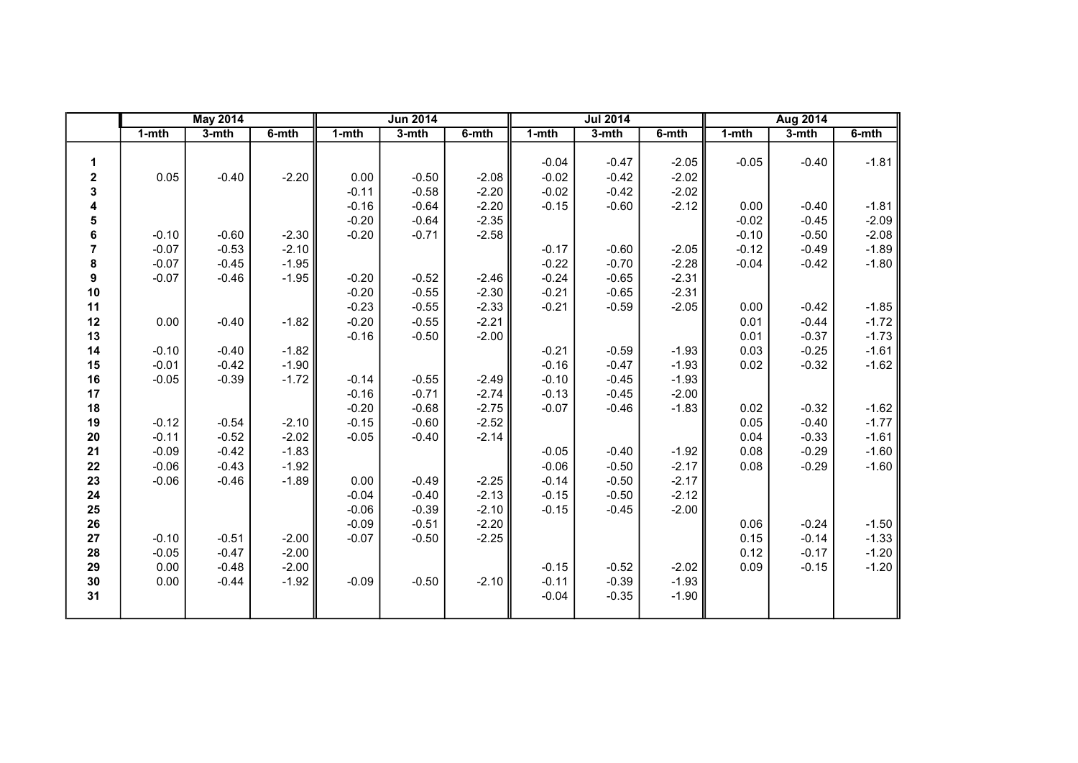|                |           | <b>May 2014</b> |         |         | <b>Jun 2014</b> |         |         | <b>Jul 2014</b> |         |           | <b>Aug 2014</b> |         |
|----------------|-----------|-----------------|---------|---------|-----------------|---------|---------|-----------------|---------|-----------|-----------------|---------|
|                | $1 - mth$ | $3-$ mth        | 6-mth   | $1-mth$ | 3-mth           | 6-mth   | 1-mth   | 3-mth           | 6-mth   | $1 - mth$ | $3-mth$         | 6-mth   |
| 1              |           |                 |         |         |                 |         | $-0.04$ | $-0.47$         | $-2.05$ | $-0.05$   | $-0.40$         | $-1.81$ |
| 2              | 0.05      | $-0.40$         | $-2.20$ | 0.00    | $-0.50$         | $-2.08$ | $-0.02$ | $-0.42$         | $-2.02$ |           |                 |         |
| 3              |           |                 |         | $-0.11$ | $-0.58$         | $-2.20$ | $-0.02$ | $-0.42$         | $-2.02$ |           |                 |         |
| 4              |           |                 |         | $-0.16$ | $-0.64$         | $-2.20$ | $-0.15$ | $-0.60$         | $-2.12$ | 0.00      | $-0.40$         | $-1.81$ |
| 5              |           |                 |         | $-0.20$ | $-0.64$         | $-2.35$ |         |                 |         | $-0.02$   | $-0.45$         | $-2.09$ |
| 6              | $-0.10$   | $-0.60$         | $-2.30$ | $-0.20$ | $-0.71$         | $-2.58$ |         |                 |         | $-0.10$   | $-0.50$         | $-2.08$ |
| $\overline{7}$ | $-0.07$   | $-0.53$         | $-2.10$ |         |                 |         | $-0.17$ | $-0.60$         | $-2.05$ | $-0.12$   | $-0.49$         | $-1.89$ |
| 8              | $-0.07$   | $-0.45$         | $-1.95$ |         |                 |         | $-0.22$ | $-0.70$         | $-2.28$ | $-0.04$   | $-0.42$         | $-1.80$ |
| 9              | $-0.07$   | $-0.46$         | $-1.95$ | $-0.20$ | $-0.52$         | $-2.46$ | $-0.24$ | $-0.65$         | $-2.31$ |           |                 |         |
| 10             |           |                 |         | $-0.20$ | $-0.55$         | $-2.30$ | $-0.21$ | $-0.65$         | $-2.31$ |           |                 |         |
| 11             |           |                 |         | $-0.23$ | $-0.55$         | $-2.33$ | $-0.21$ | $-0.59$         | $-2.05$ | 0.00      | $-0.42$         | $-1.85$ |
| 12             | 0.00      | $-0.40$         | $-1.82$ | $-0.20$ | $-0.55$         | $-2.21$ |         |                 |         | 0.01      | $-0.44$         | $-1.72$ |
| 13             |           |                 |         | $-0.16$ | $-0.50$         | $-2.00$ |         |                 |         | 0.01      | $-0.37$         | $-1.73$ |
| 14             | $-0.10$   | $-0.40$         | $-1.82$ |         |                 |         | $-0.21$ | $-0.59$         | $-1.93$ | 0.03      | $-0.25$         | $-1.61$ |
| 15             | $-0.01$   | $-0.42$         | $-1.90$ |         |                 |         | $-0.16$ | $-0.47$         | $-1.93$ | 0.02      | $-0.32$         | $-1.62$ |
| 16             | $-0.05$   | $-0.39$         | $-1.72$ | $-0.14$ | $-0.55$         | $-2.49$ | $-0.10$ | $-0.45$         | $-1.93$ |           |                 |         |
| 17             |           |                 |         | $-0.16$ | $-0.71$         | $-2.74$ | $-0.13$ | $-0.45$         | $-2.00$ |           |                 |         |
| 18             |           |                 |         | $-0.20$ | $-0.68$         | $-2.75$ | $-0.07$ | $-0.46$         | $-1.83$ | 0.02      | $-0.32$         | $-1.62$ |
| 19             | $-0.12$   | $-0.54$         | $-2.10$ | $-0.15$ | $-0.60$         | $-2.52$ |         |                 |         | 0.05      | $-0.40$         | $-1.77$ |
| 20             | $-0.11$   | $-0.52$         | $-2.02$ | $-0.05$ | $-0.40$         | $-2.14$ |         |                 |         | 0.04      | $-0.33$         | $-1.61$ |
| 21             | $-0.09$   | $-0.42$         | $-1.83$ |         |                 |         | $-0.05$ | $-0.40$         | $-1.92$ | 0.08      | $-0.29$         | $-1.60$ |
| 22             | $-0.06$   | $-0.43$         | $-1.92$ |         |                 |         | $-0.06$ | $-0.50$         | $-2.17$ | 0.08      | $-0.29$         | $-1.60$ |
| 23             | $-0.06$   | $-0.46$         | $-1.89$ | 0.00    | $-0.49$         | $-2.25$ | $-0.14$ | $-0.50$         | $-2.17$ |           |                 |         |
| 24             |           |                 |         | $-0.04$ | $-0.40$         | $-2.13$ | $-0.15$ | $-0.50$         | $-2.12$ |           |                 |         |
| 25             |           |                 |         | $-0.06$ | $-0.39$         | $-2.10$ | $-0.15$ | $-0.45$         | $-2.00$ |           |                 |         |
| 26             |           |                 |         | $-0.09$ | $-0.51$         | $-2.20$ |         |                 |         | 0.06      | $-0.24$         | $-1.50$ |
| 27             | $-0.10$   | $-0.51$         | $-2.00$ | $-0.07$ | $-0.50$         | $-2.25$ |         |                 |         | 0.15      | $-0.14$         | $-1.33$ |
| 28             | $-0.05$   | $-0.47$         | $-2.00$ |         |                 |         |         |                 |         | 0.12      | $-0.17$         | $-1.20$ |
| 29             | 0.00      | $-0.48$         | $-2.00$ |         |                 |         | $-0.15$ | $-0.52$         | $-2.02$ | 0.09      | $-0.15$         | $-1.20$ |
| 30             | 0.00      | $-0.44$         | $-1.92$ | $-0.09$ | $-0.50$         | $-2.10$ | $-0.11$ | $-0.39$         | $-1.93$ |           |                 |         |
| 31             |           |                 |         |         |                 |         | $-0.04$ | $-0.35$         | $-1.90$ |           |                 |         |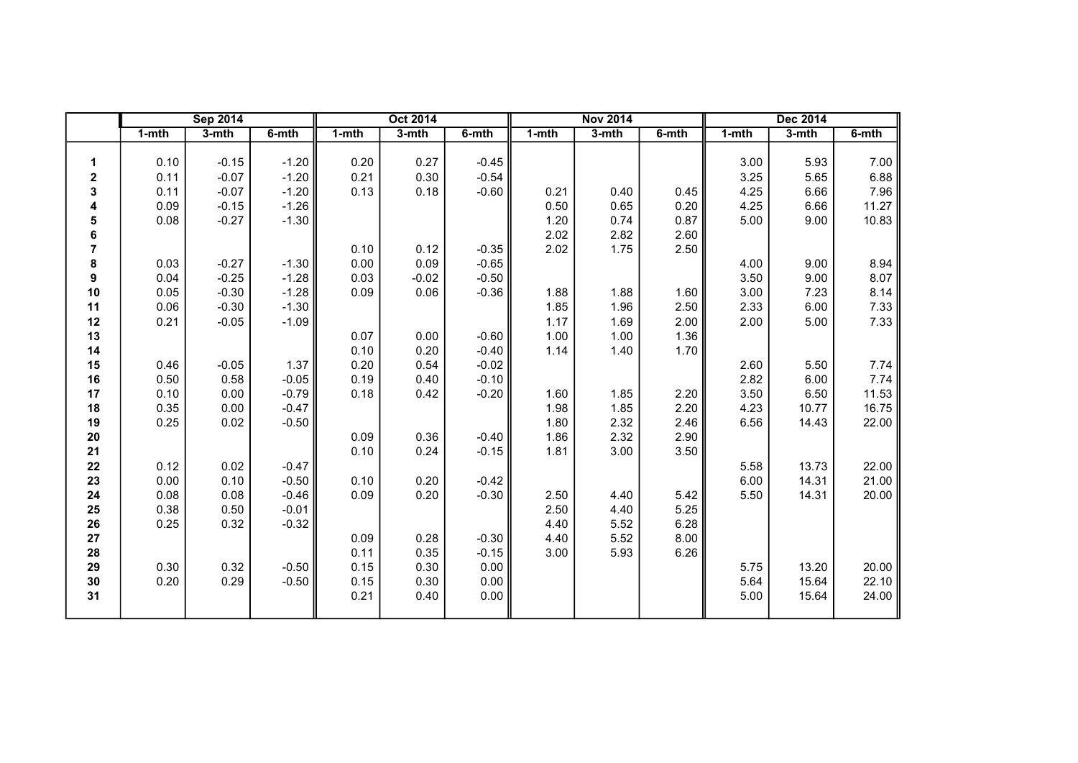|                |           | <b>Sep 2014</b> |         |           | <b>Oct 2014</b> |         |       | <b>Nov 2014</b> |           |           | <b>Dec 2014</b> |           |
|----------------|-----------|-----------------|---------|-----------|-----------------|---------|-------|-----------------|-----------|-----------|-----------------|-----------|
|                | $1 - mth$ | $3-$ mth        | 6-mth   | $1 - mth$ | 3-mth           | 6-mth   | 1-mth | 3-mth           | $6 - mth$ | $1 - mth$ | 3-mth           | $6 - mth$ |
|                |           |                 |         |           |                 |         |       |                 |           |           |                 |           |
| 1              | 0.10      | $-0.15$         | $-1.20$ | 0.20      | 0.27            | $-0.45$ |       |                 |           | 3.00      | 5.93            | 7.00      |
| $\mathbf 2$    | 0.11      | $-0.07$         | $-1.20$ | 0.21      | 0.30            | $-0.54$ |       |                 |           | 3.25      | 5.65            | 6.88      |
| 3              | 0.11      | $-0.07$         | $-1.20$ | 0.13      | 0.18            | $-0.60$ | 0.21  | 0.40            | 0.45      | 4.25      | 6.66            | 7.96      |
| 4              | 0.09      | $-0.15$         | $-1.26$ |           |                 |         | 0.50  | 0.65            | 0.20      | 4.25      | 6.66            | 11.27     |
| 5              | 0.08      | $-0.27$         | $-1.30$ |           |                 |         | 1.20  | 0.74            | 0.87      | 5.00      | 9.00            | 10.83     |
| 6              |           |                 |         |           |                 |         | 2.02  | 2.82            | 2.60      |           |                 |           |
| $\overline{7}$ |           |                 |         | 0.10      | 0.12            | $-0.35$ | 2.02  | 1.75            | 2.50      |           |                 |           |
| 8              | 0.03      | $-0.27$         | $-1.30$ | 0.00      | 0.09            | $-0.65$ |       |                 |           | 4.00      | 9.00            | 8.94      |
| 9              | 0.04      | $-0.25$         | $-1.28$ | 0.03      | $-0.02$         | $-0.50$ |       |                 |           | 3.50      | 9.00            | 8.07      |
| 10             | 0.05      | $-0.30$         | $-1.28$ | 0.09      | 0.06            | $-0.36$ | 1.88  | 1.88            | 1.60      | 3.00      | 7.23            | 8.14      |
| 11             | 0.06      | $-0.30$         | $-1.30$ |           |                 |         | 1.85  | 1.96            | 2.50      | 2.33      | 6.00            | 7.33      |
| 12             | 0.21      | $-0.05$         | $-1.09$ |           |                 |         | 1.17  | 1.69            | 2.00      | 2.00      | 5.00            | 7.33      |
| 13             |           |                 |         | 0.07      | 0.00            | $-0.60$ | 1.00  | 1.00            | 1.36      |           |                 |           |
| 14             |           |                 |         | 0.10      | 0.20            | $-0.40$ | 1.14  | 1.40            | 1.70      |           |                 |           |
| 15             | 0.46      | $-0.05$         | 1.37    | 0.20      | 0.54            | $-0.02$ |       |                 |           | 2.60      | 5.50            | 7.74      |
| 16             | 0.50      | 0.58            | $-0.05$ | 0.19      | 0.40            | $-0.10$ |       |                 |           | 2.82      | 6.00            | 7.74      |
| 17             | 0.10      | 0.00            | $-0.79$ | 0.18      | 0.42            | $-0.20$ | 1.60  | 1.85            | 2.20      | 3.50      | 6.50            | 11.53     |
| 18             | 0.35      | 0.00            | $-0.47$ |           |                 |         | 1.98  | 1.85            | 2.20      | 4.23      | 10.77           | 16.75     |
| 19             | 0.25      | 0.02            | $-0.50$ |           |                 |         | 1.80  | 2.32            | 2.46      | 6.56      | 14.43           | 22.00     |
| $20\,$         |           |                 |         | 0.09      | 0.36            | $-0.40$ | 1.86  | 2.32            | 2.90      |           |                 |           |
| 21             |           |                 |         | 0.10      | 0.24            | $-0.15$ | 1.81  | 3.00            | 3.50      |           |                 |           |
| 22             | 0.12      | 0.02            | $-0.47$ |           |                 |         |       |                 |           | 5.58      | 13.73           | 22.00     |
| 23             | 0.00      | 0.10            | $-0.50$ | 0.10      | 0.20            | $-0.42$ |       |                 |           | 6.00      | 14.31           | 21.00     |
| 24             | 0.08      | 0.08            | $-0.46$ | 0.09      | 0.20            | $-0.30$ | 2.50  | 4.40            | 5.42      | 5.50      | 14.31           | 20.00     |
| 25             | 0.38      | 0.50            | $-0.01$ |           |                 |         | 2.50  | 4.40            | 5.25      |           |                 |           |
| 26             | 0.25      | 0.32            | $-0.32$ |           |                 |         | 4.40  | 5.52            | 6.28      |           |                 |           |
| 27             |           |                 |         | 0.09      | 0.28            | $-0.30$ | 4.40  | 5.52            | 8.00      |           |                 |           |
| 28             |           |                 |         | 0.11      | 0.35            | $-0.15$ | 3.00  | 5.93            | 6.26      |           |                 |           |
| 29             | 0.30      | 0.32            | $-0.50$ | 0.15      | 0.30            | 0.00    |       |                 |           | 5.75      | 13.20           | 20.00     |
| 30             | 0.20      | 0.29            | $-0.50$ | 0.15      | 0.30            | 0.00    |       |                 |           | 5.64      | 15.64           | 22.10     |
| 31             |           |                 |         | 0.21      | 0.40            | 0.00    |       |                 |           | 5.00      | 15.64           | 24.00     |
|                |           |                 |         |           |                 |         |       |                 |           |           |                 |           |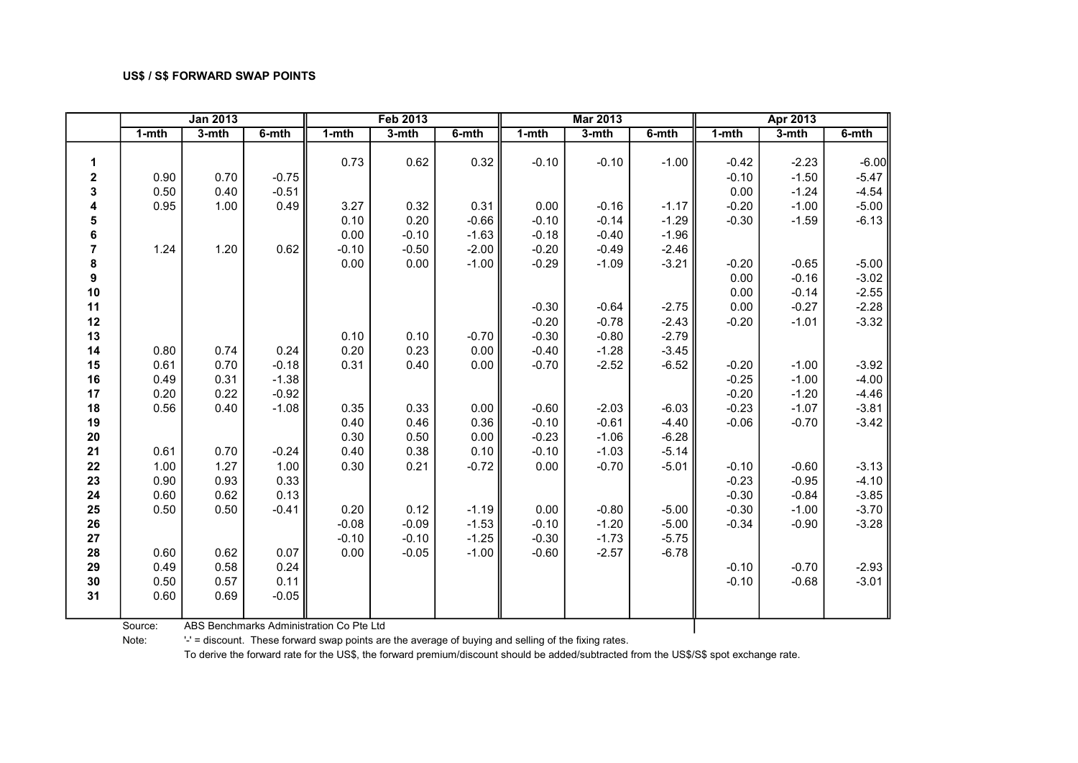|                |           | <b>Jan 2013</b> |         |         | <b>Feb 2013</b> |         |           | <b>Mar 2013</b> |         |           | Apr 2013 |         |
|----------------|-----------|-----------------|---------|---------|-----------------|---------|-----------|-----------------|---------|-----------|----------|---------|
|                | $1 - mth$ | 3-mth           | 6-mth   | 1-mth   | 3-mth           | 6-mth   | $1 - mth$ | 3-mth           | 6-mth   | $1 - mth$ | 3-mth    | 6-mth   |
|                |           |                 |         |         |                 |         |           |                 |         |           |          |         |
| 1              |           |                 |         | 0.73    | 0.62            | 0.32    | $-0.10$   | $-0.10$         | $-1.00$ | $-0.42$   | $-2.23$  | $-6.00$ |
| $\mathbf 2$    | 0.90      | 0.70            | $-0.75$ |         |                 |         |           |                 |         | $-0.10$   | $-1.50$  | $-5.47$ |
| 3              | 0.50      | 0.40            | $-0.51$ |         |                 |         |           |                 |         | 0.00      | $-1.24$  | $-4.54$ |
| 4              | 0.95      | 1.00            | 0.49    | 3.27    | 0.32            | 0.31    | 0.00      | $-0.16$         | $-1.17$ | $-0.20$   | $-1.00$  | $-5.00$ |
| 5              |           |                 |         | 0.10    | 0.20            | $-0.66$ | $-0.10$   | $-0.14$         | $-1.29$ | $-0.30$   | $-1.59$  | $-6.13$ |
| 6              |           |                 |         | 0.00    | $-0.10$         | $-1.63$ | $-0.18$   | $-0.40$         | $-1.96$ |           |          |         |
| $\overline{7}$ | 1.24      | 1.20            | 0.62    | $-0.10$ | $-0.50$         | $-2.00$ | $-0.20$   | $-0.49$         | $-2.46$ |           |          |         |
| 8              |           |                 |         | 0.00    | 0.00            | $-1.00$ | $-0.29$   | $-1.09$         | $-3.21$ | $-0.20$   | $-0.65$  | $-5.00$ |
| 9              |           |                 |         |         |                 |         |           |                 |         | 0.00      | $-0.16$  | $-3.02$ |
| 10             |           |                 |         |         |                 |         |           |                 |         | 0.00      | $-0.14$  | $-2.55$ |
| 11             |           |                 |         |         |                 |         | $-0.30$   | $-0.64$         | $-2.75$ | 0.00      | $-0.27$  | $-2.28$ |
| 12             |           |                 |         |         |                 |         | $-0.20$   | $-0.78$         | $-2.43$ | $-0.20$   | $-1.01$  | $-3.32$ |
| 13             |           |                 |         | 0.10    | 0.10            | $-0.70$ | $-0.30$   | $-0.80$         | $-2.79$ |           |          |         |
| 14             | 0.80      | 0.74            | 0.24    | 0.20    | 0.23            | 0.00    | $-0.40$   | $-1.28$         | $-3.45$ |           |          |         |
| 15             | 0.61      | 0.70            | $-0.18$ | 0.31    | 0.40            | 0.00    | $-0.70$   | $-2.52$         | $-6.52$ | $-0.20$   | $-1.00$  | $-3.92$ |
| 16             | 0.49      | 0.31            | $-1.38$ |         |                 |         |           |                 |         | $-0.25$   | $-1.00$  | $-4.00$ |
| 17             | 0.20      | 0.22            | $-0.92$ |         |                 |         |           |                 |         | $-0.20$   | $-1.20$  | $-4.46$ |
| 18             | 0.56      | 0.40            | $-1.08$ | 0.35    | 0.33            | 0.00    | $-0.60$   | $-2.03$         | $-6.03$ | $-0.23$   | $-1.07$  | $-3.81$ |
| 19             |           |                 |         | 0.40    | 0.46            | 0.36    | $-0.10$   | $-0.61$         | $-4.40$ | $-0.06$   | $-0.70$  | $-3.42$ |
| 20             |           |                 |         | 0.30    | 0.50            | 0.00    | $-0.23$   | $-1.06$         | $-6.28$ |           |          |         |
| 21             | 0.61      | 0.70            | $-0.24$ | 0.40    | 0.38            | 0.10    | $-0.10$   | $-1.03$         | $-5.14$ |           |          |         |
| 22             | 1.00      | 1.27            | 1.00    | 0.30    | 0.21            | $-0.72$ | 0.00      | $-0.70$         | $-5.01$ | $-0.10$   | $-0.60$  | $-3.13$ |
| 23             | 0.90      | 0.93            | 0.33    |         |                 |         |           |                 |         | $-0.23$   | $-0.95$  | $-4.10$ |
| 24             | 0.60      | 0.62            | 0.13    |         |                 |         |           |                 |         | $-0.30$   | $-0.84$  | $-3.85$ |
| 25             | 0.50      | 0.50            | $-0.41$ | 0.20    | 0.12            | $-1.19$ | 0.00      | $-0.80$         | $-5.00$ | $-0.30$   | $-1.00$  | $-3.70$ |
| 26             |           |                 |         | $-0.08$ | $-0.09$         | $-1.53$ | $-0.10$   | $-1.20$         | $-5.00$ | $-0.34$   | $-0.90$  | $-3.28$ |
| 27             |           |                 |         | $-0.10$ | $-0.10$         | $-1.25$ | $-0.30$   | $-1.73$         | $-5.75$ |           |          |         |
| 28             | 0.60      | 0.62            | 0.07    | 0.00    | $-0.05$         | $-1.00$ | $-0.60$   | $-2.57$         | $-6.78$ |           |          |         |
| 29             | 0.49      | 0.58            | 0.24    |         |                 |         |           |                 |         | $-0.10$   | $-0.70$  | $-2.93$ |
| 30             | 0.50      | 0.57            | 0.11    |         |                 |         |           |                 |         | $-0.10$   | $-0.68$  | $-3.01$ |
| 31             | 0.60      | 0.69            | $-0.05$ |         |                 |         |           |                 |         |           |          |         |
|                |           |                 |         |         |                 |         |           |                 |         |           |          |         |

Source: ABS Benchmarks Administration Co Pte Ltd

Note: '-' = discount. These forward swap points are the average of buying and selling of the fixing rates.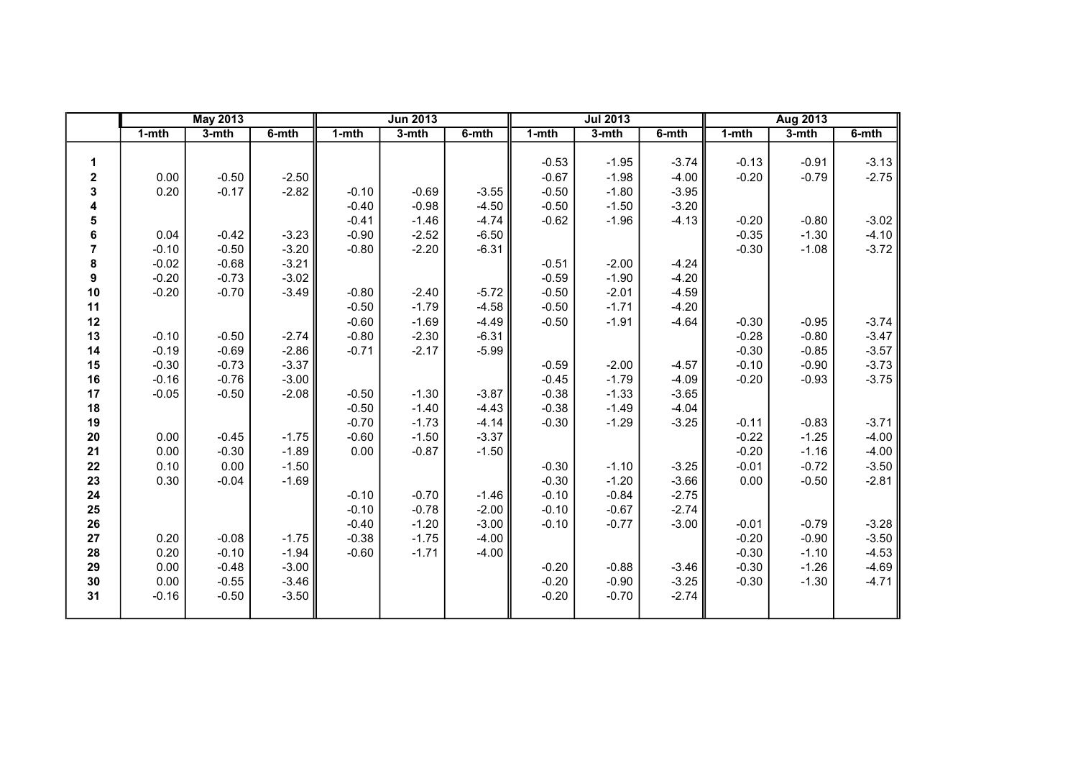|                  |           | <b>May 2013</b> |         |           | <b>Jun 2013</b> |         |           | <b>Jul 2013</b> |         |           | Aug 2013 |         |
|------------------|-----------|-----------------|---------|-----------|-----------------|---------|-----------|-----------------|---------|-----------|----------|---------|
|                  | $1 - mth$ | $3-$ mth        | 6-mth   | $1 - mth$ | 3-mth           | 6-mth   | $1 - mth$ | 3-mth           | 6-mth   | $1 - mth$ | $3-mth$  | 6-mth   |
|                  |           |                 |         |           |                 |         |           |                 |         |           |          |         |
| 1                |           |                 |         |           |                 |         | $-0.53$   | $-1.95$         | $-3.74$ | $-0.13$   | $-0.91$  | $-3.13$ |
| $\mathbf 2$      | 0.00      | $-0.50$         | $-2.50$ |           |                 |         | $-0.67$   | $-1.98$         | $-4.00$ | $-0.20$   | $-0.79$  | $-2.75$ |
| 3                | 0.20      | $-0.17$         | $-2.82$ | $-0.10$   | $-0.69$         | $-3.55$ | $-0.50$   | $-1.80$         | $-3.95$ |           |          |         |
| 4                |           |                 |         | $-0.40$   | $-0.98$         | $-4.50$ | $-0.50$   | $-1.50$         | $-3.20$ |           |          |         |
| 5                |           |                 |         | $-0.41$   | $-1.46$         | $-4.74$ | $-0.62$   | $-1.96$         | $-4.13$ | $-0.20$   | $-0.80$  | $-3.02$ |
| 6                | 0.04      | $-0.42$         | $-3.23$ | $-0.90$   | $-2.52$         | $-6.50$ |           |                 |         | $-0.35$   | $-1.30$  | $-4.10$ |
| $\overline{7}$   | $-0.10$   | $-0.50$         | $-3.20$ | $-0.80$   | $-2.20$         | $-6.31$ |           |                 |         | $-0.30$   | $-1.08$  | $-3.72$ |
| 8                | $-0.02$   | $-0.68$         | $-3.21$ |           |                 |         | $-0.51$   | $-2.00$         | $-4.24$ |           |          |         |
| $\boldsymbol{9}$ | $-0.20$   | $-0.73$         | $-3.02$ |           |                 |         | $-0.59$   | $-1.90$         | $-4.20$ |           |          |         |
| 10               | $-0.20$   | $-0.70$         | $-3.49$ | $-0.80$   | $-2.40$         | $-5.72$ | $-0.50$   | $-2.01$         | $-4.59$ |           |          |         |
| 11               |           |                 |         | $-0.50$   | $-1.79$         | $-4.58$ | $-0.50$   | $-1.71$         | $-4.20$ |           |          |         |
| 12               |           |                 |         | $-0.60$   | $-1.69$         | $-4.49$ | $-0.50$   | $-1.91$         | $-4.64$ | $-0.30$   | $-0.95$  | $-3.74$ |
| 13               | $-0.10$   | $-0.50$         | $-2.74$ | $-0.80$   | $-2.30$         | $-6.31$ |           |                 |         | $-0.28$   | $-0.80$  | $-3.47$ |
| 14               | $-0.19$   | $-0.69$         | $-2.86$ | $-0.71$   | $-2.17$         | $-5.99$ |           |                 |         | $-0.30$   | $-0.85$  | $-3.57$ |
| 15               | $-0.30$   | $-0.73$         | $-3.37$ |           |                 |         | $-0.59$   | $-2.00$         | $-4.57$ | $-0.10$   | $-0.90$  | $-3.73$ |
| 16               | $-0.16$   | $-0.76$         | $-3.00$ |           |                 |         | $-0.45$   | $-1.79$         | $-4.09$ | $-0.20$   | $-0.93$  | $-3.75$ |
| 17               | $-0.05$   | $-0.50$         | $-2.08$ | $-0.50$   | $-1.30$         | $-3.87$ | $-0.38$   | $-1.33$         | $-3.65$ |           |          |         |
| 18               |           |                 |         | $-0.50$   | $-1.40$         | $-4.43$ | $-0.38$   | $-1.49$         | $-4.04$ |           |          |         |
| 19               |           |                 |         | $-0.70$   | $-1.73$         | $-4.14$ | $-0.30$   | $-1.29$         | $-3.25$ | $-0.11$   | $-0.83$  | $-3.71$ |
| 20               | 0.00      | $-0.45$         | $-1.75$ | $-0.60$   | $-1.50$         | $-3.37$ |           |                 |         | $-0.22$   | $-1.25$  | $-4.00$ |
| 21               | 0.00      | $-0.30$         | $-1.89$ | 0.00      | $-0.87$         | $-1.50$ |           |                 |         | $-0.20$   | $-1.16$  | $-4.00$ |
| 22               | 0.10      | 0.00            | $-1.50$ |           |                 |         | $-0.30$   | $-1.10$         | $-3.25$ | $-0.01$   | $-0.72$  | $-3.50$ |
| 23               | 0.30      | $-0.04$         | $-1.69$ |           |                 |         | $-0.30$   | $-1.20$         | $-3.66$ | 0.00      | $-0.50$  | $-2.81$ |
| 24               |           |                 |         | $-0.10$   | $-0.70$         | $-1.46$ | $-0.10$   | $-0.84$         | $-2.75$ |           |          |         |
| 25               |           |                 |         | $-0.10$   | $-0.78$         | $-2.00$ | $-0.10$   | $-0.67$         | $-2.74$ |           |          |         |
| 26               |           |                 |         | $-0.40$   | $-1.20$         | $-3.00$ | $-0.10$   | $-0.77$         | $-3.00$ | $-0.01$   | $-0.79$  | $-3.28$ |
| 27               | 0.20      | $-0.08$         | $-1.75$ | $-0.38$   | $-1.75$         | $-4.00$ |           |                 |         | $-0.20$   | $-0.90$  | $-3.50$ |
| 28               | 0.20      | $-0.10$         | $-1.94$ | $-0.60$   | $-1.71$         | $-4.00$ |           |                 |         | $-0.30$   | $-1.10$  | $-4.53$ |
| 29               | 0.00      | $-0.48$         | $-3.00$ |           |                 |         | $-0.20$   | $-0.88$         | $-3.46$ | $-0.30$   | $-1.26$  | $-4.69$ |
| 30               | 0.00      | $-0.55$         | $-3.46$ |           |                 |         | $-0.20$   | $-0.90$         | $-3.25$ | $-0.30$   | $-1.30$  | $-4.71$ |
| 31               | $-0.16$   | $-0.50$         | $-3.50$ |           |                 |         | $-0.20$   | $-0.70$         | $-2.74$ |           |          |         |
|                  |           |                 |         |           |                 |         |           |                 |         |           |          |         |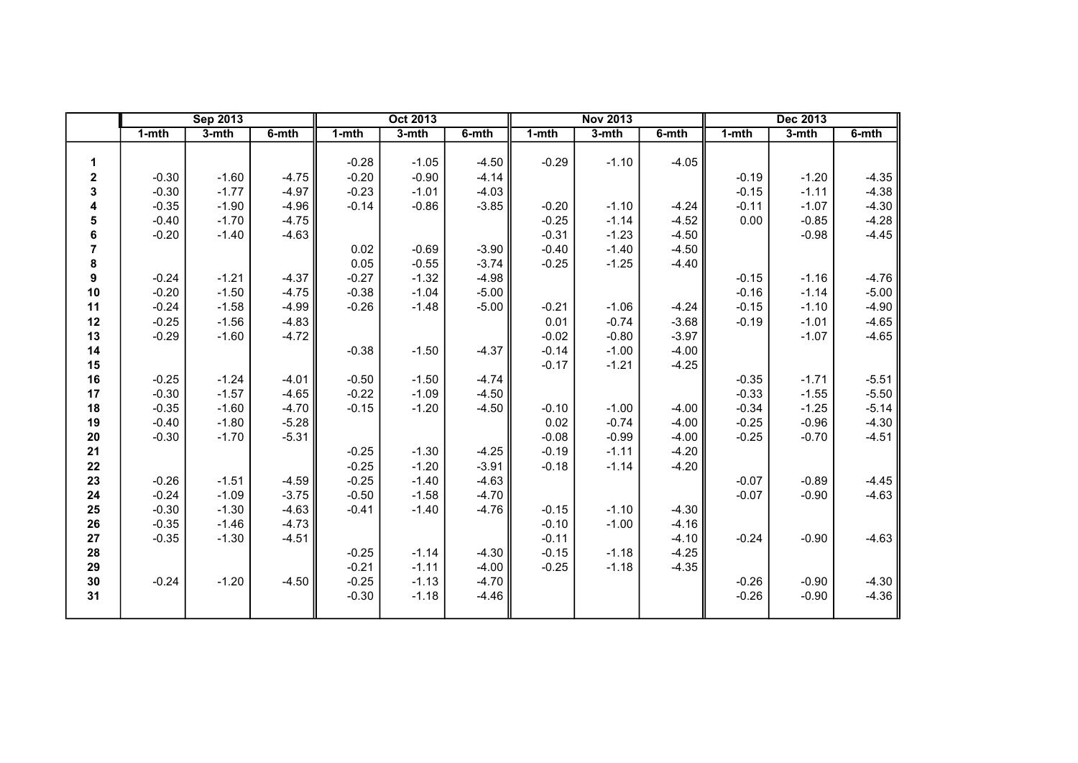|                  |           | <b>Sep 2013</b> |         |           | <b>Oct 2013</b> |         |         | <b>Nov 2013</b> |         |           | <b>Dec 2013</b> |         |
|------------------|-----------|-----------------|---------|-----------|-----------------|---------|---------|-----------------|---------|-----------|-----------------|---------|
|                  | $1 - mth$ | $3-$ mth        | 6-mth   | $1 - mth$ | 3-mth           | 6-mth   | 1-mth   | 3-mth           | 6-mth   | $1 - mth$ | 3-mth           | 6-mth   |
|                  |           |                 |         |           |                 |         |         |                 |         |           |                 |         |
| 1                |           |                 |         | $-0.28$   | $-1.05$         | $-4.50$ | $-0.29$ | $-1.10$         | $-4.05$ |           |                 |         |
| 2                | $-0.30$   | $-1.60$         | $-4.75$ | $-0.20$   | $-0.90$         | $-4.14$ |         |                 |         | $-0.19$   | $-1.20$         | $-4.35$ |
| 3                | $-0.30$   | $-1.77$         | $-4.97$ | $-0.23$   | $-1.01$         | $-4.03$ |         |                 |         | $-0.15$   | $-1.11$         | $-4.38$ |
| 4                | $-0.35$   | $-1.90$         | $-4.96$ | $-0.14$   | $-0.86$         | $-3.85$ | $-0.20$ | $-1.10$         | $-4.24$ | $-0.11$   | $-1.07$         | $-4.30$ |
| 5                | $-0.40$   | $-1.70$         | $-4.75$ |           |                 |         | $-0.25$ | $-1.14$         | $-4.52$ | 0.00      | $-0.85$         | $-4.28$ |
| 6                | $-0.20$   | $-1.40$         | $-4.63$ |           |                 |         | $-0.31$ | $-1.23$         | $-4.50$ |           | $-0.98$         | $-4.45$ |
| $\overline{7}$   |           |                 |         | 0.02      | $-0.69$         | $-3.90$ | $-0.40$ | $-1.40$         | $-4.50$ |           |                 |         |
| 8                |           |                 |         | 0.05      | $-0.55$         | $-3.74$ | $-0.25$ | $-1.25$         | $-4.40$ |           |                 |         |
| $\boldsymbol{9}$ | $-0.24$   | $-1.21$         | $-4.37$ | $-0.27$   | $-1.32$         | $-4.98$ |         |                 |         | $-0.15$   | $-1.16$         | $-4.76$ |
| 10               | $-0.20$   | $-1.50$         | $-4.75$ | $-0.38$   | $-1.04$         | $-5.00$ |         |                 |         | $-0.16$   | $-1.14$         | $-5.00$ |
| 11               | $-0.24$   | $-1.58$         | $-4.99$ | $-0.26$   | $-1.48$         | $-5.00$ | $-0.21$ | $-1.06$         | $-4.24$ | $-0.15$   | $-1.10$         | $-4.90$ |
| 12               | $-0.25$   | $-1.56$         | $-4.83$ |           |                 |         | 0.01    | $-0.74$         | $-3.68$ | $-0.19$   | $-1.01$         | $-4.65$ |
| 13               | $-0.29$   | $-1.60$         | $-4.72$ |           |                 |         | $-0.02$ | $-0.80$         | $-3.97$ |           | $-1.07$         | $-4.65$ |
| 14               |           |                 |         | $-0.38$   | $-1.50$         | $-4.37$ | $-0.14$ | $-1.00$         | $-4.00$ |           |                 |         |
| 15               |           |                 |         |           |                 |         | $-0.17$ | $-1.21$         | $-4.25$ |           |                 |         |
| 16               | $-0.25$   | $-1.24$         | $-4.01$ | $-0.50$   | $-1.50$         | $-4.74$ |         |                 |         | $-0.35$   | $-1.71$         | $-5.51$ |
| 17               | $-0.30$   | $-1.57$         | $-4.65$ | $-0.22$   | $-1.09$         | $-4.50$ |         |                 |         | $-0.33$   | $-1.55$         | $-5.50$ |
| 18               | $-0.35$   | $-1.60$         | $-4.70$ | $-0.15$   | $-1.20$         | $-4.50$ | $-0.10$ | $-1.00$         | $-4.00$ | $-0.34$   | $-1.25$         | $-5.14$ |
| 19               | $-0.40$   | $-1.80$         | $-5.28$ |           |                 |         | 0.02    | $-0.74$         | $-4.00$ | $-0.25$   | $-0.96$         | $-4.30$ |
| 20               | $-0.30$   | $-1.70$         | $-5.31$ |           |                 |         | $-0.08$ | $-0.99$         | $-4.00$ | $-0.25$   | $-0.70$         | $-4.51$ |
| 21               |           |                 |         | $-0.25$   | $-1.30$         | $-4.25$ | $-0.19$ | $-1.11$         | $-4.20$ |           |                 |         |
| 22               |           |                 |         | $-0.25$   | $-1.20$         | $-3.91$ | $-0.18$ | $-1.14$         | $-4.20$ |           |                 |         |
| 23               | $-0.26$   | $-1.51$         | $-4.59$ | $-0.25$   | $-1.40$         | $-4.63$ |         |                 |         | $-0.07$   | $-0.89$         | $-4.45$ |
| 24               | $-0.24$   | $-1.09$         | $-3.75$ | $-0.50$   | $-1.58$         | $-4.70$ |         |                 |         | $-0.07$   | $-0.90$         | $-4.63$ |
| 25               | $-0.30$   | $-1.30$         | $-4.63$ | $-0.41$   | $-1.40$         | $-4.76$ | $-0.15$ | $-1.10$         | $-4.30$ |           |                 |         |
| 26               | $-0.35$   | $-1.46$         | $-4.73$ |           |                 |         | $-0.10$ | $-1.00$         | $-4.16$ |           |                 |         |
| 27               | $-0.35$   | $-1.30$         | $-4.51$ |           |                 |         | $-0.11$ |                 | $-4.10$ | $-0.24$   | $-0.90$         | $-4.63$ |
| 28               |           |                 |         | $-0.25$   | $-1.14$         | $-4.30$ | $-0.15$ | $-1.18$         | $-4.25$ |           |                 |         |
| 29               |           |                 |         | $-0.21$   | $-1.11$         | $-4.00$ | $-0.25$ | $-1.18$         | $-4.35$ |           |                 |         |
| 30               | $-0.24$   | $-1.20$         | $-4.50$ | $-0.25$   | $-1.13$         | $-4.70$ |         |                 |         | $-0.26$   | $-0.90$         | $-4.30$ |
| 31               |           |                 |         | $-0.30$   | $-1.18$         | $-4.46$ |         |                 |         | $-0.26$   | $-0.90$         | $-4.36$ |
|                  |           |                 |         |           |                 |         |         |                 |         |           |                 |         |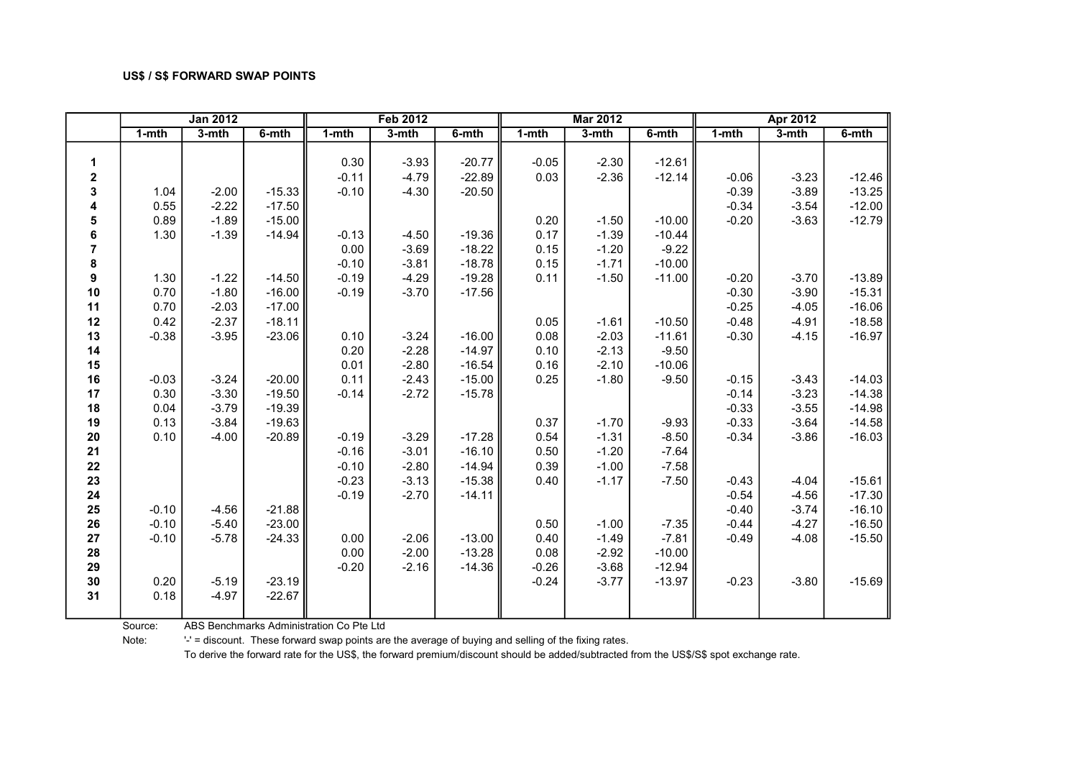|                                       |           | <b>Jan 2012</b> |          |         | <b>Feb 2012</b> |          |           | <b>Mar 2012</b> |          |           | Apr 2012 |          |
|---------------------------------------|-----------|-----------------|----------|---------|-----------------|----------|-----------|-----------------|----------|-----------|----------|----------|
|                                       | $1 - mth$ | 3-mth           | 6-mth    | 1-mth   | 3-mth           | 6-mth    | $1 - mth$ | $3-$ mth        | 6-mth    | $1 - mth$ | 3-mth    | 6-mth    |
|                                       |           |                 |          |         |                 |          |           |                 |          |           |          |          |
| $\mathbf{1}$                          |           |                 |          | 0.30    | $-3.93$         | $-20.77$ | $-0.05$   | $-2.30$         | $-12.61$ |           |          |          |
| $\mathbf{2}$                          |           |                 |          | $-0.11$ | $-4.79$         | $-22.89$ | 0.03      | $-2.36$         | $-12.14$ | $-0.06$   | $-3.23$  | $-12.46$ |
| 3                                     | 1.04      | $-2.00$         | $-15.33$ | $-0.10$ | $-4.30$         | $-20.50$ |           |                 |          | $-0.39$   | $-3.89$  | $-13.25$ |
| 4                                     | 0.55      | $-2.22$         | $-17.50$ |         |                 |          |           |                 |          | $-0.34$   | $-3.54$  | $-12.00$ |
| 5                                     | 0.89      | $-1.89$         | $-15.00$ |         |                 |          | 0.20      | $-1.50$         | $-10.00$ | $-0.20$   | $-3.63$  | $-12.79$ |
| $\begin{array}{c} 6 \\ 7 \end{array}$ | 1.30      | $-1.39$         | $-14.94$ | $-0.13$ | $-4.50$         | $-19.36$ | 0.17      | $-1.39$         | $-10.44$ |           |          |          |
|                                       |           |                 |          | 0.00    | $-3.69$         | $-18.22$ | 0.15      | $-1.20$         | $-9.22$  |           |          |          |
| $\pmb{8}$                             |           |                 |          | $-0.10$ | $-3.81$         | $-18.78$ | 0.15      | $-1.71$         | $-10.00$ |           |          |          |
| 9                                     | 1.30      | $-1.22$         | $-14.50$ | $-0.19$ | $-4.29$         | $-19.28$ | 0.11      | $-1.50$         | $-11.00$ | $-0.20$   | $-3.70$  | $-13.89$ |
| 10                                    | 0.70      | $-1.80$         | $-16.00$ | $-0.19$ | $-3.70$         | $-17.56$ |           |                 |          | $-0.30$   | $-3.90$  | $-15.31$ |
| 11                                    | 0.70      | $-2.03$         | $-17.00$ |         |                 |          |           |                 |          | $-0.25$   | $-4.05$  | $-16.06$ |
| 12                                    | 0.42      | $-2.37$         | $-18.11$ |         |                 |          | 0.05      | $-1.61$         | $-10.50$ | $-0.48$   | $-4.91$  | $-18.58$ |
| 13                                    | $-0.38$   | $-3.95$         | $-23.06$ | 0.10    | $-3.24$         | $-16.00$ | 0.08      | $-2.03$         | $-11.61$ | $-0.30$   | $-4.15$  | $-16.97$ |
| 14                                    |           |                 |          | 0.20    | $-2.28$         | $-14.97$ | 0.10      | $-2.13$         | $-9.50$  |           |          |          |
| 15                                    |           |                 |          | 0.01    | $-2.80$         | $-16.54$ | 0.16      | $-2.10$         | $-10.06$ |           |          |          |
| 16                                    | $-0.03$   | $-3.24$         | $-20.00$ | 0.11    | $-2.43$         | $-15.00$ | 0.25      | $-1.80$         | $-9.50$  | $-0.15$   | $-3.43$  | $-14.03$ |
| 17                                    | 0.30      | $-3.30$         | $-19.50$ | $-0.14$ | $-2.72$         | $-15.78$ |           |                 |          | $-0.14$   | $-3.23$  | $-14.38$ |
| 18                                    | 0.04      | $-3.79$         | $-19.39$ |         |                 |          |           |                 |          | $-0.33$   | $-3.55$  | $-14.98$ |
| 19                                    | 0.13      | $-3.84$         | $-19.63$ |         |                 |          | 0.37      | $-1.70$         | $-9.93$  | $-0.33$   | $-3.64$  | $-14.58$ |
| 20                                    | 0.10      | $-4.00$         | $-20.89$ | $-0.19$ | $-3.29$         | $-17.28$ | 0.54      | $-1.31$         | $-8.50$  | $-0.34$   | $-3.86$  | $-16.03$ |
| 21                                    |           |                 |          | $-0.16$ | $-3.01$         | $-16.10$ | 0.50      | $-1.20$         | $-7.64$  |           |          |          |
| 22                                    |           |                 |          | $-0.10$ | $-2.80$         | $-14.94$ | 0.39      | $-1.00$         | $-7.58$  |           |          |          |
| 23                                    |           |                 |          | $-0.23$ | $-3.13$         | $-15.38$ | 0.40      | $-1.17$         | $-7.50$  | $-0.43$   | $-4.04$  | $-15.61$ |
| 24                                    |           |                 |          | $-0.19$ | $-2.70$         | $-14.11$ |           |                 |          | $-0.54$   | $-4.56$  | $-17.30$ |
| 25                                    | $-0.10$   | $-4.56$         | $-21.88$ |         |                 |          |           |                 |          | $-0.40$   | $-3.74$  | $-16.10$ |
| 26                                    | $-0.10$   | $-5.40$         | $-23.00$ |         |                 |          | 0.50      | $-1.00$         | $-7.35$  | $-0.44$   | $-4.27$  | $-16.50$ |
| 27                                    | $-0.10$   | $-5.78$         | $-24.33$ | 0.00    | $-2.06$         | $-13.00$ | 0.40      | $-1.49$         | $-7.81$  | $-0.49$   | $-4.08$  | $-15.50$ |
| 28                                    |           |                 |          | 0.00    | $-2.00$         | $-13.28$ | 0.08      | $-2.92$         | $-10.00$ |           |          |          |
| 29                                    |           |                 |          | $-0.20$ | $-2.16$         | $-14.36$ | $-0.26$   | $-3.68$         | $-12.94$ |           |          |          |
| 30                                    | 0.20      | $-5.19$         | $-23.19$ |         |                 |          | $-0.24$   | $-3.77$         | $-13.97$ | $-0.23$   | $-3.80$  | $-15.69$ |
| 31                                    | 0.18      | $-4.97$         | $-22.67$ |         |                 |          |           |                 |          |           |          |          |
|                                       |           |                 |          |         |                 |          |           |                 |          |           |          |          |

Source: ABS Benchmarks Administration Co Pte Ltd

Note: '-' = discount. These forward swap points are the average of buying and selling of the fixing rates.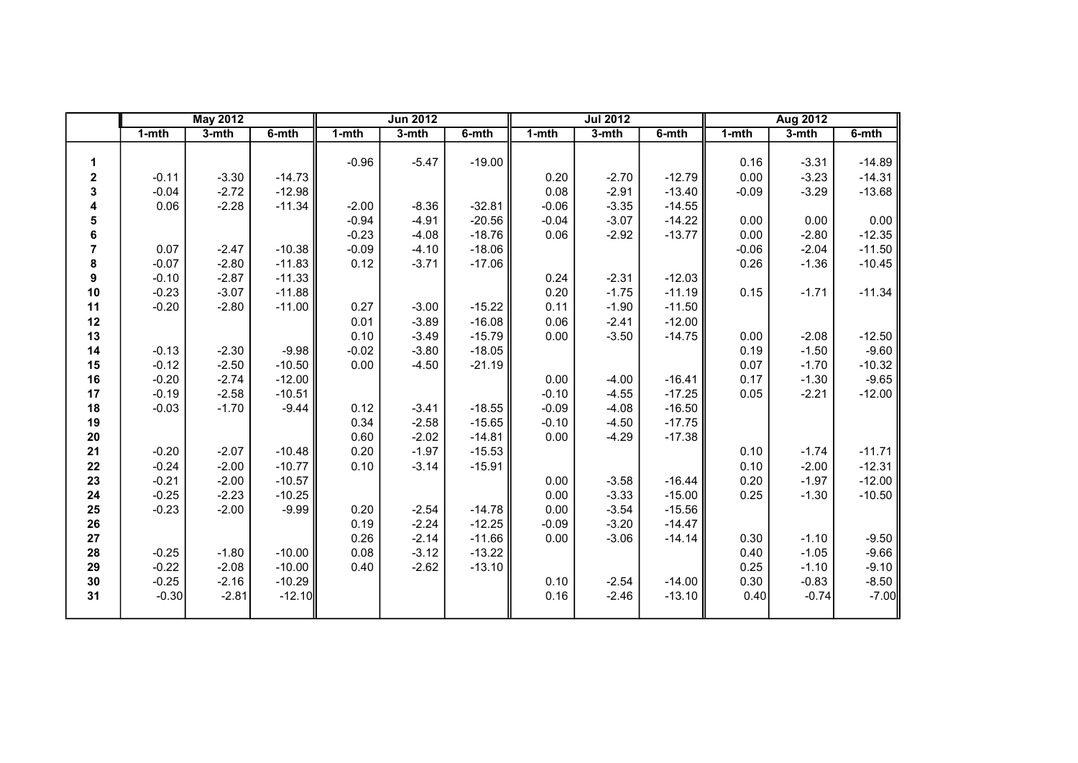|                |           | <b>May 2012</b> |          |           | <b>Jun 2012</b> |          |         | <b>Jul 2012</b> |          |           | <b>Aug 2012</b> |          |
|----------------|-----------|-----------------|----------|-----------|-----------------|----------|---------|-----------------|----------|-----------|-----------------|----------|
|                | $1 - mth$ | $3-$ mth        | 6-mth    | $1 - mth$ | 3-mth           | 6-mth    | 1-mth   | 3-mth           | 6-mth    | $1 - mth$ | $3-mth$         | 6-mth    |
|                |           |                 |          |           |                 |          |         |                 |          |           |                 |          |
| 1              |           |                 |          | $-0.96$   | $-5.47$         | $-19.00$ |         |                 |          | 0.16      | $-3.31$         | $-14.89$ |
| 2              | $-0.11$   | $-3.30$         | $-14.73$ |           |                 |          | 0.20    | $-2.70$         | $-12.79$ | 0.00      | $-3.23$         | $-14.31$ |
| 3              | $-0.04$   | $-2.72$         | $-12.98$ |           |                 |          | 0.08    | $-2.91$         | $-13.40$ | $-0.09$   | $-3.29$         | $-13.68$ |
| 4              | 0.06      | $-2.28$         | $-11.34$ | $-2.00$   | $-8.36$         | $-32.81$ | $-0.06$ | $-3.35$         | $-14.55$ |           |                 |          |
| 5              |           |                 |          | $-0.94$   | $-4.91$         | $-20.56$ | $-0.04$ | $-3.07$         | $-14.22$ | 0.00      | 0.00            | 0.00     |
| 6              |           |                 |          | $-0.23$   | $-4.08$         | $-18.76$ | 0.06    | $-2.92$         | $-13.77$ | 0.00      | $-2.80$         | $-12.35$ |
| $\overline{7}$ | 0.07      | $-2.47$         | $-10.38$ | $-0.09$   | $-4.10$         | $-18.06$ |         |                 |          | $-0.06$   | $-2.04$         | $-11.50$ |
| 8              | $-0.07$   | $-2.80$         | $-11.83$ | 0.12      | $-3.71$         | $-17.06$ |         |                 |          | 0.26      | $-1.36$         | $-10.45$ |
| 9              | $-0.10$   | $-2.87$         | $-11.33$ |           |                 |          | 0.24    | $-2.31$         | $-12.03$ |           |                 |          |
| 10             | $-0.23$   | $-3.07$         | $-11.88$ |           |                 |          | 0.20    | $-1.75$         | $-11.19$ | 0.15      | $-1.71$         | $-11.34$ |
| 11             | $-0.20$   | $-2.80$         | $-11.00$ | 0.27      | $-3.00$         | $-15.22$ | 0.11    | $-1.90$         | $-11.50$ |           |                 |          |
| 12             |           |                 |          | 0.01      | $-3.89$         | $-16.08$ | 0.06    | $-2.41$         | $-12.00$ |           |                 |          |
| 13             |           |                 |          | 0.10      | $-3.49$         | $-15.79$ | 0.00    | $-3.50$         | $-14.75$ | 0.00      | $-2.08$         | $-12.50$ |
| 14             | $-0.13$   | $-2.30$         | $-9.98$  | $-0.02$   | $-3.80$         | $-18.05$ |         |                 |          | 0.19      | $-1.50$         | $-9.60$  |
| 15             | $-0.12$   | $-2.50$         | $-10.50$ | 0.00      | $-4.50$         | $-21.19$ |         |                 |          | 0.07      | $-1.70$         | $-10.32$ |
| 16             | $-0.20$   | $-2.74$         | $-12.00$ |           |                 |          | 0.00    | $-4.00$         | $-16.41$ | 0.17      | $-1.30$         | $-9.65$  |
| 17             | $-0.19$   | $-2.58$         | $-10.51$ |           |                 |          | $-0.10$ | $-4.55$         | $-17.25$ | 0.05      | $-2.21$         | $-12.00$ |
| 18             | $-0.03$   | $-1.70$         | $-9.44$  | 0.12      | $-3.41$         | $-18.55$ | $-0.09$ | $-4.08$         | $-16.50$ |           |                 |          |
| 19             |           |                 |          | 0.34      | $-2.58$         | $-15.65$ | $-0.10$ | $-4.50$         | $-17.75$ |           |                 |          |
| 20             |           |                 |          | 0.60      | $-2.02$         | $-14.81$ | 0.00    | $-4.29$         | $-17.38$ |           |                 |          |
| 21             | $-0.20$   | $-2.07$         | $-10.48$ | 0.20      | $-1.97$         | $-15.53$ |         |                 |          | 0.10      | $-1.74$         | $-11.71$ |
| 22             | $-0.24$   | $-2.00$         | $-10.77$ | 0.10      | $-3.14$         | $-15.91$ |         |                 |          | 0.10      | $-2.00$         | $-12.31$ |
| 23             | $-0.21$   | $-2.00$         | $-10.57$ |           |                 |          | 0.00    | $-3.58$         | $-16.44$ | 0.20      | $-1.97$         | $-12.00$ |
| 24             | $-0.25$   | $-2.23$         | $-10.25$ |           |                 |          | 0.00    | $-3.33$         | $-15.00$ | 0.25      | $-1.30$         | $-10.50$ |
| 25             | $-0.23$   | $-2.00$         | $-9.99$  | 0.20      | $-2.54$         | $-14.78$ | 0.00    | $-3.54$         | $-15.56$ |           |                 |          |
| 26             |           |                 |          | 0.19      | $-2.24$         | $-12.25$ | $-0.09$ | $-3.20$         | $-14.47$ |           |                 |          |
| 27             |           |                 |          | 0.26      | $-2.14$         | $-11.66$ | 0.00    | $-3.06$         | $-14.14$ | 0.30      | $-1.10$         | $-9.50$  |
| 28             | $-0.25$   | $-1.80$         | $-10.00$ | 0.08      | $-3.12$         | $-13.22$ |         |                 |          | 0.40      | $-1.05$         | $-9.66$  |
| 29             | $-0.22$   | $-2.08$         | $-10.00$ | 0.40      | $-2.62$         | $-13.10$ |         |                 |          | 0.25      | $-1.10$         | $-9.10$  |
| 30             | $-0.25$   | $-2.16$         | $-10.29$ |           |                 |          | 0.10    | $-2.54$         | $-14.00$ | 0.30      | $-0.83$         | $-8.50$  |
| 31             | $-0.30$   | $-2.81$         | $-12.10$ |           |                 |          | 0.16    | $-2.46$         | $-13.10$ | 0.40      | $-0.74$         | $-7.00$  |
|                |           |                 |          |           |                 |          |         |                 |          |           |                 |          |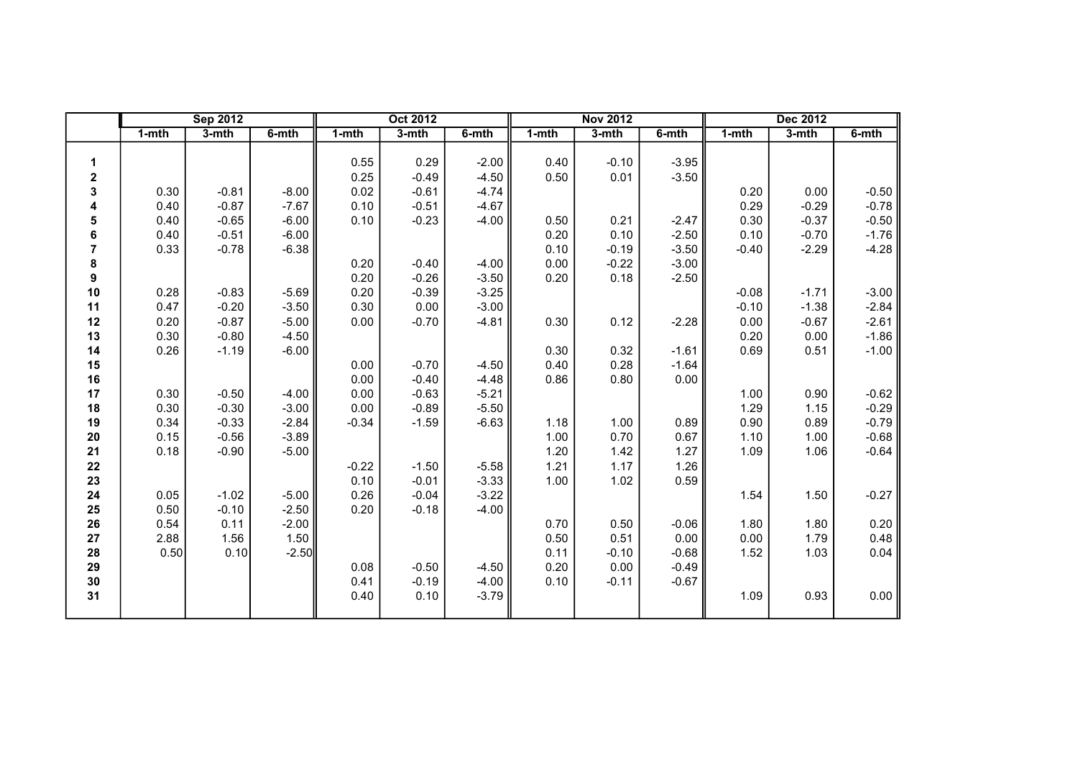|                  |           | <b>Sep 2012</b> |         |           | <b>Oct 2012</b> |         |       | <b>Nov 2012</b> |         |         | <b>Dec 2012</b> |         |
|------------------|-----------|-----------------|---------|-----------|-----------------|---------|-------|-----------------|---------|---------|-----------------|---------|
|                  | $1 - mth$ | $3-mth$         | 6-mth   | $1 - mth$ | 3-mth           | 6-mth   | 1-mth | 3-mth           | 6-mth   | 1-mth   | 3-mth           | 6-mth   |
|                  |           |                 |         |           |                 |         |       |                 |         |         |                 |         |
| 1                |           |                 |         | 0.55      | 0.29            | $-2.00$ | 0.40  | $-0.10$         | $-3.95$ |         |                 |         |
| $\mathbf 2$      |           |                 |         | 0.25      | $-0.49$         | $-4.50$ | 0.50  | 0.01            | $-3.50$ |         |                 |         |
| 3                | 0.30      | $-0.81$         | $-8.00$ | 0.02      | $-0.61$         | $-4.74$ |       |                 |         | 0.20    | 0.00            | $-0.50$ |
| 4                | 0.40      | $-0.87$         | $-7.67$ | 0.10      | $-0.51$         | $-4.67$ |       |                 |         | 0.29    | $-0.29$         | $-0.78$ |
| 5                | 0.40      | $-0.65$         | $-6.00$ | 0.10      | $-0.23$         | $-4.00$ | 0.50  | 0.21            | $-2.47$ | 0.30    | $-0.37$         | $-0.50$ |
| 6                | 0.40      | $-0.51$         | $-6.00$ |           |                 |         | 0.20  | 0.10            | $-2.50$ | 0.10    | $-0.70$         | $-1.76$ |
| $\overline{7}$   | 0.33      | $-0.78$         | $-6.38$ |           |                 |         | 0.10  | $-0.19$         | $-3.50$ | $-0.40$ | $-2.29$         | $-4.28$ |
| 8                |           |                 |         | 0.20      | $-0.40$         | $-4.00$ | 0.00  | $-0.22$         | $-3.00$ |         |                 |         |
| $\boldsymbol{9}$ |           |                 |         | 0.20      | $-0.26$         | $-3.50$ | 0.20  | 0.18            | $-2.50$ |         |                 |         |
| 10               | 0.28      | $-0.83$         | $-5.69$ | 0.20      | $-0.39$         | $-3.25$ |       |                 |         | $-0.08$ | $-1.71$         | $-3.00$ |
| 11               | 0.47      | $-0.20$         | $-3.50$ | 0.30      | 0.00            | $-3.00$ |       |                 |         | $-0.10$ | $-1.38$         | $-2.84$ |
| 12               | 0.20      | $-0.87$         | $-5.00$ | 0.00      | $-0.70$         | $-4.81$ | 0.30  | 0.12            | $-2.28$ | 0.00    | $-0.67$         | $-2.61$ |
| 13               | 0.30      | $-0.80$         | $-4.50$ |           |                 |         |       |                 |         | 0.20    | 0.00            | $-1.86$ |
| 14               | 0.26      | $-1.19$         | $-6.00$ |           |                 |         | 0.30  | 0.32            | $-1.61$ | 0.69    | 0.51            | $-1.00$ |
| 15               |           |                 |         | 0.00      | $-0.70$         | $-4.50$ | 0.40  | 0.28            | $-1.64$ |         |                 |         |
| 16               |           |                 |         | 0.00      | $-0.40$         | $-4.48$ | 0.86  | 0.80            | 0.00    |         |                 |         |
| 17               | 0.30      | $-0.50$         | $-4.00$ | 0.00      | $-0.63$         | $-5.21$ |       |                 |         | 1.00    | 0.90            | $-0.62$ |
| 18               | 0.30      | $-0.30$         | $-3.00$ | 0.00      | $-0.89$         | $-5.50$ |       |                 |         | 1.29    | 1.15            | $-0.29$ |
| 19               | 0.34      | $-0.33$         | $-2.84$ | $-0.34$   | $-1.59$         | $-6.63$ | 1.18  | 1.00            | 0.89    | 0.90    | 0.89            | $-0.79$ |
| 20               | 0.15      | $-0.56$         | $-3.89$ |           |                 |         | 1.00  | 0.70            | 0.67    | 1.10    | 1.00            | $-0.68$ |
| 21               | 0.18      | $-0.90$         | $-5.00$ |           |                 |         | 1.20  | 1.42            | 1.27    | 1.09    | 1.06            | $-0.64$ |
| 22               |           |                 |         | $-0.22$   | $-1.50$         | $-5.58$ | 1.21  | 1.17            | 1.26    |         |                 |         |
| 23               |           |                 |         | 0.10      | $-0.01$         | $-3.33$ | 1.00  | 1.02            | 0.59    |         |                 |         |
| 24               | 0.05      | $-1.02$         | $-5.00$ | 0.26      | $-0.04$         | $-3.22$ |       |                 |         | 1.54    | 1.50            | $-0.27$ |
| 25               | 0.50      | $-0.10$         | $-2.50$ | 0.20      | $-0.18$         | $-4.00$ |       |                 |         |         |                 |         |
| 26               | 0.54      | 0.11            | $-2.00$ |           |                 |         | 0.70  | 0.50            | $-0.06$ | 1.80    | 1.80            | 0.20    |
| 27               | 2.88      | 1.56            | 1.50    |           |                 |         | 0.50  | 0.51            | 0.00    | 0.00    | 1.79            | 0.48    |
| 28               | 0.50      | 0.10            | $-2.50$ |           |                 |         | 0.11  | $-0.10$         | $-0.68$ | 1.52    | 1.03            | 0.04    |
| 29               |           |                 |         | 0.08      | $-0.50$         | $-4.50$ | 0.20  | 0.00            | $-0.49$ |         |                 |         |
| 30               |           |                 |         | 0.41      | $-0.19$         | $-4.00$ | 0.10  | $-0.11$         | $-0.67$ |         |                 |         |
| 31               |           |                 |         | 0.40      | 0.10            | $-3.79$ |       |                 |         | 1.09    | 0.93            | 0.00    |
|                  |           |                 |         |           |                 |         |       |                 |         |         |                 |         |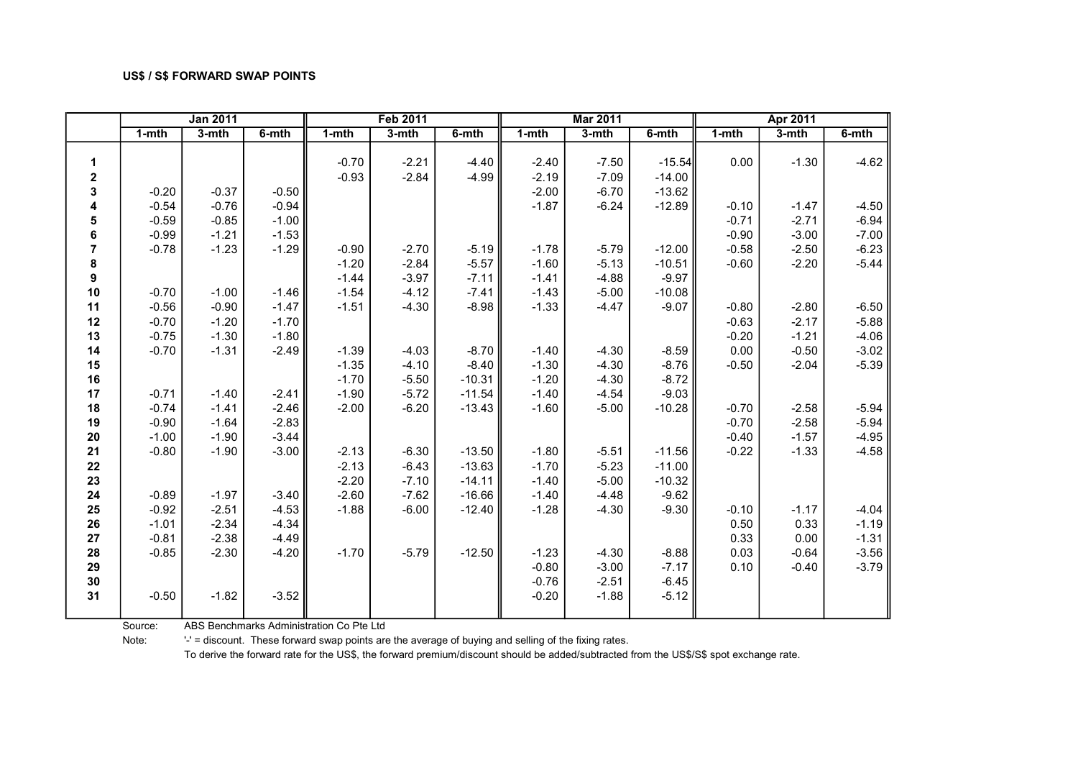|                  | <b>Jan 2011</b> |          |          |           | <b>Feb 2011</b> |          |           | <b>Mar 2011</b> |          |           | <b>Apr 2011</b> |          |
|------------------|-----------------|----------|----------|-----------|-----------------|----------|-----------|-----------------|----------|-----------|-----------------|----------|
|                  | $1 - mth$       | $3-$ mth | $6-$ mth | $1 - mth$ | $3-$ mth        | $6-$ mth | $1 - mth$ | $3-$ mth        | $6-$ mth | $1 - mth$ | $3-mth$         | $6-$ mth |
|                  |                 |          |          |           |                 |          |           |                 |          |           |                 |          |
| 1                |                 |          |          | $-0.70$   | $-2.21$         | $-4.40$  | $-2.40$   | $-7.50$         | $-15.54$ | 0.00      | $-1.30$         | $-4.62$  |
| $\mathbf 2$      |                 |          |          | $-0.93$   | $-2.84$         | $-4.99$  | $-2.19$   | $-7.09$         | $-14.00$ |           |                 |          |
| 3                | $-0.20$         | $-0.37$  | $-0.50$  |           |                 |          | $-2.00$   | $-6.70$         | $-13.62$ |           |                 |          |
| 4                | $-0.54$         | $-0.76$  | $-0.94$  |           |                 |          | $-1.87$   | $-6.24$         | $-12.89$ | $-0.10$   | $-1.47$         | $-4.50$  |
| 5                | $-0.59$         | $-0.85$  | $-1.00$  |           |                 |          |           |                 |          | $-0.71$   | $-2.71$         | $-6.94$  |
| 6                | $-0.99$         | $-1.21$  | $-1.53$  |           |                 |          |           |                 |          | $-0.90$   | $-3.00$         | $-7.00$  |
| $\overline{7}$   | $-0.78$         | $-1.23$  | $-1.29$  | $-0.90$   | $-2.70$         | $-5.19$  | $-1.78$   | $-5.79$         | $-12.00$ | $-0.58$   | $-2.50$         | $-6.23$  |
| $\pmb{8}$        |                 |          |          | $-1.20$   | $-2.84$         | $-5.57$  | $-1.60$   | $-5.13$         | $-10.51$ | $-0.60$   | $-2.20$         | $-5.44$  |
| $\boldsymbol{9}$ |                 |          |          | $-1.44$   | $-3.97$         | $-7.11$  | $-1.41$   | $-4.88$         | $-9.97$  |           |                 |          |
| 10               | $-0.70$         | $-1.00$  | $-1.46$  | $-1.54$   | $-4.12$         | $-7.41$  | $-1.43$   | $-5.00$         | $-10.08$ |           |                 |          |
| 11               | $-0.56$         | $-0.90$  | $-1.47$  | $-1.51$   | $-4.30$         | $-8.98$  | $-1.33$   | $-4.47$         | $-9.07$  | $-0.80$   | $-2.80$         | $-6.50$  |
| 12               | $-0.70$         | $-1.20$  | $-1.70$  |           |                 |          |           |                 |          | $-0.63$   | $-2.17$         | $-5.88$  |
| 13               | $-0.75$         | $-1.30$  | $-1.80$  |           |                 |          |           |                 |          | $-0.20$   | $-1.21$         | $-4.06$  |
| 14               | $-0.70$         | $-1.31$  | $-2.49$  | $-1.39$   | $-4.03$         | $-8.70$  | $-1.40$   | $-4.30$         | $-8.59$  | 0.00      | $-0.50$         | $-3.02$  |
| 15               |                 |          |          | $-1.35$   | $-4.10$         | $-8.40$  | $-1.30$   | $-4.30$         | $-8.76$  | $-0.50$   | $-2.04$         | $-5.39$  |
| 16               |                 |          |          | $-1.70$   | $-5.50$         | $-10.31$ | $-1.20$   | $-4.30$         | $-8.72$  |           |                 |          |
| 17               | $-0.71$         | $-1.40$  | $-2.41$  | $-1.90$   | $-5.72$         | $-11.54$ | $-1.40$   | $-4.54$         | $-9.03$  |           |                 |          |
| 18               | $-0.74$         | $-1.41$  | $-2.46$  | $-2.00$   | $-6.20$         | $-13.43$ | $-1.60$   | $-5.00$         | $-10.28$ | $-0.70$   | $-2.58$         | $-5.94$  |
| 19               | $-0.90$         | $-1.64$  | $-2.83$  |           |                 |          |           |                 |          | $-0.70$   | $-2.58$         | $-5.94$  |
| ${\bf 20}$       | $-1.00$         | $-1.90$  | $-3.44$  |           |                 |          |           |                 |          | $-0.40$   | $-1.57$         | $-4.95$  |
| 21               | $-0.80$         | $-1.90$  | $-3.00$  | $-2.13$   | $-6.30$         | $-13.50$ | $-1.80$   | $-5.51$         | $-11.56$ | $-0.22$   | $-1.33$         | $-4.58$  |
| 22               |                 |          |          | $-2.13$   | $-6.43$         | $-13.63$ | $-1.70$   | $-5.23$         | $-11.00$ |           |                 |          |
| 23               |                 |          |          | $-2.20$   | $-7.10$         | $-14.11$ | $-1.40$   | $-5.00$         | $-10.32$ |           |                 |          |
| 24               | $-0.89$         | $-1.97$  | $-3.40$  | $-2.60$   | $-7.62$         | $-16.66$ | $-1.40$   | $-4.48$         | $-9.62$  |           |                 |          |
| 25               | $-0.92$         | $-2.51$  | $-4.53$  | $-1.88$   | $-6.00$         | $-12.40$ | $-1.28$   | $-4.30$         | $-9.30$  | $-0.10$   | $-1.17$         | $-4.04$  |
| 26               | $-1.01$         | $-2.34$  | $-4.34$  |           |                 |          |           |                 |          | 0.50      | 0.33            | $-1.19$  |
| 27               | $-0.81$         | $-2.38$  | $-4.49$  |           |                 |          |           |                 |          | 0.33      | 0.00            | $-1.31$  |
| 28               | $-0.85$         | $-2.30$  | $-4.20$  | $-1.70$   | $-5.79$         | $-12.50$ | $-1.23$   | $-4.30$         | $-8.88$  | 0.03      | $-0.64$         | $-3.56$  |
| 29               |                 |          |          |           |                 |          | $-0.80$   | $-3.00$         | $-7.17$  | 0.10      | $-0.40$         | $-3.79$  |
| 30               |                 |          |          |           |                 |          | $-0.76$   | $-2.51$         | $-6.45$  |           |                 |          |
| 31               | $-0.50$         | $-1.82$  | $-3.52$  |           |                 |          | $-0.20$   | $-1.88$         | $-5.12$  |           |                 |          |
|                  |                 |          |          |           |                 |          |           |                 |          |           |                 |          |

Source: ABS Benchmarks Administration Co Pte Ltd

Note: '-' = discount. These forward swap points are the average of buying and selling of the fixing rates.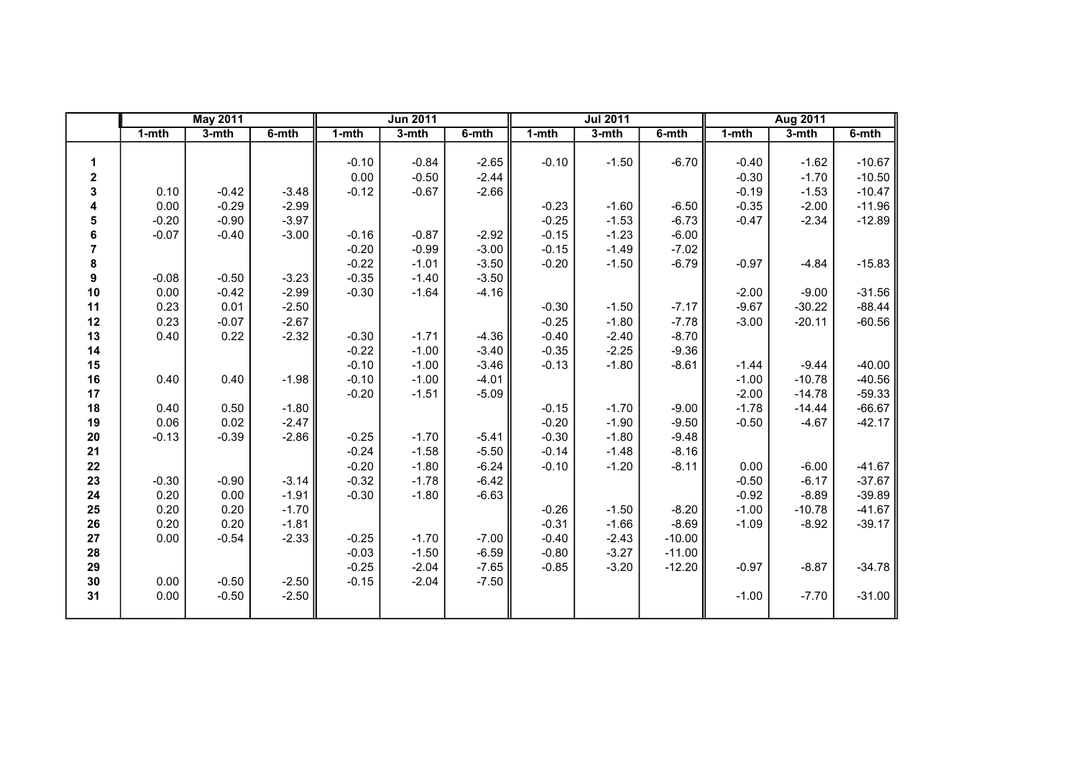| $1 - mth$<br>$3-$ mth<br>$1 - mth$<br>$1 - mth$<br>$3-$ mth<br>6-mth<br>3-mth<br>6-mth<br>3-mth<br>6-mth<br>$1 - mth$<br>$-0.84$<br>$-6.70$<br>$-0.10$<br>$-2.65$<br>$-0.10$<br>$-1.50$<br>$-0.40$<br>$-1.62$<br>1<br>0.00<br>$-0.50$<br>$-2.44$<br>$-0.30$<br>$-1.70$<br>2<br>3<br>$-0.42$<br>$-0.67$<br>$-2.66$<br>$-0.19$<br>$-1.53$<br>0.10<br>$-3.48$<br>$-0.12$<br>$-0.29$<br>$-0.23$<br>$-0.35$<br>0.00<br>$-2.99$<br>$-6.50$<br>$-2.00$<br>4<br>$-1.60$<br>$-0.25$<br>$-0.20$<br>$-0.90$<br>$-3.97$<br>$-2.34$<br>5<br>$-1.53$<br>$-6.73$<br>$-0.47$<br>$-0.15$<br>6<br>$-0.07$<br>$-0.40$<br>$-0.16$<br>$-0.87$<br>$-2.92$<br>$-1.23$<br>$-6.00$<br>$-3.00$<br>$\overline{7}$<br>$-0.20$<br>$-0.99$<br>$-3.00$<br>$-0.15$<br>$-7.02$<br>$-1.49$<br>8<br>$-0.22$<br>$-3.50$<br>$-0.20$<br>$-6.79$<br>$-1.01$<br>$-1.50$<br>$-0.97$<br>$-4.84$<br>9<br>$-0.08$<br>$-0.50$<br>$-3.23$<br>$-0.35$<br>$-3.50$<br>$-1.40$<br>10<br>0.00<br>$-0.42$<br>$-2.99$<br>$-0.30$<br>$-1.64$<br>$-4.16$<br>$-2.00$<br>$-9.00$<br>0.23<br>0.01<br>$-9.67$<br>$-30.22$<br>11<br>$-2.50$<br>$-0.30$<br>$-7.17$<br>$-1.50$<br>0.23<br>$-0.07$<br>$-0.25$<br>$-1.80$<br>12<br>$-2.67$<br>$-7.78$<br>$-3.00$<br>$-20.11$<br>0.40<br>0.22<br>$-4.36$<br>$-0.40$<br>13<br>$-2.32$<br>$-0.30$<br>$-1.71$<br>$-2.40$<br>$-8.70$<br>$-0.22$<br>14<br>$-1.00$<br>$-3.40$<br>$-0.35$<br>$-2.25$<br>$-9.36$<br>$-1.00$<br>$-3.46$<br>$-0.13$<br>$-1.80$<br>$-8.61$<br>$-0.10$<br>$-1.44$<br>$-9.44$<br>15<br>0.40<br>$-0.10$<br>$-4.01$<br>$-1.00$<br>$-10.78$<br>16<br>0.40<br>$-1.98$<br>$-1.00$<br>$-0.20$<br>$-1.51$<br>$-5.09$<br>$-2.00$<br>17<br>$-14.78$<br>$-1.78$<br>0.50<br>$-0.15$<br>$-1.70$<br>18<br>0.40<br>$-1.80$<br>$-9.00$<br>$-14.44$<br>0.06<br>0.02<br>$-0.20$<br>$-2.47$<br>$-1.90$<br>$-9.50$<br>$-0.50$<br>19<br>$-4.67$<br>$-0.30$<br>20<br>$-0.13$<br>$-0.39$<br>$-2.86$<br>$-0.25$<br>$-1.70$<br>$-5.41$<br>$-1.80$<br>$-9.48$<br>$-0.24$<br>$-5.50$<br>21<br>$-1.58$<br>$-0.14$<br>$-1.48$<br>$-8.16$<br>22<br>$-0.20$<br>$-6.24$<br>$-0.10$<br>$-8.11$<br>0.00<br>$-6.00$<br>$-1.80$<br>$-1.20$<br>$-0.90$<br>$-6.17$<br>$-0.30$<br>$-3.14$<br>$-6.42$<br>$-0.50$<br>23<br>$-0.32$<br>$-1.78$<br>0.20<br>0.00<br>$-1.91$<br>$-0.30$<br>$-6.63$<br>$-0.92$<br>$-8.89$<br>24<br>$-1.80$<br>0.20<br>0.20<br>$-1.70$<br>$-0.26$<br>$-8.20$<br>$-1.00$<br>$-10.78$<br>25<br>$-1.50$<br>0.20<br>0.20<br>$-0.31$<br>$-1.09$<br>26<br>$-1.81$<br>$-1.66$<br>$-8.69$<br>$-8.92$<br>27<br>$-0.54$<br>$-2.33$<br>$-0.25$<br>$-7.00$<br>$-0.40$<br>$-2.43$<br>0.00<br>$-1.70$<br>$-10.00$<br>$-0.03$<br>$-3.27$<br>28<br>$-1.50$<br>$-6.59$<br>$-0.80$<br>$-11.00$<br>29<br>$-0.25$<br>$-2.04$<br>$-7.65$<br>$-0.85$<br>$-3.20$<br>$-0.97$<br>$-12.20$<br>$-8.87$<br>30<br>0.00<br>$-0.50$<br>$-2.04$<br>$-2.50$<br>$-0.15$<br>$-7.50$<br>31<br>$-0.50$<br>$-2.50$<br>0.00<br>$-1.00$<br>$-7.70$ |  | <b>May 2011</b> |  |  | <b>Jun 2011</b> |  | <b>Jul 2011</b> |  | Aug 2011 |          |
|------------------------------------------------------------------------------------------------------------------------------------------------------------------------------------------------------------------------------------------------------------------------------------------------------------------------------------------------------------------------------------------------------------------------------------------------------------------------------------------------------------------------------------------------------------------------------------------------------------------------------------------------------------------------------------------------------------------------------------------------------------------------------------------------------------------------------------------------------------------------------------------------------------------------------------------------------------------------------------------------------------------------------------------------------------------------------------------------------------------------------------------------------------------------------------------------------------------------------------------------------------------------------------------------------------------------------------------------------------------------------------------------------------------------------------------------------------------------------------------------------------------------------------------------------------------------------------------------------------------------------------------------------------------------------------------------------------------------------------------------------------------------------------------------------------------------------------------------------------------------------------------------------------------------------------------------------------------------------------------------------------------------------------------------------------------------------------------------------------------------------------------------------------------------------------------------------------------------------------------------------------------------------------------------------------------------------------------------------------------------------------------------------------------------------------------------------------------------------------------------------------------------------------------------------------------------------------------------------------------------------------------------------------------------------------------------------------------------------------------------------------------------------------------------------------------------------------------------------------------------------------------------|--|-----------------|--|--|-----------------|--|-----------------|--|----------|----------|
|                                                                                                                                                                                                                                                                                                                                                                                                                                                                                                                                                                                                                                                                                                                                                                                                                                                                                                                                                                                                                                                                                                                                                                                                                                                                                                                                                                                                                                                                                                                                                                                                                                                                                                                                                                                                                                                                                                                                                                                                                                                                                                                                                                                                                                                                                                                                                                                                                                                                                                                                                                                                                                                                                                                                                                                                                                                                                                |  |                 |  |  |                 |  |                 |  |          | 6-mth    |
|                                                                                                                                                                                                                                                                                                                                                                                                                                                                                                                                                                                                                                                                                                                                                                                                                                                                                                                                                                                                                                                                                                                                                                                                                                                                                                                                                                                                                                                                                                                                                                                                                                                                                                                                                                                                                                                                                                                                                                                                                                                                                                                                                                                                                                                                                                                                                                                                                                                                                                                                                                                                                                                                                                                                                                                                                                                                                                |  |                 |  |  |                 |  |                 |  |          |          |
|                                                                                                                                                                                                                                                                                                                                                                                                                                                                                                                                                                                                                                                                                                                                                                                                                                                                                                                                                                                                                                                                                                                                                                                                                                                                                                                                                                                                                                                                                                                                                                                                                                                                                                                                                                                                                                                                                                                                                                                                                                                                                                                                                                                                                                                                                                                                                                                                                                                                                                                                                                                                                                                                                                                                                                                                                                                                                                |  |                 |  |  |                 |  |                 |  |          | $-10.67$ |
|                                                                                                                                                                                                                                                                                                                                                                                                                                                                                                                                                                                                                                                                                                                                                                                                                                                                                                                                                                                                                                                                                                                                                                                                                                                                                                                                                                                                                                                                                                                                                                                                                                                                                                                                                                                                                                                                                                                                                                                                                                                                                                                                                                                                                                                                                                                                                                                                                                                                                                                                                                                                                                                                                                                                                                                                                                                                                                |  |                 |  |  |                 |  |                 |  |          | $-10.50$ |
|                                                                                                                                                                                                                                                                                                                                                                                                                                                                                                                                                                                                                                                                                                                                                                                                                                                                                                                                                                                                                                                                                                                                                                                                                                                                                                                                                                                                                                                                                                                                                                                                                                                                                                                                                                                                                                                                                                                                                                                                                                                                                                                                                                                                                                                                                                                                                                                                                                                                                                                                                                                                                                                                                                                                                                                                                                                                                                |  |                 |  |  |                 |  |                 |  |          | $-10.47$ |
|                                                                                                                                                                                                                                                                                                                                                                                                                                                                                                                                                                                                                                                                                                                                                                                                                                                                                                                                                                                                                                                                                                                                                                                                                                                                                                                                                                                                                                                                                                                                                                                                                                                                                                                                                                                                                                                                                                                                                                                                                                                                                                                                                                                                                                                                                                                                                                                                                                                                                                                                                                                                                                                                                                                                                                                                                                                                                                |  |                 |  |  |                 |  |                 |  |          | $-11.96$ |
|                                                                                                                                                                                                                                                                                                                                                                                                                                                                                                                                                                                                                                                                                                                                                                                                                                                                                                                                                                                                                                                                                                                                                                                                                                                                                                                                                                                                                                                                                                                                                                                                                                                                                                                                                                                                                                                                                                                                                                                                                                                                                                                                                                                                                                                                                                                                                                                                                                                                                                                                                                                                                                                                                                                                                                                                                                                                                                |  |                 |  |  |                 |  |                 |  |          | $-12.89$ |
|                                                                                                                                                                                                                                                                                                                                                                                                                                                                                                                                                                                                                                                                                                                                                                                                                                                                                                                                                                                                                                                                                                                                                                                                                                                                                                                                                                                                                                                                                                                                                                                                                                                                                                                                                                                                                                                                                                                                                                                                                                                                                                                                                                                                                                                                                                                                                                                                                                                                                                                                                                                                                                                                                                                                                                                                                                                                                                |  |                 |  |  |                 |  |                 |  |          |          |
|                                                                                                                                                                                                                                                                                                                                                                                                                                                                                                                                                                                                                                                                                                                                                                                                                                                                                                                                                                                                                                                                                                                                                                                                                                                                                                                                                                                                                                                                                                                                                                                                                                                                                                                                                                                                                                                                                                                                                                                                                                                                                                                                                                                                                                                                                                                                                                                                                                                                                                                                                                                                                                                                                                                                                                                                                                                                                                |  |                 |  |  |                 |  |                 |  |          |          |
|                                                                                                                                                                                                                                                                                                                                                                                                                                                                                                                                                                                                                                                                                                                                                                                                                                                                                                                                                                                                                                                                                                                                                                                                                                                                                                                                                                                                                                                                                                                                                                                                                                                                                                                                                                                                                                                                                                                                                                                                                                                                                                                                                                                                                                                                                                                                                                                                                                                                                                                                                                                                                                                                                                                                                                                                                                                                                                |  |                 |  |  |                 |  |                 |  |          | $-15.83$ |
|                                                                                                                                                                                                                                                                                                                                                                                                                                                                                                                                                                                                                                                                                                                                                                                                                                                                                                                                                                                                                                                                                                                                                                                                                                                                                                                                                                                                                                                                                                                                                                                                                                                                                                                                                                                                                                                                                                                                                                                                                                                                                                                                                                                                                                                                                                                                                                                                                                                                                                                                                                                                                                                                                                                                                                                                                                                                                                |  |                 |  |  |                 |  |                 |  |          |          |
|                                                                                                                                                                                                                                                                                                                                                                                                                                                                                                                                                                                                                                                                                                                                                                                                                                                                                                                                                                                                                                                                                                                                                                                                                                                                                                                                                                                                                                                                                                                                                                                                                                                                                                                                                                                                                                                                                                                                                                                                                                                                                                                                                                                                                                                                                                                                                                                                                                                                                                                                                                                                                                                                                                                                                                                                                                                                                                |  |                 |  |  |                 |  |                 |  |          | $-31.56$ |
|                                                                                                                                                                                                                                                                                                                                                                                                                                                                                                                                                                                                                                                                                                                                                                                                                                                                                                                                                                                                                                                                                                                                                                                                                                                                                                                                                                                                                                                                                                                                                                                                                                                                                                                                                                                                                                                                                                                                                                                                                                                                                                                                                                                                                                                                                                                                                                                                                                                                                                                                                                                                                                                                                                                                                                                                                                                                                                |  |                 |  |  |                 |  |                 |  |          | $-88.44$ |
|                                                                                                                                                                                                                                                                                                                                                                                                                                                                                                                                                                                                                                                                                                                                                                                                                                                                                                                                                                                                                                                                                                                                                                                                                                                                                                                                                                                                                                                                                                                                                                                                                                                                                                                                                                                                                                                                                                                                                                                                                                                                                                                                                                                                                                                                                                                                                                                                                                                                                                                                                                                                                                                                                                                                                                                                                                                                                                |  |                 |  |  |                 |  |                 |  |          | $-60.56$ |
|                                                                                                                                                                                                                                                                                                                                                                                                                                                                                                                                                                                                                                                                                                                                                                                                                                                                                                                                                                                                                                                                                                                                                                                                                                                                                                                                                                                                                                                                                                                                                                                                                                                                                                                                                                                                                                                                                                                                                                                                                                                                                                                                                                                                                                                                                                                                                                                                                                                                                                                                                                                                                                                                                                                                                                                                                                                                                                |  |                 |  |  |                 |  |                 |  |          |          |
|                                                                                                                                                                                                                                                                                                                                                                                                                                                                                                                                                                                                                                                                                                                                                                                                                                                                                                                                                                                                                                                                                                                                                                                                                                                                                                                                                                                                                                                                                                                                                                                                                                                                                                                                                                                                                                                                                                                                                                                                                                                                                                                                                                                                                                                                                                                                                                                                                                                                                                                                                                                                                                                                                                                                                                                                                                                                                                |  |                 |  |  |                 |  |                 |  |          |          |
|                                                                                                                                                                                                                                                                                                                                                                                                                                                                                                                                                                                                                                                                                                                                                                                                                                                                                                                                                                                                                                                                                                                                                                                                                                                                                                                                                                                                                                                                                                                                                                                                                                                                                                                                                                                                                                                                                                                                                                                                                                                                                                                                                                                                                                                                                                                                                                                                                                                                                                                                                                                                                                                                                                                                                                                                                                                                                                |  |                 |  |  |                 |  |                 |  |          | $-40.00$ |
|                                                                                                                                                                                                                                                                                                                                                                                                                                                                                                                                                                                                                                                                                                                                                                                                                                                                                                                                                                                                                                                                                                                                                                                                                                                                                                                                                                                                                                                                                                                                                                                                                                                                                                                                                                                                                                                                                                                                                                                                                                                                                                                                                                                                                                                                                                                                                                                                                                                                                                                                                                                                                                                                                                                                                                                                                                                                                                |  |                 |  |  |                 |  |                 |  |          | $-40.56$ |
|                                                                                                                                                                                                                                                                                                                                                                                                                                                                                                                                                                                                                                                                                                                                                                                                                                                                                                                                                                                                                                                                                                                                                                                                                                                                                                                                                                                                                                                                                                                                                                                                                                                                                                                                                                                                                                                                                                                                                                                                                                                                                                                                                                                                                                                                                                                                                                                                                                                                                                                                                                                                                                                                                                                                                                                                                                                                                                |  |                 |  |  |                 |  |                 |  |          | $-59.33$ |
|                                                                                                                                                                                                                                                                                                                                                                                                                                                                                                                                                                                                                                                                                                                                                                                                                                                                                                                                                                                                                                                                                                                                                                                                                                                                                                                                                                                                                                                                                                                                                                                                                                                                                                                                                                                                                                                                                                                                                                                                                                                                                                                                                                                                                                                                                                                                                                                                                                                                                                                                                                                                                                                                                                                                                                                                                                                                                                |  |                 |  |  |                 |  |                 |  |          | $-66.67$ |
|                                                                                                                                                                                                                                                                                                                                                                                                                                                                                                                                                                                                                                                                                                                                                                                                                                                                                                                                                                                                                                                                                                                                                                                                                                                                                                                                                                                                                                                                                                                                                                                                                                                                                                                                                                                                                                                                                                                                                                                                                                                                                                                                                                                                                                                                                                                                                                                                                                                                                                                                                                                                                                                                                                                                                                                                                                                                                                |  |                 |  |  |                 |  |                 |  |          | $-42.17$ |
|                                                                                                                                                                                                                                                                                                                                                                                                                                                                                                                                                                                                                                                                                                                                                                                                                                                                                                                                                                                                                                                                                                                                                                                                                                                                                                                                                                                                                                                                                                                                                                                                                                                                                                                                                                                                                                                                                                                                                                                                                                                                                                                                                                                                                                                                                                                                                                                                                                                                                                                                                                                                                                                                                                                                                                                                                                                                                                |  |                 |  |  |                 |  |                 |  |          |          |
|                                                                                                                                                                                                                                                                                                                                                                                                                                                                                                                                                                                                                                                                                                                                                                                                                                                                                                                                                                                                                                                                                                                                                                                                                                                                                                                                                                                                                                                                                                                                                                                                                                                                                                                                                                                                                                                                                                                                                                                                                                                                                                                                                                                                                                                                                                                                                                                                                                                                                                                                                                                                                                                                                                                                                                                                                                                                                                |  |                 |  |  |                 |  |                 |  |          |          |
|                                                                                                                                                                                                                                                                                                                                                                                                                                                                                                                                                                                                                                                                                                                                                                                                                                                                                                                                                                                                                                                                                                                                                                                                                                                                                                                                                                                                                                                                                                                                                                                                                                                                                                                                                                                                                                                                                                                                                                                                                                                                                                                                                                                                                                                                                                                                                                                                                                                                                                                                                                                                                                                                                                                                                                                                                                                                                                |  |                 |  |  |                 |  |                 |  |          | $-41.67$ |
|                                                                                                                                                                                                                                                                                                                                                                                                                                                                                                                                                                                                                                                                                                                                                                                                                                                                                                                                                                                                                                                                                                                                                                                                                                                                                                                                                                                                                                                                                                                                                                                                                                                                                                                                                                                                                                                                                                                                                                                                                                                                                                                                                                                                                                                                                                                                                                                                                                                                                                                                                                                                                                                                                                                                                                                                                                                                                                |  |                 |  |  |                 |  |                 |  |          | $-37.67$ |
|                                                                                                                                                                                                                                                                                                                                                                                                                                                                                                                                                                                                                                                                                                                                                                                                                                                                                                                                                                                                                                                                                                                                                                                                                                                                                                                                                                                                                                                                                                                                                                                                                                                                                                                                                                                                                                                                                                                                                                                                                                                                                                                                                                                                                                                                                                                                                                                                                                                                                                                                                                                                                                                                                                                                                                                                                                                                                                |  |                 |  |  |                 |  |                 |  |          | $-39.89$ |
|                                                                                                                                                                                                                                                                                                                                                                                                                                                                                                                                                                                                                                                                                                                                                                                                                                                                                                                                                                                                                                                                                                                                                                                                                                                                                                                                                                                                                                                                                                                                                                                                                                                                                                                                                                                                                                                                                                                                                                                                                                                                                                                                                                                                                                                                                                                                                                                                                                                                                                                                                                                                                                                                                                                                                                                                                                                                                                |  |                 |  |  |                 |  |                 |  |          | $-41.67$ |
|                                                                                                                                                                                                                                                                                                                                                                                                                                                                                                                                                                                                                                                                                                                                                                                                                                                                                                                                                                                                                                                                                                                                                                                                                                                                                                                                                                                                                                                                                                                                                                                                                                                                                                                                                                                                                                                                                                                                                                                                                                                                                                                                                                                                                                                                                                                                                                                                                                                                                                                                                                                                                                                                                                                                                                                                                                                                                                |  |                 |  |  |                 |  |                 |  |          | $-39.17$ |
|                                                                                                                                                                                                                                                                                                                                                                                                                                                                                                                                                                                                                                                                                                                                                                                                                                                                                                                                                                                                                                                                                                                                                                                                                                                                                                                                                                                                                                                                                                                                                                                                                                                                                                                                                                                                                                                                                                                                                                                                                                                                                                                                                                                                                                                                                                                                                                                                                                                                                                                                                                                                                                                                                                                                                                                                                                                                                                |  |                 |  |  |                 |  |                 |  |          |          |
|                                                                                                                                                                                                                                                                                                                                                                                                                                                                                                                                                                                                                                                                                                                                                                                                                                                                                                                                                                                                                                                                                                                                                                                                                                                                                                                                                                                                                                                                                                                                                                                                                                                                                                                                                                                                                                                                                                                                                                                                                                                                                                                                                                                                                                                                                                                                                                                                                                                                                                                                                                                                                                                                                                                                                                                                                                                                                                |  |                 |  |  |                 |  |                 |  |          |          |
|                                                                                                                                                                                                                                                                                                                                                                                                                                                                                                                                                                                                                                                                                                                                                                                                                                                                                                                                                                                                                                                                                                                                                                                                                                                                                                                                                                                                                                                                                                                                                                                                                                                                                                                                                                                                                                                                                                                                                                                                                                                                                                                                                                                                                                                                                                                                                                                                                                                                                                                                                                                                                                                                                                                                                                                                                                                                                                |  |                 |  |  |                 |  |                 |  |          | $-34.78$ |
|                                                                                                                                                                                                                                                                                                                                                                                                                                                                                                                                                                                                                                                                                                                                                                                                                                                                                                                                                                                                                                                                                                                                                                                                                                                                                                                                                                                                                                                                                                                                                                                                                                                                                                                                                                                                                                                                                                                                                                                                                                                                                                                                                                                                                                                                                                                                                                                                                                                                                                                                                                                                                                                                                                                                                                                                                                                                                                |  |                 |  |  |                 |  |                 |  |          |          |
|                                                                                                                                                                                                                                                                                                                                                                                                                                                                                                                                                                                                                                                                                                                                                                                                                                                                                                                                                                                                                                                                                                                                                                                                                                                                                                                                                                                                                                                                                                                                                                                                                                                                                                                                                                                                                                                                                                                                                                                                                                                                                                                                                                                                                                                                                                                                                                                                                                                                                                                                                                                                                                                                                                                                                                                                                                                                                                |  |                 |  |  |                 |  |                 |  |          | $-31.00$ |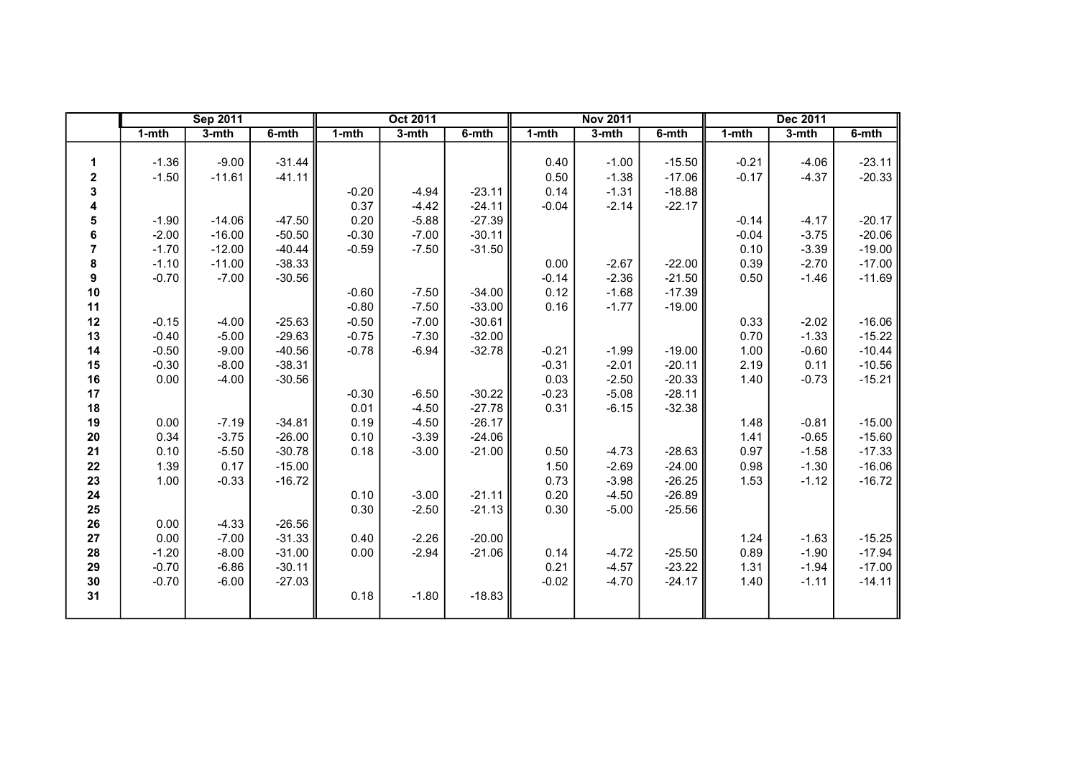|                         |           | <b>Sep 2011</b> |          |         | <b>Oct 2011</b> |          |           | <b>Nov 2011</b> |          |           | <b>Dec 2011</b> |          |
|-------------------------|-----------|-----------------|----------|---------|-----------------|----------|-----------|-----------------|----------|-----------|-----------------|----------|
|                         | $1 - mth$ | $3-$ mth        | $6-$ mth | $1-mth$ | $3-$ mth        | $6-$ mth | $1 - mth$ | $3 - mth$       | 6-mth    | $1 - mth$ | $3-mth$         | 6-mth    |
|                         |           |                 |          |         |                 |          |           |                 |          |           |                 |          |
| 1                       | $-1.36$   | $-9.00$         | $-31.44$ |         |                 |          | 0.40      | $-1.00$         | $-15.50$ | $-0.21$   | $-4.06$         | $-23.11$ |
| 2                       | $-1.50$   | $-11.61$        | $-41.11$ |         |                 |          | 0.50      | $-1.38$         | $-17.06$ | $-0.17$   | $-4.37$         | $-20.33$ |
| 3                       |           |                 |          | $-0.20$ | $-4.94$         | $-23.11$ | 0.14      | $-1.31$         | $-18.88$ |           |                 |          |
| 4                       |           |                 |          | 0.37    | $-4.42$         | $-24.11$ | $-0.04$   | $-2.14$         | $-22.17$ |           |                 |          |
| 5                       | $-1.90$   | $-14.06$        | $-47.50$ | 0.20    | $-5.88$         | $-27.39$ |           |                 |          | $-0.14$   | $-4.17$         | $-20.17$ |
| 6                       | $-2.00$   | $-16.00$        | $-50.50$ | $-0.30$ | $-7.00$         | $-30.11$ |           |                 |          | $-0.04$   | $-3.75$         | $-20.06$ |
| $\overline{\mathbf{r}}$ | $-1.70$   | $-12.00$        | $-40.44$ | $-0.59$ | $-7.50$         | $-31.50$ |           |                 |          | 0.10      | $-3.39$         | $-19.00$ |
| 8                       | $-1.10$   | $-11.00$        | $-38.33$ |         |                 |          | 0.00      | $-2.67$         | $-22.00$ | 0.39      | $-2.70$         | $-17.00$ |
| 9                       | $-0.70$   | $-7.00$         | $-30.56$ |         |                 |          | $-0.14$   | $-2.36$         | $-21.50$ | 0.50      | $-1.46$         | $-11.69$ |
| 10                      |           |                 |          | $-0.60$ | $-7.50$         | $-34.00$ | 0.12      | $-1.68$         | $-17.39$ |           |                 |          |
| 11                      |           |                 |          | $-0.80$ | $-7.50$         | $-33.00$ | 0.16      | $-1.77$         | $-19.00$ |           |                 |          |
| 12                      | $-0.15$   | $-4.00$         | $-25.63$ | $-0.50$ | $-7.00$         | $-30.61$ |           |                 |          | 0.33      | $-2.02$         | $-16.06$ |
| 13                      | $-0.40$   | $-5.00$         | $-29.63$ | $-0.75$ | $-7.30$         | $-32.00$ |           |                 |          | 0.70      | $-1.33$         | $-15.22$ |
| 14                      | $-0.50$   | $-9.00$         | $-40.56$ | $-0.78$ | $-6.94$         | $-32.78$ | $-0.21$   | $-1.99$         | $-19.00$ | 1.00      | $-0.60$         | $-10.44$ |
| 15                      | $-0.30$   | $-8.00$         | $-38.31$ |         |                 |          | $-0.31$   | $-2.01$         | $-20.11$ | 2.19      | 0.11            | $-10.56$ |
| 16                      | 0.00      | $-4.00$         | $-30.56$ |         |                 |          | 0.03      | $-2.50$         | $-20.33$ | 1.40      | $-0.73$         | $-15.21$ |
| 17                      |           |                 |          | $-0.30$ | $-6.50$         | $-30.22$ | $-0.23$   | $-5.08$         | $-28.11$ |           |                 |          |
| 18                      |           |                 |          | 0.01    | $-4.50$         | $-27.78$ | 0.31      | $-6.15$         | $-32.38$ |           |                 |          |
| 19                      | 0.00      | $-7.19$         | $-34.81$ | 0.19    | $-4.50$         | $-26.17$ |           |                 |          | 1.48      | $-0.81$         | $-15.00$ |
| 20                      | 0.34      | $-3.75$         | $-26.00$ | 0.10    | $-3.39$         | $-24.06$ |           |                 |          | 1.41      | $-0.65$         | $-15.60$ |
| 21                      | 0.10      | $-5.50$         | $-30.78$ | 0.18    | $-3.00$         | $-21.00$ | 0.50      | $-4.73$         | $-28.63$ | 0.97      | $-1.58$         | $-17.33$ |
| 22                      | 1.39      | 0.17            | $-15.00$ |         |                 |          | 1.50      | $-2.69$         | $-24.00$ | 0.98      | $-1.30$         | $-16.06$ |
| 23                      | 1.00      | $-0.33$         | $-16.72$ |         |                 |          | 0.73      | $-3.98$         | $-26.25$ | 1.53      | $-1.12$         | $-16.72$ |
| 24                      |           |                 |          | 0.10    | $-3.00$         | $-21.11$ | 0.20      | $-4.50$         | $-26.89$ |           |                 |          |
| 25                      |           |                 |          | 0.30    | $-2.50$         | $-21.13$ | 0.30      | $-5.00$         | $-25.56$ |           |                 |          |
| 26                      | 0.00      | $-4.33$         | $-26.56$ |         |                 |          |           |                 |          |           |                 |          |
| 27                      | 0.00      | $-7.00$         | $-31.33$ | 0.40    | $-2.26$         | $-20.00$ |           |                 |          | 1.24      | $-1.63$         | $-15.25$ |
| 28                      | $-1.20$   | $-8.00$         | $-31.00$ | 0.00    | $-2.94$         | $-21.06$ | 0.14      | $-4.72$         | $-25.50$ | 0.89      | $-1.90$         | $-17.94$ |
| 29                      | $-0.70$   | $-6.86$         | $-30.11$ |         |                 |          | 0.21      | $-4.57$         | $-23.22$ | 1.31      | $-1.94$         | $-17.00$ |
| 30                      | $-0.70$   | $-6.00$         | $-27.03$ |         |                 |          | $-0.02$   | $-4.70$         | $-24.17$ | 1.40      | $-1.11$         | $-14.11$ |
| 31                      |           |                 |          | 0.18    | $-1.80$         | $-18.83$ |           |                 |          |           |                 |          |
|                         |           |                 |          |         |                 |          |           |                 |          |           |                 |          |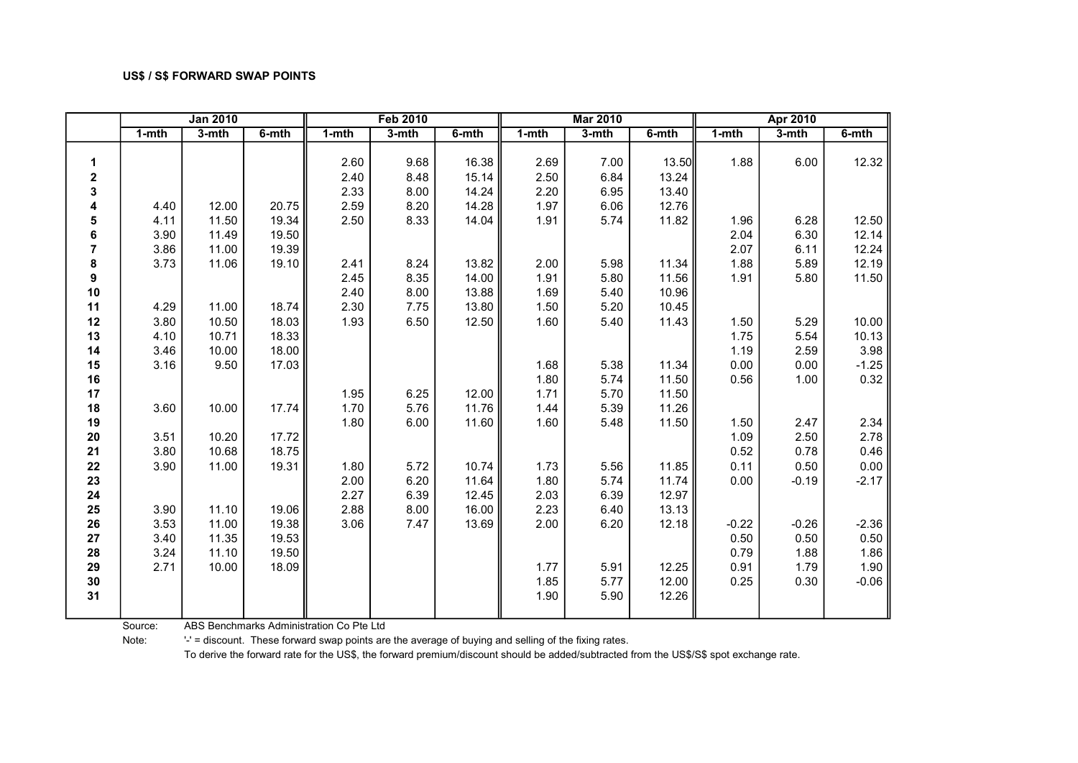|                  | <b>Jan 2010</b> |         |          |           | <b>Feb 2010</b> |          |           | <b>Mar 2010</b> |          |           | Apr 2010 |          |
|------------------|-----------------|---------|----------|-----------|-----------------|----------|-----------|-----------------|----------|-----------|----------|----------|
|                  | $1 - mth$       | $3-mth$ | $6-$ mth | $1 - mth$ | $3-mth$         | $6-$ mth | $1 - mth$ | $3-$ mth        | $6-$ mth | $1 - mth$ | $3-mth$  | $6-$ mth |
|                  |                 |         |          |           |                 |          |           |                 |          |           |          |          |
| 1                |                 |         |          | 2.60      | 9.68            | 16.38    | 2.69      | 7.00            | 13.50    | 1.88      | 6.00     | 12.32    |
| $\boldsymbol{2}$ |                 |         |          | 2.40      | 8.48            | 15.14    | 2.50      | 6.84            | 13.24    |           |          |          |
| 3                |                 |         |          | 2.33      | 8.00            | 14.24    | 2.20      | 6.95            | 13.40    |           |          |          |
| 4                | 4.40            | 12.00   | 20.75    | 2.59      | 8.20            | 14.28    | 1.97      | 6.06            | 12.76    |           |          |          |
| 5                | 4.11            | 11.50   | 19.34    | 2.50      | 8.33            | 14.04    | 1.91      | 5.74            | 11.82    | 1.96      | 6.28     | 12.50    |
| 6                | 3.90            | 11.49   | 19.50    |           |                 |          |           |                 |          | 2.04      | 6.30     | 12.14    |
| $\overline{7}$   | 3.86            | 11.00   | 19.39    |           |                 |          |           |                 |          | 2.07      | 6.11     | 12.24    |
| 8                | 3.73            | 11.06   | 19.10    | 2.41      | 8.24            | 13.82    | 2.00      | 5.98            | 11.34    | 1.88      | 5.89     | 12.19    |
| 9                |                 |         |          | 2.45      | 8.35            | 14.00    | 1.91      | 5.80            | 11.56    | 1.91      | 5.80     | 11.50    |
| 10               |                 |         |          | 2.40      | 8.00            | 13.88    | 1.69      | 5.40            | 10.96    |           |          |          |
| 11               | 4.29            | 11.00   | 18.74    | 2.30      | 7.75            | 13.80    | 1.50      | 5.20            | 10.45    |           |          |          |
| 12               | 3.80            | 10.50   | 18.03    | 1.93      | 6.50            | 12.50    | 1.60      | 5.40            | 11.43    | 1.50      | 5.29     | 10.00    |
| 13               | 4.10            | 10.71   | 18.33    |           |                 |          |           |                 |          | 1.75      | 5.54     | 10.13    |
| 14               | 3.46            | 10.00   | 18.00    |           |                 |          |           |                 |          | 1.19      | 2.59     | 3.98     |
| 15               | 3.16            | 9.50    | 17.03    |           |                 |          | 1.68      | 5.38            | 11.34    | 0.00      | 0.00     | $-1.25$  |
| 16               |                 |         |          |           |                 |          | 1.80      | 5.74            | 11.50    | 0.56      | 1.00     | 0.32     |
| 17               |                 |         |          | 1.95      | 6.25            | 12.00    | 1.71      | 5.70            | 11.50    |           |          |          |
| 18               | 3.60            | 10.00   | 17.74    | 1.70      | 5.76            | 11.76    | 1.44      | 5.39            | 11.26    |           |          |          |
| 19               |                 |         |          | 1.80      | 6.00            | 11.60    | 1.60      | 5.48            | 11.50    | 1.50      | 2.47     | 2.34     |
| 20               | 3.51            | 10.20   | 17.72    |           |                 |          |           |                 |          | 1.09      | 2.50     | 2.78     |
| 21               | 3.80            | 10.68   | 18.75    |           |                 |          |           |                 |          | 0.52      | 0.78     | 0.46     |
| 22               | 3.90            | 11.00   | 19.31    | 1.80      | 5.72            | 10.74    | 1.73      | 5.56            | 11.85    | 0.11      | 0.50     | 0.00     |
| 23               |                 |         |          | 2.00      | 6.20            | 11.64    | 1.80      | 5.74            | 11.74    | 0.00      | $-0.19$  | $-2.17$  |
| 24               |                 |         |          | 2.27      | 6.39            | 12.45    | 2.03      | 6.39            | 12.97    |           |          |          |
| 25               | 3.90            | 11.10   | 19.06    | 2.88      | 8.00            | 16.00    | 2.23      | 6.40            | 13.13    |           |          |          |
| 26               | 3.53            | 11.00   | 19.38    | 3.06      | 7.47            | 13.69    | 2.00      | 6.20            | 12.18    | $-0.22$   | $-0.26$  | $-2.36$  |
| 27               | 3.40            | 11.35   | 19.53    |           |                 |          |           |                 |          | 0.50      | 0.50     | 0.50     |
| 28               | 3.24            | 11.10   | 19.50    |           |                 |          |           |                 |          | 0.79      | 1.88     | 1.86     |
| 29               | 2.71            | 10.00   | 18.09    |           |                 |          | 1.77      | 5.91            | 12.25    | 0.91      | 1.79     | 1.90     |
| 30               |                 |         |          |           |                 |          | 1.85      | 5.77            | 12.00    | 0.25      | 0.30     | $-0.06$  |
| 31               |                 |         |          |           |                 |          | 1.90      | 5.90            | 12.26    |           |          |          |
|                  |                 |         |          |           |                 |          |           |                 |          |           |          |          |

Source: ABS Benchmarks Administration Co Pte Ltd

Note: '-' = discount. These forward swap points are the average of buying and selling of the fixing rates.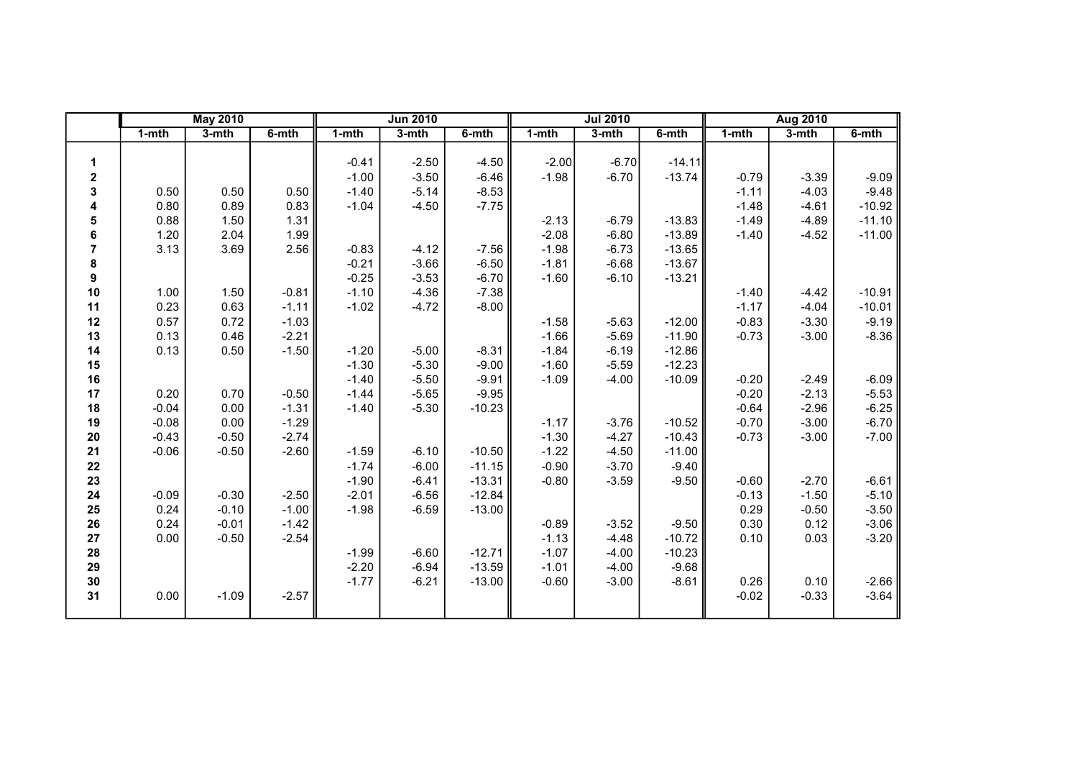|                |           | <b>May 2010</b> |         |         | <b>Jun 2010</b> |          |         | <b>Jul 2010</b> |          |           | <b>Aug 2010</b> |          |
|----------------|-----------|-----------------|---------|---------|-----------------|----------|---------|-----------------|----------|-----------|-----------------|----------|
|                | $1 - mth$ | $3-$ mth        | 6-mth   | $1-mth$ | 3-mth           | 6-mth    | 1-mth   | 3-mth           | 6-mth    | $1 - mth$ | $3-mth$         | 6-mth    |
|                |           |                 |         |         |                 |          |         |                 |          |           |                 |          |
| 1              |           |                 |         | $-0.41$ | $-2.50$         | $-4.50$  | $-2.00$ | $-6.70$         | $-14.11$ |           |                 |          |
| 2              |           |                 |         | $-1.00$ | $-3.50$         | $-6.46$  | $-1.98$ | $-6.70$         | $-13.74$ | $-0.79$   | $-3.39$         | $-9.09$  |
| 3              | 0.50      | 0.50            | 0.50    | $-1.40$ | $-5.14$         | $-8.53$  |         |                 |          | $-1.11$   | $-4.03$         | $-9.48$  |
| 4              | 0.80      | 0.89            | 0.83    | $-1.04$ | $-4.50$         | $-7.75$  |         |                 |          | $-1.48$   | $-4.61$         | $-10.92$ |
| 5              | 0.88      | 1.50            | 1.31    |         |                 |          | $-2.13$ | $-6.79$         | $-13.83$ | $-1.49$   | $-4.89$         | $-11.10$ |
| 6              | 1.20      | 2.04            | 1.99    |         |                 |          | $-2.08$ | $-6.80$         | $-13.89$ | $-1.40$   | $-4.52$         | $-11.00$ |
| $\overline{7}$ | 3.13      | 3.69            | 2.56    | $-0.83$ | $-4.12$         | $-7.56$  | $-1.98$ | $-6.73$         | $-13.65$ |           |                 |          |
| 8              |           |                 |         | $-0.21$ | $-3.66$         | $-6.50$  | $-1.81$ | $-6.68$         | $-13.67$ |           |                 |          |
| 9              |           |                 |         | $-0.25$ | $-3.53$         | $-6.70$  | $-1.60$ | $-6.10$         | $-13.21$ |           |                 |          |
| 10             | 1.00      | 1.50            | $-0.81$ | $-1.10$ | $-4.36$         | $-7.38$  |         |                 |          | $-1.40$   | $-4.42$         | $-10.91$ |
| 11             | 0.23      | 0.63            | $-1.11$ | $-1.02$ | $-4.72$         | $-8.00$  |         |                 |          | $-1.17$   | $-4.04$         | $-10.01$ |
| 12             | 0.57      | 0.72            | $-1.03$ |         |                 |          | $-1.58$ | $-5.63$         | $-12.00$ | $-0.83$   | $-3.30$         | $-9.19$  |
| 13             | 0.13      | 0.46            | $-2.21$ |         |                 |          | $-1.66$ | $-5.69$         | $-11.90$ | $-0.73$   | $-3.00$         | $-8.36$  |
| 14             | 0.13      | 0.50            | $-1.50$ | $-1.20$ | $-5.00$         | $-8.31$  | $-1.84$ | $-6.19$         | $-12.86$ |           |                 |          |
| 15             |           |                 |         | $-1.30$ | $-5.30$         | $-9.00$  | $-1.60$ | $-5.59$         | $-12.23$ |           |                 |          |
| 16             |           |                 |         | $-1.40$ | $-5.50$         | $-9.91$  | $-1.09$ | $-4.00$         | $-10.09$ | $-0.20$   | $-2.49$         | $-6.09$  |
| 17             | 0.20      | 0.70            | $-0.50$ | $-1.44$ | $-5.65$         | $-9.95$  |         |                 |          | $-0.20$   | $-2.13$         | $-5.53$  |
| 18             | $-0.04$   | 0.00            | $-1.31$ | $-1.40$ | $-5.30$         | $-10.23$ |         |                 |          | $-0.64$   | $-2.96$         | $-6.25$  |
| 19             | $-0.08$   | 0.00            | $-1.29$ |         |                 |          | $-1.17$ | $-3.76$         | $-10.52$ | $-0.70$   | $-3.00$         | $-6.70$  |
| 20             | $-0.43$   | $-0.50$         | $-2.74$ |         |                 |          | $-1.30$ | $-4.27$         | $-10.43$ | $-0.73$   | $-3.00$         | $-7.00$  |
| 21             | $-0.06$   | $-0.50$         | $-2.60$ | $-1.59$ | $-6.10$         | $-10.50$ | $-1.22$ | $-4.50$         | $-11.00$ |           |                 |          |
| 22             |           |                 |         | $-1.74$ | $-6.00$         | $-11.15$ | $-0.90$ | $-3.70$         | $-9.40$  |           |                 |          |
| 23             |           |                 |         | $-1.90$ | $-6.41$         | $-13.31$ | $-0.80$ | $-3.59$         | $-9.50$  | $-0.60$   | $-2.70$         | $-6.61$  |
| ${\bf 24}$     | $-0.09$   | $-0.30$         | $-2.50$ | $-2.01$ | $-6.56$         | $-12.84$ |         |                 |          | $-0.13$   | $-1.50$         | $-5.10$  |
| 25             | 0.24      | $-0.10$         | $-1.00$ | $-1.98$ | $-6.59$         | $-13.00$ |         |                 |          | 0.29      | $-0.50$         | $-3.50$  |
| 26             | 0.24      | $-0.01$         | $-1.42$ |         |                 |          | $-0.89$ | $-3.52$         | $-9.50$  | 0.30      | 0.12            | $-3.06$  |
| 27             | 0.00      | $-0.50$         | $-2.54$ |         |                 |          | $-1.13$ | $-4.48$         | $-10.72$ | 0.10      | 0.03            | $-3.20$  |
| 28             |           |                 |         | $-1.99$ | $-6.60$         | $-12.71$ | $-1.07$ | $-4.00$         | $-10.23$ |           |                 |          |
| 29             |           |                 |         | $-2.20$ | $-6.94$         | $-13.59$ | $-1.01$ | $-4.00$         | $-9.68$  |           |                 |          |
| 30             |           |                 |         | $-1.77$ | $-6.21$         | $-13.00$ | $-0.60$ | $-3.00$         | $-8.61$  | 0.26      | 0.10            | $-2.66$  |
| 31             | 0.00      | $-1.09$         | $-2.57$ |         |                 |          |         |                 |          | $-0.02$   | $-0.33$         | $-3.64$  |
|                |           |                 |         |         |                 |          |         |                 |          |           |                 |          |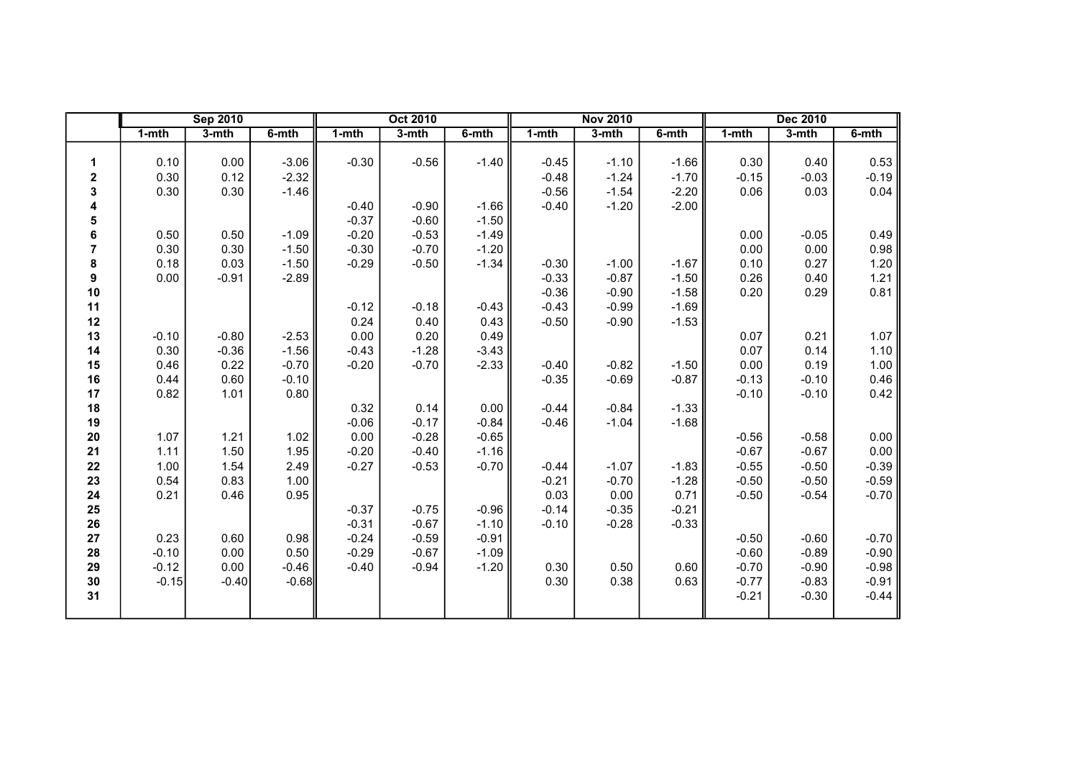|                |         | <b>Sep 2010</b> |         |           | <b>Oct 2010</b> |         |         | <b>Nov 2010</b> |         |           | <b>Dec 2010</b> |         |
|----------------|---------|-----------------|---------|-----------|-----------------|---------|---------|-----------------|---------|-----------|-----------------|---------|
|                | 1-mth   | $3-$ mth        | 6-mth   | $1 - mth$ | 3-mth           | 6-mth   | 1-mth   | 3-mth           | 6-mth   | $1 - mth$ | 3-mth           | 6-mth   |
|                |         |                 |         |           |                 |         |         |                 |         |           |                 |         |
| 1              | 0.10    | 0.00            | $-3.06$ | $-0.30$   | $-0.56$         | $-1.40$ | $-0.45$ | $-1.10$         | $-1.66$ | 0.30      | 0.40            | 0.53    |
| 2              | 0.30    | 0.12            | $-2.32$ |           |                 |         | $-0.48$ | $-1.24$         | $-1.70$ | $-0.15$   | $-0.03$         | $-0.19$ |
| 3              | 0.30    | 0.30            | $-1.46$ |           |                 |         | $-0.56$ | $-1.54$         | $-2.20$ | 0.06      | 0.03            | 0.04    |
| 4              |         |                 |         | $-0.40$   | $-0.90$         | $-1.66$ | $-0.40$ | $-1.20$         | $-2.00$ |           |                 |         |
| 5              |         |                 |         | $-0.37$   | $-0.60$         | $-1.50$ |         |                 |         |           |                 |         |
| 6              | 0.50    | 0.50            | $-1.09$ | $-0.20$   | $-0.53$         | $-1.49$ |         |                 |         | 0.00      | $-0.05$         | 0.49    |
| $\overline{7}$ | 0.30    | 0.30            | $-1.50$ | $-0.30$   | $-0.70$         | $-1.20$ |         |                 |         | 0.00      | 0.00            | 0.98    |
| 8              | 0.18    | 0.03            | $-1.50$ | $-0.29$   | $-0.50$         | $-1.34$ | $-0.30$ | $-1.00$         | $-1.67$ | 0.10      | 0.27            | 1.20    |
| 9              | 0.00    | $-0.91$         | $-2.89$ |           |                 |         | $-0.33$ | $-0.87$         | $-1.50$ | 0.26      | 0.40            | 1.21    |
| 10             |         |                 |         |           |                 |         | $-0.36$ | $-0.90$         | $-1.58$ | 0.20      | 0.29            | 0.81    |
| 11             |         |                 |         | $-0.12$   | $-0.18$         | $-0.43$ | $-0.43$ | $-0.99$         | $-1.69$ |           |                 |         |
| 12             |         |                 |         | 0.24      | 0.40            | 0.43    | $-0.50$ | $-0.90$         | $-1.53$ |           |                 |         |
| 13             | $-0.10$ | $-0.80$         | $-2.53$ | 0.00      | 0.20            | 0.49    |         |                 |         | 0.07      | 0.21            | 1.07    |
| 14             | 0.30    | $-0.36$         | $-1.56$ | $-0.43$   | $-1.28$         | $-3.43$ |         |                 |         | 0.07      | 0.14            | 1.10    |
| 15             | 0.46    | 0.22            | $-0.70$ | $-0.20$   | $-0.70$         | $-2.33$ | $-0.40$ | $-0.82$         | $-1.50$ | 0.00      | 0.19            | 1.00    |
| 16             | 0.44    | 0.60            | $-0.10$ |           |                 |         | $-0.35$ | $-0.69$         | $-0.87$ | $-0.13$   | $-0.10$         | 0.46    |
| 17             | 0.82    | 1.01            | 0.80    |           |                 |         |         |                 |         | $-0.10$   | $-0.10$         | 0.42    |
| 18             |         |                 |         | 0.32      | 0.14            | 0.00    | $-0.44$ | $-0.84$         | $-1.33$ |           |                 |         |
| 19             |         |                 |         | $-0.06$   | $-0.17$         | $-0.84$ | $-0.46$ | $-1.04$         | $-1.68$ |           |                 |         |
| 20             | 1.07    | 1.21            | 1.02    | 0.00      | $-0.28$         | $-0.65$ |         |                 |         | $-0.56$   | $-0.58$         | 0.00    |
| 21             | 1.11    | 1.50            | 1.95    | $-0.20$   | $-0.40$         | $-1.16$ |         |                 |         | $-0.67$   | $-0.67$         | 0.00    |
| 22             | 1.00    | 1.54            | 2.49    | $-0.27$   | $-0.53$         | $-0.70$ | $-0.44$ | $-1.07$         | $-1.83$ | $-0.55$   | $-0.50$         | $-0.39$ |
| 23             | 0.54    | 0.83            | 1.00    |           |                 |         | $-0.21$ | $-0.70$         | $-1.28$ | $-0.50$   | $-0.50$         | $-0.59$ |
| 24             | 0.21    | 0.46            | 0.95    |           |                 |         | 0.03    | 0.00            | 0.71    | $-0.50$   | $-0.54$         | $-0.70$ |
| 25             |         |                 |         | $-0.37$   | $-0.75$         | $-0.96$ | $-0.14$ | $-0.35$         | $-0.21$ |           |                 |         |
| 26             |         |                 |         | $-0.31$   | $-0.67$         | $-1.10$ | $-0.10$ | $-0.28$         | $-0.33$ |           |                 |         |
| 27             | 0.23    | 0.60            | 0.98    | $-0.24$   | $-0.59$         | $-0.91$ |         |                 |         | $-0.50$   | $-0.60$         | $-0.70$ |
| 28             | $-0.10$ | 0.00            | 0.50    | $-0.29$   | $-0.67$         | $-1.09$ |         |                 |         | $-0.60$   | $-0.89$         | $-0.90$ |
| 29             | $-0.12$ | 0.00            | $-0.46$ | $-0.40$   | $-0.94$         | $-1.20$ | 0.30    | 0.50            | 0.60    | $-0.70$   | $-0.90$         | $-0.98$ |
| 30             | $-0.15$ | $-0.40$         | $-0.68$ |           |                 |         | 0.30    | 0.38            | 0.63    | $-0.77$   | $-0.83$         | $-0.91$ |
| 31             |         |                 |         |           |                 |         |         |                 |         | $-0.21$   | $-0.30$         | $-0.44$ |
|                |         |                 |         |           |                 |         |         |                 |         |           |                 |         |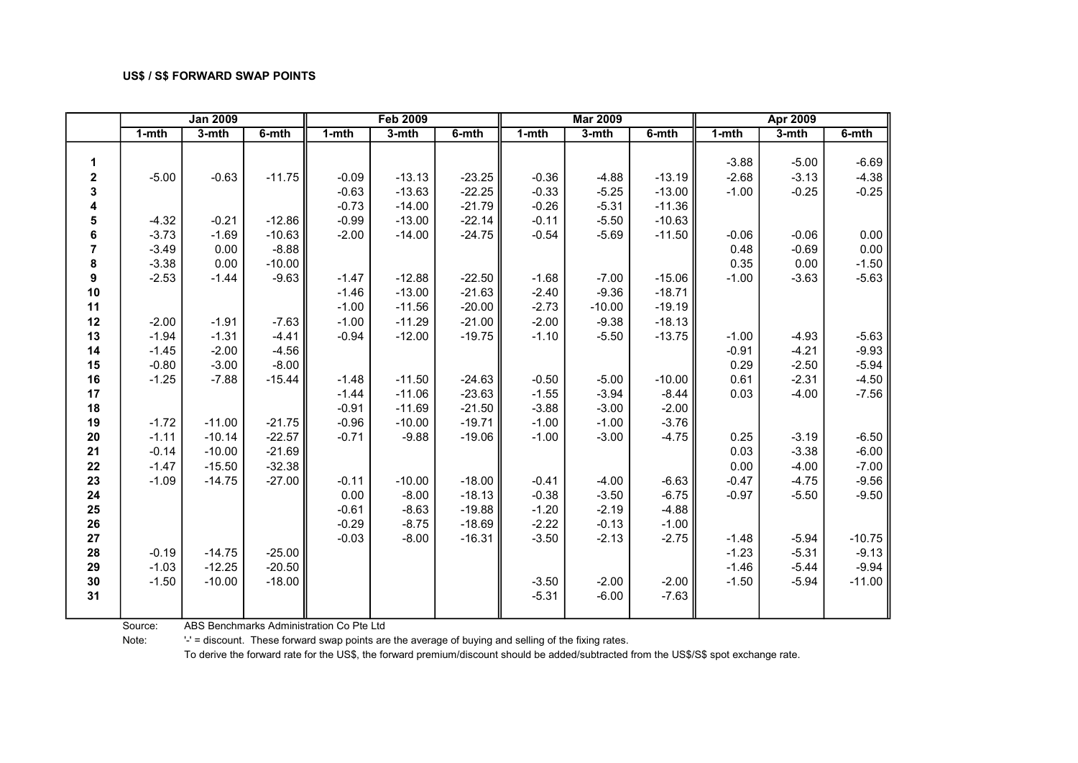|                  | <b>Jan 2009</b> |          |          |           | <b>Feb 2009</b> |          |           | <b>Mar 2009</b> |          |           | <b>Apr 2009</b> |          |
|------------------|-----------------|----------|----------|-----------|-----------------|----------|-----------|-----------------|----------|-----------|-----------------|----------|
|                  | $1 - mth$       | $3-mth$  | $6-$ mth | $1 - mth$ | $3-$ mth        | $6-$ mth | $1 - mth$ | $3-$ mth        | $6-$ mth | $1 - mth$ | $3-mth$         | $6-$ mth |
|                  |                 |          |          |           |                 |          |           |                 |          |           |                 |          |
| 1                |                 |          |          |           |                 |          |           |                 |          | $-3.88$   | $-5.00$         | $-6.69$  |
| $\mathbf 2$      | $-5.00$         | $-0.63$  | $-11.75$ | $-0.09$   | $-13.13$        | $-23.25$ | $-0.36$   | $-4.88$         | $-13.19$ | $-2.68$   | $-3.13$         | $-4.38$  |
| 3                |                 |          |          | $-0.63$   | $-13.63$        | $-22.25$ | $-0.33$   | $-5.25$         | $-13.00$ | $-1.00$   | $-0.25$         | $-0.25$  |
| 4                |                 |          |          | $-0.73$   | $-14.00$        | $-21.79$ | $-0.26$   | $-5.31$         | $-11.36$ |           |                 |          |
| 5                | $-4.32$         | $-0.21$  | $-12.86$ | $-0.99$   | $-13.00$        | $-22.14$ | $-0.11$   | $-5.50$         | $-10.63$ |           |                 |          |
| 6                | $-3.73$         | $-1.69$  | $-10.63$ | $-2.00$   | $-14.00$        | $-24.75$ | $-0.54$   | $-5.69$         | $-11.50$ | $-0.06$   | $-0.06$         | 0.00     |
| $\overline{7}$   | $-3.49$         | 0.00     | $-8.88$  |           |                 |          |           |                 |          | 0.48      | $-0.69$         | 0.00     |
| 8                | $-3.38$         | 0.00     | $-10.00$ |           |                 |          |           |                 |          | 0.35      | 0.00            | $-1.50$  |
| $\boldsymbol{9}$ | $-2.53$         | $-1.44$  | $-9.63$  | $-1.47$   | $-12.88$        | $-22.50$ | $-1.68$   | $-7.00$         | $-15.06$ | $-1.00$   | $-3.63$         | $-5.63$  |
| 10               |                 |          |          | $-1.46$   | $-13.00$        | $-21.63$ | $-2.40$   | $-9.36$         | $-18.71$ |           |                 |          |
| 11               |                 |          |          | $-1.00$   | $-11.56$        | $-20.00$ | $-2.73$   | $-10.00$        | $-19.19$ |           |                 |          |
| 12               | $-2.00$         | $-1.91$  | $-7.63$  | $-1.00$   | $-11.29$        | $-21.00$ | $-2.00$   | $-9.38$         | $-18.13$ |           |                 |          |
| 13               | $-1.94$         | $-1.31$  | $-4.41$  | $-0.94$   | $-12.00$        | $-19.75$ | $-1.10$   | $-5.50$         | $-13.75$ | $-1.00$   | $-4.93$         | $-5.63$  |
| 14               | $-1.45$         | $-2.00$  | $-4.56$  |           |                 |          |           |                 |          | $-0.91$   | $-4.21$         | $-9.93$  |
| 15               | $-0.80$         | $-3.00$  | $-8.00$  |           |                 |          |           |                 |          | 0.29      | $-2.50$         | $-5.94$  |
| 16               | $-1.25$         | $-7.88$  | $-15.44$ | $-1.48$   | $-11.50$        | $-24.63$ | $-0.50$   | $-5.00$         | $-10.00$ | 0.61      | $-2.31$         | $-4.50$  |
| 17               |                 |          |          | $-1.44$   | $-11.06$        | $-23.63$ | $-1.55$   | $-3.94$         | $-8.44$  | 0.03      | $-4.00$         | $-7.56$  |
| 18               |                 |          |          | $-0.91$   | $-11.69$        | $-21.50$ | $-3.88$   | $-3.00$         | $-2.00$  |           |                 |          |
| 19               | $-1.72$         | $-11.00$ | $-21.75$ | $-0.96$   | $-10.00$        | $-19.71$ | $-1.00$   | $-1.00$         | $-3.76$  |           |                 |          |
| 20               | $-1.11$         | $-10.14$ | $-22.57$ | $-0.71$   | $-9.88$         | $-19.06$ | $-1.00$   | $-3.00$         | $-4.75$  | 0.25      | $-3.19$         | $-6.50$  |
| 21               | $-0.14$         | $-10.00$ | $-21.69$ |           |                 |          |           |                 |          | 0.03      | $-3.38$         | $-6.00$  |
| 22               | $-1.47$         | $-15.50$ | $-32.38$ |           |                 |          |           |                 |          | 0.00      | $-4.00$         | $-7.00$  |
| 23               | $-1.09$         | $-14.75$ | $-27.00$ | $-0.11$   | $-10.00$        | $-18.00$ | $-0.41$   | $-4.00$         | $-6.63$  | $-0.47$   | $-4.75$         | $-9.56$  |
| 24               |                 |          |          | 0.00      | $-8.00$         | $-18.13$ | $-0.38$   | $-3.50$         | $-6.75$  | $-0.97$   | $-5.50$         | $-9.50$  |
| 25               |                 |          |          | $-0.61$   | $-8.63$         | $-19.88$ | $-1.20$   | $-2.19$         | $-4.88$  |           |                 |          |
| 26               |                 |          |          | $-0.29$   | $-8.75$         | $-18.69$ | $-2.22$   | $-0.13$         | $-1.00$  |           |                 |          |
| 27               |                 |          |          | $-0.03$   | $-8.00$         | $-16.31$ | $-3.50$   | $-2.13$         | $-2.75$  | $-1.48$   | $-5.94$         | $-10.75$ |
| 28               | $-0.19$         | $-14.75$ | $-25.00$ |           |                 |          |           |                 |          | $-1.23$   | $-5.31$         | $-9.13$  |
| 29               | $-1.03$         | $-12.25$ | $-20.50$ |           |                 |          |           |                 |          | $-1.46$   | $-5.44$         | $-9.94$  |
| 30               | $-1.50$         | $-10.00$ | $-18.00$ |           |                 |          | $-3.50$   | $-2.00$         | $-2.00$  | $-1.50$   | $-5.94$         | $-11.00$ |
| 31               |                 |          |          |           |                 |          | $-5.31$   | $-6.00$         | $-7.63$  |           |                 |          |

Source: ABS Benchmarks Administration Co Pte Ltd

Note: '-' = discount. These forward swap points are the average of buying and selling of the fixing rates.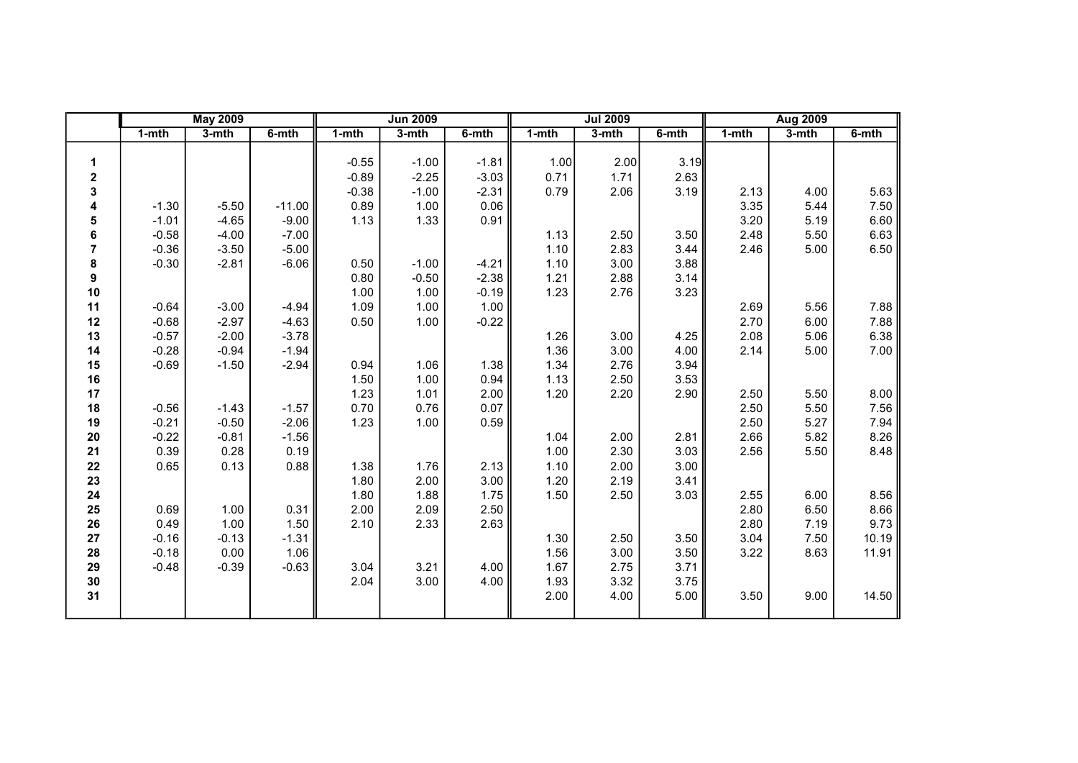|                |           | <b>May 2009</b> |          |           | <b>Jun 2009</b> |         |       | <b>Jul 2009</b> |       |           | <b>Aug 2009</b> |       |
|----------------|-----------|-----------------|----------|-----------|-----------------|---------|-------|-----------------|-------|-----------|-----------------|-------|
|                | $1 - mth$ | $3-$ mth        | 6-mth    | $1 - mth$ | $3-$ mth        | 6-mth   | 1-mth | 3-mth           | 6-mth | $1 - mth$ | $3-mth$         | 6-mth |
|                |           |                 |          |           |                 |         |       |                 |       |           |                 |       |
| 1              |           |                 |          | $-0.55$   | $-1.00$         | $-1.81$ | 1.00  | 2.00            | 3.19  |           |                 |       |
| 2              |           |                 |          | $-0.89$   | $-2.25$         | $-3.03$ | 0.71  | 1.71            | 2.63  |           |                 |       |
| 3              |           |                 |          | $-0.38$   | $-1.00$         | $-2.31$ | 0.79  | 2.06            | 3.19  | 2.13      | 4.00            | 5.63  |
| 4              | $-1.30$   | $-5.50$         | $-11.00$ | 0.89      | 1.00            | 0.06    |       |                 |       | 3.35      | 5.44            | 7.50  |
| 5              | $-1.01$   | $-4.65$         | $-9.00$  | 1.13      | 1.33            | 0.91    |       |                 |       | 3.20      | 5.19            | 6.60  |
| 6              | $-0.58$   | $-4.00$         | $-7.00$  |           |                 |         | 1.13  | 2.50            | 3.50  | 2.48      | 5.50            | 6.63  |
| $\overline{7}$ | $-0.36$   | $-3.50$         | $-5.00$  |           |                 |         | 1.10  | 2.83            | 3.44  | 2.46      | 5.00            | 6.50  |
| 8              | $-0.30$   | $-2.81$         | $-6.06$  | 0.50      | $-1.00$         | $-4.21$ | 1.10  | 3.00            | 3.88  |           |                 |       |
| 9              |           |                 |          | 0.80      | $-0.50$         | $-2.38$ | 1.21  | 2.88            | 3.14  |           |                 |       |
| 10             |           |                 |          | 1.00      | 1.00            | $-0.19$ | 1.23  | 2.76            | 3.23  |           |                 |       |
| 11             | $-0.64$   | $-3.00$         | $-4.94$  | 1.09      | 1.00            | 1.00    |       |                 |       | 2.69      | 5.56            | 7.88  |
| 12             | $-0.68$   | $-2.97$         | $-4.63$  | 0.50      | 1.00            | $-0.22$ |       |                 |       | 2.70      | 6.00            | 7.88  |
| 13             | $-0.57$   | $-2.00$         | $-3.78$  |           |                 |         | 1.26  | 3.00            | 4.25  | 2.08      | 5.06            | 6.38  |
| 14             | $-0.28$   | $-0.94$         | $-1.94$  |           |                 |         | 1.36  | 3.00            | 4.00  | 2.14      | 5.00            | 7.00  |
| 15             | $-0.69$   | $-1.50$         | $-2.94$  | 0.94      | 1.06            | 1.38    | 1.34  | 2.76            | 3.94  |           |                 |       |
| 16             |           |                 |          | 1.50      | 1.00            | 0.94    | 1.13  | 2.50            | 3.53  |           |                 |       |
| 17             |           |                 |          | 1.23      | 1.01            | 2.00    | 1.20  | 2.20            | 2.90  | 2.50      | 5.50            | 8.00  |
| 18             | $-0.56$   | $-1.43$         | $-1.57$  | 0.70      | 0.76            | 0.07    |       |                 |       | 2.50      | 5.50            | 7.56  |
| 19             | $-0.21$   | $-0.50$         | $-2.06$  | 1.23      | 1.00            | 0.59    |       |                 |       | 2.50      | 5.27            | 7.94  |
| 20             | $-0.22$   | $-0.81$         | $-1.56$  |           |                 |         | 1.04  | 2.00            | 2.81  | 2.66      | 5.82            | 8.26  |
| 21             | 0.39      | 0.28            | 0.19     |           |                 |         | 1.00  | 2.30            | 3.03  | 2.56      | 5.50            | 8.48  |
| 22             | 0.65      | 0.13            | 0.88     | 1.38      | 1.76            | 2.13    | 1.10  | 2.00            | 3.00  |           |                 |       |
| 23             |           |                 |          | 1.80      | 2.00            | 3.00    | 1.20  | 2.19            | 3.41  |           |                 |       |
| 24             |           |                 |          | 1.80      | 1.88            | 1.75    | 1.50  | 2.50            | 3.03  | 2.55      | 6.00            | 8.56  |
| 25             | 0.69      | 1.00            | 0.31     | 2.00      | 2.09            | 2.50    |       |                 |       | 2.80      | 6.50            | 8.66  |
| 26             | 0.49      | 1.00            | 1.50     | 2.10      | 2.33            | 2.63    |       |                 |       | 2.80      | 7.19            | 9.73  |
| 27             | $-0.16$   | $-0.13$         | $-1.31$  |           |                 |         | 1.30  | 2.50            | 3.50  | 3.04      | 7.50            | 10.19 |
| 28             | $-0.18$   | 0.00            | 1.06     |           |                 |         | 1.56  | 3.00            | 3.50  | 3.22      | 8.63            | 11.91 |
| 29             | $-0.48$   | $-0.39$         | $-0.63$  | 3.04      | 3.21            | 4.00    | 1.67  | 2.75            | 3.71  |           |                 |       |
| 30             |           |                 |          | 2.04      | 3.00            | 4.00    | 1.93  | 3.32            | 3.75  |           |                 |       |
| 31             |           |                 |          |           |                 |         | 2.00  | 4.00            | 5.00  | 3.50      | 9.00            | 14.50 |
|                |           |                 |          |           |                 |         |       |                 |       |           |                 |       |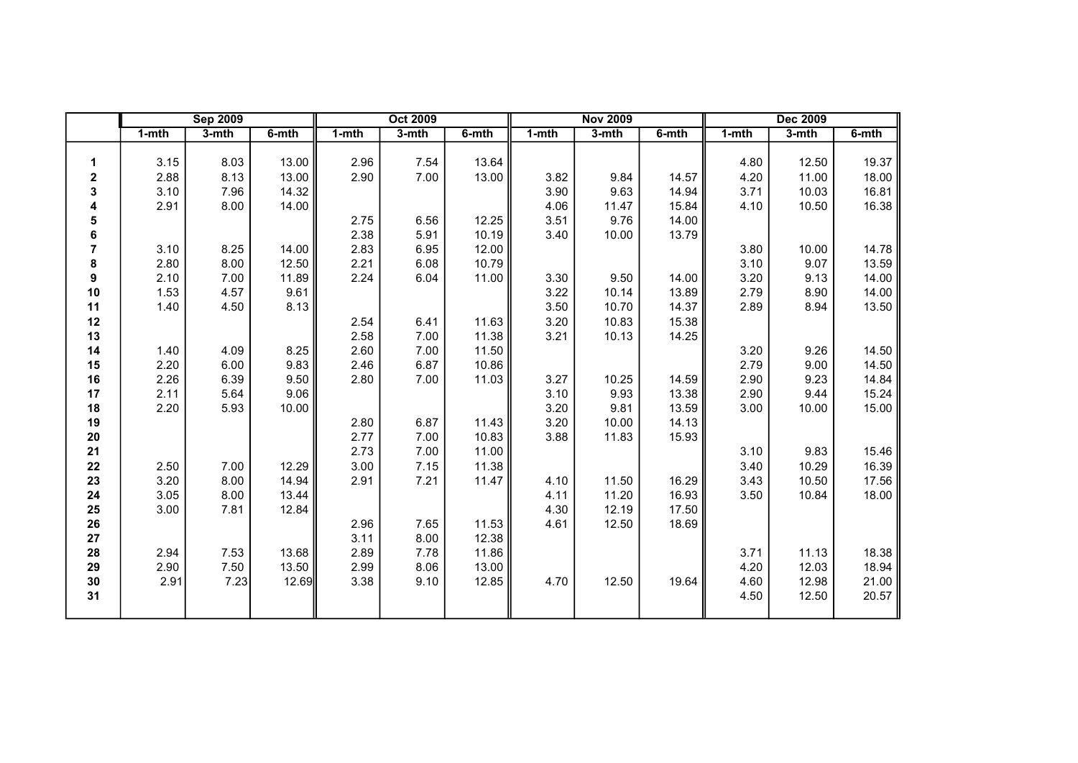|                         |           | <b>Sep 2009</b> |       |       | <b>Oct 2009</b> |       |       | <b>Nov 2009</b> |       |           | <b>Dec 2009</b> |       |
|-------------------------|-----------|-----------------|-------|-------|-----------------|-------|-------|-----------------|-------|-----------|-----------------|-------|
|                         | $1 - mth$ | $3-$ mth        | 6-mth | 1-mth | 3-mth           | 6-mth | 1-mth | 3-mth           | 6-mth | $1 - mth$ | 3-mth           | 6-mth |
|                         |           |                 |       |       |                 |       |       |                 |       |           |                 |       |
| 1                       | 3.15      | 8.03            | 13.00 | 2.96  | 7.54            | 13.64 |       |                 |       | 4.80      | 12.50           | 19.37 |
| $\mathbf 2$             | 2.88      | 8.13            | 13.00 | 2.90  | 7.00            | 13.00 | 3.82  | 9.84            | 14.57 | 4.20      | 11.00           | 18.00 |
| 3                       | 3.10      | 7.96            | 14.32 |       |                 |       | 3.90  | 9.63            | 14.94 | 3.71      | 10.03           | 16.81 |
| 4                       | 2.91      | 8.00            | 14.00 |       |                 |       | 4.06  | 11.47           | 15.84 | 4.10      | 10.50           | 16.38 |
| 5                       |           |                 |       | 2.75  | 6.56            | 12.25 | 3.51  | 9.76            | 14.00 |           |                 |       |
| 6                       |           |                 |       | 2.38  | 5.91            | 10.19 | 3.40  | 10.00           | 13.79 |           |                 |       |
| $\overline{\mathbf{7}}$ | 3.10      | 8.25            | 14.00 | 2.83  | 6.95            | 12.00 |       |                 |       | 3.80      | 10.00           | 14.78 |
| 8                       | 2.80      | 8.00            | 12.50 | 2.21  | 6.08            | 10.79 |       |                 |       | 3.10      | 9.07            | 13.59 |
| 9                       | 2.10      | 7.00            | 11.89 | 2.24  | 6.04            | 11.00 | 3.30  | 9.50            | 14.00 | 3.20      | 9.13            | 14.00 |
| $10$                    | 1.53      | 4.57            | 9.61  |       |                 |       | 3.22  | 10.14           | 13.89 | 2.79      | 8.90            | 14.00 |
| 11                      | 1.40      | 4.50            | 8.13  |       |                 |       | 3.50  | 10.70           | 14.37 | 2.89      | 8.94            | 13.50 |
| 12                      |           |                 |       | 2.54  | 6.41            | 11.63 | 3.20  | 10.83           | 15.38 |           |                 |       |
| 13                      |           |                 |       | 2.58  | 7.00            | 11.38 | 3.21  | 10.13           | 14.25 |           |                 |       |
| 14                      | 1.40      | 4.09            | 8.25  | 2.60  | 7.00            | 11.50 |       |                 |       | 3.20      | 9.26            | 14.50 |
| 15                      | 2.20      | 6.00            | 9.83  | 2.46  | 6.87            | 10.86 |       |                 |       | 2.79      | 9.00            | 14.50 |
| 16                      | 2.26      | 6.39            | 9.50  | 2.80  | 7.00            | 11.03 | 3.27  | 10.25           | 14.59 | 2.90      | 9.23            | 14.84 |
| 17                      | 2.11      | 5.64            | 9.06  |       |                 |       | 3.10  | 9.93            | 13.38 | 2.90      | 9.44            | 15.24 |
| 18                      | 2.20      | 5.93            | 10.00 |       |                 |       | 3.20  | 9.81            | 13.59 | 3.00      | 10.00           | 15.00 |
| 19                      |           |                 |       | 2.80  | 6.87            | 11.43 | 3.20  | 10.00           | 14.13 |           |                 |       |
| $20\,$                  |           |                 |       | 2.77  | 7.00            | 10.83 | 3.88  | 11.83           | 15.93 |           |                 |       |
| 21                      |           |                 |       | 2.73  | 7.00            | 11.00 |       |                 |       | 3.10      | 9.83            | 15.46 |
| 22                      | 2.50      | 7.00            | 12.29 | 3.00  | 7.15            | 11.38 |       |                 |       | 3.40      | 10.29           | 16.39 |
| 23                      | 3.20      | 8.00            | 14.94 | 2.91  | 7.21            | 11.47 | 4.10  | 11.50           | 16.29 | 3.43      | 10.50           | 17.56 |
| 24                      | 3.05      | 8.00            | 13.44 |       |                 |       | 4.11  | 11.20           | 16.93 | 3.50      | 10.84           | 18.00 |
| 25                      | 3.00      | 7.81            | 12.84 |       |                 |       | 4.30  | 12.19           | 17.50 |           |                 |       |
| 26                      |           |                 |       | 2.96  | 7.65            | 11.53 | 4.61  | 12.50           | 18.69 |           |                 |       |
| 27                      |           |                 |       | 3.11  | 8.00            | 12.38 |       |                 |       |           |                 |       |
| 28                      | 2.94      | 7.53            | 13.68 | 2.89  | 7.78            | 11.86 |       |                 |       | 3.71      | 11.13           | 18.38 |
| 29                      | 2.90      | 7.50            | 13.50 | 2.99  | 8.06            | 13.00 |       |                 |       | 4.20      | 12.03           | 18.94 |
| 30                      | 2.91      | 7.23            | 12.69 | 3.38  | 9.10            | 12.85 | 4.70  | 12.50           | 19.64 | 4.60      | 12.98           | 21.00 |
| 31                      |           |                 |       |       |                 |       |       |                 |       | 4.50      | 12.50           | 20.57 |
|                         |           |                 |       |       |                 |       |       |                 |       |           |                 |       |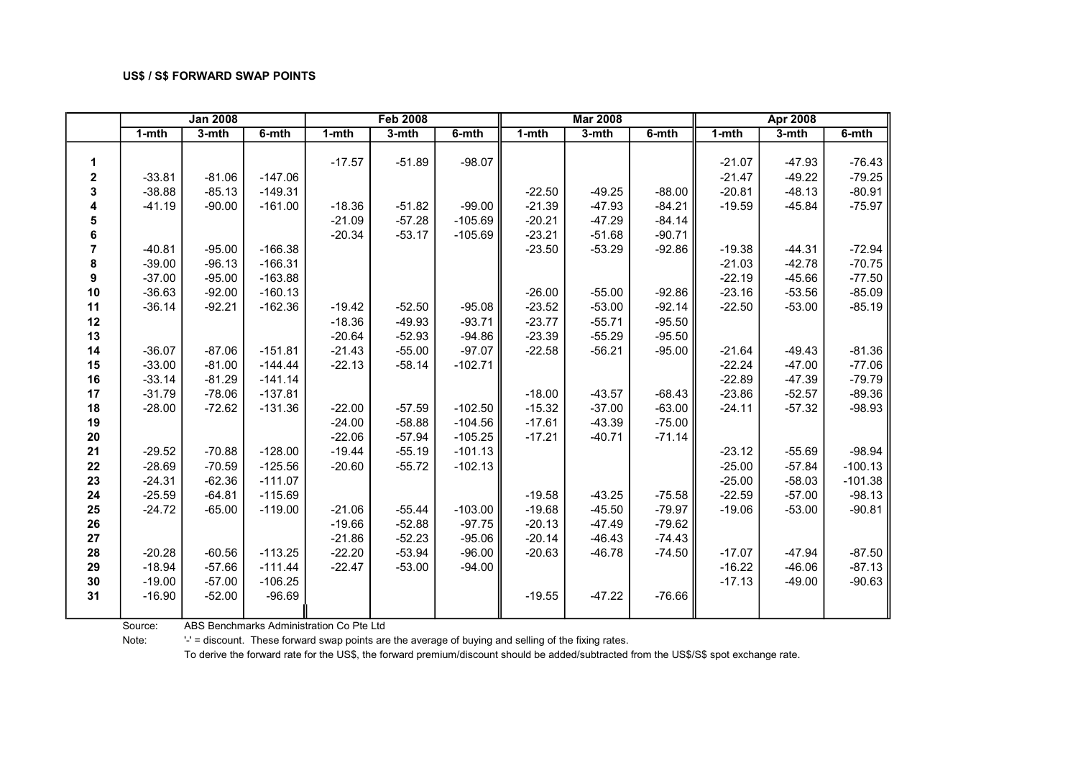|                |           | <b>Jan 2008</b> |           |           | <b>Feb 2008</b> |           |           | <b>Mar 2008</b> |          |           | <b>Apr 2008</b> |           |
|----------------|-----------|-----------------|-----------|-----------|-----------------|-----------|-----------|-----------------|----------|-----------|-----------------|-----------|
|                | $1 - mth$ | $3-$ mth        | $6-$ mth  | $1 - mth$ | $3-$ mth        | 6-mth     | $1 - mth$ | 3-mth           | $6-$ mth | $1 - mth$ | $3-mth$         | 6-mth     |
|                |           |                 |           |           |                 |           |           |                 |          |           |                 |           |
| 1              |           |                 |           | $-17.57$  | $-51.89$        | $-98.07$  |           |                 |          | $-21.07$  | $-47.93$        | $-76.43$  |
| 2              | $-33.81$  | $-81.06$        | $-147.06$ |           |                 |           |           |                 |          | $-21.47$  | $-49.22$        | $-79.25$  |
| 3              | $-38.88$  | $-85.13$        | $-149.31$ |           |                 |           | $-22.50$  | $-49.25$        | $-88.00$ | $-20.81$  | $-48.13$        | $-80.91$  |
| 4              | $-41.19$  | $-90.00$        | $-161.00$ | $-18.36$  | $-51.82$        | $-99.00$  | $-21.39$  | $-47.93$        | $-84.21$ | $-19.59$  | $-45.84$        | $-75.97$  |
| 5              |           |                 |           | $-21.09$  | $-57.28$        | $-105.69$ | $-20.21$  | $-47.29$        | $-84.14$ |           |                 |           |
| 6              |           |                 |           | $-20.34$  | $-53.17$        | $-105.69$ | $-23.21$  | $-51.68$        | $-90.71$ |           |                 |           |
| $\overline{7}$ | $-40.81$  | $-95.00$        | $-166.38$ |           |                 |           | $-23.50$  | $-53.29$        | $-92.86$ | $-19.38$  | $-44.31$        | $-72.94$  |
| 8              | $-39.00$  | $-96.13$        | $-166.31$ |           |                 |           |           |                 |          | $-21.03$  | $-42.78$        | $-70.75$  |
| 9              | $-37.00$  | $-95.00$        | $-163.88$ |           |                 |           |           |                 |          | $-22.19$  | $-45.66$        | $-77.50$  |
| 10             | $-36.63$  | $-92.00$        | $-160.13$ |           |                 |           | $-26.00$  | $-55.00$        | $-92.86$ | $-23.16$  | $-53.56$        | $-85.09$  |
| 11             | $-36.14$  | $-92.21$        | $-162.36$ | $-19.42$  | $-52.50$        | $-95.08$  | $-23.52$  | $-53.00$        | $-92.14$ | $-22.50$  | $-53.00$        | $-85.19$  |
| 12             |           |                 |           | $-18.36$  | $-49.93$        | $-93.71$  | $-23.77$  | $-55.71$        | $-95.50$ |           |                 |           |
| 13             |           |                 |           | $-20.64$  | $-52.93$        | $-94.86$  | $-23.39$  | $-55.29$        | $-95.50$ |           |                 |           |
| 14             | $-36.07$  | $-87.06$        | $-151.81$ | $-21.43$  | $-55.00$        | $-97.07$  | $-22.58$  | $-56.21$        | $-95.00$ | $-21.64$  | $-49.43$        | $-81.36$  |
| 15             | $-33.00$  | $-81.00$        | $-144.44$ | $-22.13$  | $-58.14$        | $-102.71$ |           |                 |          | $-22.24$  | $-47.00$        | $-77.06$  |
| 16             | $-33.14$  | $-81.29$        | $-141.14$ |           |                 |           |           |                 |          | $-22.89$  | $-47.39$        | $-79.79$  |
| 17             | $-31.79$  | $-78.06$        | $-137.81$ |           |                 |           | $-18.00$  | $-43.57$        | -68.43   | $-23.86$  | $-52.57$        | $-89.36$  |
| 18             | $-28.00$  | $-72.62$        | $-131.36$ | $-22.00$  | $-57.59$        | $-102.50$ | $-15.32$  | $-37.00$        | $-63.00$ | $-24.11$  | $-57.32$        | $-98.93$  |
| 19             |           |                 |           | $-24.00$  | $-58.88$        | $-104.56$ | $-17.61$  | $-43.39$        | $-75.00$ |           |                 |           |
| 20             |           |                 |           | $-22.06$  | $-57.94$        | $-105.25$ | $-17.21$  | $-40.71$        | $-71.14$ |           |                 |           |
| 21             | $-29.52$  | $-70.88$        | $-128.00$ | $-19.44$  | $-55.19$        | $-101.13$ |           |                 |          | $-23.12$  | $-55.69$        | $-98.94$  |
| 22             | $-28.69$  | $-70.59$        | $-125.56$ | $-20.60$  | $-55.72$        | $-102.13$ |           |                 |          | $-25.00$  | $-57.84$        | $-100.13$ |
| 23             | $-24.31$  | $-62.36$        | $-111.07$ |           |                 |           |           |                 |          | $-25.00$  | $-58.03$        | $-101.38$ |
| 24             | $-25.59$  | $-64.81$        | $-115.69$ |           |                 |           | $-19.58$  | $-43.25$        | $-75.58$ | $-22.59$  | $-57.00$        | $-98.13$  |
| 25             | $-24.72$  | $-65.00$        | $-119.00$ | $-21.06$  | $-55.44$        | $-103.00$ | $-19.68$  | $-45.50$        | $-79.97$ | $-19.06$  | $-53.00$        | $-90.81$  |
| 26             |           |                 |           | $-19.66$  | $-52.88$        | $-97.75$  | $-20.13$  | $-47.49$        | -79.62   |           |                 |           |
| 27             |           |                 |           | $-21.86$  | $-52.23$        | $-95.06$  | $-20.14$  | $-46.43$        | $-74.43$ |           |                 |           |
| 28             | $-20.28$  | $-60.56$        | $-113.25$ | $-22.20$  | $-53.94$        | $-96.00$  | $-20.63$  | $-46.78$        | $-74.50$ | $-17.07$  | $-47.94$        | $-87.50$  |
| 29             | $-18.94$  | $-57.66$        | $-111.44$ | $-22.47$  | $-53.00$        | $-94.00$  |           |                 |          | $-16.22$  | $-46.06$        | $-87.13$  |
| 30             | $-19.00$  | $-57.00$        | $-106.25$ |           |                 |           |           |                 |          | $-17.13$  | $-49.00$        | $-90.63$  |
| 31             | $-16.90$  | $-52.00$        | $-96.69$  |           |                 |           | $-19.55$  | $-47.22$        | $-76.66$ |           |                 |           |
|                |           |                 |           |           |                 |           |           |                 |          |           |                 |           |

Source: ABS Benchmarks Administration Co Pte Ltd

Note: '-' = discount. These forward swap points are the average of buying and selling of the fixing rates.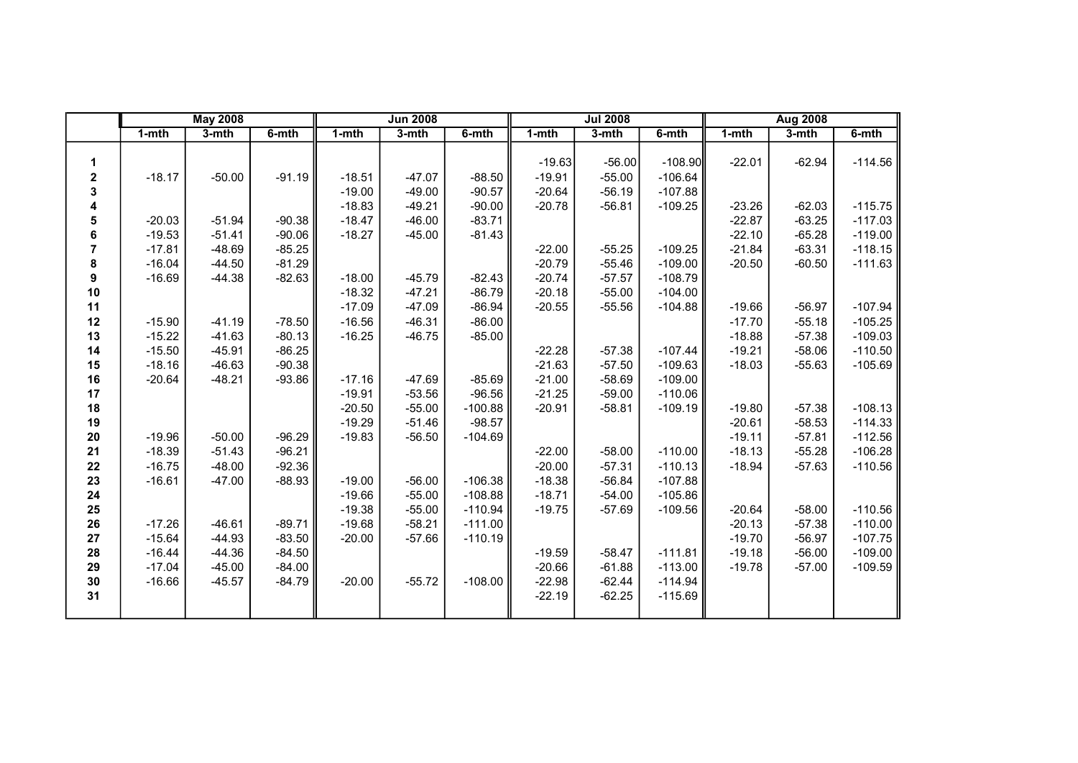|    |           | <b>May 2008</b> |          |           | <b>Jun 2008</b> |           |           | <b>Jul 2008</b> |           |           | <b>Aug 2008</b> |           |
|----|-----------|-----------------|----------|-----------|-----------------|-----------|-----------|-----------------|-----------|-----------|-----------------|-----------|
|    | $1 - mth$ | 3-mth           | 6-mth    | $1 - mth$ | 3-mth           | 6-mth     | $1 - mth$ | $3 - mth$       | $6 - mth$ | $1 - mth$ | 3-mth           | 6-mth     |
|    |           |                 |          |           |                 |           |           |                 |           |           |                 |           |
| 1  |           |                 |          |           |                 |           | $-19.63$  | $-56.00$        | $-108.90$ | $-22.01$  | $-62.94$        | $-114.56$ |
| 2  | $-18.17$  | $-50.00$        | $-91.19$ | $-18.51$  | $-47.07$        | $-88.50$  | $-19.91$  | $-55.00$        | $-106.64$ |           |                 |           |
| 3  |           |                 |          | $-19.00$  | $-49.00$        | $-90.57$  | $-20.64$  | $-56.19$        | $-107.88$ |           |                 |           |
| 4  |           |                 |          | $-18.83$  | $-49.21$        | $-90.00$  | $-20.78$  | $-56.81$        | $-109.25$ | $-23.26$  | $-62.03$        | $-115.75$ |
| 5  | $-20.03$  | $-51.94$        | $-90.38$ | $-18.47$  | $-46.00$        | $-83.71$  |           |                 |           | $-22.87$  | $-63.25$        | $-117.03$ |
| 6  | $-19.53$  | $-51.41$        | $-90.06$ | $-18.27$  | $-45.00$        | $-81.43$  |           |                 |           | $-22.10$  | $-65.28$        | $-119.00$ |
| 7  | $-17.81$  | $-48.69$        | $-85.25$ |           |                 |           | $-22.00$  | $-55.25$        | $-109.25$ | $-21.84$  | $-63.31$        | $-118.15$ |
| 8  | $-16.04$  | $-44.50$        | $-81.29$ |           |                 |           | $-20.79$  | $-55.46$        | $-109.00$ | $-20.50$  | $-60.50$        | $-111.63$ |
| 9  | $-16.69$  | $-44.38$        | $-82.63$ | $-18.00$  | $-45.79$        | $-82.43$  | $-20.74$  | $-57.57$        | $-108.79$ |           |                 |           |
| 10 |           |                 |          | $-18.32$  | $-47.21$        | $-86.79$  | $-20.18$  | $-55.00$        | $-104.00$ |           |                 |           |
| 11 |           |                 |          | $-17.09$  | $-47.09$        | $-86.94$  | $-20.55$  | $-55.56$        | $-104.88$ | $-19.66$  | $-56.97$        | $-107.94$ |
| 12 | $-15.90$  | $-41.19$        | $-78.50$ | $-16.56$  | $-46.31$        | $-86.00$  |           |                 |           | $-17.70$  | $-55.18$        | $-105.25$ |
| 13 | $-15.22$  | $-41.63$        | $-80.13$ | $-16.25$  | $-46.75$        | $-85.00$  |           |                 |           | $-18.88$  | $-57.38$        | $-109.03$ |
| 14 | $-15.50$  | $-45.91$        | $-86.25$ |           |                 |           | $-22.28$  | $-57.38$        | $-107.44$ | $-19.21$  | $-58.06$        | $-110.50$ |
| 15 | $-18.16$  | $-46.63$        | $-90.38$ |           |                 |           | $-21.63$  | $-57.50$        | $-109.63$ | $-18.03$  | $-55.63$        | $-105.69$ |
| 16 | $-20.64$  | $-48.21$        | $-93.86$ | $-17.16$  | $-47.69$        | $-85.69$  | $-21.00$  | $-58.69$        | $-109.00$ |           |                 |           |
| 17 |           |                 |          | $-19.91$  | $-53.56$        | $-96.56$  | $-21.25$  | $-59.00$        | $-110.06$ |           |                 |           |
| 18 |           |                 |          | $-20.50$  | $-55.00$        | $-100.88$ | $-20.91$  | $-58.81$        | $-109.19$ | $-19.80$  | $-57.38$        | $-108.13$ |
| 19 |           |                 |          | $-19.29$  | $-51.46$        | $-98.57$  |           |                 |           | $-20.61$  | $-58.53$        | $-114.33$ |
| 20 | $-19.96$  | $-50.00$        | $-96.29$ | $-19.83$  | $-56.50$        | $-104.69$ |           |                 |           | $-19.11$  | $-57.81$        | $-112.56$ |
| 21 | $-18.39$  | $-51.43$        | $-96.21$ |           |                 |           | $-22.00$  | $-58.00$        | $-110.00$ | $-18.13$  | $-55.28$        | $-106.28$ |
| 22 | $-16.75$  | $-48.00$        | $-92.36$ |           |                 |           | $-20.00$  | $-57.31$        | $-110.13$ | $-18.94$  | $-57.63$        | $-110.56$ |
| 23 | $-16.61$  | $-47.00$        | $-88.93$ | $-19.00$  | $-56.00$        | $-106.38$ | $-18.38$  | $-56.84$        | $-107.88$ |           |                 |           |
| 24 |           |                 |          | $-19.66$  | $-55.00$        | $-108.88$ | $-18.71$  | $-54.00$        | $-105.86$ |           |                 |           |
| 25 |           |                 |          | $-19.38$  | $-55.00$        | $-110.94$ | $-19.75$  | $-57.69$        | $-109.56$ | $-20.64$  | $-58.00$        | $-110.56$ |
| 26 | $-17.26$  | $-46.61$        | $-89.71$ | $-19.68$  | $-58.21$        | $-111.00$ |           |                 |           | $-20.13$  | $-57.38$        | $-110.00$ |
| 27 | $-15.64$  | $-44.93$        | $-83.50$ | $-20.00$  | $-57.66$        | $-110.19$ |           |                 |           | $-19.70$  | $-56.97$        | $-107.75$ |
| 28 | $-16.44$  | $-44.36$        | $-84.50$ |           |                 |           | $-19.59$  | $-58.47$        | $-111.81$ | $-19.18$  | $-56.00$        | $-109.00$ |
| 29 | $-17.04$  | $-45.00$        | $-84.00$ |           |                 |           | $-20.66$  | $-61.88$        | $-113.00$ | $-19.78$  | $-57.00$        | $-109.59$ |
| 30 | $-16.66$  | $-45.57$        | $-84.79$ | $-20.00$  | $-55.72$        | $-108.00$ | $-22.98$  | $-62.44$        | $-114.94$ |           |                 |           |
| 31 |           |                 |          |           |                 |           | $-22.19$  | $-62.25$        | $-115.69$ |           |                 |           |
|    |           |                 |          |           |                 |           |           |                 |           |           |                 |           |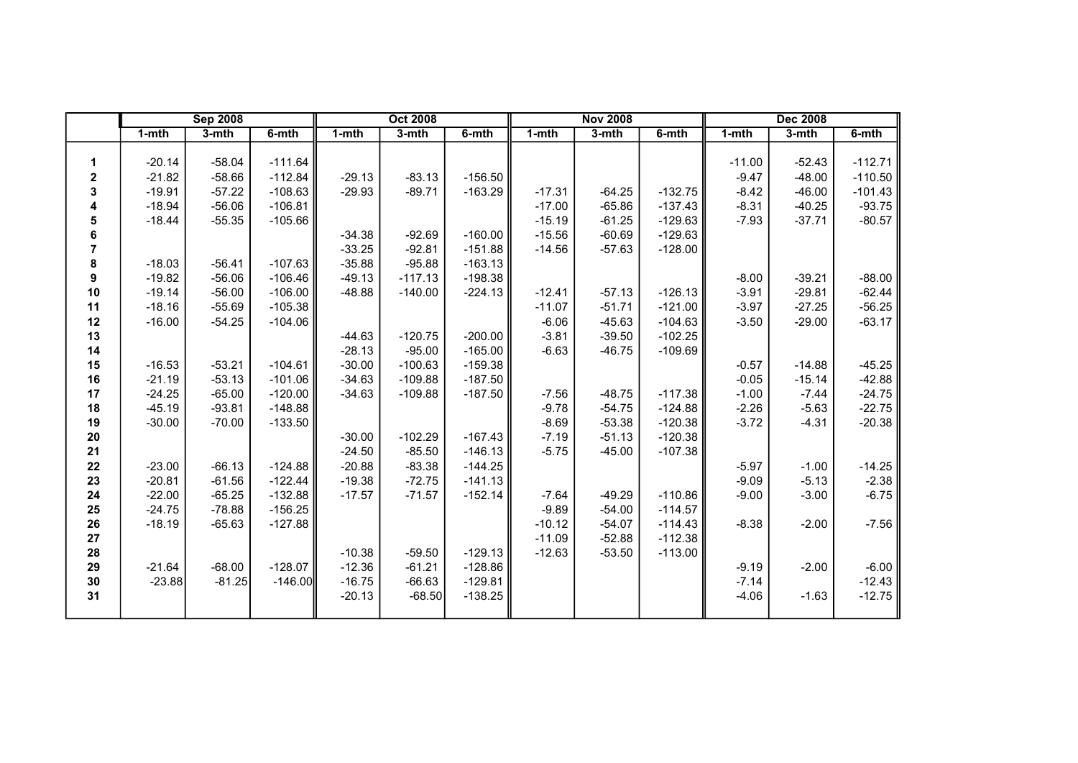|    |          | <b>Sep 2008</b> |           |          | <b>Oct 2008</b> |           |          | <b>Nov 2008</b> |           |           | <b>Dec 2008</b> |           |
|----|----------|-----------------|-----------|----------|-----------------|-----------|----------|-----------------|-----------|-----------|-----------------|-----------|
|    | 1-mth    | 3-mth           | $6-$ mth  | 1-mth    | 3-mth           | 6-mth     | 1-mth    | 3-mth           | 6-mth     | $1 - mth$ | 3-mth           | 6-mth     |
|    |          |                 |           |          |                 |           |          |                 |           |           |                 |           |
| 1. | $-20.14$ | $-58.04$        | $-111.64$ |          |                 |           |          |                 |           | $-11.00$  | $-52.43$        | $-112.71$ |
| 2  | $-21.82$ | $-58.66$        | $-112.84$ | $-29.13$ | $-83.13$        | $-156.50$ |          |                 |           | $-9.47$   | $-48.00$        | $-110.50$ |
| 3  | $-19.91$ | $-57.22$        | $-108.63$ | $-29.93$ | $-89.71$        | $-163.29$ | $-17.31$ | $-64.25$        | $-132.75$ | $-8.42$   | $-46.00$        | $-101.43$ |
| 4  | $-18.94$ | $-56.06$        | $-106.81$ |          |                 |           | $-17.00$ | $-65.86$        | $-137.43$ | $-8.31$   | $-40.25$        | $-93.75$  |
| 5  | $-18.44$ | $-55.35$        | $-105.66$ |          |                 |           | $-15.19$ | $-61.25$        | $-129.63$ | $-7.93$   | $-37.71$        | $-80.57$  |
| 6  |          |                 |           | $-34.38$ | $-92.69$        | $-160.00$ | $-15.56$ | $-60.69$        | $-129.63$ |           |                 |           |
| 7  |          |                 |           | $-33.25$ | $-92.81$        | $-151.88$ | $-14.56$ | $-57.63$        | $-128.00$ |           |                 |           |
| 8  | $-18.03$ | $-56.41$        | $-107.63$ | $-35.88$ | $-95.88$        | $-163.13$ |          |                 |           |           |                 |           |
| 9  | $-19.82$ | $-56.06$        | $-106.46$ | $-49.13$ | $-117.13$       | $-198.38$ |          |                 |           | $-8.00$   | $-39.21$        | $-88.00$  |
| 10 | $-19.14$ | $-56.00$        | $-106.00$ | $-48.88$ | $-140.00$       | $-224.13$ | $-12.41$ | $-57.13$        | $-126.13$ | $-3.91$   | $-29.81$        | $-62.44$  |
| 11 | $-18.16$ | $-55.69$        | $-105.38$ |          |                 |           | $-11.07$ | $-51.71$        | $-121.00$ | $-3.97$   | $-27.25$        | $-56.25$  |
| 12 | $-16.00$ | $-54.25$        | $-104.06$ |          |                 |           | $-6.06$  | $-45.63$        | $-104.63$ | $-3.50$   | $-29.00$        | $-63.17$  |
| 13 |          |                 |           | $-44.63$ | $-120.75$       | $-200.00$ | $-3.81$  | $-39.50$        | $-102.25$ |           |                 |           |
| 14 |          |                 |           | $-28.13$ | $-95.00$        | $-165.00$ | $-6.63$  | $-46.75$        | $-109.69$ |           |                 |           |
| 15 | $-16.53$ | $-53.21$        | $-104.61$ | $-30.00$ | $-100.63$       | $-159.38$ |          |                 |           | $-0.57$   | $-14.88$        | $-45.25$  |
| 16 | $-21.19$ | $-53.13$        | $-101.06$ | $-34.63$ | $-109.88$       | $-187.50$ |          |                 |           | $-0.05$   | $-15.14$        | $-42.88$  |
| 17 | $-24.25$ | $-65.00$        | $-120.00$ | $-34.63$ | $-109.88$       | $-187.50$ | $-7.56$  | $-48.75$        | $-117.38$ | $-1.00$   | $-7.44$         | $-24.75$  |
| 18 | $-45.19$ | $-93.81$        | $-148.88$ |          |                 |           | $-9.78$  | $-54.75$        | $-124.88$ | $-2.26$   | $-5.63$         | $-22.75$  |
| 19 | $-30.00$ | $-70.00$        | $-133.50$ |          |                 |           | $-8.69$  | $-53.38$        | $-120.38$ | $-3.72$   | $-4.31$         | $-20.38$  |
| 20 |          |                 |           | $-30.00$ | $-102.29$       | $-167.43$ | $-7.19$  | $-51.13$        | $-120.38$ |           |                 |           |
| 21 |          |                 |           | $-24.50$ | $-85.50$        | $-146.13$ | $-5.75$  | $-45.00$        | $-107.38$ |           |                 |           |
| 22 | $-23.00$ | $-66.13$        | $-124.88$ | $-20.88$ | $-83.38$        | $-144.25$ |          |                 |           | $-5.97$   | $-1.00$         | $-14.25$  |
| 23 | $-20.81$ | $-61.56$        | $-122.44$ | $-19.38$ | $-72.75$        | $-141.13$ |          |                 |           | $-9.09$   | $-5.13$         | $-2.38$   |
| 24 | $-22.00$ | $-65.25$        | $-132.88$ | $-17.57$ | $-71.57$        | $-152.14$ | $-7.64$  | $-49.29$        | $-110.86$ | $-9.00$   | $-3.00$         | $-6.75$   |
| 25 | $-24.75$ | $-78.88$        | $-156.25$ |          |                 |           | $-9.89$  | $-54.00$        | $-114.57$ |           |                 |           |
| 26 | $-18.19$ | $-65.63$        | $-127.88$ |          |                 |           | $-10.12$ | $-54.07$        | $-114.43$ | $-8.38$   | $-2.00$         | $-7.56$   |
| 27 |          |                 |           |          |                 |           | $-11.09$ | $-52.88$        | $-112.38$ |           |                 |           |
| 28 |          |                 |           | $-10.38$ | $-59.50$        | $-129.13$ | $-12.63$ | $-53.50$        | $-113.00$ |           |                 |           |
| 29 | $-21.64$ | $-68.00$        | $-128.07$ | $-12.36$ | $-61.21$        | $-128.86$ |          |                 |           | $-9.19$   | $-2.00$         | $-6.00$   |
| 30 | $-23.88$ | $-81.25$        | $-146.00$ | $-16.75$ | $-66.63$        | $-129.81$ |          |                 |           | $-7.14$   |                 | $-12.43$  |
| 31 |          |                 |           | $-20.13$ | $-68.50$        | $-138.25$ |          |                 |           | $-4.06$   | $-1.63$         | $-12.75$  |
|    |          |                 |           |          |                 |           |          |                 |           |           |                 |           |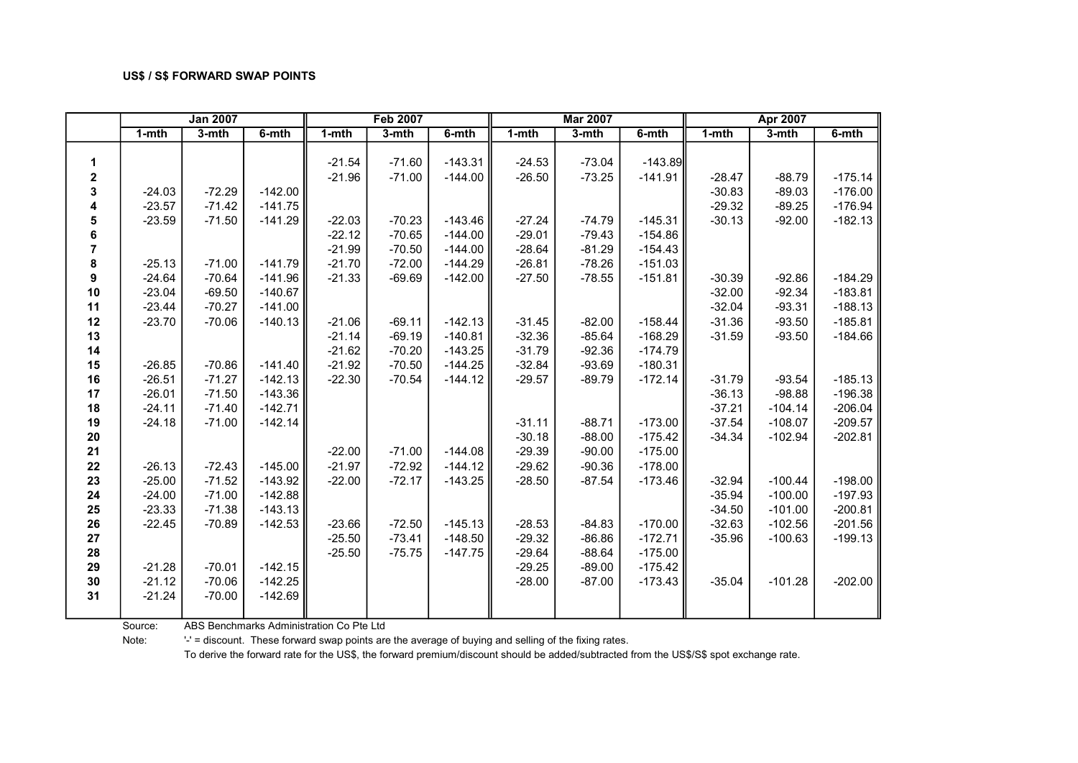|             |           | <b>Jan 2007</b> |           |           | <b>Feb 2007</b> |           |           | <b>Mar 2007</b> |           |           | <b>Apr 2007</b> |           |
|-------------|-----------|-----------------|-----------|-----------|-----------------|-----------|-----------|-----------------|-----------|-----------|-----------------|-----------|
|             | $1 - mth$ | $3-mth$         | $6-$ mth  | $1 - mth$ | $3-$ mth        | 6-mth     | $1 - mth$ | $3-mth$         | $6 - mth$ | $1 - mth$ | $3-$ mth        | 6-mth     |
|             |           |                 |           |           |                 |           |           |                 |           |           |                 |           |
| 1           |           |                 |           | $-21.54$  | $-71.60$        | $-143.31$ | $-24.53$  | $-73.04$        | $-143.89$ |           |                 |           |
| $\mathbf 2$ |           |                 |           | $-21.96$  | $-71.00$        | $-144.00$ | $-26.50$  | $-73.25$        | $-141.91$ | $-28.47$  | $-88.79$        | $-175.14$ |
| 3           | $-24.03$  | $-72.29$        | $-142.00$ |           |                 |           |           |                 |           | $-30.83$  | $-89.03$        | $-176.00$ |
| 4           | $-23.57$  | $-71.42$        | $-141.75$ |           |                 |           |           |                 |           | $-29.32$  | $-89.25$        | $-176.94$ |
| 5           | $-23.59$  | $-71.50$        | $-141.29$ | $-22.03$  | $-70.23$        | $-143.46$ | $-27.24$  | $-74.79$        | $-145.31$ | $-30.13$  | $-92.00$        | $-182.13$ |
| 6           |           |                 |           | $-22.12$  | $-70.65$        | $-144.00$ | $-29.01$  | $-79.43$        | $-154.86$ |           |                 |           |
| 7           |           |                 |           | $-21.99$  | $-70.50$        | $-144.00$ | $-28.64$  | $-81.29$        | $-154.43$ |           |                 |           |
| 8           | $-25.13$  | $-71.00$        | $-141.79$ | $-21.70$  | $-72.00$        | $-144.29$ | $-26.81$  | $-78.26$        | $-151.03$ |           |                 |           |
| 9           | $-24.64$  | $-70.64$        | $-141.96$ | $-21.33$  | $-69.69$        | $-142.00$ | $-27.50$  | $-78.55$        | $-151.81$ | $-30.39$  | $-92.86$        | $-184.29$ |
| 10          | $-23.04$  | $-69.50$        | $-140.67$ |           |                 |           |           |                 |           | $-32.00$  | $-92.34$        | $-183.81$ |
| 11          | $-23.44$  | $-70.27$        | $-141.00$ |           |                 |           |           |                 |           | $-32.04$  | $-93.31$        | $-188.13$ |
| 12          | $-23.70$  | $-70.06$        | $-140.13$ | $-21.06$  | $-69.11$        | $-142.13$ | $-31.45$  | $-82.00$        | $-158.44$ | $-31.36$  | $-93.50$        | $-185.81$ |
| 13          |           |                 |           | $-21.14$  | $-69.19$        | $-140.81$ | $-32.36$  | $-85.64$        | $-168.29$ | $-31.59$  | $-93.50$        | $-184.66$ |
| 14          |           |                 |           | $-21.62$  | $-70.20$        | $-143.25$ | $-31.79$  | $-92.36$        | $-174.79$ |           |                 |           |
| 15          | $-26.85$  | $-70.86$        | $-141.40$ | $-21.92$  | $-70.50$        | $-144.25$ | $-32.84$  | $-93.69$        | $-180.31$ |           |                 |           |
| 16          | $-26.51$  | $-71.27$        | $-142.13$ | $-22.30$  | $-70.54$        | $-144.12$ | $-29.57$  | $-89.79$        | $-172.14$ | $-31.79$  | $-93.54$        | $-185.13$ |
| 17          | $-26.01$  | $-71.50$        | $-143.36$ |           |                 |           |           |                 |           | $-36.13$  | $-98.88$        | $-196.38$ |
| 18          | $-24.11$  | $-71.40$        | $-142.71$ |           |                 |           |           |                 |           | $-37.21$  | $-104.14$       | $-206.04$ |
| 19          | $-24.18$  | $-71.00$        | $-142.14$ |           |                 |           | $-31.11$  | $-88.71$        | $-173.00$ | $-37.54$  | $-108.07$       | $-209.57$ |
| $20\,$      |           |                 |           |           |                 |           | $-30.18$  | $-88.00$        | $-175.42$ | $-34.34$  | $-102.94$       | $-202.81$ |
| 21          |           |                 |           | $-22.00$  | $-71.00$        | $-144.08$ | $-29.39$  | $-90.00$        | $-175.00$ |           |                 |           |
| 22          | $-26.13$  | $-72.43$        | $-145.00$ | $-21.97$  | $-72.92$        | $-144.12$ | $-29.62$  | $-90.36$        | $-178.00$ |           |                 |           |
| 23          | $-25.00$  | $-71.52$        | $-143.92$ | $-22.00$  | $-72.17$        | $-143.25$ | $-28.50$  | $-87.54$        | $-173.46$ | $-32.94$  | $-100.44$       | $-198.00$ |
| 24          | $-24.00$  | $-71.00$        | $-142.88$ |           |                 |           |           |                 |           | $-35.94$  | $-100.00$       | $-197.93$ |
| 25          | $-23.33$  | $-71.38$        | $-143.13$ |           |                 |           |           |                 |           | $-34.50$  | $-101.00$       | $-200.81$ |
| 26          | $-22.45$  | $-70.89$        | $-142.53$ | $-23.66$  | $-72.50$        | $-145.13$ | $-28.53$  | $-84.83$        | $-170.00$ | $-32.63$  | $-102.56$       | $-201.56$ |
| 27          |           |                 |           | $-25.50$  | $-73.41$        | $-148.50$ | $-29.32$  | $-86.86$        | $-172.71$ | $-35.96$  | $-100.63$       | $-199.13$ |
| 28          |           |                 |           | $-25.50$  | $-75.75$        | $-147.75$ | $-29.64$  | $-88.64$        | $-175.00$ |           |                 |           |
| 29          | $-21.28$  | $-70.01$        | $-142.15$ |           |                 |           | $-29.25$  | $-89.00$        | $-175.42$ |           |                 |           |
| $30\,$      | $-21.12$  | $-70.06$        | $-142.25$ |           |                 |           | $-28.00$  | $-87.00$        | $-173.43$ | $-35.04$  | $-101.28$       | $-202.00$ |
| 31          | $-21.24$  | $-70.00$        | $-142.69$ |           |                 |           |           |                 |           |           |                 |           |
|             |           |                 |           |           |                 |           |           |                 |           |           |                 |           |

Source: ABS Benchmarks Administration Co Pte Ltd

Note: '-' = discount. These forward swap points are the average of buying and selling of the fixing rates.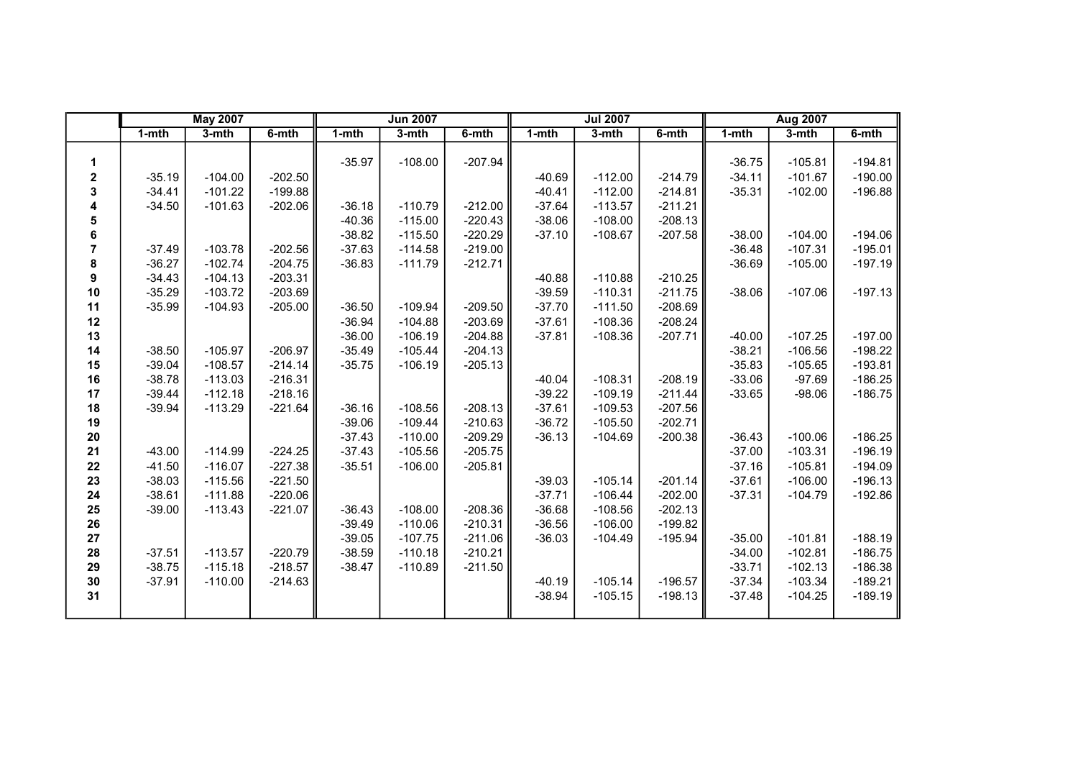|    |           | <b>May 2007</b> |           |           | <b>Jun 2007</b> |           |           | <b>Jul 2007</b> |           |           | Aug 2007  |           |
|----|-----------|-----------------|-----------|-----------|-----------------|-----------|-----------|-----------------|-----------|-----------|-----------|-----------|
|    | $1 - mth$ | $3-$ mth        | $6-$ mth  | $1 - mth$ | 3-mth           | 6-mth     | $1 - mth$ | 3-mth           | 6-mth     | $1 - mth$ | 3-mth     | 6-mth     |
|    |           |                 |           |           |                 |           |           |                 |           |           |           |           |
| 1  |           |                 |           | $-35.97$  | $-108.00$       | $-207.94$ |           |                 |           | $-36.75$  | $-105.81$ | $-194.81$ |
| 2  | $-35.19$  | $-104.00$       | $-202.50$ |           |                 |           | $-40.69$  | $-112.00$       | $-214.79$ | $-34.11$  | $-101.67$ | $-190.00$ |
| 3  | $-34.41$  | $-101.22$       | $-199.88$ |           |                 |           | $-40.41$  | $-112.00$       | $-214.81$ | $-35.31$  | $-102.00$ | $-196.88$ |
| 4  | $-34.50$  | $-101.63$       | $-202.06$ | $-36.18$  | $-110.79$       | $-212.00$ | $-37.64$  | $-113.57$       | $-211.21$ |           |           |           |
| 5  |           |                 |           | $-40.36$  | $-115.00$       | $-220.43$ | $-38.06$  | $-108.00$       | $-208.13$ |           |           |           |
| 6  |           |                 |           | $-38.82$  | $-115.50$       | $-220.29$ | $-37.10$  | $-108.67$       | $-207.58$ | $-38.00$  | $-104.00$ | $-194.06$ |
| 7  | $-37.49$  | $-103.78$       | $-202.56$ | $-37.63$  | $-114.58$       | $-219.00$ |           |                 |           | $-36.48$  | $-107.31$ | $-195.01$ |
| 8  | $-36.27$  | $-102.74$       | $-204.75$ | $-36.83$  | $-111.79$       | $-212.71$ |           |                 |           | $-36.69$  | $-105.00$ | $-197.19$ |
| 9  | $-34.43$  | $-104.13$       | $-203.31$ |           |                 |           | $-40.88$  | $-110.88$       | $-210.25$ |           |           |           |
| 10 | $-35.29$  | $-103.72$       | $-203.69$ |           |                 |           | $-39.59$  | $-110.31$       | $-211.75$ | $-38.06$  | $-107.06$ | $-197.13$ |
| 11 | $-35.99$  | $-104.93$       | $-205.00$ | $-36.50$  | $-109.94$       | $-209.50$ | $-37.70$  | $-111.50$       | $-208.69$ |           |           |           |
| 12 |           |                 |           | $-36.94$  | $-104.88$       | $-203.69$ | $-37.61$  | $-108.36$       | $-208.24$ |           |           |           |
| 13 |           |                 |           | $-36.00$  | $-106.19$       | $-204.88$ | $-37.81$  | $-108.36$       | $-207.71$ | $-40.00$  | $-107.25$ | $-197.00$ |
| 14 | $-38.50$  | $-105.97$       | $-206.97$ | $-35.49$  | $-105.44$       | $-204.13$ |           |                 |           | $-38.21$  | $-106.56$ | $-198.22$ |
| 15 | $-39.04$  | $-108.57$       | $-214.14$ | $-35.75$  | $-106.19$       | $-205.13$ |           |                 |           | $-35.83$  | $-105.65$ | $-193.81$ |
| 16 | $-38.78$  | $-113.03$       | $-216.31$ |           |                 |           | $-40.04$  | $-108.31$       | $-208.19$ | $-33.06$  | $-97.69$  | $-186.25$ |
| 17 | $-39.44$  | $-112.18$       | $-218.16$ |           |                 |           | $-39.22$  | $-109.19$       | $-211.44$ | $-33.65$  | $-98.06$  | $-186.75$ |
| 18 | $-39.94$  | $-113.29$       | $-221.64$ | $-36.16$  | $-108.56$       | $-208.13$ | $-37.61$  | $-109.53$       | $-207.56$ |           |           |           |
| 19 |           |                 |           | $-39.06$  | $-109.44$       | $-210.63$ | $-36.72$  | $-105.50$       | $-202.71$ |           |           |           |
| 20 |           |                 |           | $-37.43$  | $-110.00$       | $-209.29$ | $-36.13$  | $-104.69$       | $-200.38$ | $-36.43$  | $-100.06$ | $-186.25$ |
| 21 | $-43.00$  | $-114.99$       | $-224.25$ | $-37.43$  | $-105.56$       | $-205.75$ |           |                 |           | $-37.00$  | $-103.31$ | $-196.19$ |
| 22 | $-41.50$  | $-116.07$       | $-227.38$ | $-35.51$  | $-106.00$       | $-205.81$ |           |                 |           | $-37.16$  | $-105.81$ | $-194.09$ |
| 23 | $-38.03$  | $-115.56$       | $-221.50$ |           |                 |           | $-39.03$  | $-105.14$       | $-201.14$ | $-37.61$  | $-106.00$ | $-196.13$ |
| 24 | $-38.61$  | $-111.88$       | $-220.06$ |           |                 |           | $-37.71$  | $-106.44$       | $-202.00$ | $-37.31$  | $-104.79$ | $-192.86$ |
| 25 | $-39.00$  | $-113.43$       | $-221.07$ | $-36.43$  | $-108.00$       | $-208.36$ | $-36.68$  | $-108.56$       | $-202.13$ |           |           |           |
| 26 |           |                 |           | $-39.49$  | $-110.06$       | $-210.31$ | $-36.56$  | $-106.00$       | $-199.82$ |           |           |           |
| 27 |           |                 |           | $-39.05$  | $-107.75$       | $-211.06$ | $-36.03$  | $-104.49$       | $-195.94$ | $-35.00$  | $-101.81$ | $-188.19$ |
| 28 | $-37.51$  | $-113.57$       | $-220.79$ | $-38.59$  | $-110.18$       | $-210.21$ |           |                 |           | $-34.00$  | $-102.81$ | $-186.75$ |
| 29 | $-38.75$  | $-115.18$       | $-218.57$ | $-38.47$  | $-110.89$       | $-211.50$ |           |                 |           | $-33.71$  | $-102.13$ | $-186.38$ |
| 30 | $-37.91$  | $-110.00$       | $-214.63$ |           |                 |           | $-40.19$  | $-105.14$       | $-196.57$ | $-37.34$  | $-103.34$ | $-189.21$ |
| 31 |           |                 |           |           |                 |           | $-38.94$  | $-105.15$       | $-198.13$ | $-37.48$  | $-104.25$ | $-189.19$ |
|    |           |                 |           |           |                 |           |           |                 |           |           |           |           |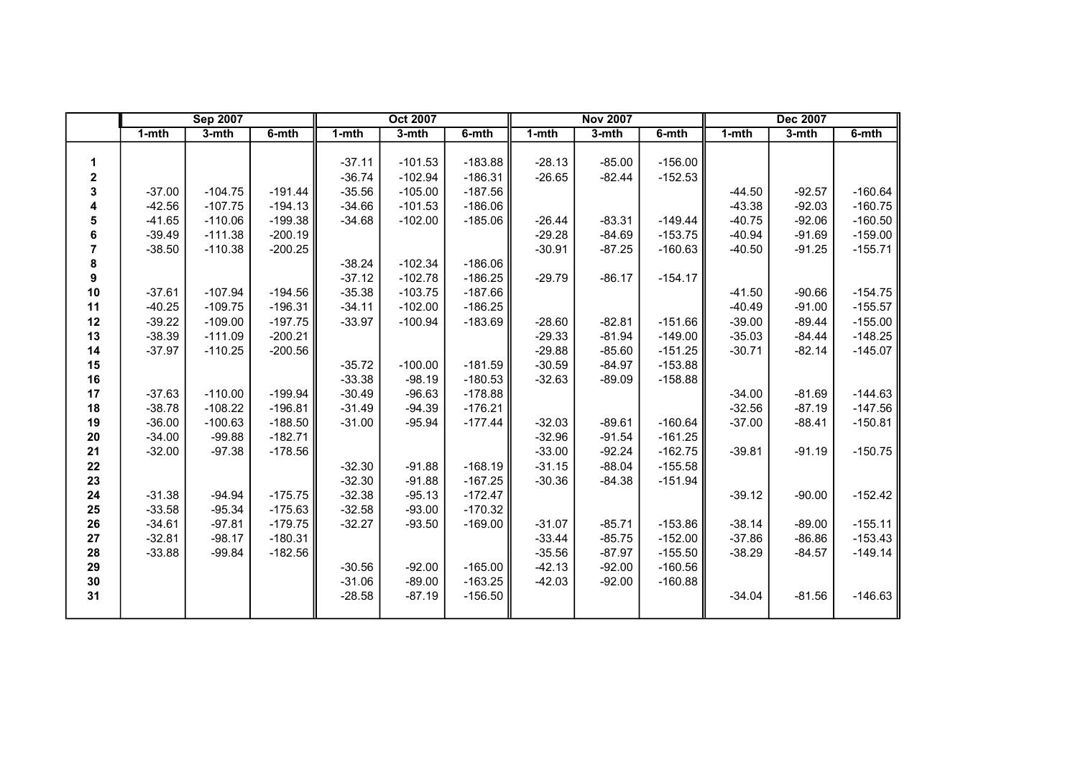|                |          | <b>Sep 2007</b> |           |           | <b>Oct 2007</b> |           |           | <b>Nov 2007</b> |           |           | <b>Dec 2007</b> |           |
|----------------|----------|-----------------|-----------|-----------|-----------------|-----------|-----------|-----------------|-----------|-----------|-----------------|-----------|
|                | 1-mth    | 3-mth           | 6-mth     | $1 - mth$ | 3-mth           | 6-mth     | $1 - mth$ | 3-mth           | 6-mth     | $1 - mth$ | 3-mth           | 6-mth     |
|                |          |                 |           |           |                 |           |           |                 |           |           |                 |           |
| 1              |          |                 |           | $-37.11$  | $-101.53$       | $-183.88$ | $-28.13$  | $-85.00$        | $-156.00$ |           |                 |           |
| $\mathbf 2$    |          |                 |           | $-36.74$  | $-102.94$       | $-186.31$ | $-26.65$  | $-82.44$        | $-152.53$ |           |                 |           |
| 3              | $-37.00$ | $-104.75$       | $-191.44$ | $-35.56$  | $-105.00$       | $-187.56$ |           |                 |           | $-44.50$  | $-92.57$        | $-160.64$ |
| 4              | $-42.56$ | $-107.75$       | $-194.13$ | $-34.66$  | $-101.53$       | $-186.06$ |           |                 |           | $-43.38$  | $-92.03$        | $-160.75$ |
| 5              | $-41.65$ | $-110.06$       | $-199.38$ | $-34.68$  | $-102.00$       | $-185.06$ | $-26.44$  | $-83.31$        | $-149.44$ | $-40.75$  | $-92.06$        | $-160.50$ |
| 6              | $-39.49$ | $-111.38$       | $-200.19$ |           |                 |           | $-29.28$  | $-84.69$        | $-153.75$ | $-40.94$  | $-91.69$        | $-159.00$ |
| $\overline{7}$ | $-38.50$ | $-110.38$       | $-200.25$ |           |                 |           | $-30.91$  | $-87.25$        | $-160.63$ | $-40.50$  | $-91.25$        | $-155.71$ |
| 8              |          |                 |           | $-38.24$  | $-102.34$       | $-186.06$ |           |                 |           |           |                 |           |
| 9              |          |                 |           | $-37.12$  | $-102.78$       | $-186.25$ | $-29.79$  | $-86.17$        | $-154.17$ |           |                 |           |
| 10             | $-37.61$ | $-107.94$       | $-194.56$ | $-35.38$  | $-103.75$       | $-187.66$ |           |                 |           | $-41.50$  | $-90.66$        | $-154.75$ |
| 11             | $-40.25$ | $-109.75$       | $-196.31$ | $-34.11$  | $-102.00$       | $-186.25$ |           |                 |           | $-40.49$  | $-91.00$        | $-155.57$ |
| 12             | $-39.22$ | $-109.00$       | $-197.75$ | $-33.97$  | $-100.94$       | $-183.69$ | $-28.60$  | $-82.81$        | $-151.66$ | $-39.00$  | $-89.44$        | $-155.00$ |
| 13             | $-38.39$ | $-111.09$       | $-200.21$ |           |                 |           | $-29.33$  | $-81.94$        | $-149.00$ | $-35.03$  | $-84.44$        | $-148.25$ |
| 14             | $-37.97$ | $-110.25$       | $-200.56$ |           |                 |           | $-29.88$  | $-85.60$        | $-151.25$ | $-30.71$  | $-82.14$        | $-145.07$ |
| 15             |          |                 |           | $-35.72$  | $-100.00$       | $-181.59$ | $-30.59$  | $-84.97$        | $-153.88$ |           |                 |           |
| 16             |          |                 |           | $-33.38$  | $-98.19$        | $-180.53$ | $-32.63$  | $-89.09$        | $-158.88$ |           |                 |           |
| 17             | $-37.63$ | $-110.00$       | $-199.94$ | $-30.49$  | $-96.63$        | $-178.88$ |           |                 |           | $-34.00$  | $-81.69$        | $-144.63$ |
| 18             | $-38.78$ | $-108.22$       | $-196.81$ | $-31.49$  | $-94.39$        | $-176.21$ |           |                 |           | $-32.56$  | $-87.19$        | $-147.56$ |
| 19             | $-36.00$ | $-100.63$       | $-188.50$ | $-31.00$  | $-95.94$        | $-177.44$ | $-32.03$  | $-89.61$        | $-160.64$ | $-37.00$  | $-88.41$        | $-150.81$ |
| 20             | $-34.00$ | $-99.88$        | $-182.71$ |           |                 |           | $-32.96$  | $-91.54$        | $-161.25$ |           |                 |           |
| 21             | $-32.00$ | $-97.38$        | $-178.56$ |           |                 |           | $-33.00$  | $-92.24$        | $-162.75$ | $-39.81$  | $-91.19$        | $-150.75$ |
| 22             |          |                 |           | $-32.30$  | $-91.88$        | $-168.19$ | $-31.15$  | $-88.04$        | $-155.58$ |           |                 |           |
| 23             |          |                 |           | $-32.30$  | $-91.88$        | $-167.25$ | $-30.36$  | $-84.38$        | $-151.94$ |           |                 |           |
| 24             | $-31.38$ | $-94.94$        | $-175.75$ | $-32.38$  | $-95.13$        | $-172.47$ |           |                 |           | $-39.12$  | $-90.00$        | $-152.42$ |
| 25             | $-33.58$ | $-95.34$        | $-175.63$ | $-32.58$  | $-93.00$        | $-170.32$ |           |                 |           |           |                 |           |
| 26             | $-34.61$ | $-97.81$        | $-179.75$ | $-32.27$  | $-93.50$        | $-169.00$ | $-31.07$  | $-85.71$        | $-153.86$ | $-38.14$  | $-89.00$        | $-155.11$ |
| 27             | $-32.81$ | $-98.17$        | $-180.31$ |           |                 |           | $-33.44$  | $-85.75$        | $-152.00$ | $-37.86$  | $-86.86$        | $-153.43$ |
| 28             | $-33.88$ | $-99.84$        | $-182.56$ |           |                 |           | $-35.56$  | $-87.97$        | $-155.50$ | $-38.29$  | $-84.57$        | $-149.14$ |
| 29             |          |                 |           | $-30.56$  | $-92.00$        | $-165.00$ | $-42.13$  | $-92.00$        | $-160.56$ |           |                 |           |
| 30             |          |                 |           | $-31.06$  | $-89.00$        | $-163.25$ | $-42.03$  | $-92.00$        | $-160.88$ |           |                 |           |
| 31             |          |                 |           | $-28.58$  | $-87.19$        | $-156.50$ |           |                 |           | $-34.04$  | $-81.56$        | $-146.63$ |
|                |          |                 |           |           |                 |           |           |                 |           |           |                 |           |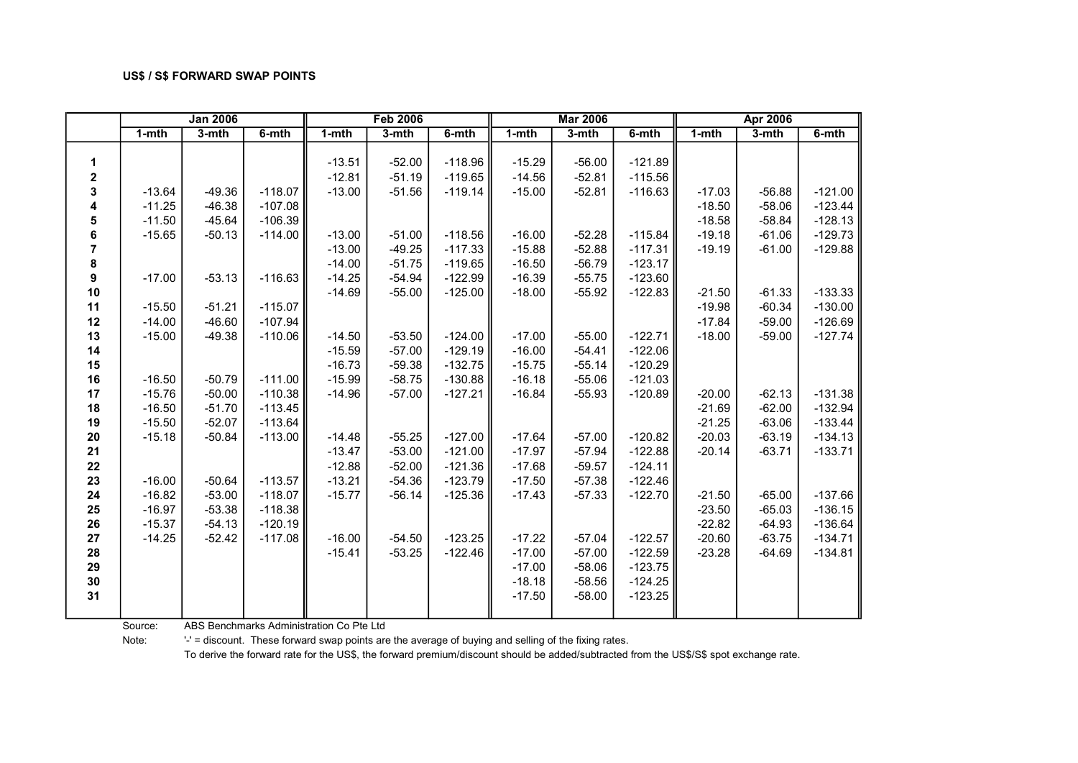|                        |           | <b>Jan 2006</b> |           |                                  | <b>Feb 2006</b>                  |                                     |                                  | <b>Mar 2006</b>                  |                                     |           | <b>Apr 2006</b> |           |
|------------------------|-----------|-----------------|-----------|----------------------------------|----------------------------------|-------------------------------------|----------------------------------|----------------------------------|-------------------------------------|-----------|-----------------|-----------|
|                        | $1 - mth$ | 3-mth           | 6-mth     | $1 - mth$                        | 3-mth                            | 6-mth                               | $1 - mth$                        | $3-$ mth                         | 6-mth                               | $1 - mth$ | 3-mth           | $6 - mth$ |
| 1<br>$\mathbf{2}$<br>3 | $-13.64$  | $-49.36$        | $-118.07$ | $-13.51$<br>$-12.81$<br>$-13.00$ | $-52.00$<br>$-51.19$<br>$-51.56$ | $-118.96$<br>$-119.65$<br>$-119.14$ | $-15.29$<br>$-14.56$<br>$-15.00$ | $-56.00$<br>$-52.81$<br>$-52.81$ | $-121.89$<br>$-115.56$<br>$-116.63$ | $-17.03$  | $-56.88$        | $-121.00$ |
| 4                      | $-11.25$  | $-46.38$        | $-107.08$ |                                  |                                  |                                     |                                  |                                  |                                     | $-18.50$  | $-58.06$        | $-123.44$ |
| 5                      | $-11.50$  | $-45.64$        | $-106.39$ |                                  |                                  |                                     |                                  |                                  |                                     | $-18.58$  | $-58.84$        | $-128.13$ |
| 6                      | $-15.65$  | $-50.13$        | $-114.00$ | $-13.00$                         | $-51.00$                         | $-118.56$                           | $-16.00$                         | $-52.28$                         | $-115.84$                           | $-19.18$  | $-61.06$        | $-129.73$ |
| 7                      |           |                 |           | $-13.00$                         | $-49.25$                         | $-117.33$                           | $-15.88$                         | $-52.88$                         | $-117.31$                           | $-19.19$  | $-61.00$        | $-129.88$ |
| 8                      |           |                 |           | $-14.00$                         | $-51.75$                         | $-119.65$                           | $-16.50$                         | $-56.79$                         | $-123.17$                           |           |                 |           |
| 9                      | $-17.00$  | $-53.13$        | $-116.63$ | $-14.25$                         | $-54.94$                         | $-122.99$                           | $-16.39$                         | $-55.75$                         | $-123.60$                           |           |                 |           |
| 10                     |           |                 |           | $-14.69$                         | $-55.00$                         | $-125.00$                           | $-18.00$                         | $-55.92$                         | $-122.83$                           | $-21.50$  | $-61.33$        | $-133.33$ |
| 11                     | $-15.50$  | $-51.21$        | $-115.07$ |                                  |                                  |                                     |                                  |                                  |                                     | $-19.98$  | $-60.34$        | $-130.00$ |
| 12                     | $-14.00$  | $-46.60$        | $-107.94$ |                                  |                                  |                                     |                                  |                                  |                                     | $-17.84$  | $-59.00$        | $-126.69$ |
| 13                     | $-15.00$  | $-49.38$        | $-110.06$ | $-14.50$                         | $-53.50$                         | $-124.00$                           | $-17.00$                         | $-55.00$                         | $-122.71$                           | $-18.00$  | $-59.00$        | $-127.74$ |
| 14                     |           |                 |           | $-15.59$                         | $-57.00$                         | $-129.19$                           | $-16.00$                         | $-54.41$                         | $-122.06$                           |           |                 |           |
| 15                     |           |                 |           | $-16.73$                         | $-59.38$                         | $-132.75$                           | $-15.75$                         | $-55.14$                         | $-120.29$                           |           |                 |           |
| 16                     | $-16.50$  | $-50.79$        | $-111.00$ | $-15.99$                         | $-58.75$                         | $-130.88$                           | $-16.18$                         | $-55.06$                         | $-121.03$                           |           |                 |           |
| 17                     | $-15.76$  | $-50.00$        | $-110.38$ | $-14.96$                         | $-57.00$                         | $-127.21$                           | $-16.84$                         | $-55.93$                         | $-120.89$                           | $-20.00$  | $-62.13$        | $-131.38$ |
| 18                     | $-16.50$  | $-51.70$        | $-113.45$ |                                  |                                  |                                     |                                  |                                  |                                     | $-21.69$  | $-62.00$        | $-132.94$ |
| 19                     | $-15.50$  | $-52.07$        | $-113.64$ |                                  |                                  |                                     |                                  |                                  |                                     | $-21.25$  | $-63.06$        | $-133.44$ |
| 20                     | $-15.18$  | $-50.84$        | $-113.00$ | $-14.48$                         | $-55.25$                         | $-127.00$                           | $-17.64$                         | $-57.00$                         | $-120.82$                           | $-20.03$  | $-63.19$        | $-134.13$ |
| 21                     |           |                 |           | $-13.47$                         | $-53.00$                         | $-121.00$                           | $-17.97$                         | $-57.94$                         | $-122.88$                           | $-20.14$  | $-63.71$        | $-133.71$ |
| 22                     |           |                 |           | $-12.88$                         | $-52.00$                         | $-121.36$                           | $-17.68$                         | $-59.57$                         | $-124.11$                           |           |                 |           |
| 23                     | $-16.00$  | $-50.64$        | $-113.57$ | $-13.21$                         | $-54.36$                         | $-123.79$                           | $-17.50$                         | $-57.38$                         | $-122.46$                           |           |                 |           |
| 24                     | $-16.82$  | $-53.00$        | $-118.07$ | $-15.77$                         | $-56.14$                         | $-125.36$                           | $-17.43$                         | $-57.33$                         | $-122.70$                           | $-21.50$  | $-65.00$        | $-137.66$ |
| 25                     | $-16.97$  | $-53.38$        | $-118.38$ |                                  |                                  |                                     |                                  |                                  |                                     | $-23.50$  | $-65.03$        | $-136.15$ |
| 26                     | $-15.37$  | $-54.13$        | $-120.19$ |                                  |                                  |                                     |                                  |                                  |                                     | $-22.82$  | $-64.93$        | $-136.64$ |
| 27                     | $-14.25$  | $-52.42$        | $-117.08$ | $-16.00$                         | $-54.50$                         | $-123.25$                           | $-17.22$                         | $-57.04$                         | $-122.57$                           | $-20.60$  | $-63.75$        | $-134.71$ |
| 28                     |           |                 |           | $-15.41$                         | $-53.25$                         | $-122.46$                           | $-17.00$                         | $-57.00$                         | $-122.59$                           | $-23.28$  | $-64.69$        | $-134.81$ |
| 29                     |           |                 |           |                                  |                                  |                                     | $-17.00$                         | $-58.06$                         | $-123.75$                           |           |                 |           |
| $30\,$<br>31           |           |                 |           |                                  |                                  |                                     | $-18.18$<br>$-17.50$             | $-58.56$<br>$-58.00$             | $-124.25$<br>$-123.25$              |           |                 |           |

Source: ABS Benchmarks Administration Co Pte Ltd

Note: '-' = discount. These forward swap points are the average of buying and selling of the fixing rates.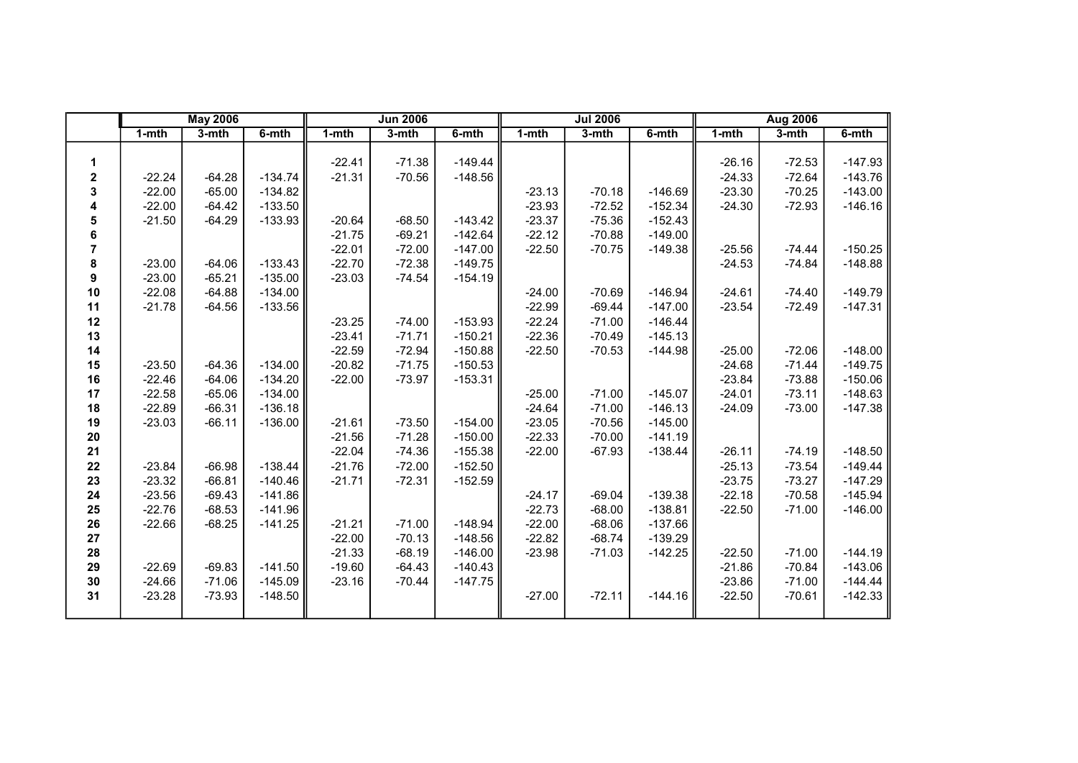|                  |           | <b>May 2006</b> |           |           | <b>Jun 2006</b> |           |          | <b>Jul 2006</b> |           |           | <b>Aug 2006</b> |           |
|------------------|-----------|-----------------|-----------|-----------|-----------------|-----------|----------|-----------------|-----------|-----------|-----------------|-----------|
|                  | $1 - mth$ | $3-mth$         | 6-mth     | $1 - mth$ | $3 - mth$       | 6-mth     | 1-mth    | 3-mth           | 6-mth     | $1 - mth$ | $3-mth$         | 6-mth     |
|                  |           |                 |           |           |                 |           |          |                 |           |           |                 |           |
| 1                |           |                 |           | $-22.41$  | $-71.38$        | $-149.44$ |          |                 |           | $-26.16$  | $-72.53$        | $-147.93$ |
| $\boldsymbol{2}$ | $-22.24$  | $-64.28$        | $-134.74$ | $-21.31$  | $-70.56$        | $-148.56$ |          |                 |           | $-24.33$  | $-72.64$        | $-143.76$ |
| 3                | $-22.00$  | $-65.00$        | $-134.82$ |           |                 |           | $-23.13$ | $-70.18$        | $-146.69$ | $-23.30$  | $-70.25$        | $-143.00$ |
| 4                | $-22.00$  | $-64.42$        | $-133.50$ |           |                 |           | $-23.93$ | $-72.52$        | $-152.34$ | $-24.30$  | $-72.93$        | $-146.16$ |
| 5                | $-21.50$  | $-64.29$        | $-133.93$ | $-20.64$  | $-68.50$        | $-143.42$ | $-23.37$ | $-75.36$        | $-152.43$ |           |                 |           |
| 6                |           |                 |           | $-21.75$  | $-69.21$        | $-142.64$ | $-22.12$ | $-70.88$        | $-149.00$ |           |                 |           |
| 7                |           |                 |           | $-22.01$  | $-72.00$        | $-147.00$ | $-22.50$ | $-70.75$        | $-149.38$ | $-25.56$  | $-74.44$        | $-150.25$ |
| 8                | $-23.00$  | $-64.06$        | $-133.43$ | $-22.70$  | $-72.38$        | $-149.75$ |          |                 |           | $-24.53$  | $-74.84$        | $-148.88$ |
| 9                | $-23.00$  | $-65.21$        | $-135.00$ | $-23.03$  | $-74.54$        | $-154.19$ |          |                 |           |           |                 |           |
| 10               | $-22.08$  | $-64.88$        | $-134.00$ |           |                 |           | $-24.00$ | $-70.69$        | $-146.94$ | $-24.61$  | $-74.40$        | $-149.79$ |
| 11               | $-21.78$  | $-64.56$        | $-133.56$ |           |                 |           | $-22.99$ | $-69.44$        | $-147.00$ | $-23.54$  | $-72.49$        | $-147.31$ |
| 12               |           |                 |           | $-23.25$  | $-74.00$        | $-153.93$ | $-22.24$ | $-71.00$        | $-146.44$ |           |                 |           |
| 13               |           |                 |           | $-23.41$  | $-71.71$        | $-150.21$ | $-22.36$ | $-70.49$        | $-145.13$ |           |                 |           |
| 14               |           |                 |           | $-22.59$  | $-72.94$        | $-150.88$ | $-22.50$ | $-70.53$        | $-144.98$ | $-25.00$  | $-72.06$        | $-148.00$ |
| 15               | $-23.50$  | $-64.36$        | $-134.00$ | $-20.82$  | $-71.75$        | $-150.53$ |          |                 |           | $-24.68$  | $-71.44$        | $-149.75$ |
| 16               | $-22.46$  | $-64.06$        | $-134.20$ | $-22.00$  | $-73.97$        | $-153.31$ |          |                 |           | $-23.84$  | $-73.88$        | $-150.06$ |
| 17               | $-22.58$  | $-65.06$        | $-134.00$ |           |                 |           | $-25.00$ | $-71.00$        | $-145.07$ | $-24.01$  | $-73.11$        | $-148.63$ |
| 18               | $-22.89$  | $-66.31$        | $-136.18$ |           |                 |           | $-24.64$ | $-71.00$        | $-146.13$ | $-24.09$  | $-73.00$        | $-147.38$ |
| 19               | $-23.03$  | $-66.11$        | $-136.00$ | $-21.61$  | $-73.50$        | $-154.00$ | $-23.05$ | $-70.56$        | $-145.00$ |           |                 |           |
| ${\bf 20}$       |           |                 |           | $-21.56$  | $-71.28$        | $-150.00$ | $-22.33$ | $-70.00$        | $-141.19$ |           |                 |           |
| 21               |           |                 |           | $-22.04$  | $-74.36$        | $-155.38$ | $-22.00$ | $-67.93$        | $-138.44$ | $-26.11$  | $-74.19$        | $-148.50$ |
| 22               | $-23.84$  | $-66.98$        | $-138.44$ | $-21.76$  | $-72.00$        | $-152.50$ |          |                 |           | $-25.13$  | $-73.54$        | $-149.44$ |
| 23               | $-23.32$  | $-66.81$        | $-140.46$ | $-21.71$  | $-72.31$        | $-152.59$ |          |                 |           | $-23.75$  | $-73.27$        | $-147.29$ |
| 24               | $-23.56$  | $-69.43$        | $-141.86$ |           |                 |           | $-24.17$ | $-69.04$        | $-139.38$ | $-22.18$  | $-70.58$        | $-145.94$ |
| 25               | $-22.76$  | $-68.53$        | $-141.96$ |           |                 |           | $-22.73$ | $-68.00$        | $-138.81$ | $-22.50$  | $-71.00$        | $-146.00$ |
| 26               | $-22.66$  | $-68.25$        | $-141.25$ | $-21.21$  | $-71.00$        | $-148.94$ | $-22.00$ | $-68.06$        | $-137.66$ |           |                 |           |
| 27               |           |                 |           | $-22.00$  | $-70.13$        | $-148.56$ | $-22.82$ | $-68.74$        | $-139.29$ |           |                 |           |
| 28               |           |                 |           | $-21.33$  | $-68.19$        | $-146.00$ | $-23.98$ | $-71.03$        | $-142.25$ | $-22.50$  | $-71.00$        | $-144.19$ |
| 29               | $-22.69$  | $-69.83$        | $-141.50$ | $-19.60$  | $-64.43$        | $-140.43$ |          |                 |           | $-21.86$  | $-70.84$        | $-143.06$ |
| $30\,$           | $-24.66$  | $-71.06$        | $-145.09$ | $-23.16$  | $-70.44$        | $-147.75$ |          |                 |           | $-23.86$  | $-71.00$        | $-144.44$ |
| 31               | $-23.28$  | $-73.93$        | $-148.50$ |           |                 |           | $-27.00$ | $-72.11$        | $-144.16$ | $-22.50$  | $-70.61$        | $-142.33$ |
|                  |           |                 |           |           |                 |           |          |                 |           |           |                 |           |